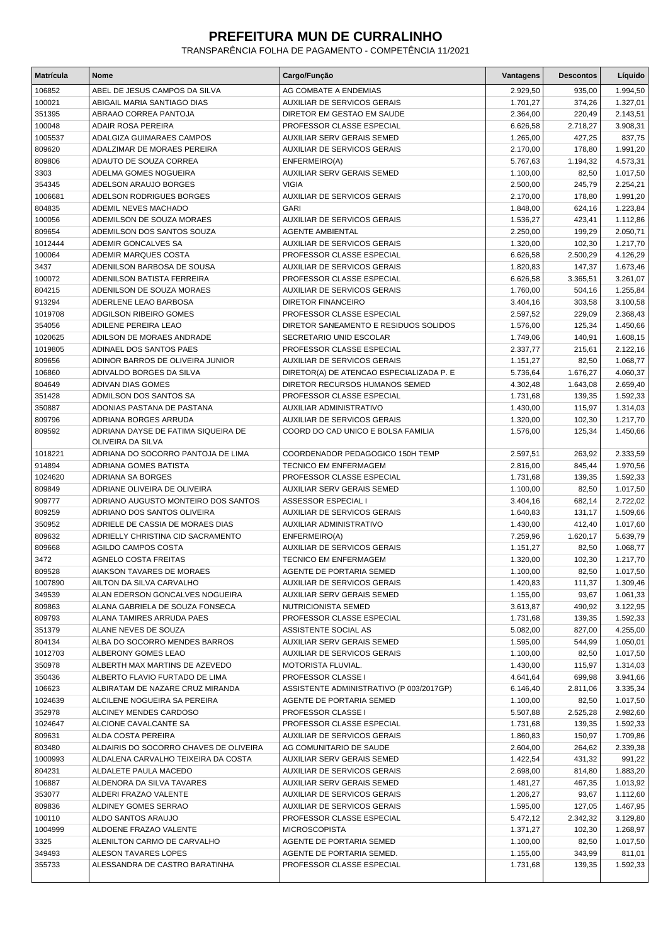## **PREFEITURA MUN DE CURRALINHO**

TRANSPARÊNCIA FOLHA DE PAGAMENTO - COMPETÊNCIA 11/2021

| <b>Matrícula</b> | Nome                                   | Cargo/Função                             | Vantagens | <b>Descontos</b> | Líquido  |
|------------------|----------------------------------------|------------------------------------------|-----------|------------------|----------|
| 106852           | ABEL DE JESUS CAMPOS DA SILVA          | AG COMBATE A ENDEMIAS                    | 2.929,50  | 935,00           | 1.994,50 |
| 100021           | ABIGAIL MARIA SANTIAGO DIAS            | <b>AUXILIAR DE SERVICOS GERAIS</b>       | 1.701,27  | 374,26           | 1.327,01 |
| 351395           | ABRAAO CORREA PANTOJA                  | DIRETOR EM GESTAO EM SAUDE               | 2.364,00  | 220,49           | 2.143,51 |
| 100048           | ADAIR ROSA PEREIRA                     | PROFESSOR CLASSE ESPECIAL                | 6.626,58  | 2.718,27         | 3.908,31 |
| 1005537          | ADALGIZA GUIMARAES CAMPOS              | AUXILIAR SERV GERAIS SEMED               | 1.265,00  | 427,25           | 837,75   |
| 809620           | ADALZIMAR DE MORAES PEREIRA            | <b>AUXILIAR DE SERVICOS GERAIS</b>       | 2.170,00  | 178,80           | 1.991,20 |
| 809806           | ADAUTO DE SOUZA CORREA                 | ENFERMEIRO(A)                            | 5.767,63  | 1.194,32         | 4.573,31 |
| 3303             | ADELMA GOMES NOGUEIRA                  | <b>AUXILIAR SERV GERAIS SEMED</b>        | 1.100,00  | 82,50            | 1.017,50 |
| 354345           | ADELSON ARAUJO BORGES                  | <b>VIGIA</b>                             | 2.500,00  | 245,79           | 2.254,21 |
| 1006681          | ADELSON RODRIGUES BORGES               | AUXILIAR DE SERVICOS GERAIS              | 2.170,00  | 178,80           | 1.991,20 |
| 804835           | ADEMIL NEVES MACHADO                   | <b>GARI</b>                              | 1.848,00  | 624,16           | 1.223,84 |
| 100056           | ADEMILSON DE SOUZA MORAES              | AUXILIAR DE SERVICOS GERAIS              | 1.536,27  | 423,41           | 1.112,86 |
| 809654           | ADEMILSON DOS SANTOS SOUZA             | <b>AGENTE AMBIENTAL</b>                  | 2.250,00  | 199,29           | 2.050,71 |
| 1012444          | ADEMIR GONCALVES SA                    | <b>AUXILIAR DE SERVICOS GERAIS</b>       | 1.320,00  | 102,30           | 1.217,70 |
| 100064           | ADEMIR MARQUES COSTA                   | PROFESSOR CLASSE ESPECIAL                | 6.626,58  | 2.500,29         | 4.126,29 |
| 3437             | ADENILSON BARBOSA DE SOUSA             | AUXILIAR DE SERVICOS GERAIS              | 1.820,83  | 147,37           | 1.673,46 |
| 100072           | ADENILSON BATISTA FERREIRA             | PROFESSOR CLASSE ESPECIAL                | 6.626,58  | 3.365,51         | 3.261,07 |
| 804215           | ADENILSON DE SOUZA MORAES              | AUXILIAR DE SERVICOS GERAIS              | 1.760,00  | 504,16           | 1.255,84 |
| 913294           | ADERLENE LEAO BARBOSA                  | <b>DIRETOR FINANCEIRO</b>                | 3.404,16  | 303,58           | 3.100,58 |
| 1019708          | ADGILSON RIBEIRO GOMES                 | PROFESSOR CLASSE ESPECIAL                | 2.597,52  | 229,09           | 2.368,43 |
| 354056           | <b>ADILENE PEREIRA LEAO</b>            | DIRETOR SANEAMENTO E RESIDUOS SOLIDOS    | 1.576,00  | 125,34           | 1.450,66 |
| 1020625          | ADILSON DE MORAES ANDRADE              | SECRETARIO UNID ESCOLAR                  | 1.749,06  | 140,91           | 1.608,15 |
| 1019805          | ADINAEL DOS SANTOS PAES                | PROFESSOR CLASSE ESPECIAL                | 2.337,77  | 215,61           | 2.122,16 |
| 809656           | ADINOR BARROS DE OLIVEIRA JUNIOR       | <b>AUXILIAR DE SERVICOS GERAIS</b>       | 1.151,27  | 82,50            | 1.068,77 |
| 106860           | ADIVALDO BORGES DA SILVA               | DIRETOR(A) DE ATENCAO ESPECIALIZADA P. E | 5.736,64  | 1.676,27         | 4.060,37 |
| 804649           | <b>ADIVAN DIAS GOMES</b>               | DIRETOR RECURSOS HUMANOS SEMED           | 4.302,48  | 1.643,08         | 2.659,40 |
| 351428           | ADMILSON DOS SANTOS SA                 | PROFESSOR CLASSE ESPECIAL                | 1.731,68  | 139,35           | 1.592,33 |
| 350887           | ADONIAS PASTANA DE PASTANA             | AUXILIAR ADMINISTRATIVO                  | 1.430,00  | 115,97           | 1.314,03 |
| 809796           | ADRIANA BORGES ARRUDA                  | <b>AUXILIAR DE SERVICOS GERAIS</b>       | 1.320,00  | 102,30           | 1.217,70 |
| 809592           | ADRIANA DAYSE DE FATIMA SIQUEIRA DE    | COORD DO CAD UNICO E BOLSA FAMILIA       | 1.576,00  | 125,34           | 1.450,66 |
|                  | OLIVEIRA DA SILVA                      |                                          |           |                  |          |
| 1018221          | ADRIANA DO SOCORRO PANTOJA DE LIMA     | COORDENADOR PEDAGOGICO 150H TEMP         | 2.597,51  | 263,92           | 2.333,59 |
| 914894           | ADRIANA GOMES BATISTA                  | <b>TECNICO EM ENFERMAGEM</b>             | 2.816,00  | 845,44           | 1.970,56 |
| 1024620          | ADRIANA SA BORGES                      | PROFESSOR CLASSE ESPECIAL                | 1.731,68  | 139,35           | 1.592,33 |
| 809849           | ADRIANE OLIVEIRA DE OLIVEIRA           | <b>AUXILIAR SERV GERAIS SEMED</b>        | 1.100,00  | 82,50            | 1.017,50 |
| 909777           | ADRIANO AUGUSTO MONTEIRO DOS SANTOS    | ASSESSOR ESPECIAL I                      | 3.404,16  | 682,14           | 2.722,02 |
| 809259           | ADRIANO DOS SANTOS OLIVEIRA            | <b>AUXILIAR DE SERVICOS GERAIS</b>       | 1.640,83  | 131,17           | 1.509,66 |
| 350952           | ADRIELE DE CASSIA DE MORAES DIAS       | AUXILIAR ADMINISTRATIVO                  | 1.430,00  | 412,40           | 1.017,60 |
| 809632           | ADRIELLY CHRISTINA CID SACRAMENTO      | ENFERMEIRO(A)                            | 7.259,96  | 1.620,17         | 5.639,79 |
| 809668           | <b>AGILDO CAMPOS COSTA</b>             | AUXILIAR DE SERVICOS GERAIS              | 1.151,27  | 82,50            | 1.068,77 |
| 3472             | <b>AGNELO COSTA FREITAS</b>            | <b>TECNICO EM ENFERMAGEM</b>             | 1.320,00  | 102,30           | 1.217,70 |
| 809528           | AIAKSON TAVARES DE MORAES              | AGENTE DE PORTARIA SEMED                 | 1.100,00  | 82,50            | 1.017,50 |
| 1007890          | AILTON DA SILVA CARVALHO               | <b>AUXILIAR DE SERVICOS GERAIS</b>       | 1.420,83  | 111,37           | 1.309,46 |
| 349539           | ALAN EDERSON GONCALVES NOGUEIRA        | AUXILIAR SERV GERAIS SEMED               | 1.155,00  | 93,67            | 1.061,33 |
| 809863           | ALANA GABRIELA DE SOUZA FONSECA        | NUTRICIONISTA SEMED                      | 3.613,87  | 490,92           | 3.122,95 |
| 809793           | ALANA TAMIRES ARRUDA PAES              | PROFESSOR CLASSE ESPECIAL                | 1.731,68  | 139,35           | 1.592,33 |
| 351379           | ALANE NEVES DE SOUZA                   | ASSISTENTE SOCIAL AS                     | 5.082,00  | 827,00           | 4.255,00 |
| 804134           | ALBA DO SOCORRO MENDES BARROS          | AUXILIAR SERV GERAIS SEMED               | 1.595,00  | 544,99           | 1.050,01 |
| 1012703          | ALBERONY GOMES LEAO                    | AUXILIAR DE SERVICOS GERAIS              | 1.100,00  | 82,50            | 1.017,50 |
| 350978           | ALBERTH MAX MARTINS DE AZEVEDO         | MOTORISTA FLUVIAL.                       | 1.430.00  | 115,97           | 1.314,03 |
| 350436           | ALBERTO FLAVIO FURTADO DE LIMA         | PROFESSOR CLASSE I                       | 4.641,64  | 699,98           | 3.941,66 |
| 106623           | ALBIRATAM DE NAZARE CRUZ MIRANDA       | ASSISTENTE ADMINISTRATIVO (P 003/2017GP) | 6.146,40  | 2.811,06         | 3.335,34 |
| 1024639          | ALCILENE NOGUEIRA SA PEREIRA           | AGENTE DE PORTARIA SEMED                 | 1.100,00  | 82,50            | 1.017,50 |
| 352978           | ALCINEY MENDES CARDOSO                 | PROFESSOR CLASSE I                       | 5.507,88  | 2.525,28         | 2.982,60 |
| 1024647          | ALCIONE CAVALCANTE SA                  | PROFESSOR CLASSE ESPECIAL                | 1.731,68  | 139,35           | 1.592,33 |
| 809631           | ALDA COSTA PEREIRA                     | AUXILIAR DE SERVICOS GERAIS              | 1.860,83  | 150,97           | 1.709,86 |
| 803480           | ALDAIRIS DO SOCORRO CHAVES DE OLIVEIRA | AG COMUNITARIO DE SAUDE                  | 2.604,00  | 264,62           | 2.339,38 |
| 1000993          | ALDALENA CARVALHO TEIXEIRA DA COSTA    | AUXILIAR SERV GERAIS SEMED               | 1.422,54  | 431,32           | 991,22   |
| 804231           | ALDALETE PAULA MACEDO                  | AUXILIAR DE SERVICOS GERAIS              | 2.698,00  | 814,80           | 1.883,20 |
| 106887           | ALDENORA DA SILVA TAVARES              | AUXILIAR SERV GERAIS SEMED               | 1.481,27  | 467,35           | 1.013,92 |
| 353077           | ALDERI FRAZAO VALENTE                  | AUXILIAR DE SERVICOS GERAIS              | 1.206,27  | 93,67            | 1.112,60 |
| 809836           | ALDINEY GOMES SERRAO                   | AUXILIAR DE SERVICOS GERAIS              | 1.595,00  | 127,05           | 1.467,95 |
| 100110           | ALDO SANTOS ARAUJO                     | PROFESSOR CLASSE ESPECIAL                | 5.472,12  | 2.342,32         | 3.129,80 |
| 1004999          | ALDOENE FRAZAO VALENTE                 | <b>MICROSCOPISTA</b>                     | 1.371,27  | 102,30           | 1.268,97 |
| 3325             | ALENILTON CARMO DE CARVALHO            | AGENTE DE PORTARIA SEMED                 | 1.100,00  | 82,50            | 1.017,50 |
| 349493           | ALESON TAVARES LOPES                   | AGENTE DE PORTARIA SEMED.                | 1.155,00  | 343,99           | 811,01   |
| 355733           | ALESSANDRA DE CASTRO BARATINHA         | PROFESSOR CLASSE ESPECIAL                | 1.731,68  | 139,35           | 1.592,33 |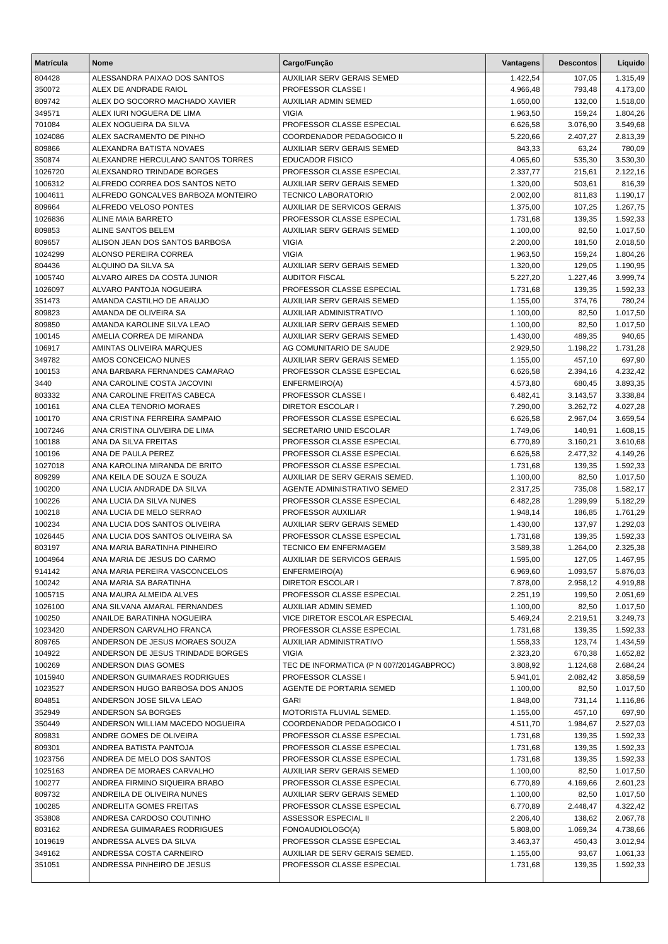| <b>Matrícula</b> | <b>Nome</b>                                                    | Cargo/Função                                           | Vantagens            | <b>Descontos</b>     | Líquido              |
|------------------|----------------------------------------------------------------|--------------------------------------------------------|----------------------|----------------------|----------------------|
| 804428           | ALESSANDRA PAIXAO DOS SANTOS                                   | AUXILIAR SERV GERAIS SEMED                             | 1.422,54             | 107,05               | 1.315,49             |
| 350072           | ALEX DE ANDRADE RAIOL                                          | PROFESSOR CLASSE I                                     | 4.966,48             | 793,48               | 4.173,00             |
| 809742           | ALEX DO SOCORRO MACHADO XAVIER                                 | AUXILIAR ADMIN SEMED                                   | 1.650,00             | 132,00               | 1.518,00             |
| 349571           | ALEX IURI NOGUERA DE LIMA                                      | <b>VIGIA</b>                                           | 1.963,50             | 159,24               | 1.804,26             |
| 701084           | ALEX NOGUEIRA DA SILVA                                         | PROFESSOR CLASSE ESPECIAL                              | 6.626,58             | 3.076,90             | 3.549,68             |
| 1024086          | ALEX SACRAMENTO DE PINHO                                       | COORDENADOR PEDAGOGICO II                              | 5.220,66             | 2.407,27             | 2.813,39             |
| 809866           | ALEXANDRA BATISTA NOVAES                                       | AUXILIAR SERV GERAIS SEMED                             | 843,33               | 63,24                | 780,09               |
| 350874           | ALEXANDRE HERCULANO SANTOS TORRES                              | <b>EDUCADOR FISICO</b>                                 | 4.065,60             | 535,30               | 3.530,30             |
| 1026720          | ALEXSANDRO TRINDADE BORGES                                     | PROFESSOR CLASSE ESPECIAL                              | 2.337,77             | 215,61               | 2.122,16             |
| 1006312          | ALFREDO CORREA DOS SANTOS NETO                                 | <b>AUXILIAR SERV GERAIS SEMED</b>                      | 1.320,00             | 503,61               | 816,39               |
| 1004611          | ALFREDO GONCALVES BARBOZA MONTEIRO                             | <b>TECNICO LABORATORIO</b>                             | 2.002,00             | 811,83               | 1.190,17             |
| 809664           | ALFREDO VELOSO PONTES                                          | AUXILIAR DE SERVICOS GERAIS                            | 1.375,00             | 107,25               | 1.267,75             |
| 1026836          | ALINE MAIA BARRETO                                             | PROFESSOR CLASSE ESPECIAL                              | 1.731,68             | 139,35               | 1.592,33             |
| 809853           | ALINE SANTOS BELEM                                             | AUXILIAR SERV GERAIS SEMED                             | 1.100,00             | 82,50                | 1.017,50             |
| 809657           | ALISON JEAN DOS SANTOS BARBOSA                                 | <b>VIGIA</b>                                           | 2.200,00             | 181,50               | 2.018,50             |
| 1024299          | ALONSO PEREIRA CORREA                                          | <b>VIGIA</b>                                           | 1.963,50             | 159,24               | 1.804,26             |
| 804436           | ALQUINO DA SILVA SA                                            | AUXILIAR SERV GERAIS SEMED                             | 1.320,00             | 129,05               | 1.190,95             |
| 1005740          | ALVARO AIRES DA COSTA JUNIOR<br><b>ALVARO PANTOJA NOGUEIRA</b> | <b>AUDITOR FISCAL</b><br>PROFESSOR CLASSE ESPECIAL     | 5.227,20             | 1.227,46             | 3.999,74             |
| 1026097          | AMANDA CASTILHO DE ARAUJO                                      |                                                        | 1.731,68             | 139,35               | 1.592,33             |
| 351473           | AMANDA DE OLIVEIRA SA                                          | AUXILIAR SERV GERAIS SEMED                             | 1.155,00             | 374,76               | 780,24               |
| 809823           |                                                                | AUXILIAR ADMINISTRATIVO                                | 1.100,00             | 82,50                | 1.017,50             |
| 809850           | AMANDA KAROLINE SILVA LEAO<br>AMELIA CORREA DE MIRANDA         | AUXILIAR SERV GERAIS SEMED                             | 1.100,00             | 82,50<br>489.35      | 1.017,50             |
| 100145<br>106917 |                                                                | AUXILIAR SERV GERAIS SEMED                             | 1.430,00             |                      | 940,65               |
|                  | <b>AMINTAS OLIVEIRA MARQUES</b>                                | AG COMUNITARIO DE SAUDE                                | 2.929,50             | 1.198,22             | 1.731,28             |
| 349782           | AMOS CONCEICAO NUNES                                           | AUXILIAR SERV GERAIS SEMED                             | 1.155,00             | 457,10               | 697,90               |
| 100153           | ANA BARBARA FERNANDES CAMARAO                                  | PROFESSOR CLASSE ESPECIAL                              | 6.626,58             | 2.394,16             | 4.232,42             |
| 3440             | ANA CAROLINE COSTA JACOVINI                                    | ENFERMEIRO(A)                                          | 4.573,80             | 680,45               | 3.893,35             |
| 803332           | ANA CAROLINE FREITAS CABECA                                    | PROFESSOR CLASSE I                                     | 6.482,41             | 3.143,57             | 3.338,84             |
| 100161           | ANA CLEA TENORIO MORAES<br>ANA CRISTINA FERREIRA SAMPAIO       | <b>DIRETOR ESCOLAR I</b><br>PROFESSOR CLASSE ESPECIAL  | 7.290,00             | 3.262,72             | 4.027,28             |
| 100170           | ANA CRISTINA OLIVEIRA DE LIMA                                  | SECRETARIO UNID ESCOLAR                                | 6.626,58             | 2.967,04             | 3.659,54             |
| 1007246          | ANA DA SILVA FREITAS                                           |                                                        | 1.749,06             | 140,91               | 1.608,15             |
| 100188<br>100196 | ANA DE PAULA PEREZ                                             | PROFESSOR CLASSE ESPECIAL<br>PROFESSOR CLASSE ESPECIAL | 6.770,89<br>6.626,58 | 3.160,21<br>2.477,32 | 3.610,68             |
| 1027018          | ANA KAROLINA MIRANDA DE BRITO                                  | PROFESSOR CLASSE ESPECIAL                              | 1.731,68             | 139,35               | 4.149,26<br>1.592,33 |
| 809299           | ANA KEILA DE SOUZA E SOUZA                                     | AUXILIAR DE SERV GERAIS SEMED.                         | 1.100,00             | 82,50                | 1.017,50             |
| 100200           | ANA LUCIA ANDRADE DA SILVA                                     | AGENTE ADMINISTRATIVO SEMED                            | 2.317,25             | 735,08               | 1.582,17             |
| 100226           | ANA LUCIA DA SILVA NUNES                                       | PROFESSOR CLASSE ESPECIAL                              | 6.482,28             | 1.299,99             | 5.182,29             |
| 100218           | ANA LUCIA DE MELO SERRAO                                       | PROFESSOR AUXILIAR                                     | 1.948,14             | 186,85               | 1.761,29             |
| 100234           | ANA LUCIA DOS SANTOS OLIVEIRA                                  | AUXILIAR SERV GERAIS SEMED                             | 1.430,00             | 137,97               | 1.292,03             |
| 1026445          | ANA LUCIA DOS SANTOS OLIVEIRA SA                               | PROFESSOR CLASSE ESPECIAL                              | 1.731,68             | 139,35               | 1.592,33             |
| 803197           | ANA MARIA BARATINHA PINHEIRO                                   | <b>TECNICO EM ENFERMAGEM</b>                           | 3.589,38             | 1.264,00             | 2.325,38             |
| 1004964          | ANA MARIA DE JESUS DO CARMO                                    | AUXILIAR DE SERVICOS GERAIS                            | 1.595,00             | 127,05               | 1.467,95             |
| 914142           | ANA MARIA PEREIRA VASCONCELOS                                  | ENFERMEIRO(A)                                          | 6.969,60             | 1.093,57             | 5.876,03             |
| 100242           | ANA MARIA SA BARATINHA                                         | <b>DIRETOR ESCOLAR I</b>                               | 7.878,00             | 2.958,12             | 4.919,88             |
| 1005715          | ANA MAURA ALMEIDA ALVES                                        | PROFESSOR CLASSE ESPECIAL                              | 2.251,19             | 199,50               | 2.051,69             |
| 1026100          | ANA SILVANA AMARAL FERNANDES                                   | <b>AUXILIAR ADMIN SEMED</b>                            | 1.100,00             | 82,50                | 1.017,50             |
| 100250           | ANAILDE BARATINHA NOGUEIRA                                     | VICE DIRETOR ESCOLAR ESPECIAL                          | 5.469,24             | 2.219,51             | 3.249,73             |
| 1023420          | ANDERSON CARVALHO FRANCA                                       | PROFESSOR CLASSE ESPECIAL                              | 1.731,68             | 139,35               | 1.592,33             |
| 809765           | ANDERSON DE JESUS MORAES SOUZA                                 | AUXILIAR ADMINISTRATIVO                                | 1.558,33             | 123,74               | 1.434,59             |
| 104922           | ANDERSON DE JESUS TRINDADE BORGES                              | <b>VIGIA</b>                                           | 2.323,20             | 670,38               | 1.652,82             |
| 100269           | ANDERSON DIAS GOMES                                            | TEC DE INFORMATICA (P N 007/2014GABPROC)               | 3.808,92             | 1.124,68             | 2.684,24             |
| 1015940          | ANDERSON GUIMARAES RODRIGUES                                   | PROFESSOR CLASSE I                                     | 5.941,01             | 2.082,42             | 3.858,59             |
| 1023527          | ANDERSON HUGO BARBOSA DOS ANJOS                                | AGENTE DE PORTARIA SEMED                               | 1.100,00             | 82,50                | 1.017,50             |
| 804851           | ANDERSON JOSE SILVA LEAO                                       | GARI                                                   | 1.848,00             | 731,14               | 1.116,86             |
| 352949           | ANDERSON SA BORGES                                             | MOTORISTA FLUVIAL SEMED.                               | 1.155,00             | 457,10               | 697,90               |
| 350449           | ANDERSON WILLIAM MACEDO NOGUEIRA                               | COORDENADOR PEDAGOGICO I                               | 4.511,70             | 1.984,67             | 2.527,03             |
| 809831           | ANDRE GOMES DE OLIVEIRA                                        | PROFESSOR CLASSE ESPECIAL                              | 1.731,68             | 139,35               | 1.592,33             |
| 809301           | ANDREA BATISTA PANTOJA                                         | PROFESSOR CLASSE ESPECIAL                              | 1.731,68             | 139,35               | 1.592,33             |
| 1023756          | ANDREA DE MELO DOS SANTOS                                      | PROFESSOR CLASSE ESPECIAL                              | 1.731,68             | 139,35               | 1.592,33             |
| 1025163          | ANDREA DE MORAES CARVALHO                                      | AUXILIAR SERV GERAIS SEMED                             | 1.100,00             | 82,50                | 1.017,50             |
| 100277           | ANDREA FIRMINO SIQUEIRA BRABO                                  | PROFESSOR CLASSE ESPECIAL                              | 6.770,89             | 4.169,66             | 2.601,23             |
| 809732           | ANDREILA DE OLIVEIRA NUNES                                     | AUXILIAR SERV GERAIS SEMED                             | 1.100,00             | 82,50                | 1.017,50             |
| 100285           | ANDRELITA GOMES FREITAS                                        | PROFESSOR CLASSE ESPECIAL                              | 6.770,89             | 2.448,47             | 4.322,42             |
| 353808           | ANDRESA CARDOSO COUTINHO                                       | ASSESSOR ESPECIAL II                                   | 2.206,40             | 138,62               | 2.067,78             |
| 803162           | ANDRESA GUIMARAES RODRIGUES                                    | FONOAUDIOLOGO(A)                                       | 5.808,00             | 1.069,34             | 4.738,66             |
| 1019619          | ANDRESSA ALVES DA SILVA                                        | PROFESSOR CLASSE ESPECIAL                              | 3.463,37             | 450,43               | 3.012,94             |
| 349162           | ANDRESSA COSTA CARNEIRO                                        | AUXILIAR DE SERV GERAIS SEMED.                         | 1.155,00             | 93,67                | 1.061,33             |
| 351051           | ANDRESSA PINHEIRO DE JESUS                                     | PROFESSOR CLASSE ESPECIAL                              | 1.731,68             | 139,35               | 1.592,33             |
|                  |                                                                |                                                        |                      |                      |                      |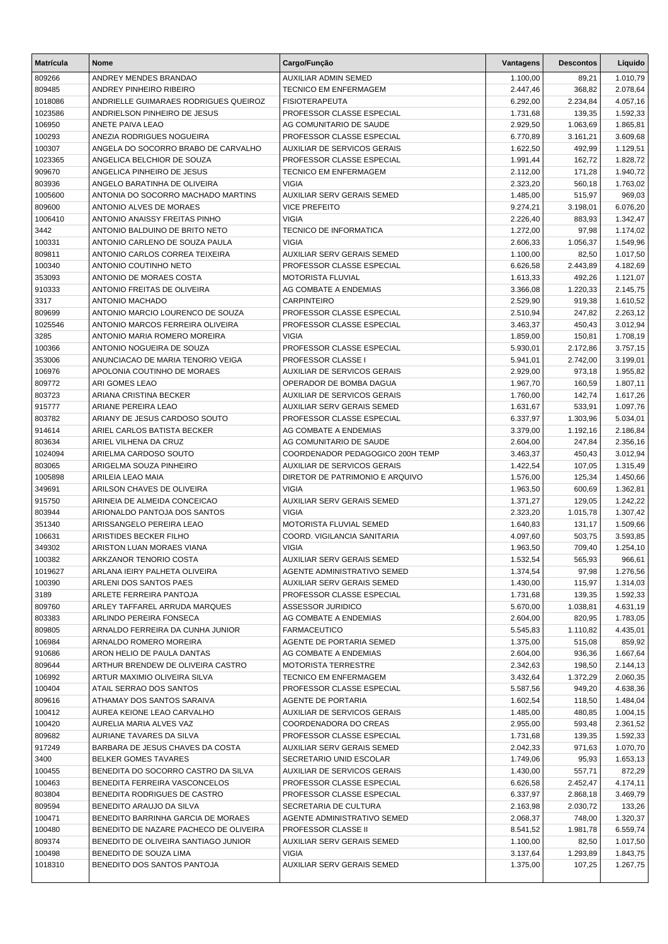| <b>Matrícula</b> | Nome                                                             | Cargo/Função                                             | Vantagens            | <b>Descontos</b>   | Líquido              |
|------------------|------------------------------------------------------------------|----------------------------------------------------------|----------------------|--------------------|----------------------|
| 809266           | ANDREY MENDES BRANDAO                                            | AUXILIAR ADMIN SEMED                                     | 1.100,00             | 89,21              | 1.010,79             |
| 809485           | ANDREY PINHEIRO RIBEIRO                                          | <b>TECNICO EM ENFERMAGEM</b>                             | 2.447,46             | 368,82             | 2.078,64             |
| 1018086          | ANDRIELLE GUIMARAES RODRIGUES QUEIROZ                            | <b>FISIOTERAPEUTA</b>                                    | 6.292,00             | 2.234,84           | 4.057,16             |
| 1023586          | ANDRIELSON PINHEIRO DE JESUS                                     | PROFESSOR CLASSE ESPECIAL                                | 1.731,68             | 139,35             | 1.592,33             |
| 106950           | ANETE PAIVA LEAO                                                 | AG COMUNITARIO DE SAUDE                                  | 2.929,50             | 1.063,69           | 1.865,81             |
| 100293           | ANEZIA RODRIGUES NOGUEIRA                                        | PROFESSOR CLASSE ESPECIAL                                | 6.770,89             | 3.161,21           | 3.609,68             |
| 100307           | ANGELA DO SOCORRO BRABO DE CARVALHO                              | <b>AUXILIAR DE SERVICOS GERAIS</b>                       | 1.622,50             | 492,99             | 1.129,51             |
| 1023365          | ANGELICA BELCHIOR DE SOUZA                                       | PROFESSOR CLASSE ESPECIAL                                | 1.991,44             | 162,72             | 1.828,72             |
| 909670<br>803936 | ANGELICA PINHEIRO DE JESUS<br>ANGELO BARATINHA DE OLIVEIRA       | TECNICO EM ENFERMAGEM<br><b>VIGIA</b>                    | 2.112,00<br>2.323,20 | 171,28<br>560,18   | 1.940,72<br>1.763,02 |
| 1005600          | ANTONIA DO SOCORRO MACHADO MARTINS                               | <b>AUXILIAR SERV GERAIS SEMED</b>                        | 1.485,00             | 515,97             | 969,03               |
| 809600           | ANTONIO ALVES DE MORAES                                          | <b>VICE PREFEITO</b>                                     | 9.274,21             | 3.198,01           | 6.076,20             |
| 1006410          | ANTONIO ANAISSY FREITAS PINHO                                    | <b>VIGIA</b>                                             | 2.226,40             | 883,93             | 1.342,47             |
| 3442             | ANTONIO BALDUINO DE BRITO NETO                                   | <b>TECNICO DE INFORMATICA</b>                            | 1.272,00             | 97,98              | 1.174,02             |
| 100331           | ANTONIO CARLENO DE SOUZA PAULA                                   | <b>VIGIA</b>                                             | 2.606,33             | 1.056,37           | 1.549,96             |
| 809811           | ANTONIO CARLOS CORREA TEIXEIRA                                   | AUXILIAR SERV GERAIS SEMED                               | 1.100,00             | 82,50              | 1.017,50             |
| 100340           | ANTONIO COUTINHO NETO                                            | PROFESSOR CLASSE ESPECIAL                                | 6.626,58             | 2.443,89           | 4.182,69             |
| 353093           | ANTONIO DE MORAES COSTA                                          | MOTORISTA FLUVIAL                                        | 1.613,33             | 492,26             | 1.121,07             |
| 910333           | ANTONIO FREITAS DE OLIVEIRA                                      | AG COMBATE A ENDEMIAS                                    | 3.366,08             | 1.220,33           | 2.145,75             |
| 3317             | ANTONIO MACHADO                                                  | <b>CARPINTEIRO</b>                                       | 2.529,90             | 919,38             | 1.610,52             |
| 809699           | ANTONIO MARCIO LOURENCO DE SOUZA                                 | PROFESSOR CLASSE ESPECIAL                                | 2.510,94             | 247,82             | 2.263,12             |
| 1025546          | ANTONIO MARCOS FERREIRA OLIVEIRA                                 | PROFESSOR CLASSE ESPECIAL                                | 3.463,37             | 450,43             | 3.012,94             |
| 3285             | ANTONIO MARIA ROMERO MOREIRA                                     | <b>VIGIA</b>                                             | 1.859,00             | 150,81             | 1.708,19             |
| 100366           | ANTONIO NOGUEIRA DE SOUZA                                        | PROFESSOR CLASSE ESPECIAL                                | 5.930,01             | 2.172,86           | 3.757,15             |
| 353006           | ANUNCIACAO DE MARIA TENORIO VEIGA<br>APOLONIA COUTINHO DE MORAES | PROFESSOR CLASSE I<br><b>AUXILIAR DE SERVICOS GERAIS</b> | 5.941,01             | 2.742,00<br>973,18 | 3.199,01             |
| 106976<br>809772 | ARI GOMES LEAO                                                   | OPERADOR DE BOMBA DAGUA                                  | 2.929,00<br>1.967,70 | 160,59             | 1.955,82<br>1.807,11 |
| 803723           | ARIANA CRISTINA BECKER                                           | <b>AUXILIAR DE SERVICOS GERAIS</b>                       | 1.760,00             | 142,74             | 1.617,26             |
| 915777           | ARIANE PEREIRA LEAO                                              | AUXILIAR SERV GERAIS SEMED                               | 1.631,67             | 533,91             | 1.097,76             |
| 803782           | ARIANY DE JESUS CARDOSO SOUTO                                    | PROFESSOR CLASSE ESPECIAL                                | 6.337,97             | 1.303,96           | 5.034,01             |
| 914614           | ARIEL CARLOS BATISTA BECKER                                      | AG COMBATE A ENDEMIAS                                    | 3.379,00             | 1.192,16           | 2.186,84             |
| 803634           | ARIEL VILHENA DA CRUZ                                            | AG COMUNITARIO DE SAUDE                                  | 2.604,00             | 247,84             | 2.356,16             |
| 1024094          | ARIELMA CARDOSO SOUTO                                            | COORDENADOR PEDAGOGICO 200H TEMP                         | 3.463,37             | 450,43             | 3.012,94             |
| 803065           | ARIGELMA SOUZA PINHEIRO                                          | <b>AUXILIAR DE SERVICOS GERAIS</b>                       | 1.422,54             | 107,05             | 1.315,49             |
| 1005898          | ARILEIA LEAO MAIA                                                | DIRETOR DE PATRIMONIO E ARQUIVO                          | 1.576,00             | 125,34             | 1.450,66             |
| 349691           | ARILSON CHAVES DE OLIVEIRA                                       | <b>VIGIA</b>                                             | 1.963,50             | 600,69             | 1.362,81             |
| 915750           | ARINEIA DE ALMEIDA CONCEICAO                                     | AUXILIAR SERV GERAIS SEMED                               | 1.371,27             | 129,05             | 1.242,22             |
| 803944           | ARIONALDO PANTOJA DOS SANTOS                                     | <b>VIGIA</b>                                             | 2.323,20             | 1.015,78           | 1.307,42             |
| 351340           | ARISSANGELO PEREIRA LEAO                                         | MOTORISTA FLUVIAL SEMED                                  | 1.640,83             | 131,17             | 1.509,66             |
| 106631           | ARISTIDES BECKER FILHO<br>ARISTON LUAN MORAES VIANA              | COORD. VIGILANCIA SANITARIA<br><b>VIGIA</b>              | 4.097,60             | 503,75             | 3.593,85             |
| 349302<br>100382 | ARKZANOR TENORIO COSTA                                           | AUXILIAR SERV GERAIS SEMED                               | 1.963,50<br>1.532,54 | 709,40<br>565,93   | 1.254,10<br>966,61   |
| 1019627          | ARLANA IEIRY PALHETA OLIVEIRA                                    | AGENTE ADMINISTRATIVO SEMED                              | 1.374,54             | 97,98              | 1.276,56             |
| 100390           | ARLENI DOS SANTOS PAES                                           | AUXILIAR SERV GERAIS SEMED                               | 1.430,00             | 115,97             | 1.314,03             |
| 3189             | ARLETE FERREIRA PANTOJA                                          | PROFESSOR CLASSE ESPECIAL                                | 1.731,68             | 139,35             | 1.592,33             |
| 809760           | ARLEY TAFFAREL ARRUDA MARQUES                                    | ASSESSOR JURIDICO                                        | 5.670,00             | 1.038,81           | 4.631,19             |
| 803383           | ARLINDO PEREIRA FONSECA                                          | AG COMBATE A ENDEMIAS                                    | 2.604,00             | 820,95             | 1.783,05             |
| 809805           | ARNALDO FERREIRA DA CUNHA JUNIOR                                 | <b>FARMACEUTICO</b>                                      | 5.545,83             | 1.110,82           | 4.435,01             |
| 106984           | ARNALDO ROMERO MOREIRA                                           | AGENTE DE PORTARIA SEMED                                 | 1.375,00             | 515,08             | 859,92               |
| 910686           | ARON HELIO DE PAULA DANTAS                                       | AG COMBATE A ENDEMIAS                                    | 2.604,00             | 936,36             | 1.667,64             |
| 809644           | ARTHUR BRENDEW DE OLIVEIRA CASTRO                                | <b>MOTORISTA TERRESTRE</b>                               | 2.342,63             | 198,50             | 2.144,13             |
| 106992           | ARTUR MAXIMIO OLIVEIRA SILVA                                     | TECNICO EM ENFERMAGEM                                    | 3.432,64             | 1.372,29           | 2.060,35             |
| 100404           | ATAIL SERRAO DOS SANTOS                                          | PROFESSOR CLASSE ESPECIAL                                | 5.587,56             | 949,20             | 4.638,36             |
| 809616           | ATHAMAY DOS SANTOS SARAIVA                                       | AGENTE DE PORTARIA                                       | 1.602,54             | 118,50             | 1.484,04             |
| 100412           | AUREA KEIONE LEAO CARVALHO                                       | AUXILIAR DE SERVICOS GERAIS                              | 1.485,00             | 480,85             | 1.004,15             |
| 100420           | AURELIA MARIA ALVES VAZ<br>AURIANE TAVARES DA SILVA              | COORDENADORA DO CREAS<br>PROFESSOR CLASSE ESPECIAL       | 2.955,00<br>1.731,68 | 593,48             | 2.361,52             |
| 809682<br>917249 | BARBARA DE JESUS CHAVES DA COSTA                                 | AUXILIAR SERV GERAIS SEMED                               | 2.042,33             | 139,35<br>971,63   | 1.592,33<br>1.070,70 |
| 3400             | <b>BELKER GOMES TAVARES</b>                                      | SECRETARIO UNID ESCOLAR                                  | 1.749,06             | 95,93              | 1.653,13             |
| 100455           | BENEDITA DO SOCORRO CASTRO DA SILVA                              | AUXILIAR DE SERVICOS GERAIS                              | 1.430,00             | 557,71             | 872,29               |
| 100463           | BENEDITA FERREIRA VASCONCELOS                                    | PROFESSOR CLASSE ESPECIAL                                | 6.626,58             | 2.452,47           | 4.174,11             |
| 803804           | BENEDITA RODRIGUES DE CASTRO                                     | PROFESSOR CLASSE ESPECIAL                                | 6.337,97             | 2.868,18           | 3.469,79             |
| 809594           | BENEDITO ARAUJO DA SILVA                                         | SECRETARIA DE CULTURA                                    | 2.163,98             | 2.030,72           | 133,26               |
| 100471           | BENEDITO BARRINHA GARCIA DE MORAES                               | AGENTE ADMINISTRATIVO SEMED                              | 2.068,37             | 748,00             | 1.320,37             |
| 100480           | BENEDITO DE NAZARE PACHECO DE OLIVEIRA                           | PROFESSOR CLASSE II                                      | 8.541,52             | 1.981,78           | 6.559,74             |
| 809374           | BENEDITO DE OLIVEIRA SANTIAGO JUNIOR                             | AUXILIAR SERV GERAIS SEMED                               | 1.100,00             | 82,50              | 1.017,50             |
| 100498           | BENEDITO DE SOUZA LIMA                                           | VIGIA                                                    | 3.137,64             | 1.293,89           | 1.843,75             |
| 1018310          | BENEDITO DOS SANTOS PANTOJA                                      | AUXILIAR SERV GERAIS SEMED                               | 1.375,00             | 107,25             | 1.267,75             |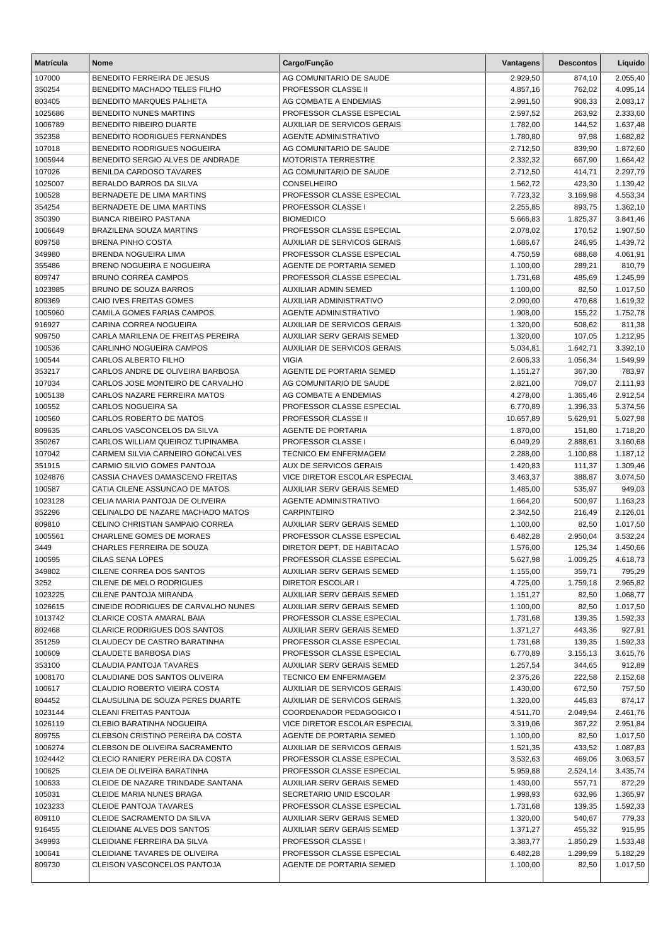| <b>Matrícula</b>  | <b>Nome</b>                                                      | Cargo/Função                                            | <b>Vantagens</b>     | <b>Descontos</b> | Líquido              |
|-------------------|------------------------------------------------------------------|---------------------------------------------------------|----------------------|------------------|----------------------|
| 107000            | BENEDITO FERREIRA DE JESUS                                       | AG COMUNITARIO DE SAUDE                                 | 2.929,50             | 874,10           | 2.055,40             |
| 350254            | BENEDITO MACHADO TELES FILHO                                     | PROFESSOR CLASSE II                                     | 4.857,16             | 762,02           | 4.095,14             |
| 803405            | BENEDITO MARQUES PALHETA                                         | AG COMBATE A ENDEMIAS                                   | 2.991,50             | 908,33           | 2.083,17             |
| 1025686           | BENEDITO NUNES MARTINS                                           | PROFESSOR CLASSE ESPECIAL                               | 2.597,52             | 263,92           | 2.333,60             |
| 1006789           | <b>BENEDITO RIBEIRO DUARTE</b>                                   | AUXILIAR DE SERVICOS GERAIS                             | 1.782,00             | 144,52           | 1.637,48             |
| 352358            | BENEDITO RODRIGUES FERNANDES                                     | <b>AGENTE ADMINISTRATIVO</b>                            | 1.780,80             | 97,98            | 1.682,82             |
| 107018            | BENEDITO RODRIGUES NOGUEIRA                                      | AG COMUNITARIO DE SAUDE                                 | 2.712,50             | 839,90           | 1.872,60             |
| 1005944           | BENEDITO SERGIO ALVES DE ANDRADE                                 | <b>MOTORISTA TERRESTRE</b>                              | 2.332,32             | 667,90           | 1.664,42             |
| 107026            | <b>BENILDA CARDOSO TAVARES</b>                                   | AG COMUNITARIO DE SAUDE                                 | 2.712,50             | 414,71           | 2.297,79             |
| 1025007           | BERALDO BARROS DA SILVA                                          | CONSELHEIRO                                             | 1.562,72             | 423,30           | 1.139,42             |
| 100528            | BERNADETE DE LIMA MARTINS                                        | PROFESSOR CLASSE ESPECIAL                               | 7.723,32             | 3.169,98         | 4.553,34             |
| 354254            | BERNADETE DE LIMA MARTINS                                        | PROFESSOR CLASSE I                                      | 2.255,85             | 893,75           | 1.362,10             |
| 350390            | <b>BIANCA RIBEIRO PASTANA</b>                                    | <b>BIOMEDICO</b>                                        | 5.666,83             | 1.825,37         | 3.841,46             |
| 1006649           | <b>BRAZILENA SOUZA MARTINS</b>                                   | PROFESSOR CLASSE ESPECIAL                               | 2.078,02             | 170,52           | 1.907,50             |
| 809758            | <b>BRENA PINHO COSTA</b>                                         | <b>AUXILIAR DE SERVICOS GERAIS</b>                      | 1.686,67             | 246,95           | 1.439,72             |
| 349980            | BRENDA NOGUEIRA LIMA                                             | PROFESSOR CLASSE ESPECIAL                               | 4.750,59             | 688,68           | 4.061,91             |
| 355486            | BRENO NOGUEIRA E NOGUEIRA<br><b>BRUNO CORREA CAMPOS</b>          | AGENTE DE PORTARIA SEMED                                | 1.100,00             | 289,21           | 810,79               |
| 809747            |                                                                  | PROFESSOR CLASSE ESPECIAL                               | 1.731,68             | 485,69           | 1.245,99             |
| 1023985           | BRUNO DE SOUZA BARROS<br>CAIO IVES FREITAS GOMES                 | <b>AUXILIAR ADMIN SEMED</b><br>AUXILIAR ADMINISTRATIVO  | 1.100,00             | 82,50            | 1.017,50<br>1.619,32 |
| 809369<br>1005960 | CAMILA GOMES FARIAS CAMPOS                                       | <b>AGENTE ADMINISTRATIVO</b>                            | 2.090,00<br>1.908,00 | 470,68<br>155,22 | 1.752,78             |
| 916927            | CARINA CORREA NOGUEIRA                                           | AUXILIAR DE SERVICOS GERAIS                             | 1.320,00             | 508,62           | 811,38               |
| 909750            | CARLA MARILENA DE FREITAS PEREIRA                                | <b>AUXILIAR SERV GERAIS SEMED</b>                       | 1.320,00             | 107,05           | 1.212,95             |
| 100536            | CARLINHO NOGUEIRA CAMPOS                                         | AUXILIAR DE SERVICOS GERAIS                             | 5.034,81             | 1.642,71         | 3.392,10             |
| 100544            | CARLOS ALBERTO FILHO                                             | <b>VIGIA</b>                                            | 2.606,33             | 1.056,34         | 1.549,99             |
| 353217            | CARLOS ANDRE DE OLIVEIRA BARBOSA                                 | AGENTE DE PORTARIA SEMED                                | 1.151,27             | 367,30           | 783,97               |
| 107034            | CARLOS JOSE MONTEIRO DE CARVALHO                                 | AG COMUNITARIO DE SAUDE                                 | 2.821,00             | 709,07           | 2.111,93             |
| 1005138           | CARLOS NAZARE FERREIRA MATOS                                     | AG COMBATE A ENDEMIAS                                   | 4.278,00             | 1.365,46         | 2.912,54             |
| 100552            | CARLOS NOGUEIRA SA                                               | PROFESSOR CLASSE ESPECIAL                               | 6.770,89             | 1.396,33         | 5.374,56             |
| 100560            | CARLOS ROBERTO DE MATOS                                          | PROFESSOR CLASSE II                                     | 10.657,89            | 5.629,91         | 5.027,98             |
| 809635            | CARLOS VASCONCELOS DA SILVA                                      | <b>AGENTE DE PORTARIA</b>                               | 1.870,00             | 151,80           | 1.718,20             |
| 350267            | CARLOS WILLIAM QUEIROZ TUPINAMBA                                 | PROFESSOR CLASSE I                                      | 6.049,29             | 2.888,61         | 3.160,68             |
| 107042            | CARMEM SILVIA CARNEIRO GONCALVES                                 | <b>TECNICO EM ENFERMAGEM</b>                            | 2.288,00             | 1.100,88         | 1.187,12             |
| 351915            | CARMIO SILVIO GOMES PANTOJA                                      | AUX DE SERVICOS GERAIS                                  | 1.420,83             | 111,37           | 1.309,46             |
| 1024876           | CASSIA CHAVES DAMASCENO FREITAS                                  | VICE DIRETOR ESCOLAR ESPECIAL                           | 3.463,37             | 388,87           | 3.074,50             |
| 100587            | CATIA CILENE ASSUNCAO DE MATOS                                   | AUXILIAR SERV GERAIS SEMED                              | 1.485,00             | 535,97           | 949,03               |
| 1023128           | CELIA MARIA PANTOJA DE OLIVEIRA                                  | AGENTE ADMINISTRATIVO                                   | 1.664,20             | 500,97           | 1.163,23             |
| 352296            | CELINALDO DE NAZARE MACHADO MATOS                                | <b>CARPINTEIRO</b>                                      | 2.342,50             | 216,49           | 2.126,01             |
| 809810            | CELINO CHRISTIAN SAMPAIO CORREA                                  | <b>AUXILIAR SERV GERAIS SEMED</b>                       | 1.100,00             | 82,50            | 1.017,50             |
| 1005561           | CHARLENE GOMES DE MORAES                                         | PROFESSOR CLASSE ESPECIAL                               | 6.482,28             | 2.950,04         | 3.532,24             |
| 3449              | CHARLES FERREIRA DE SOUZA                                        | DIRETOR DEPT. DE HABITACAO                              | 1.576,00             | 125,34           | 1.450,66             |
| 100595            | CILAS SENA LOPES                                                 | PROFESSOR CLASSE ESPECIAL                               | 5.627,98             | 1.009,25         | 4.618,73             |
| 349802            | CILENE CORREA DOS SANTOS                                         | AUXILIAR SERV GERAIS SEMED                              | 1.155,00             | 359,71           | 795,29               |
| 3252              | CILENE DE MELO RODRIGUES                                         | DIRETOR ESCOLAR I                                       | 4.725,00             | 1.759,18         | 2.965,82             |
| 1023225           | CILENE PANTOJA MIRANDA                                           | AUXILIAR SERV GERAIS SEMED                              | 1.151,27             | 82,50            | 1.068,77             |
| 1026615           | CINEIDE RODRIGUES DE CARVALHO NUNES                              | AUXILIAR SERV GERAIS SEMED                              | 1.100,00             | 82,50            | 1.017,50             |
| 1013742           | CLARICE COSTA AMARAL BAIA                                        | PROFESSOR CLASSE ESPECIAL                               | 1.731,68             | 139,35           | 1.592,33             |
| 802468            | <b>CLARICE RODRIGUES DOS SANTOS</b>                              | AUXILIAR SERV GERAIS SEMED                              | 1.371,27             | 443,36           | 927,91               |
| 351259            | <b>CLAUDECY DE CASTRO BARATINHA</b>                              | PROFESSOR CLASSE ESPECIAL                               | 1.731,68             | 139,35           | 1.592,33             |
| 100609            | CLAUDETE BARBOSA DIAS                                            | PROFESSOR CLASSE ESPECIAL                               | 6.770,89             | 3.155,13         | 3.615,76             |
| 353100            | CLAUDIA PANTOJA TAVARES                                          | AUXILIAR SERV GERAIS SEMED                              | 1.257,54             | 344,65           | 912,89               |
| 1008170           | CLAUDIANE DOS SANTOS OLIVEIRA                                    | TECNICO EM ENFERMAGEM                                   | 2.375,26             | 222,58           | 2.152,68             |
| 100617            | CLAUDIO ROBERTO VIEIRA COSTA                                     | AUXILIAR DE SERVICOS GERAIS                             | 1.430,00             | 672,50           | 757,50               |
| 804452            | CLAUSULINA DE SOUZA PERES DUARTE                                 | AUXILIAR DE SERVICOS GERAIS                             | 1.320,00             | 445,83           | 874,17               |
| 1023144           | CLEANI FREITAS PANTOJA                                           | COORDENADOR PEDAGOGICO I                                | 4.511,70             | 2.049,94         | 2.461,76             |
| 1026119           | CLEBIO BARATINHA NOGUEIRA                                        | VICE DIRETOR ESCOLAR ESPECIAL                           | 3.319,06             | 367,22           | 2.951,84             |
| 809755            | CLEBSON CRISTINO PEREIRA DA COSTA                                | AGENTE DE PORTARIA SEMED                                | 1.100,00             | 82,50            | 1.017,50             |
| 1006274           | CLEBSON DE OLIVEIRA SACRAMENTO                                   | AUXILIAR DE SERVICOS GERAIS                             | 1.521,35             | 433,52           | 1.087,83             |
| 1024442           | CLECIO RANIERY PEREIRA DA COSTA                                  | PROFESSOR CLASSE ESPECIAL                               | 3.532,63             | 469,06           | 3.063,57             |
| 100625<br>100633  | CLEIA DE OLIVEIRA BARATINHA<br>CLEIDE DE NAZARE TRINDADE SANTANA | PROFESSOR CLASSE ESPECIAL<br>AUXILIAR SERV GERAIS SEMED | 5.959,88<br>1.430,00 | 2.524,14         | 3.435,74<br>872,29   |
|                   |                                                                  |                                                         |                      | 557,71           |                      |
| 105031<br>1023233 | CLEIDE MARIA NUNES BRAGA<br><b>CLEIDE PANTOJA TAVARES</b>        | SECRETARIO UNID ESCOLAR<br>PROFESSOR CLASSE ESPECIAL    | 1.998,93<br>1.731,68 | 632,96<br>139,35 | 1.365,97             |
| 809110            | CLEIDE SACRAMENTO DA SILVA                                       | AUXILIAR SERV GERAIS SEMED                              | 1.320,00             | 540,67           | 1.592,33<br>779,33   |
| 916455            | CLEIDIANE ALVES DOS SANTOS                                       | AUXILIAR SERV GERAIS SEMED                              | 1.371,27             | 455,32           | 915,95               |
| 349993            | CLEIDIANE FERREIRA DA SILVA                                      | PROFESSOR CLASSE I                                      | 3.383,77             | 1.850,29         | 1.533,48             |
| 100641            | CLEIDIANE TAVARES DE OLIVEIRA                                    | PROFESSOR CLASSE ESPECIAL                               | 6.482,28             | 1.299,99         | 5.182,29             |
| 809730            | CLEISON VASCONCELOS PANTOJA                                      | AGENTE DE PORTARIA SEMED                                | 1.100,00             | 82,50            | 1.017,50             |
|                   |                                                                  |                                                         |                      |                  |                      |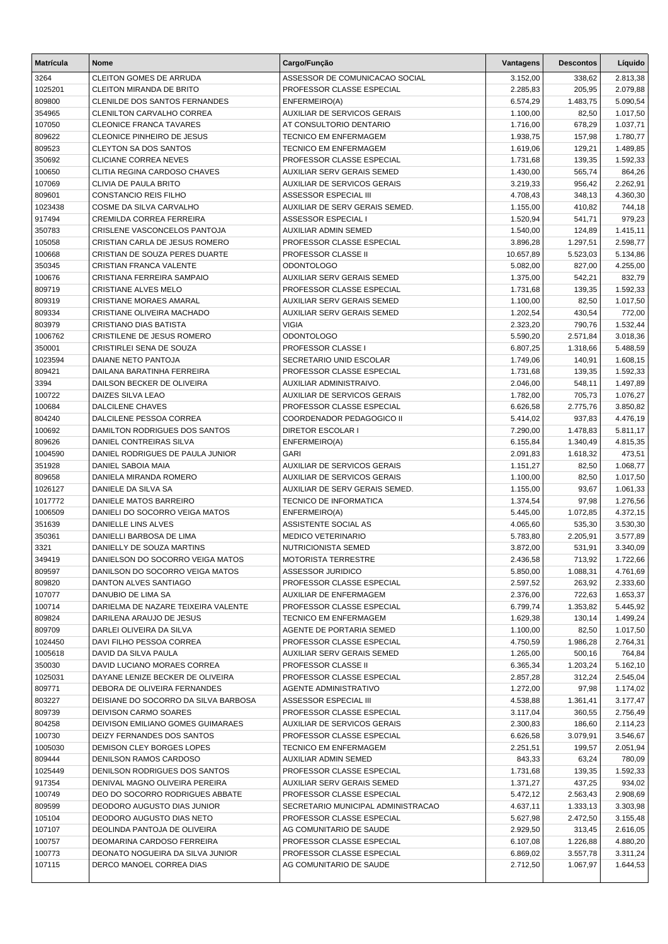| <b>Matrícula</b>  | <b>Nome</b>                                                  | Cargo/Função                                            | Vantagens            | <b>Descontos</b>     | Líquido            |
|-------------------|--------------------------------------------------------------|---------------------------------------------------------|----------------------|----------------------|--------------------|
| 3264              | <b>CLEITON GOMES DE ARRUDA</b>                               | ASSESSOR DE COMUNICACAO SOCIAL                          | 3.152,00             | 338,62               | 2.813,38           |
| 1025201           | <b>CLEITON MIRANDA DE BRITO</b>                              | PROFESSOR CLASSE ESPECIAL                               | 2.285,83             | 205,95               | 2.079,88           |
| 809800            | <b>CLENILDE DOS SANTOS FERNANDES</b>                         | ENFERMEIRO(A)                                           | 6.574,29             | 1.483,75             | 5.090,54           |
| 354965            | <b>CLENILTON CARVALHO CORREA</b>                             | AUXILIAR DE SERVICOS GERAIS                             | 1.100,00             | 82,50                | 1.017,50           |
| 107050            | <b>CLEONICE FRANCA TAVARES</b>                               | AT CONSULTORIO DENTARIO                                 | 1.716,00             | 678,29               | 1.037,71           |
| 809622            | CLEONICE PINHEIRO DE JESUS                                   | <b>TECNICO EM ENFERMAGEM</b>                            | 1.938,75             | 157,98               | 1.780,77           |
| 809523            | <b>CLEYTON SA DOS SANTOS</b>                                 | <b>TECNICO EM ENFERMAGEM</b>                            | 1.619,06             | 129,21               | 1.489,85           |
| 350692            | <b>CLICIANE CORREA NEVES</b>                                 | PROFESSOR CLASSE ESPECIAL                               | 1.731,68             | 139,35               | 1.592,33           |
| 100650            | CLITIA REGINA CARDOSO CHAVES                                 | AUXILIAR SERV GERAIS SEMED                              | 1.430,00             | 565,74               | 864,26             |
| 107069            | CLIVIA DE PAULA BRITO                                        | AUXILIAR DE SERVICOS GERAIS                             | 3.219,33             | 956,42               | 2.262,91           |
| 809601<br>1023438 | CONSTANCIO REIS FILHO                                        | ASSESSOR ESPECIAL III                                   | 4.708,43             | 348,13               | 4.360,30           |
| 917494            | COSME DA SILVA CARVALHO<br>CREMILDA CORREA FERREIRA          | AUXILIAR DE SERV GERAIS SEMED.<br>ASSESSOR ESPECIAL I   | 1.155,00<br>1.520,94 | 410,82<br>541,71     | 744,18<br>979,23   |
| 350783            | CRISLENE VASCONCELOS PANTOJA                                 | AUXILIAR ADMIN SEMED                                    | 1.540,00             | 124,89               | 1.415,11           |
| 105058            | CRISTIAN CARLA DE JESUS ROMERO                               | PROFESSOR CLASSE ESPECIAL                               | 3.896,28             | 1.297,51             | 2.598,77           |
| 100668            | CRISTIAN DE SOUZA PERES DUARTE                               | PROFESSOR CLASSE II                                     | 10.657,89            | 5.523,03             | 5.134,86           |
| 350345            | CRISTIAN FRANCA VALENTE                                      | <b>ODONTOLOGO</b>                                       | 5.082,00             | 827,00               | 4.255,00           |
| 100676            | CRISTIANA FERREIRA SAMPAIO                                   | AUXILIAR SERV GERAIS SEMED                              | 1.375,00             | 542,21               | 832,79             |
| 809719            | CRISTIANE ALVES MELO                                         | PROFESSOR CLASSE ESPECIAL                               | 1.731,68             | 139,35               | 1.592,33           |
| 809319            | <b>CRISTIANE MORAES AMARAL</b>                               | AUXILIAR SERV GERAIS SEMED                              | 1.100,00             | 82,50                | 1.017,50           |
| 809334            | CRISTIANE OLIVEIRA MACHADO                                   | <b>AUXILIAR SERV GERAIS SEMED</b>                       | 1.202,54             | 430,54               | 772,00             |
| 803979            | <b>CRISTIANO DIAS BATISTA</b>                                | <b>VIGIA</b>                                            | 2.323,20             | 790,76               | 1.532,44           |
| 1006762           | CRISTILENE DE JESUS ROMERO                                   | <b>ODONTOLOGO</b>                                       | 5.590,20             | 2.571,84             | 3.018,36           |
| 350001            | CRISTIRLEI SENA DE SOUZA                                     | PROFESSOR CLASSE I                                      | 6.807,25             | 1.318,66             | 5.488,59           |
| 1023594           | DAIANE NETO PANTOJA                                          | SECRETARIO UNID ESCOLAR                                 | 1.749,06             | 140,91               | 1.608,15           |
| 809421            | DAILANA BARATINHA FERREIRA                                   | PROFESSOR CLASSE ESPECIAL                               | 1.731,68             | 139,35               | 1.592,33           |
| 3394              | DAILSON BECKER DE OLIVEIRA                                   | AUXILIAR ADMINISTRAIVO.                                 | 2.046,00             | 548,11               | 1.497,89           |
| 100722            | DAIZES SILVA LEAO                                            | AUXILIAR DE SERVICOS GERAIS                             | 1.782,00             | 705,73               | 1.076,27           |
| 100684            | <b>DALCILENE CHAVES</b>                                      | PROFESSOR CLASSE ESPECIAL                               | 6.626,58             | 2.775,76             | 3.850,82           |
| 804240            | DALCILENE PESSOA CORREA                                      | COORDENADOR PEDAGOGICO II                               | 5.414,02             | 937,83               | 4.476,19           |
| 100692            | DAMILTON RODRIGUES DOS SANTOS                                | <b>DIRETOR ESCOLAR I</b>                                | 7.290,00             | 1.478,83             | 5.811,17           |
| 809626<br>1004590 | DANIEL CONTREIRAS SILVA                                      | ENFERMEIRO(A)<br><b>GARI</b>                            | 6.155,84             | 1.340,49             | 4.815,35           |
| 351928            | DANIEL RODRIGUES DE PAULA JUNIOR<br>DANIEL SABOIA MAIA       | AUXILIAR DE SERVICOS GERAIS                             | 2.091,83<br>1.151,27 | 1.618,32<br>82,50    | 473,51<br>1.068,77 |
| 809658            | DANIELA MIRANDA ROMERO                                       | AUXILIAR DE SERVICOS GERAIS                             | 1.100,00             | 82,50                | 1.017,50           |
| 1026127           | DANIELE DA SILVA SA                                          | AUXILIAR DE SERV GERAIS SEMED.                          | 1.155,00             | 93,67                | 1.061,33           |
| 1017772           | <b>DANIELE MATOS BARREIRO</b>                                | <b>TECNICO DE INFORMATICA</b>                           | 1.374,54             | 97,98                | 1.276,56           |
| 1006509           | DANIELI DO SOCORRO VEIGA MATOS                               | ENFERMEIRO(A)                                           | 5.445,00             | 1.072,85             | 4.372,15           |
| 351639            | <b>DANIELLE LINS ALVES</b>                                   | ASSISTENTE SOCIAL AS                                    | 4.065,60             | 535,30               | 3.530,30           |
| 350361            | DANIELLI BARBOSA DE LIMA                                     | <b>MEDICO VETERINARIO</b>                               | 5.783,80             | 2.205,91             | 3.577,89           |
| 3321              | DANIELLY DE SOUZA MARTINS                                    | <b>NUTRICIONISTA SEMED</b>                              | 3.872,00             | 531,91               | 3.340,09           |
| 349419            | DANIELSON DO SOCORRO VEIGA MATOS                             | MOTORISTA TERRESTRE                                     | 2.436,58             | 713,92               | 1.722,66           |
| 809597            | DANILSON DO SOCORRO VEIGA MATOS                              | ASSESSOR JURIDICO                                       | 5.850,00             | 1.088,31             | 4.761,69           |
| 809820            | DANTON ALVES SANTIAGO                                        | PROFESSOR CLASSE ESPECIAL                               | 2.597,52             | 263,92               | 2.333,60           |
| 107077            | DANUBIO DE LIMA SA                                           | AUXILIAR DE ENFERMAGEM                                  | 2.376,00             | 722,63               | 1.653,37           |
| 100714            | DARIELMA DE NAZARE TEIXEIRA VALENTE                          | PROFESSOR CLASSE ESPECIAL                               | 6.799,74             | 1.353,82             | 5.445,92           |
| 809824            | DARILENA ARAUJO DE JESUS                                     | <b>TECNICO EM ENFERMAGEM</b>                            | 1.629,38             | 130,14               | 1.499,24           |
| 809709            | DARLEI OLIVEIRA DA SILVA                                     | AGENTE DE PORTARIA SEMED                                | 1.100,00             | 82,50                | 1.017,50           |
| 1024450           | DAVI FILHO PESSOA CORREA<br>DAVID DA SILVA PAULA             | PROFESSOR CLASSE ESPECIAL<br>AUXILIAR SERV GERAIS SEMED | 4.750,59             | 1.986,28             | 2.764,31           |
| 1005618<br>350030 | DAVID LUCIANO MORAES CORREA                                  | PROFESSOR CLASSE II                                     | 1.265,00<br>6.365,34 | 500,16<br>1.203,24   | 764,84<br>5.162,10 |
| 1025031           | DAYANE LENIZE BECKER DE OLIVEIRA                             | PROFESSOR CLASSE ESPECIAL                               | 2.857,28             | 312,24               | 2.545,04           |
| 809771            | DEBORA DE OLIVEIRA FERNANDES                                 | AGENTE ADMINISTRATIVO                                   | 1.272,00             | 97,98                | 1.174,02           |
| 803227            | DEISIANE DO SOCORRO DA SILVA BARBOSA                         | ASSESSOR ESPECIAL III                                   | 4.538,88             | 1.361,41             | 3.177,47           |
| 809739            | DEIVISON CARMO SOARES                                        | PROFESSOR CLASSE ESPECIAL                               | 3.117,04             | 360,55               | 2.756,49           |
| 804258            | DEIVISON EMILIANO GOMES GUIMARAES                            | <b>AUXILIAR DE SERVICOS GERAIS</b>                      | 2.300,83             | 186,60               | 2.114,23           |
| 100730            | DEIZY FERNANDES DOS SANTOS                                   | PROFESSOR CLASSE ESPECIAL                               | 6.626,58             | 3.079,91             | 3.546,67           |
| 1005030           | DEMISON CLEY BORGES LOPES                                    | <b>TECNICO EM ENFERMAGEM</b>                            | 2.251,51             | 199,57               | 2.051,94           |
| 809444            | DENILSON RAMOS CARDOSO                                       | AUXILIAR ADMIN SEMED                                    | 843,33               | 63,24                | 780,09             |
| 1025449           | DENILSON RODRIGUES DOS SANTOS                                | PROFESSOR CLASSE ESPECIAL                               | 1.731,68             | 139,35               | 1.592,33           |
| 917354            | DENIVAL MAGNO OLIVEIRA PEREIRA                               | AUXILIAR SERV GERAIS SEMED                              | 1.371,27             | 437,25               | 934,02             |
| 100749            | DEO DO SOCORRO RODRIGUES ABBATE                              | PROFESSOR CLASSE ESPECIAL                               | 5.472,12             | 2.563,43             | 2.908,69           |
| 809599            | DEODORO AUGUSTO DIAS JUNIOR                                  | SECRETARIO MUNICIPAL ADMINISTRACAO                      | 4.637,11             | 1.333,13             | 3.303,98           |
| 105104            | DEODORO AUGUSTO DIAS NETO                                    | PROFESSOR CLASSE ESPECIAL                               | 5.627,98             | 2.472,50             | 3.155,48           |
| 107107            | DEOLINDA PANTOJA DE OLIVEIRA                                 | AG COMUNITARIO DE SAUDE                                 | 2.929,50             | 313,45               | 2.616,05           |
| 100757            | DEOMARINA CARDOSO FERREIRA                                   | PROFESSOR CLASSE ESPECIAL                               | 6.107,08             | 1.226,88             | 4.880,20           |
| 100773<br>107115  | DEONATO NOGUEIRA DA SILVA JUNIOR<br>DERCO MANOEL CORREA DIAS | PROFESSOR CLASSE ESPECIAL<br>AG COMUNITARIO DE SAUDE    | 6.869,02<br>2.712,50 | 3.557,78<br>1.067,97 | 3.311,24           |
|                   |                                                              |                                                         |                      |                      | 1.644,53           |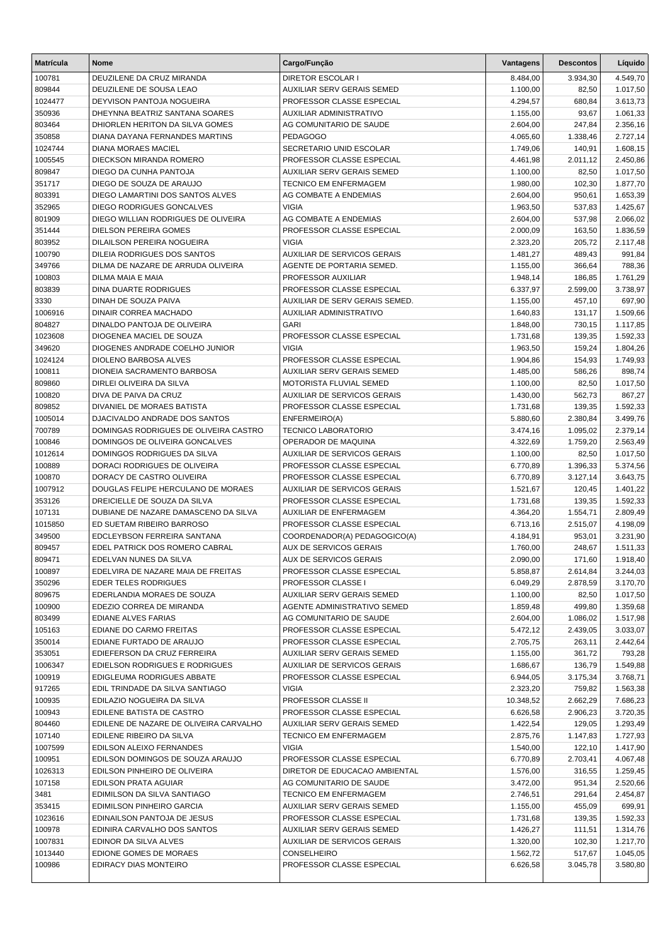| <b>Matrícula</b>  | <b>Nome</b>                                                      | Cargo/Função                                               | Vantagens            | <b>Descontos</b> | Líquido              |
|-------------------|------------------------------------------------------------------|------------------------------------------------------------|----------------------|------------------|----------------------|
| 100781            | DEUZILENE DA CRUZ MIRANDA                                        | <b>DIRETOR ESCOLAR I</b>                                   | 8.484,00             | 3.934,30         | 4.549,70             |
| 809844            | DEUZILENE DE SOUSA LEAO                                          | AUXILIAR SERV GERAIS SEMED                                 | 1.100,00             | 82,50            | 1.017,50             |
| 1024477           | DEYVISON PANTOJA NOGUEIRA                                        | PROFESSOR CLASSE ESPECIAL                                  | 4.294,57             | 680,84           | 3.613,73             |
| 350936            | DHEYNNA BEATRIZ SANTANA SOARES                                   | AUXILIAR ADMINISTRATIVO                                    | 1.155,00             | 93,67            | 1.061,33             |
| 803464            | DHIORLEN HERITON DA SILVA GOMES                                  | AG COMUNITARIO DE SAUDE                                    | 2.604,00             | 247,84           | 2.356,16             |
| 350858            | DIANA DAYANA FERNANDES MARTINS                                   | <b>PEDAGOGO</b>                                            | 4.065,60             | 1.338,46         | 2.727,14             |
| 1024744           | <b>DIANA MORAES MACIEL</b>                                       | SECRETARIO UNID ESCOLAR                                    | 1.749,06             | 140,91           | 1.608,15             |
| 1005545           | DIECKSON MIRANDA ROMERO                                          | PROFESSOR CLASSE ESPECIAL                                  | 4.461,98             | 2.011,12         | 2.450,86             |
| 809847            | DIEGO DA CUNHA PANTOJA                                           | AUXILIAR SERV GERAIS SEMED                                 | 1.100,00             | 82,50            | 1.017,50             |
| 351717            | DIEGO DE SOUZA DE ARAUJO                                         | <b>TECNICO EM ENFERMAGEM</b>                               | 1.980,00             | 102,30           | 1.877,70             |
| 803391            | DIEGO LAMARTINI DOS SANTOS ALVES                                 | AG COMBATE A ENDEMIAS                                      | 2.604,00             | 950,61           | 1.653,39             |
| 352965            | DIEGO RODRIGUES GONCALVES                                        | <b>VIGIA</b>                                               | 1.963,50             | 537,83           | 1.425,67             |
| 801909            | DIEGO WILLIAN RODRIGUES DE OLIVEIRA                              | AG COMBATE A ENDEMIAS                                      | 2.604,00             | 537,98           | 2.066,02             |
| 351444            | <b>DIELSON PEREIRA GOMES</b>                                     | PROFESSOR CLASSE ESPECIAL                                  | 2.000,09             | 163,50           | 1.836,59             |
| 803952            | DILAILSON PEREIRA NOGUEIRA                                       | <b>VIGIA</b>                                               | 2.323,20             | 205,72           | 2.117,48             |
| 100790<br>349766  | DILEIA RODRIGUES DOS SANTOS                                      | AUXILIAR DE SERVICOS GERAIS                                | 1.481,27             | 489,43           | 991,84               |
| 100803            | DILMA DE NAZARE DE ARRUDA OLIVEIRA<br><b>DILMA MAIA E MAIA</b>   | AGENTE DE PORTARIA SEMED.<br>PROFESSOR AUXILIAR            | 1.155,00<br>1.948,14 | 366,64<br>186,85 | 788,36<br>1.761,29   |
| 803839            | <b>DINA DUARTE RODRIGUES</b>                                     | PROFESSOR CLASSE ESPECIAL                                  | 6.337,97             | 2.599,00         | 3.738,97             |
| 3330              | DINAH DE SOUZA PAIVA                                             | AUXILIAR DE SERV GERAIS SEMED.                             | 1.155,00             | 457,10           | 697,90               |
| 1006916           | DINAIR CORREA MACHADO                                            | AUXILIAR ADMINISTRATIVO                                    | 1.640,83             | 131,17           | 1.509,66             |
| 804827            | DINALDO PANTOJA DE OLIVEIRA                                      | <b>GARI</b>                                                | 1.848,00             | 730,15           | 1.117,85             |
| 1023608           | DIOGENEA MACIEL DE SOUZA                                         | PROFESSOR CLASSE ESPECIAL                                  | 1.731,68             | 139,35           | 1.592,33             |
| 349620            | DIOGENES ANDRADE COELHO JUNIOR                                   | <b>VIGIA</b>                                               | 1.963,50             | 159,24           | 1.804,26             |
| 1024124           | <b>DIOLENO BARBOSA ALVES</b>                                     | PROFESSOR CLASSE ESPECIAL                                  | 1.904,86             | 154,93           | 1.749,93             |
| 100811            | DIONEIA SACRAMENTO BARBOSA                                       | AUXILIAR SERV GERAIS SEMED                                 | 1.485,00             | 586,26           | 898,74               |
| 809860            | DIRLEI OLIVEIRA DA SILVA                                         | MOTORISTA FLUVIAL SEMED                                    | 1.100,00             | 82,50            | 1.017,50             |
| 100820            | DIVA DE PAIVA DA CRUZ                                            | AUXILIAR DE SERVICOS GERAIS                                | 1.430,00             | 562,73           | 867,27               |
| 809852            | DIVANIEL DE MORAES BATISTA                                       | PROFESSOR CLASSE ESPECIAL                                  | 1.731,68             | 139,35           | 1.592,33             |
| 1005014           | DJACIVALDO ANDRADE DOS SANTOS                                    | ENFERMEIRO(A)                                              | 5.880,60             | 2.380,84         | 3.499,76             |
| 700789            | DOMINGAS RODRIGUES DE OLIVEIRA CASTRO                            | <b>TECNICO LABORATORIO</b>                                 | 3.474,16             | 1.095,02         | 2.379,14             |
| 100846            | DOMINGOS DE OLIVEIRA GONCALVES                                   | OPERADOR DE MAQUINA                                        | 4.322,69             | 1.759,20         | 2.563,49             |
| 1012614           | DOMINGOS RODRIGUES DA SILVA                                      | AUXILIAR DE SERVICOS GERAIS                                | 1.100,00             | 82,50            | 1.017,50             |
| 100889            | DORACI RODRIGUES DE OLIVEIRA                                     | PROFESSOR CLASSE ESPECIAL                                  | 6.770,89             | 1.396,33         | 5.374,56             |
| 100870            | DORACY DE CASTRO OLIVEIRA                                        | PROFESSOR CLASSE ESPECIAL                                  | 6.770,89             | 3.127,14         | 3.643,75             |
| 1007912           | DOUGLAS FELIPE HERCULANO DE MORAES                               | AUXILIAR DE SERVICOS GERAIS                                | 1.521,67             | 120,45           | 1.401,22             |
| 353126            | DREICIELLE DE SOUZA DA SILVA                                     | PROFESSOR CLASSE ESPECIAL                                  | 1.731,68             | 139,35           | 1.592,33             |
| 107131            | DUBIANE DE NAZARE DAMASCENO DA SILVA                             | AUXILIAR DE ENFERMAGEM                                     | 4.364,20             | 1.554,71         | 2.809,49             |
| 1015850           | ED SUETAM RIBEIRO BARROSO                                        | PROFESSOR CLASSE ESPECIAL                                  | 6.713,16             | 2.515,07         | 4.198,09             |
| 349500            | EDCLEYBSON FERREIRA SANTANA                                      | COORDENADOR(A) PEDAGOGICO(A)                               | 4.184,91             | 953,01           | 3.231,90             |
| 809457            | EDEL PATRICK DOS ROMERO CABRAL                                   | AUX DE SERVICOS GERAIS                                     | 1.760,00             | 248,67           | 1.511,33             |
| 809471            | EDELVAN NUNES DA SILVA                                           | AUX DE SERVICOS GERAIS                                     | 2.090,00             | 171,60           | 1.918,40             |
| 100897            | EDELVIRA DE NAZARE MAIA DE FREITAS                               | PROFESSOR CLASSE ESPECIAL                                  | 5.858,87             | 2.614,84         | 3.244,03             |
| 350296            | EDER TELES RODRIGUES                                             | PROFESSOR CLASSE I                                         | 6.049,29             | 2.878,59         | 3.170,70             |
| 809675            | EDERLANDIA MORAES DE SOUZA                                       | AUXILIAR SERV GERAIS SEMED                                 | 1.100,00             | 82,50            | 1.017,50             |
| 100900            | EDEZIO CORREA DE MIRANDA                                         | AGENTE ADMINISTRATIVO SEMED                                | 1.859,48             | 499,80           | 1.359,68             |
| 803499            | EDIANE ALVES FARIAS                                              | AG COMUNITARIO DE SAUDE                                    | 2.604,00             | 1.086,02         | 1.517,98             |
| 105163            | EDIANE DO CARMO FREITAS                                          | PROFESSOR CLASSE ESPECIAL                                  | 5.472,12             | 2.439,05         | 3.033,07             |
| 350014            | EDIANE FURTADO DE ARAUJO                                         | PROFESSOR CLASSE ESPECIAL                                  | 2.705,75             | 263,11           | 2.442,64             |
| 353051            | EDIEFERSON DA CRUZ FERREIRA                                      | AUXILIAR SERV GERAIS SEMED                                 | 1.155,00             | 361,72           | 793,28               |
| 1006347           | EDIELSON RODRIGUES E RODRIGUES                                   | AUXILIAR DE SERVICOS GERAIS                                | 1.686,67             | 136,79           | 1.549,88             |
| 100919            | EDIGLEUMA RODRIGUES ABBATE                                       | PROFESSOR CLASSE ESPECIAL                                  | 6.944,05             | 3.175,34         | 3.768,71             |
| 917265            | EDIL TRINDADE DA SILVA SANTIAGO                                  | <b>VIGIA</b>                                               | 2.323,20             | 759,82           | 1.563,38             |
| 100935            | EDILAZIO NOGUEIRA DA SILVA                                       | PROFESSOR CLASSE II                                        | 10.348,52            | 2.662,29         | 7.686,23             |
| 100943            | EDILENE BATISTA DE CASTRO                                        | PROFESSOR CLASSE ESPECIAL                                  | 6.626,58             | 2.906,23         | 3.720,35             |
| 804460            | EDILENE DE NAZARE DE OLIVEIRA CARVALHO                           | AUXILIAR SERV GERAIS SEMED                                 | 1.422,54             | 129,05           | 1.293,49             |
| 107140            | EDILENE RIBEIRO DA SILVA                                         | TECNICO EM ENFERMAGEM                                      | 2.875,76             | 1.147,83         | 1.727,93             |
| 1007599           | EDILSON ALEIXO FERNANDES                                         | <b>VIGIA</b>                                               | 1.540,00             | 122,10           | 1.417,90             |
| 100951<br>1026313 | EDILSON DOMINGOS DE SOUZA ARAUJO<br>EDILSON PINHEIRO DE OLIVEIRA | PROFESSOR CLASSE ESPECIAL<br>DIRETOR DE EDUCACAO AMBIENTAL | 6.770,89<br>1.576,00 | 2.703,41         | 4.067,48<br>1.259,45 |
| 107158            | EDILSON PRATA AGUIAR                                             | AG COMUNITARIO DE SAUDE                                    | 3.472,00             | 316,55<br>951,34 | 2.520,66             |
| 3481              | EDIMILSON DA SILVA SANTIAGO                                      | TECNICO EM ENFERMAGEM                                      | 2.746,51             | 291,64           | 2.454,87             |
| 353415            | EDIMILSON PINHEIRO GARCIA                                        | AUXILIAR SERV GERAIS SEMED                                 | 1.155,00             | 455,09           | 699,91               |
| 1023616           | EDINAILSON PANTOJA DE JESUS                                      | PROFESSOR CLASSE ESPECIAL                                  | 1.731,68             | 139,35           | 1.592,33             |
| 100978            | EDINIRA CARVALHO DOS SANTOS                                      | AUXILIAR SERV GERAIS SEMED                                 | 1.426,27             | 111,51           | 1.314,76             |
| 1007831           | EDINOR DA SILVA ALVES                                            | AUXILIAR DE SERVICOS GERAIS                                | 1.320,00             | 102,30           | 1.217,70             |
| 1013440           | EDIONE GOMES DE MORAES                                           | CONSELHEIRO                                                | 1.562,72             | 517,67           | 1.045,05             |
| 100986            | EDIRACY DIAS MONTEIRO                                            | PROFESSOR CLASSE ESPECIAL                                  | 6.626,58             | 3.045,78         | 3.580,80             |
|                   |                                                                  |                                                            |                      |                  |                      |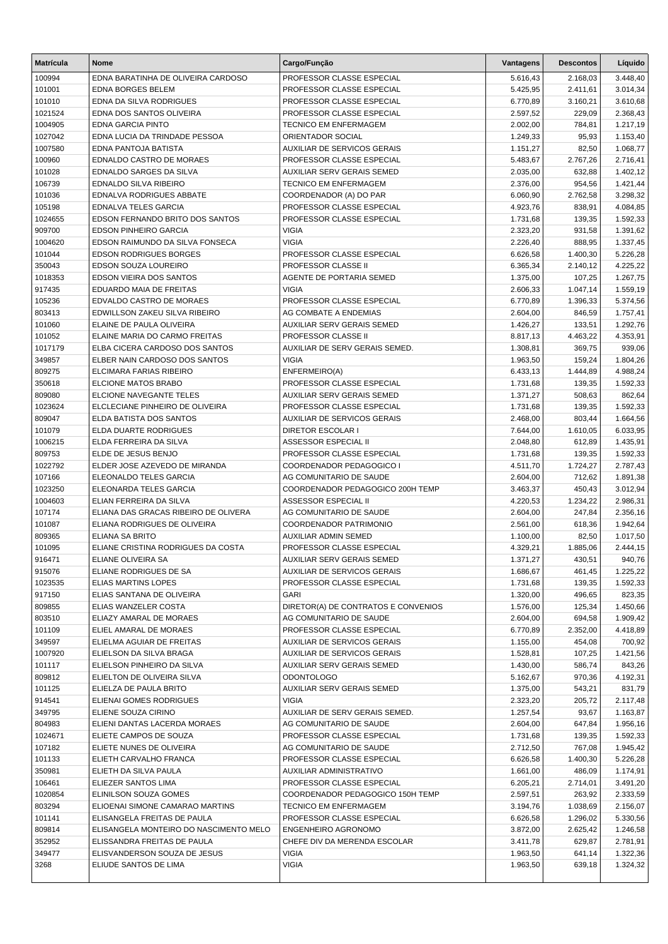| <b>Matrícula</b>  | <b>Nome</b>                                          | Cargo/Função                                               | Vantagens            | <b>Descontos</b>   | Líquido              |
|-------------------|------------------------------------------------------|------------------------------------------------------------|----------------------|--------------------|----------------------|
| 100994            | EDNA BARATINHA DE OLIVEIRA CARDOSO                   | PROFESSOR CLASSE ESPECIAL                                  | 5.616,43             | 2.168,03           | 3.448,40             |
| 101001            | <b>EDNA BORGES BELEM</b>                             | PROFESSOR CLASSE ESPECIAL                                  | 5.425,95             | 2.411,61           | 3.014,34             |
| 101010            | EDNA DA SILVA RODRIGUES                              | PROFESSOR CLASSE ESPECIAL                                  | 6.770,89             | 3.160,21           | 3.610,68             |
| 1021524           | EDNA DOS SANTOS OLIVEIRA                             | PROFESSOR CLASSE ESPECIAL                                  | 2.597,52             | 229,09             | 2.368,43             |
| 1004905           | <b>EDNA GARCIA PINTO</b>                             | <b>TECNICO EM ENFERMAGEM</b>                               | 2.002,00             | 784,81             | 1.217,19             |
| 1027042           | EDNA LUCIA DA TRINDADE PESSOA                        | ORIENTADOR SOCIAL                                          | 1.249,33             | 95,93              | 1.153,40             |
| 1007580           | EDNA PANTOJA BATISTA                                 | <b>AUXILIAR DE SERVICOS GERAIS</b>                         | 1.151,27             | 82,50              | 1.068,77             |
| 100960            | EDNALDO CASTRO DE MORAES                             | PROFESSOR CLASSE ESPECIAL                                  | 5.483,67             | 2.767,26           | 2.716,41             |
| 101028            | EDNALDO SARGES DA SILVA                              | AUXILIAR SERV GERAIS SEMED                                 | 2.035,00             | 632,88             | 1.402,12             |
| 106739            | <b>EDNALDO SILVA RIBEIRO</b>                         | TECNICO EM ENFERMAGEM                                      | 2.376,00             | 954,56             | 1.421,44             |
| 101036            | EDNALVA RODRIGUES ABBATE                             | COORDENADOR (A) DO PAR                                     | 6.060,90             | 2.762,58           | 3.298,32             |
| 105198            | <b>EDNALVA TELES GARCIA</b>                          | PROFESSOR CLASSE ESPECIAL                                  | 4.923,76             | 838,91             | 4.084,85             |
| 1024655           | EDSON FERNANDO BRITO DOS SANTOS                      | PROFESSOR CLASSE ESPECIAL                                  | 1.731,68             | 139,35             | 1.592,33             |
| 909700            | <b>EDSON PINHEIRO GARCIA</b>                         | <b>VIGIA</b>                                               | 2.323,20             | 931,58             | 1.391,62             |
| 1004620           | EDSON RAIMUNDO DA SILVA FONSECA                      | <b>VIGIA</b>                                               | 2.226,40             | 888,95             | 1.337,45             |
| 101044            | <b>EDSON RODRIGUES BORGES</b>                        | PROFESSOR CLASSE ESPECIAL                                  | 6.626,58             | 1.400,30           | 5.226,28             |
| 350043            | EDSON SOUZA LOUREIRO<br>EDSON VIEIRA DOS SANTOS      | PROFESSOR CLASSE II                                        | 6.365,34             | 2.140,12           | 4.225,22             |
| 1018353<br>917435 | EDUARDO MAIA DE FREITAS                              | AGENTE DE PORTARIA SEMED<br><b>VIGIA</b>                   | 1.375,00<br>2.606,33 | 107,25<br>1.047,14 | 1.267,75             |
| 105236            | EDVALDO CASTRO DE MORAES                             | PROFESSOR CLASSE ESPECIAL                                  | 6.770,89             | 1.396,33           | 1.559,19<br>5.374,56 |
| 803413            | EDWILLSON ZAKEU SILVA RIBEIRO                        | AG COMBATE A ENDEMIAS                                      | 2.604,00             | 846,59             | 1.757,41             |
| 101060            | ELAINE DE PAULA OLIVEIRA                             | AUXILIAR SERV GERAIS SEMED                                 | 1.426,27             | 133,51             | 1.292,76             |
| 101052            | ELAINE MARIA DO CARMO FREITAS                        | <b>PROFESSOR CLASSE II</b>                                 | 8.817,13             | 4.463,22           | 4.353,91             |
| 1017179           | ELBA CICERA CARDOSO DOS SANTOS                       | AUXILIAR DE SERV GERAIS SEMED.                             | 1.308,81             | 369,75             | 939,06               |
| 349857            | ELBER NAIN CARDOSO DOS SANTOS                        | <b>VIGIA</b>                                               | 1.963,50             | 159.24             | 1.804,26             |
| 809275            | ELCIMARA FARIAS RIBEIRO                              | ENFERMEIRO(A)                                              | 6.433,13             | 1.444,89           | 4.988,24             |
| 350618            | ELCIONE MATOS BRABO                                  | PROFESSOR CLASSE ESPECIAL                                  | 1.731,68             | 139,35             | 1.592,33             |
| 809080            | ELCIONE NAVEGANTE TELES                              | AUXILIAR SERV GERAIS SEMED                                 | 1.371,27             | 508,63             | 862,64               |
| 1023624           | ELCLECIANE PINHEIRO DE OLIVEIRA                      | PROFESSOR CLASSE ESPECIAL                                  | 1.731,68             | 139,35             | 1.592,33             |
| 809047            | ELDA BATISTA DOS SANTOS                              | AUXILIAR DE SERVICOS GERAIS                                | 2.468,00             | 803,44             | 1.664,56             |
| 101079            | ELDA DUARTE RODRIGUES                                | <b>DIRETOR ESCOLAR I</b>                                   | 7.644,00             | 1.610,05           | 6.033,95             |
| 1006215           | ELDA FERREIRA DA SILVA                               | ASSESSOR ESPECIAL II                                       | 2.048,80             | 612,89             | 1.435,91             |
| 809753            | ELDE DE JESUS BENJO                                  | PROFESSOR CLASSE ESPECIAL                                  | 1.731,68             | 139,35             | 1.592,33             |
| 1022792           | ELDER JOSE AZEVEDO DE MIRANDA                        | COORDENADOR PEDAGOGICO I                                   | 4.511,70             | 1.724,27           | 2.787,43             |
| 107166            | ELEONALDO TELES GARCIA                               | AG COMUNITARIO DE SAUDE                                    | 2.604,00             | 712,62             | 1.891,38             |
| 1023250           | ELEONARDA TELES GARCIA                               | COORDENADOR PEDAGOGICO 200H TEMP                           | 3.463,37             | 450,43             | 3.012,94             |
| 1004603           | ELIAN FERREIRA DA SILVA                              | <b>ASSESSOR ESPECIAL II</b>                                | 4.220,53             | 1.234,22           | 2.986,31             |
| 107174            | ELIANA DAS GRACAS RIBEIRO DE OLIVERA                 | AG COMUNITARIO DE SAUDE                                    | 2.604,00             | 247,84             | 2.356,16             |
| 101087            | ELIANA RODRIGUES DE OLIVEIRA                         | COORDENADOR PATRIMONIO                                     | 2.561,00             | 618,36             | 1.942,64             |
| 809365            | ELIANA SA BRITO                                      | <b>AUXILIAR ADMIN SEMED</b>                                | 1.100,00             | 82,50              | 1.017,50             |
| 101095            | ELIANE CRISTINA RODRIGUES DA COSTA                   | PROFESSOR CLASSE ESPECIAL                                  | 4.329,21             | 1.885,06           | 2.444,15             |
| 916471            | ELIANE OLIVEIRA SA                                   | AUXILIAR SERV GERAIS SEMED                                 | 1.371,27             | 430,51             | 940,76               |
| 915076            | ELIANE RODRIGUES DE SA                               | <b>AUXILIAR DE SERVICOS GERAIS</b>                         | 1.686,67             | 461,45             | 1.225,22             |
| 1023535           | <b>ELIAS MARTINS LOPES</b>                           | PROFESSOR CLASSE ESPECIAL                                  | 1.731,68             | 139,35             | 1.592,33             |
| 917150            | ELIAS SANTANA DE OLIVEIRA                            | <b>GARI</b>                                                | 1.320,00             | 496,65             | 823,35               |
| 809855            | ELIAS WANZELER COSTA                                 | DIRETOR(A) DE CONTRATOS E CONVENIOS                        | 1.576,00             | 125,34             | 1.450,66             |
| 803510            | ELIAZY AMARAL DE MORAES                              | AG COMUNITARIO DE SAUDE                                    | 2.604,00             | 694,58             | 1.909,42             |
| 101109            | ELIEL AMARAL DE MORAES                               | PROFESSOR CLASSE ESPECIAL                                  | 6.770,89             | 2.352,00           | 4.418,89             |
| 349597<br>1007920 | ELIELMA AGUIAR DE FREITAS<br>ELIELSON DA SILVA BRAGA | AUXILIAR DE SERVICOS GERAIS<br>AUXILIAR DE SERVICOS GERAIS | 1.155,00<br>1.528,81 | 454,08<br>107,25   | 700,92<br>1.421,56   |
| 101117            | ELIELSON PINHEIRO DA SILVA                           | AUXILIAR SERV GERAIS SEMED                                 | 1.430,00             | 586,74             | 843,26               |
| 809812            | ELIELTON DE OLIVEIRA SILVA                           | <b>ODONTOLOGO</b>                                          | 5.162,67             | 970,36             | 4.192,31             |
| 101125            | ELIELZA DE PAULA BRITO                               | AUXILIAR SERV GERAIS SEMED                                 | 1.375,00             | 543,21             | 831,79               |
| 914541            | ELIENAI GOMES RODRIGUES                              | <b>VIGIA</b>                                               | 2.323,20             | 205,72             | 2.117,48             |
| 349795            | ELIENE SOUZA CIRINO                                  | AUXILIAR DE SERV GERAIS SEMED.                             | 1.257,54             | 93,67              | 1.163,87             |
| 804983            | ELIENI DANTAS LACERDA MORAES                         | AG COMUNITARIO DE SAUDE                                    | 2.604,00             | 647,84             | 1.956,16             |
| 1024671           | ELIETE CAMPOS DE SOUZA                               | PROFESSOR CLASSE ESPECIAL                                  | 1.731,68             | 139,35             | 1.592,33             |
| 107182            | ELIETE NUNES DE OLIVEIRA                             | AG COMUNITARIO DE SAUDE                                    | 2.712,50             | 767,08             | 1.945,42             |
| 101133            | ELIETH CARVALHO FRANCA                               | PROFESSOR CLASSE ESPECIAL                                  | 6.626,58             | 1.400,30           | 5.226,28             |
| 350981            | ELIETH DA SILVA PAULA                                | AUXILIAR ADMINISTRATIVO                                    | 1.661,00             | 486,09             | 1.174,91             |
| 106461            | ELIEZER SANTOS LIMA                                  | PROFESSOR CLASSE ESPECIAL                                  | 6.205,21             | 2.714,01           | 3.491,20             |
| 1020854           | ELINILSON SOUZA GOMES                                | COORDENADOR PEDAGOGICO 150H TEMP                           | 2.597,51             | 263,92             | 2.333,59             |
| 803294            | ELIOENAI SIMONE CAMARAO MARTINS                      | TECNICO EM ENFERMAGEM                                      | 3.194,76             | 1.038,69           | 2.156,07             |
| 101141            | ELISANGELA FREITAS DE PAULA                          | PROFESSOR CLASSE ESPECIAL                                  | 6.626,58             | 1.296,02           | 5.330,56             |
| 809814            | ELISANGELA MONTEIRO DO NASCIMENTO MELO               | ENGENHEIRO AGRONOMO                                        | 3.872,00             | 2.625,42           | 1.246,58             |
| 352952            | ELISSANDRA FREITAS DE PAULA                          | CHEFE DIV DA MERENDA ESCOLAR                               | 3.411,78             | 629,87             | 2.781,91             |
| 349477            | ELISVANDERSON SOUZA DE JESUS                         | <b>VIGIA</b>                                               | 1.963,50             | 641,14             | 1.322,36             |
| 3268              | ELIUDE SANTOS DE LIMA                                | <b>VIGIA</b>                                               | 1.963,50             | 639,18             | 1.324,32             |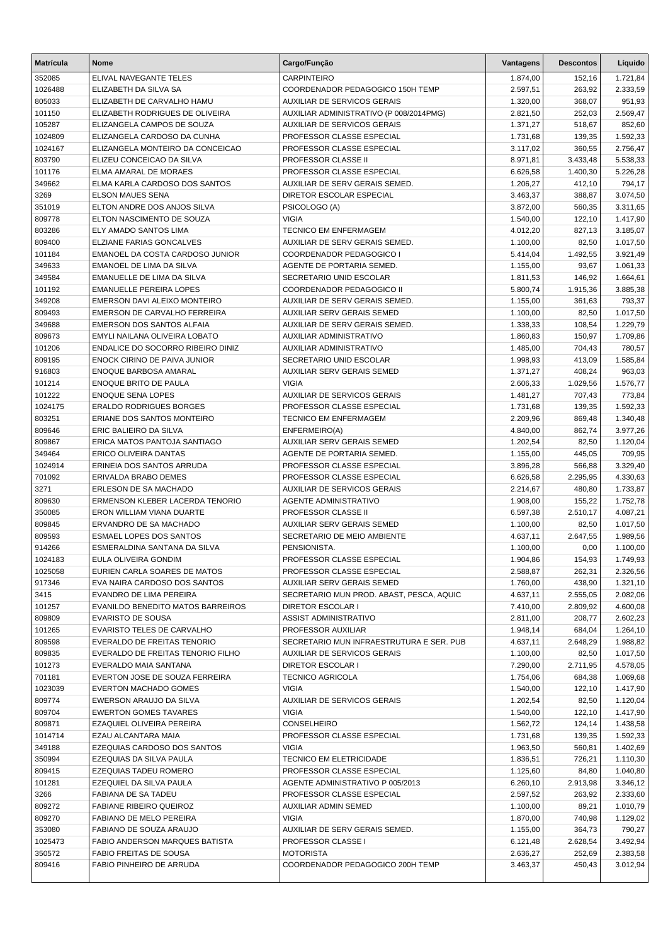| <b>Matrícula</b>  | <b>Nome</b>                                                  | Cargo/Função                                                           | Vantagens            | <b>Descontos</b>   | Líquido              |
|-------------------|--------------------------------------------------------------|------------------------------------------------------------------------|----------------------|--------------------|----------------------|
| 352085            | ELIVAL NAVEGANTE TELES                                       | <b>CARPINTEIRO</b>                                                     | 1.874,00             | 152,16             | 1.721,84             |
| 1026488           | ELIZABETH DA SILVA SA                                        | COORDENADOR PEDAGOGICO 150H TEMP                                       | 2.597,51             | 263,92             | 2.333,59             |
| 805033            | ELIZABETH DE CARVALHO HAMU                                   | <b>AUXILIAR DE SERVICOS GERAIS</b>                                     | 1.320,00             | 368,07             | 951,93               |
| 101150            | ELIZABETH RODRIGUES DE OLIVEIRA                              | AUXILIAR ADMINISTRATIVO (P 008/2014PMG)                                | 2.821,50             | 252,03             | 2.569,47             |
| 105287            | ELIZANGELA CAMPOS DE SOUZA                                   | AUXILIAR DE SERVICOS GERAIS                                            | 1.371,27             | 518,67             | 852,60               |
| 1024809           | ELIZANGELA CARDOSO DA CUNHA                                  | PROFESSOR CLASSE ESPECIAL                                              | 1.731,68             | 139,35             | 1.592,33             |
| 1024167           | ELIZANGELA MONTEIRO DA CONCEICAO                             | PROFESSOR CLASSE ESPECIAL                                              | 3.117,02             | 360,55             | 2.756,47             |
| 803790            | ELIZEU CONCEICAO DA SILVA                                    | PROFESSOR CLASSE II                                                    | 8.971,81             | 3.433,48           | 5.538,33             |
| 101176            | ELMA AMARAL DE MORAES                                        | PROFESSOR CLASSE ESPECIAL                                              | 6.626,58             | 1.400,30           | 5.226,28             |
| 349662            | ELMA KARLA CARDOSO DOS SANTOS                                | AUXILIAR DE SERV GERAIS SEMED.                                         | 1.206,27             | 412,10             | 794,17               |
| 3269              | <b>ELSON MAUES SENA</b>                                      | DIRETOR ESCOLAR ESPECIAL                                               | 3.463,37             | 388,87             | 3.074,50             |
| 351019            | ELTON ANDRE DOS ANJOS SILVA                                  | PSICOLOGO (A)                                                          | 3.872,00             | 560,35             | 3.311,65             |
| 809778            | ELTON NASCIMENTO DE SOUZA                                    | <b>VIGIA</b>                                                           | 1.540,00             | 122,10             | 1.417,90             |
| 803286            | ELY AMADO SANTOS LIMA                                        | <b>TECNICO EM ENFERMAGEM</b>                                           | 4.012,20             | 827,13             | 3.185,07             |
| 809400            | ELZIANE FARIAS GONCALVES                                     | AUXILIAR DE SERV GERAIS SEMED.                                         | 1.100,00             | 82,50              | 1.017,50             |
| 101184            | EMANOEL DA COSTA CARDOSO JUNIOR                              | COORDENADOR PEDAGOGICO I                                               | 5.414,04             | 1.492,55           | 3.921,49             |
| 349633            | EMANOEL DE LIMA DA SILVA                                     | AGENTE DE PORTARIA SEMED.                                              | 1.155,00             | 93,67              | 1.061,33             |
| 349584            | EMANUELLE DE LIMA DA SILVA                                   | SECRETARIO UNID ESCOLAR                                                | 1.811,53             | 146,92             | 1.664,61             |
| 101192            | <b>EMANUELLE PEREIRA LOPES</b>                               | COORDENADOR PEDAGOGICO II                                              | 5.800,74             | 1.915,36           | 3.885,38             |
| 349208            | EMERSON DAVI ALEIXO MONTEIRO                                 | AUXILIAR DE SERV GERAIS SEMED.                                         | 1.155,00             | 361,63             | 793,37               |
| 809493            | EMERSON DE CARVALHO FERREIRA                                 | <b>AUXILIAR SERV GERAIS SEMED</b>                                      | 1.100,00             | 82,50              | 1.017,50             |
| 349688            | EMERSON DOS SANTOS ALFAIA                                    | AUXILIAR DE SERV GERAIS SEMED.                                         | 1.338,33             | 108,54             | 1.229,79             |
| 809673            | EMYLI NAILANA OLIVEIRA LOBATO                                | AUXILIAR ADMINISTRATIVO                                                | 1.860,83             | 150,97             | 1.709,86             |
| 101206            | ENDALICE DO SOCORRO RIBEIRO DINIZ                            | AUXILIAR ADMINISTRATIVO                                                | 1.485,00             | 704,43             | 780,57               |
| 809195            | ENOCK CIRINO DE PAIVA JUNIOR                                 | SECRETARIO UNID ESCOLAR                                                | 1.998,93             | 413,09             | 1.585,84             |
| 916803            | ENOQUE BARBOSA AMARAL                                        | AUXILIAR SERV GERAIS SEMED                                             | 1.371,27             | 408,24             | 963,03               |
| 101214            | ENOQUE BRITO DE PAULA                                        | <b>VIGIA</b>                                                           | 2.606,33             | 1.029,56           | 1.576,77             |
| 101222            | <b>ENOQUE SENA LOPES</b>                                     | AUXILIAR DE SERVICOS GERAIS                                            | 1.481,27             | 707,43             | 773,84               |
| 1024175           | <b>ERALDO RODRIGUES BORGES</b>                               | PROFESSOR CLASSE ESPECIAL                                              | 1.731,68             | 139,35             | 1.592,33             |
| 803251            | ERIANE DOS SANTOS MONTEIRO                                   | <b>TECNICO EM ENFERMAGEM</b>                                           | 2.209,96             | 869,48             | 1.340,48             |
| 809646            | ERIC BALIEIRO DA SILVA                                       | ENFERMEIRO(A)                                                          | 4.840,00             | 862,74             | 3.977,26             |
| 809867            | ERICA MATOS PANTOJA SANTIAGO                                 | AUXILIAR SERV GERAIS SEMED                                             | 1.202,54             | 82,50              | 1.120,04             |
| 349464            | ERICO OLIVEIRA DANTAS                                        | AGENTE DE PORTARIA SEMED.                                              | 1.155,00             | 445,05             | 709,95               |
| 1024914           | ERINEIA DOS SANTOS ARRUDA                                    | PROFESSOR CLASSE ESPECIAL                                              | 3.896,28             | 566,88             | 3.329,40             |
| 701092            | ERIVALDA BRABO DEMES                                         | PROFESSOR CLASSE ESPECIAL                                              | 6.626,58             | 2.295,95           | 4.330,63             |
| 3271              | ERLESON DE SA MACHADO                                        | <b>AUXILIAR DE SERVICOS GERAIS</b>                                     | 2.214,67             | 480,80             | 1.733,87             |
| 809630            | ERMENSON KLEBER LACERDA TENORIO                              | <b>AGENTE ADMINISTRATIVO</b>                                           | 1.908,00             | 155,22             | 1.752,78             |
| 350085            | ERON WILLIAM VIANA DUARTE                                    | PROFESSOR CLASSE II                                                    | 6.597,38             | 2.510,17           | 4.087,21             |
| 809845            | ERVANDRO DE SA MACHADO                                       | <b>AUXILIAR SERV GERAIS SEMED</b>                                      | 1.100,00             | 82,50              | 1.017,50             |
| 809593            | <b>ESMAEL LOPES DOS SANTOS</b>                               | SECRETARIO DE MEIO AMBIENTE                                            | 4.637,11             | 2.647,55           | 1.989,56             |
| 914266            | ESMERALDINA SANTANA DA SILVA                                 | PENSIONISTA.                                                           | 1.100,00             | 0,00               | 1.100,00             |
| 1024183           | EULA OLIVEIRA GONDIM                                         | PROFESSOR CLASSE ESPECIAL                                              | 1.904,86             | 154,93             | 1.749,93             |
| 1025058<br>917346 | EURIEN CARLA SOARES DE MATOS<br>EVA NAIRA CARDOSO DOS SANTOS | PROFESSOR CLASSE ESPECIAL                                              | 2.588,87             | 262,31             | 2.326,56             |
| 3415              | EVANDRO DE LIMA PEREIRA                                      | AUXILIAR SERV GERAIS SEMED<br>SECRETARIO MUN PROD. ABAST, PESCA, AQUIC | 1.760,00             | 438,90<br>2.555,05 | 1.321,10<br>2.082,06 |
| 101257            | EVANILDO BENEDITO MATOS BARREIROS                            | <b>DIRETOR ESCOLAR I</b>                                               | 4.637,11<br>7.410,00 | 2.809,92           | 4.600,08             |
| 809809            | <b>EVARISTO DE SOUSA</b>                                     | <b>ASSIST ADMINISTRATIVO</b>                                           | 2.811,00             | 208,77             | 2.602,23             |
| 101265            | EVARISTO TELES DE CARVALHO                                   | PROFESSOR AUXILIAR                                                     | 1.948,14             | 684,04             | 1.264,10             |
| 809598            | EVERALDO DE FREITAS TENORIO                                  | SECRETARIO MUN INFRAESTRUTURA E SER. PUB                               | 4.637,11             | 2.648,29           | 1.988,82             |
| 809835            | EVERALDO DE FREITAS TENORIO FILHO                            | AUXILIAR DE SERVICOS GERAIS                                            | 1.100,00             | 82,50              | 1.017,50             |
| 101273            | EVERALDO MAIA SANTANA                                        | <b>DIRETOR ESCOLAR I</b>                                               | 7.290,00             | 2.711,95           | 4.578,05             |
| 701181            | EVERTON JOSE DE SOUZA FERREIRA                               | <b>TECNICO AGRICOLA</b>                                                | 1.754,06             | 684,38             | 1.069,68             |
| 1023039           | <b>EVERTON MACHADO GOMES</b>                                 | <b>VIGIA</b>                                                           | 1.540,00             | 122,10             | 1.417,90             |
| 809774            | EWERSON ARAUJO DA SILVA                                      | AUXILIAR DE SERVICOS GERAIS                                            | 1.202,54             | 82,50              | 1.120,04             |
| 809704            | <b>EWERTON GOMES TAVARES</b>                                 | <b>VIGIA</b>                                                           | 1.540,00             | 122,10             | 1.417,90             |
| 809871            | EZAQUIEL OLIVEIRA PEREIRA                                    | CONSELHEIRO                                                            | 1.562,72             | 124,14             | 1.438,58             |
| 1014714           | EZAU ALCANTARA MAIA                                          | PROFESSOR CLASSE ESPECIAL                                              | 1.731,68             | 139,35             | 1.592,33             |
| 349188            | EZEQUIAS CARDOSO DOS SANTOS                                  | <b>VIGIA</b>                                                           | 1.963,50             | 560,81             | 1.402,69             |
| 350994            | EZEQUIAS DA SILVA PAULA                                      | <b>TECNICO EM ELETRICIDADE</b>                                         | 1.836,51             | 726,21             | 1.110,30             |
| 809415            | EZEQUIAS TADEU ROMERO                                        | PROFESSOR CLASSE ESPECIAL                                              | 1.125,60             | 84,80              | 1.040,80             |
| 101281            | EZEQUIEL DA SILVA PAULA                                      | AGENTE ADMINISTRATIVO P 005/2013                                       | 6.260,10             | 2.913,98           | 3.346,12             |
| 3266              | FABIANA DE SA TADEU                                          | PROFESSOR CLASSE ESPECIAL                                              | 2.597,52             | 263,92             | 2.333,60             |
| 809272            | <b>FABIANE RIBEIRO QUEIROZ</b>                               | AUXILIAR ADMIN SEMED                                                   | 1.100,00             | 89,21              | 1.010,79             |
| 809270            | FABIANO DE MELO PEREIRA                                      | <b>VIGIA</b>                                                           | 1.870,00             | 740,98             | 1.129,02             |
| 353080            | FABIANO DE SOUZA ARAUJO                                      | AUXILIAR DE SERV GERAIS SEMED.                                         | 1.155,00             | 364,73             | 790,27               |
| 1025473           | FABIO ANDERSON MARQUES BATISTA                               | PROFESSOR CLASSE I                                                     | 6.121,48             | 2.628,54           | 3.492,94             |
| 350572            | FABIO FREITAS DE SOUSA                                       | <b>MOTORISTA</b>                                                       | 2.636,27             | 252,69             | 2.383,58             |
| 809416            | FABIO PINHEIRO DE ARRUDA                                     | COORDENADOR PEDAGOGICO 200H TEMP                                       | 3.463,37             | 450,43             | 3.012,94             |
|                   |                                                              |                                                                        |                      |                    |                      |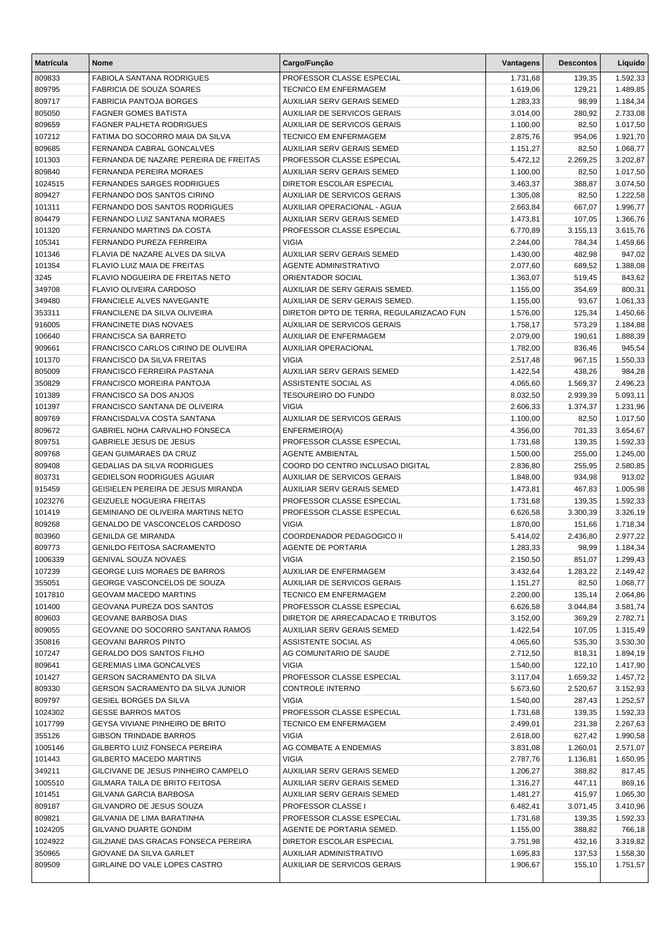| <b>Matrícula</b> | Nome                                                                      | Cargo/Função                                            | Vantagens            | <b>Descontos</b>   | Líquido              |
|------------------|---------------------------------------------------------------------------|---------------------------------------------------------|----------------------|--------------------|----------------------|
| 809833           | <b>FABIOLA SANTANA RODRIGUES</b>                                          | PROFESSOR CLASSE ESPECIAL                               | 1.731,68             | 139,35             | 1.592,33             |
| 809795           | <b>FABRICIA DE SOUZA SOARES</b>                                           | <b>TECNICO EM ENFERMAGEM</b>                            | 1.619,06             | 129,21             | 1.489,85             |
| 809717           | <b>FABRICIA PANTOJA BORGES</b>                                            | <b>AUXILIAR SERV GERAIS SEMED</b>                       | 1.283,33             | 98,99              | 1.184,34             |
| 805050           | <b>FAGNER GOMES BATISTA</b>                                               | <b>AUXILIAR DE SERVICOS GERAIS</b>                      | 3.014,00             | 280,92             | 2.733,08             |
| 809659           | <b>FAGNER PALHETA RODRIGUES</b>                                           | <b>AUXILIAR DE SERVICOS GERAIS</b>                      | 1.100,00             | 82,50              | 1.017,50             |
| 107212           | FATIMA DO SOCORRO MAIA DA SILVA                                           | <b>TECNICO EM ENFERMAGEM</b>                            | 2.875,76             | 954,06             | 1.921,70             |
| 809685           | FERNANDA CABRAL GONCALVES                                                 | <b>AUXILIAR SERV GERAIS SEMED</b>                       | 1.151,27             | 82,50              | 1.068,77             |
| 101303           | FERNANDA DE NAZARE PEREIRA DE FREITAS                                     | PROFESSOR CLASSE ESPECIAL                               | 5.472,12             | 2.269,25           | 3.202,87             |
| 809840           | FERNANDA PEREIRA MORAES                                                   | AUXILIAR SERV GERAIS SEMED                              | 1.100,00             | 82,50              | 1.017,50             |
| 1024515          | <b>FERNANDES SARGES RODRIGUES</b>                                         | DIRETOR ESCOLAR ESPECIAL                                | 3.463,37             | 388,87             | 3.074,50             |
| 809427           | FERNANDO DOS SANTOS CIRINO                                                | <b>AUXILIAR DE SERVICOS GERAIS</b>                      | 1.305,08             | 82,50              | 1.222,58             |
| 101311<br>804479 | FERNANDO DOS SANTOS RODRIGUES<br>FERNANDO LUIZ SANTANA MORAES             | AUXILIAR OPERACIONAL - AGUA                             | 2.663,84             | 667,07             | 1.996,77             |
| 101320           | FERNANDO MARTINS DA COSTA                                                 | AUXILIAR SERV GERAIS SEMED<br>PROFESSOR CLASSE ESPECIAL | 1.473,81<br>6.770,89 | 107,05<br>3.155,13 | 1.366,76<br>3.615,76 |
| 105341           | FERNANDO PUREZA FERREIRA                                                  | <b>VIGIA</b>                                            | 2.244,00             | 784,34             | 1.459,66             |
| 101346           | FLAVIA DE NAZARE ALVES DA SILVA                                           | AUXILIAR SERV GERAIS SEMED                              | 1.430,00             | 482,98             | 947,02               |
| 101354           | FLAVIO LUIZ MAIA DE FREITAS                                               | <b>AGENTE ADMINISTRATIVO</b>                            | 2.077,60             | 689,52             | 1.388,08             |
| 3245             | FLAVIO NOGUEIRA DE FREITAS NETO                                           | ORIENTADOR SOCIAL                                       | 1.363,07             | 519,45             | 843,62               |
| 349708           | <b>FLAVIO OLIVEIRA CARDOSO</b>                                            | AUXILIAR DE SERV GERAIS SEMED.                          | 1.155,00             | 354,69             | 800,31               |
| 349480           | FRANCIELE ALVES NAVEGANTE                                                 | AUXILIAR DE SERV GERAIS SEMED.                          | 1.155,00             | 93,67              | 1.061,33             |
| 353311           | FRANCILENE DA SILVA OLIVEIRA                                              | DIRETOR DPTO DE TERRA, REGULARIZACAO FUN                | 1.576,00             | 125,34             | 1.450,66             |
| 916005           | <b>FRANCINETE DIAS NOVAES</b>                                             | <b>AUXILIAR DE SERVICOS GERAIS</b>                      | 1.758,17             | 573,29             | 1.184,88             |
| 106640           | <b>FRANCISCA SA BARRETO</b>                                               | AUXILIAR DE ENFERMAGEM                                  | 2.079,00             | 190,61             | 1.888,39             |
| 909661           | FRANCISCO CARLOS CIRINO DE OLIVEIRA                                       | <b>AUXILIAR OPERACIONAL</b>                             | 1.782,00             | 836,46             | 945,54               |
| 101370           | FRANCISCO DA SILVA FREITAS                                                | <b>VIGIA</b>                                            | 2.517,48             | 967,15             | 1.550,33             |
| 805009           | FRANCISCO FERREIRA PASTANA                                                | <b>AUXILIAR SERV GERAIS SEMED</b>                       | 1.422,54             | 438,26             | 984,28               |
| 350829           | FRANCISCO MOREIRA PANTOJA                                                 | ASSISTENTE SOCIAL AS                                    | 4.065,60             | 1.569,37           | 2.496,23             |
| 101389           | FRANCISCO SA DOS ANJOS                                                    | <b>TESOUREIRO DO FUNDO</b>                              | 8.032,50             | 2.939,39           | 5.093,11             |
| 101397           | FRANCISCO SANTANA DE OLIVEIRA                                             | <b>VIGIA</b>                                            | 2.606,33             | 1.374,37           | 1.231,96             |
| 809769           | FRANCISDALVA COSTA SANTANA                                                | AUXILIAR DE SERVICOS GERAIS                             | 1.100,00             | 82,50              | 1.017,50             |
| 809672           | GABRIEL NOHA CARVALHO FONSECA                                             | ENFERMEIRO(A)                                           | 4.356,00             | 701,33             | 3.654,67             |
| 809751           | <b>GABRIELE JESUS DE JESUS</b>                                            | PROFESSOR CLASSE ESPECIAL                               | 1.731,68             | 139,35             | 1.592,33             |
| 809768           | <b>GEAN GUIMARAES DA CRUZ</b><br>GEDALIAS DA SILVA RODRIGUES              | AGENTE AMBIENTAL<br>COORD DO CENTRO INCLUSAO DIGITAL    | 1.500,00             | 255,00             | 1.245,00             |
| 809408<br>803731 | <b>GEDIELSON RODRIGUES AGUIAR</b>                                         | <b>AUXILIAR DE SERVICOS GERAIS</b>                      | 2.836,80<br>1.848,00 | 255,95<br>934,98   | 2.580,85<br>913,02   |
| 915459           | GEISIELEN PEREIRA DE JESUS MIRANDA                                        | AUXILIAR SERV GERAIS SEMED                              | 1.473,81             | 467,83             | 1.005,98             |
| 1023276          | <b>GEIZUELE NOGUEIRA FREITAS</b>                                          | PROFESSOR CLASSE ESPECIAL                               | 1.731,68             | 139,35             | 1.592,33             |
| 101419           | GEMINIANO DE OLIVEIRA MARTINS NETO                                        | PROFESSOR CLASSE ESPECIAL                               | 6.626,58             | 3.300,39           | 3.326,19             |
| 809268           | GENALDO DE VASCONCELOS CARDOSO                                            | <b>VIGIA</b>                                            | 1.870,00             | 151,66             | 1.718,34             |
| 803960           | <b>GENILDA GE MIRANDA</b>                                                 | COORDENADOR PEDAGOGICO II                               | 5.414,02             | 2.436,80           | 2.977,22             |
| 809773           | <b>GENILDO FEITOSA SACRAMENTO</b>                                         | <b>AGENTE DE PORTARIA</b>                               | 1.283,33             | 98,99              | 1.184,34             |
| 1006339          | <b>GENIVAL SOUZA NOVAES</b>                                               | VIGIA                                                   | 2.150,50             | 851,07             | 1.299,43             |
| 107239           | <b>GEORGE LUIS MORAES DE BARROS</b>                                       | AUXILIAR DE ENFERMAGEM                                  | 3.432,64             | 1.283,22           | 2.149,42             |
| 355051           | GEORGE VASCONCELOS DE SOUZA                                               | <b>AUXILIAR DE SERVICOS GERAIS</b>                      | 1.151,27             | 82,50              | 1.068,77             |
| 1017810          | <b>GEOVAM MACEDO MARTINS</b>                                              | TECNICO EM ENFERMAGEM                                   | 2.200,00             | 135,14             | 2.064,86             |
| 101400           | GEOVANA PUREZA DOS SANTOS                                                 | PROFESSOR CLASSE ESPECIAL                               | 6.626,58             | 3.044,84           | 3.581,74             |
| 809603           | <b>GEOVANE BARBOSA DIAS</b>                                               | DIRETOR DE ARRECADACAO E TRIBUTOS                       | 3.152,00             | 369,29             | 2.782,71             |
| 809055           | GEOVANE DO SOCORRO SANTANA RAMOS                                          | AUXILIAR SERV GERAIS SEMED                              | 1.422,54             | 107,05             | 1.315,49             |
| 350816           | <b>GEOVANI BARROS PINTO</b>                                               | ASSISTENTE SOCIAL AS                                    | 4.065,60             | 535,30             | 3.530,30             |
| 107247           | <b>GERALDO DOS SANTOS FILHO</b>                                           | AG COMUNITARIO DE SAUDE                                 | 2.712,50             | 818,31             | 1.894,19             |
| 809641           | <b>GEREMIAS LIMA GONCALVES</b>                                            | <b>VIGIA</b>                                            | 1.540,00             | 122,10             | 1.417,90             |
| 101427           | GERSON SACRAMENTO DA SILVA                                                | PROFESSOR CLASSE ESPECIAL<br><b>CONTROLE INTERNO</b>    | 3.117,04             | 1.659,32           | 1.457,72             |
| 809330<br>809797 | <b>GERSON SACRAMENTO DA SILVA JUNIOR</b><br><b>GESIEL BORGES DA SILVA</b> | <b>VIGIA</b>                                            | 5.673,60             | 2.520,67           | 3.152,93             |
| 1024302          | <b>GESSE BARROS MATOS</b>                                                 | PROFESSOR CLASSE ESPECIAL                               | 1.540,00<br>1.731,68 | 287,43<br>139,35   | 1.252,57<br>1.592,33 |
| 1017799          | GEYSA VIVIANE PINHEIRO DE BRITO                                           | <b>TECNICO EM ENFERMAGEM</b>                            | 2.499,01             | 231,38             | 2.267,63             |
| 355126           | <b>GIBSON TRINDADE BARROS</b>                                             | <b>VIGIA</b>                                            | 2.618,00             | 627,42             | 1.990,58             |
| 1005146          | GILBERTO LUIZ FONSECA PEREIRA                                             | AG COMBATE A ENDEMIAS                                   | 3.831,08             | 1.260,01           | 2.571,07             |
| 101443           | GILBERTO MACEDO MARTINS                                                   | <b>VIGIA</b>                                            | 2.787,76             | 1.136,81           | 1.650,95             |
| 349211           | GILCIVANE DE JESUS PINHEIRO CAMPELO                                       | AUXILIAR SERV GERAIS SEMED                              | 1.206,27             | 388,82             | 817,45               |
| 1005510          | GILMARA TAILA DE BRITO FEITOSA                                            | AUXILIAR SERV GERAIS SEMED                              | 1.316,27             | 447,11             | 869,16               |
| 101451           | GILVANA GARCIA BARBOSA                                                    | AUXILIAR SERV GERAIS SEMED                              | 1.481,27             | 415,97             | 1.065,30             |
| 809187           | GILVANDRO DE JESUS SOUZA                                                  | PROFESSOR CLASSE I                                      | 6.482,41             | 3.071,45           | 3.410,96             |
| 809821           | GILVANIA DE LIMA BARATINHA                                                | PROFESSOR CLASSE ESPECIAL                               | 1.731,68             | 139,35             | 1.592,33             |
| 1024205          | <b>GILVANO DUARTE GONDIM</b>                                              | AGENTE DE PORTARIA SEMED.                               | 1.155,00             | 388,82             | 766,18               |
| 1024922          | GILZIANE DAS GRACAS FONSECA PEREIRA                                       | DIRETOR ESCOLAR ESPECIAL                                | 3.751,98             | 432,16             | 3.319,82             |
| 350965           | GIOVANE DA SILVA GARLET                                                   | AUXILIAR ADMINISTRATIVO                                 | 1.695,83             | 137,53             | 1.558,30             |
| 809509           | GIRLAINE DO VALE LOPES CASTRO                                             | <b>AUXILIAR DE SERVICOS GERAIS</b>                      | 1.906,67             | 155,10             | 1.751,57             |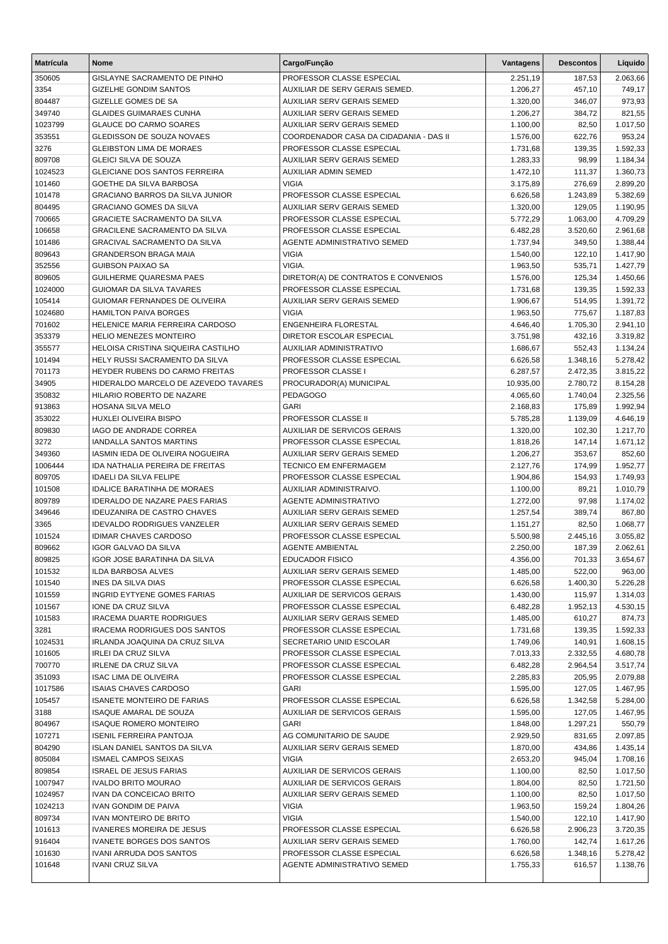| <b>Matrícula</b> | Nome                                                                        | Cargo/Função                                            | Vantagens            | <b>Descontos</b> | Líquido              |
|------------------|-----------------------------------------------------------------------------|---------------------------------------------------------|----------------------|------------------|----------------------|
| 350605           | GISLAYNE SACRAMENTO DE PINHO                                                | PROFESSOR CLASSE ESPECIAL                               | 2.251,19             | 187,53           | 2.063,66             |
| 3354             | <b>GIZELHE GONDIM SANTOS</b>                                                | AUXILIAR DE SERV GERAIS SEMED.                          | 1.206,27             | 457,10           | 749,17               |
| 804487           | GIZELLE GOMES DE SA                                                         | <b>AUXILIAR SERV GERAIS SEMED</b>                       | 1.320,00             | 346,07           | 973,93               |
| 349740           | <b>GLAIDES GUIMARAES CUNHA</b>                                              | AUXILIAR SERV GERAIS SEMED                              | 1.206,27             | 384,72           | 821,55               |
| 1023799          | <b>GLAUCE DO CARMO SOARES</b>                                               | AUXILIAR SERV GERAIS SEMED                              | 1.100,00             | 82,50            | 1.017,50             |
| 353551           | GLEDISSON DE SOUZA NOVAES                                                   | COORDENADOR CASA DA CIDADANIA - DAS II                  | 1.576,00             | 622,76           | 953,24               |
| 3276             | <b>GLEIBSTON LIMA DE MORAES</b>                                             | PROFESSOR CLASSE ESPECIAL                               | 1.731,68             | 139,35           | 1.592,33             |
| 809708           | <b>GLEICI SILVA DE SOUZA</b>                                                | AUXILIAR SERV GERAIS SEMED                              | 1.283,33             | 98,99            | 1.184,34             |
| 1024523          | <b>GLEICIANE DOS SANTOS FERREIRA</b>                                        | <b>AUXILIAR ADMIN SEMED</b>                             | 1.472,10             | 111,37           | 1.360,73             |
| 101460           | GOETHE DA SILVA BARBOSA                                                     | <b>VIGIA</b>                                            | 3.175,89             | 276,69           | 2.899,20             |
| 101478           | <b>GRACIANO BARROS DA SILVA JUNIOR</b>                                      | PROFESSOR CLASSE ESPECIAL                               | 6.626,58             | 1.243,89         | 5.382,69             |
| 804495           | <b>GRACIANO GOMES DA SILVA</b>                                              | <b>AUXILIAR SERV GERAIS SEMED</b>                       | 1.320,00             | 129,05           | 1.190,95             |
| 700665           | <b>GRACIETE SACRAMENTO DA SILVA</b>                                         | PROFESSOR CLASSE ESPECIAL                               | 5.772,29             | 1.063,00         | 4.709,29             |
| 106658           | <b>GRACILENE SACRAMENTO DA SILVA</b>                                        | PROFESSOR CLASSE ESPECIAL                               | 6.482,28             | 3.520,60         | 2.961,68             |
| 101486           | <b>GRACIVAL SACRAMENTO DA SILVA</b>                                         | AGENTE ADMINISTRATIVO SEMED                             | 1.737,94             | 349,50           | 1.388,44             |
| 809643           | <b>GRANDERSON BRAGA MAIA</b>                                                | <b>VIGIA</b>                                            | 1.540,00             | 122,10           | 1.417,90             |
| 352556           | <b>GUIBSON PAIXAO SA</b>                                                    | VIGIA.                                                  | 1.963,50             | 535,71           | 1.427,79             |
| 809605           | <b>GUILHERME QUARESMA PAES</b>                                              | DIRETOR(A) DE CONTRATOS E CONVENIOS                     | 1.576,00             | 125,34           | 1.450,66             |
| 1024000          | GUIOMAR DA SILVA TAVARES                                                    | PROFESSOR CLASSE ESPECIAL                               | 1.731,68             | 139,35           | 1.592,33             |
| 105414           | GUIOMAR FERNANDES DE OLIVEIRA                                               | <b>AUXILIAR SERV GERAIS SEMED</b>                       | 1.906,67             | 514,95           | 1.391,72             |
| 1024680          | <b>HAMILTON PAIVA BORGES</b>                                                | <b>VIGIA</b>                                            | 1.963,50             | 775,67           | 1.187,83             |
| 701602           | HELENICE MARIA FERREIRA CARDOSO                                             | ENGENHEIRA FLORESTAL                                    | 4.646,40             | 1.705,30         | 2.941,10             |
| 353379           | <b>HELIO MENEZES MONTEIRO</b>                                               | DIRETOR ESCOLAR ESPECIAL                                | 3.751,98             | 432,16           | 3.319,82             |
| 355577           | HELOISA CRISTINA SIQUEIRA CASTILHO                                          | <b>AUXILIAR ADMINISTRATIVO</b>                          | 1.686,67             | 552,43           | 1.134,24             |
| 101494           | HELY RUSSI SACRAMENTO DA SILVA                                              | PROFESSOR CLASSE ESPECIAL                               | 6.626,58             | 1.348,16         | 5.278,42             |
| 701173           | HEYDER RUBENS DO CARMO FREITAS                                              | PROFESSOR CLASSE I                                      | 6.287,57             | 2.472,35         | 3.815,22             |
| 34905            | HIDERALDO MARCELO DE AZEVEDO TAVARES                                        | PROCURADOR(A) MUNICIPAL                                 | 10.935,00            | 2.780,72         | 8.154,28             |
| 350832           | HILARIO ROBERTO DE NAZARE                                                   | <b>PEDAGOGO</b>                                         | 4.065,60             | 1.740,04         | 2.325,56             |
| 913863           | HOSANA SILVA MELO                                                           | <b>GARI</b>                                             | 2.168,83             | 175,89           | 1.992,94             |
| 353022           | <b>HUXLEI OLIVEIRA BISPO</b>                                                | PROFESSOR CLASSE II                                     | 5.785,28             | 1.139,09         | 4.646,19             |
| 809830           | IAGO DE ANDRADE CORREA                                                      | <b>AUXILIAR DE SERVICOS GERAIS</b>                      | 1.320,00             | 102,30           | 1.217,70             |
| 3272             | <b>IANDALLA SANTOS MARTINS</b>                                              | PROFESSOR CLASSE ESPECIAL                               | 1.818,26             | 147,14           | 1.671,12             |
| 349360           | IASMIN IEDA DE OLIVEIRA NOGUEIRA                                            | AUXILIAR SERV GERAIS SEMED                              | 1.206,27             | 353,67           | 852,60               |
| 1006444          | IDA NATHALIA PEREIRA DE FREITAS                                             | TECNICO EM ENFERMAGEM                                   | 2.127,76             | 174,99           | 1.952,77             |
| 809705           | <b>IDAELI DA SILVA FELIPE</b>                                               | PROFESSOR CLASSE ESPECIAL                               | 1.904,86             | 154,93           | 1.749,93             |
| 101508           | <b>IDALICE BARATINHA DE MORAES</b>                                          | AUXILIAR ADMINISTRAIVO.<br><b>AGENTE ADMINISTRATIVO</b> | 1.100,00             | 89,21            | 1.010,79             |
| 809789           | <b>IDERALDO DE NAZARE PAES FARIAS</b><br><b>IDEUZANIRA DE CASTRO CHAVES</b> | AUXILIAR SERV GERAIS SEMED                              | 1.272,00             | 97,98            | 1.174,02             |
| 349646<br>3365   | <b>IDEVALDO RODRIGUES VANZELER</b>                                          | <b>AUXILIAR SERV GERAIS SEMED</b>                       | 1.257,54             | 389,74<br>82,50  | 867,80               |
| 101524           | <b>IDIMAR CHAVES CARDOSO</b>                                                | PROFESSOR CLASSE ESPECIAL                               | 1.151,27<br>5.500,98 | 2.445,16         | 1.068,77<br>3.055,82 |
| 809662           | <b>IGOR GALVAO DA SILVA</b>                                                 | <b>AGENTE AMBIENTAL</b>                                 | 2.250,00             | 187,39           | 2.062,61             |
| 809825           | IGOR JOSE BARATINHA DA SILVA                                                | <b>EDUCADOR FISICO</b>                                  | 4.356,00             | 701,33           | 3.654,67             |
| 101532           | <b>ILDA BARBOSA ALVES</b>                                                   | <b>AUXILIAR SERV GERAIS SEMED</b>                       | 1.485,00             | 522,00           | 963,00               |
| 101540           | INES DA SILVA DIAS                                                          | PROFESSOR CLASSE ESPECIAL                               | 6.626,58             | 1.400,30         | 5.226,28             |
| 101559           | <b>INGRID EYTYENE GOMES FARIAS</b>                                          | <b>AUXILIAR DE SERVICOS GERAIS</b>                      | 1.430,00             | 115,97           | 1.314,03             |
| 101567           | IONE DA CRUZ SILVA                                                          | PROFESSOR CLASSE ESPECIAL                               | 6.482,28             | 1.952,13         | 4.530,15             |
| 101583           | <b>IRACEMA DUARTE RODRIGUES</b>                                             | AUXILIAR SERV GERAIS SEMED                              | 1.485,00             | 610,27           | 874,73               |
| 3281             | IRACEMA RODRIGUES DOS SANTOS                                                | PROFESSOR CLASSE ESPECIAL                               | 1.731,68             | 139,35           | 1.592,33             |
| 1024531          | IRLANDA JOAQUINA DA CRUZ SILVA                                              | SECRETARIO UNID ESCOLAR                                 | 1.749,06             | 140,91           | 1.608,15             |
| 101605           | <b>IRLEI DA CRUZ SILVA</b>                                                  | PROFESSOR CLASSE ESPECIAL                               | 7.013,33             | 2.332,55         | 4.680,78             |
| 700770           | <b>IRLENE DA CRUZ SILVA</b>                                                 | PROFESSOR CLASSE ESPECIAL                               | 6.482,28             | 2.964,54         | 3.517,74             |
| 351093           | <b>ISAC LIMA DE OLIVEIRA</b>                                                | PROFESSOR CLASSE ESPECIAL                               | 2.285,83             | 205,95           | 2.079,88             |
| 1017586          | <b>ISAIAS CHAVES CARDOSO</b>                                                | <b>GARI</b>                                             | 1.595,00             | 127,05           | 1.467,95             |
| 105457           | <b>ISANETE MONTEIRO DE FARIAS</b>                                           | PROFESSOR CLASSE ESPECIAL                               | 6.626,58             | 1.342,58         | 5.284,00             |
| 3188             | <b>ISAQUE AMARAL DE SOUZA</b>                                               | <b>AUXILIAR DE SERVICOS GERAIS</b>                      | 1.595,00             | 127,05           | 1.467,95             |
| 804967           | <b>ISAQUE ROMERO MONTEIRO</b>                                               | <b>GARI</b>                                             | 1.848,00             | 1.297,21         | 550,79               |
| 107271           | <b>ISENIL FERREIRA PANTOJA</b>                                              | AG COMUNITARIO DE SAUDE                                 | 2.929,50             | 831,65           | 2.097,85             |
| 804290           | <b>ISLAN DANIEL SANTOS DA SILVA</b>                                         | AUXILIAR SERV GERAIS SEMED                              | 1.870,00             | 434,86           | 1.435,14             |
| 805084           | <b>ISMAEL CAMPOS SEIXAS</b>                                                 | <b>VIGIA</b>                                            | 2.653,20             | 945,04           | 1.708,16             |
| 809854           | <b>ISRAEL DE JESUS FARIAS</b>                                               | <b>AUXILIAR DE SERVICOS GERAIS</b>                      | 1.100,00             | 82,50            | 1.017,50             |
| 1007947          | <b>IVALDO BRITO MOURAO</b>                                                  | <b>AUXILIAR DE SERVICOS GERAIS</b>                      | 1.804,00             | 82,50            | 1.721,50             |
| 1024957          | IVAN DA CONCEICAO BRITO                                                     | AUXILIAR SERV GERAIS SEMED                              | 1.100,00             | 82,50            | 1.017,50             |
| 1024213          | <b>IVAN GONDIM DE PAIVA</b>                                                 | <b>VIGIA</b>                                            | 1.963,50             | 159,24           | 1.804,26             |
| 809734           | <b>IVAN MONTEIRO DE BRITO</b>                                               | <b>VIGIA</b>                                            | 1.540,00             | 122,10           | 1.417,90             |
| 101613           | <b>IVANERES MOREIRA DE JESUS</b>                                            | PROFESSOR CLASSE ESPECIAL                               | 6.626,58             | 2.906,23         | 3.720,35             |
| 916404           | <b>IVANETE BORGES DOS SANTOS</b>                                            | AUXILIAR SERV GERAIS SEMED                              | 1.760,00             | 142,74           | 1.617,26             |
| 101630           | IVANI ARRUDA DOS SANTOS                                                     | PROFESSOR CLASSE ESPECIAL                               | 6.626,58             | 1.348,16         | 5.278,42             |
| 101648           | <b>IVANI CRUZ SILVA</b>                                                     | AGENTE ADMINISTRATIVO SEMED                             | 1.755,33             | 616,57           | 1.138,76             |
|                  |                                                                             |                                                         |                      |                  |                      |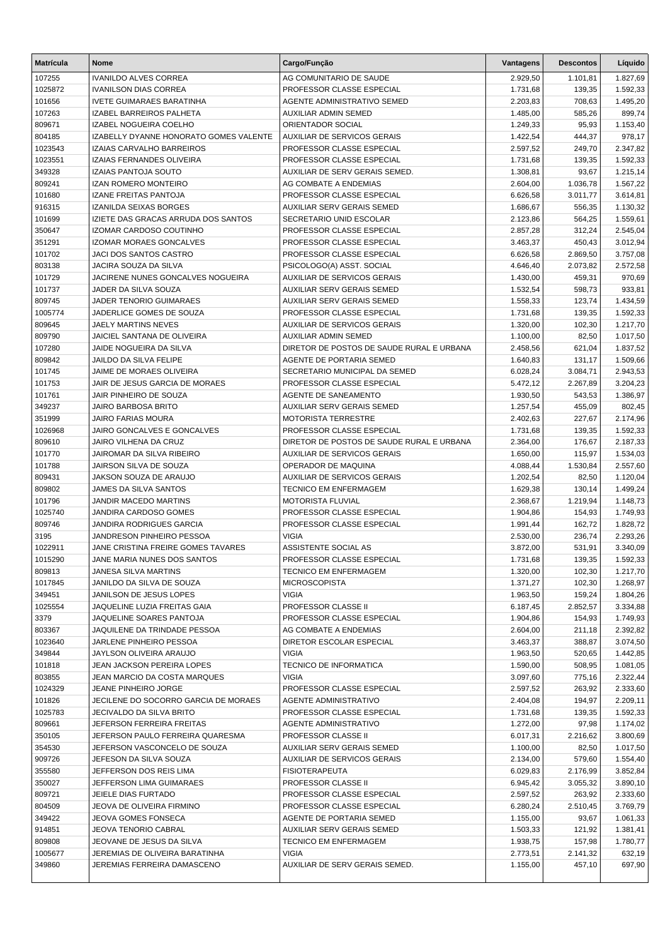| <b>Matrícula</b>  | <b>Nome</b>                                                           | Cargo/Função                                           | <b>Vantagens</b>     | <b>Descontos</b>   | Líquido              |
|-------------------|-----------------------------------------------------------------------|--------------------------------------------------------|----------------------|--------------------|----------------------|
| 107255            | <b>IVANILDO ALVES CORREA</b>                                          | AG COMUNITARIO DE SAUDE                                | 2.929,50             | 1.101,81           | 1.827,69             |
| 1025872           | <b>IVANILSON DIAS CORREA</b>                                          | PROFESSOR CLASSE ESPECIAL                              | 1.731,68             | 139,35             | 1.592,33             |
| 101656            | <b>IVETE GUIMARAES BARATINHA</b>                                      | AGENTE ADMINISTRATIVO SEMED                            | 2.203,83             | 708,63             | 1.495,20             |
| 107263            | IZABEL BARREIROS PALHETA                                              | AUXILIAR ADMIN SEMED                                   | 1.485,00             | 585,26             | 899,74               |
| 809671            | IZABEL NOGUEIRA COELHO                                                | ORIENTADOR SOCIAL                                      | 1.249,33             | 95,93              | 1.153,40             |
| 804185            | IZABELLY DYANNE HONORATO GOMES VALENTE                                | <b>AUXILIAR DE SERVICOS GERAIS</b>                     | 1.422,54             | 444,37             | 978,17               |
| 1023543           | IZAIAS CARVALHO BARREIROS                                             | PROFESSOR CLASSE ESPECIAL                              | 2.597,52             | 249,70             | 2.347,82             |
| 1023551           | IZAIAS FERNANDES OLIVEIRA                                             | PROFESSOR CLASSE ESPECIAL                              | 1.731,68             | 139,35             | 1.592,33             |
| 349328            | <b>IZAIAS PANTOJA SOUTO</b>                                           | AUXILIAR DE SERV GERAIS SEMED.                         | 1.308,81             | 93,67              | 1.215,14             |
| 809241            | <b>IZAN ROMERO MONTEIRO</b>                                           | AG COMBATE A ENDEMIAS                                  | 2.604,00             | 1.036,78           | 1.567,22             |
| 101680            | <b>IZANE FREITAS PANTOJA</b>                                          | PROFESSOR CLASSE ESPECIAL                              | 6.626,58             | 3.011,77           | 3.614,81             |
| 916315            | <b>IZANILDA SEIXAS BORGES</b>                                         | AUXILIAR SERV GERAIS SEMED                             | 1.686,67             | 556,35             | 1.130,32             |
| 101699<br>350647  | IZIETE DAS GRACAS ARRUDA DOS SANTOS<br><b>IZOMAR CARDOSO COUTINHO</b> | SECRETARIO UNID ESCOLAR<br>PROFESSOR CLASSE ESPECIAL   | 2.123,86<br>2.857,28 | 564,25             | 1.559,61<br>2.545,04 |
| 351291            | <b>IZOMAR MORAES GONCALVES</b>                                        | PROFESSOR CLASSE ESPECIAL                              | 3.463,37             | 312,24<br>450,43   | 3.012,94             |
| 101702            | JACI DOS SANTOS CASTRO                                                | PROFESSOR CLASSE ESPECIAL                              | 6.626,58             | 2.869,50           | 3.757,08             |
| 803138            | JACIRA SOUZA DA SILVA                                                 | PSICOLOGO(A) ASST. SOCIAL                              | 4.646,40             | 2.073,82           | 2.572,58             |
| 101729            | JACIRENE NUNES GONCALVES NOGUEIRA                                     | AUXILIAR DE SERVICOS GERAIS                            | 1.430,00             | 459,31             | 970,69               |
| 101737            | JADER DA SILVA SOUZA                                                  | AUXILIAR SERV GERAIS SEMED                             | 1.532,54             | 598,73             | 933,81               |
| 809745            | JADER TENORIO GUIMARAES                                               | <b>AUXILIAR SERV GERAIS SEMED</b>                      | 1.558,33             | 123,74             | 1.434,59             |
| 1005774           | JADERLICE GOMES DE SOUZA                                              | PROFESSOR CLASSE ESPECIAL                              | 1.731,68             | 139,35             | 1.592,33             |
| 809645            | JAELY MARTINS NEVES                                                   | <b>AUXILIAR DE SERVICOS GERAIS</b>                     | 1.320,00             | 102,30             | 1.217,70             |
| 809790            | <b>JAICIEL SANTANA DE OLIVEIRA</b>                                    | <b>AUXILIAR ADMIN SEMED</b>                            | 1.100,00             | 82,50              | 1.017,50             |
| 107280            | JAIDE NOGUEIRA DA SILVA                                               | DIRETOR DE POSTOS DE SAUDE RURAL E URBANA              | 2.458,56             | 621,04             | 1.837,52             |
| 809842            | <b>JAILDO DA SILVA FELIPE</b>                                         | AGENTE DE PORTARIA SEMED                               | 1.640,83             | 131,17             | 1.509,66             |
| 101745            | JAIME DE MORAES OLIVEIRA                                              | SECRETARIO MUNICIPAL DA SEMED                          | 6.028,24             | 3.084,71           | 2.943,53             |
| 101753            | JAIR DE JESUS GARCIA DE MORAES                                        | PROFESSOR CLASSE ESPECIAL                              | 5.472,12             | 2.267,89           | 3.204,23             |
| 101761            | JAIR PINHEIRO DE SOUZA                                                | AGENTE DE SANEAMENTO                                   | 1.930,50             | 543,53             | 1.386,97             |
| 349237            | JAIRO BARBOSA BRITO                                                   | AUXILIAR SERV GERAIS SEMED                             | 1.257,54             | 455,09             | 802,45               |
| 351999            | <b>JAIRO FARIAS MOURA</b>                                             | <b>MOTORISTA TERRESTRE</b>                             | 2.402,63             | 227,67             | 2.174,96             |
| 1026968           | JAIRO GONCALVES E GONCALVES                                           | PROFESSOR CLASSE ESPECIAL                              | 1.731,68             | 139,35             | 1.592,33             |
| 809610            | JAIRO VILHENA DA CRUZ                                                 | DIRETOR DE POSTOS DE SAUDE RURAL E URBANA              | 2.364,00             | 176,67             | 2.187,33             |
| 101770            | JAIROMAR DA SILVA RIBEIRO                                             | <b>AUXILIAR DE SERVICOS GERAIS</b>                     | 1.650,00             | 115,97             | 1.534,03             |
| 101788            | JAIRSON SILVA DE SOUZA                                                | OPERADOR DE MAQUINA                                    | 4.088,44             | 1.530,84           | 2.557,60             |
| 809431            | JAKSON SOUZA DE ARAUJO                                                | <b>AUXILIAR DE SERVICOS GERAIS</b>                     | 1.202,54             | 82,50              | 1.120,04             |
| 809802            | JAMES DA SILVA SANTOS                                                 | <b>TECNICO EM ENFERMAGEM</b>                           | 1.629,38             | 130,14             | 1.499,24             |
| 101796            | JANDIR MACEDO MARTINS                                                 | MOTORISTA FLUVIAL                                      | 2.368,67             | 1.219,94           | 1.148,73             |
| 1025740<br>809746 | JANDIRA CARDOSO GOMES<br>JANDIRA RODRIGUES GARCIA                     | PROFESSOR CLASSE ESPECIAL<br>PROFESSOR CLASSE ESPECIAL | 1.904,86<br>1.991,44 | 154,93<br>162,72   | 1.749,93<br>1.828,72 |
| 3195              | JANDRESON PINHEIRO PESSOA                                             | <b>VIGIA</b>                                           | 2.530,00             | 236,74             | 2.293,26             |
| 1022911           | JANE CRISTINA FREIRE GOMES TAVARES                                    | ASSISTENTE SOCIAL AS                                   | 3.872,00             | 531,91             | 3.340,09             |
| 1015290           | JANE MARIA NUNES DOS SANTOS                                           | PROFESSOR CLASSE ESPECIAL                              | 1.731,68             | 139,35             | 1.592,33             |
| 809813            | JANESA SILVA MARTINS                                                  | <b>TECNICO EM ENFERMAGEM</b>                           | 1.320,00             | 102,30             | 1.217,70             |
| 1017845           | JANILDO DA SILVA DE SOUZA                                             | <b>MICROSCOPISTA</b>                                   | 1.371,27             | 102,30             | 1.268,97             |
| 349451            | JANILSON DE JESUS LOPES                                               | <b>VIGIA</b>                                           | 1.963,50             | 159,24             | 1.804,26             |
| 1025554           | JAQUELINE LUZIA FREITAS GAIA                                          | PROFESSOR CLASSE II                                    | 6.187,45             | 2.852,57           | 3.334,88             |
| 3379              | JAQUELINE SOARES PANTOJA                                              | PROFESSOR CLASSE ESPECIAL                              | 1.904,86             | 154,93             | 1.749,93             |
| 803367            | JAQUILENE DA TRINDADE PESSOA                                          | AG COMBATE A ENDEMIAS                                  | 2.604,00             | 211,18             | 2.392,82             |
| 1023640           | JARLENE PINHEIRO PESSOA                                               | DIRETOR ESCOLAR ESPECIAL                               | 3.463,37             | 388,87             | 3.074,50             |
| 349844            | JAYLSON OLIVEIRA ARAUJO                                               | <b>VIGIA</b>                                           | 1.963,50             | 520,65             | 1.442,85             |
| 101818            | JEAN JACKSON PEREIRA LOPES                                            | <b>TECNICO DE INFORMATICA</b>                          | 1.590,00             | 508,95             | 1.081,05             |
| 803855            | JEAN MARCIO DA COSTA MARQUES                                          | <b>VIGIA</b>                                           | 3.097,60             | 775,16             | 2.322,44             |
| 1024329           | JEANE PINHEIRO JORGE                                                  | PROFESSOR CLASSE ESPECIAL                              | 2.597,52             | 263,92             | 2.333,60             |
| 101826            | JECILENE DO SOCORRO GARCIA DE MORAES                                  | <b>AGENTE ADMINISTRATIVO</b>                           | 2.404,08             | 194,97             | 2.209,11             |
| 1025783           | JECIVALDO DA SILVA BRITO                                              | PROFESSOR CLASSE ESPECIAL                              | 1.731,68             | 139,35             | 1.592,33             |
| 809661            | JEFERSON FERREIRA FREITAS                                             | <b>AGENTE ADMINISTRATIVO</b>                           | 1.272,00             | 97,98              | 1.174,02             |
| 350105            | JEFERSON PAULO FERREIRA QUARESMA                                      | PROFESSOR CLASSE II                                    | 6.017,31             | 2.216,62           | 3.800,69             |
| 354530            | JEFERSON VASCONCELO DE SOUZA                                          | AUXILIAR SERV GERAIS SEMED                             | 1.100,00             | 82,50              | 1.017,50             |
| 909726            | JEFESON DA SILVA SOUZA                                                | AUXILIAR DE SERVICOS GERAIS                            | 2.134,00             | 579,60             | 1.554,40             |
| 355580            | JEFFERSON DOS REIS LIMA                                               | <b>FISIOTERAPEUTA</b>                                  | 6.029,83             | 2.176,99           | 3.852,84             |
| 350027            | JEFFERSON LIMA GUIMARAES                                              | <b>PROFESSOR CLASSE II</b>                             | 6.945,42             | 3.055,32           | 3.890,10             |
| 809721<br>804509  | JEIELE DIAS FURTADO                                                   | PROFESSOR CLASSE ESPECIAL<br>PROFESSOR CLASSE ESPECIAL | 2.597,52<br>6.280,24 | 263,92<br>2.510,45 | 2.333,60             |
| 349422            | JEOVA DE OLIVEIRA FIRMINO<br>JEOVA GOMES FONSECA                      | AGENTE DE PORTARIA SEMED                               | 1.155,00             | 93,67              | 3.769,79<br>1.061,33 |
| 914851            | JEOVA TENORIO CABRAL                                                  | AUXILIAR SERV GERAIS SEMED                             | 1.503,33             | 121,92             | 1.381,41             |
| 809808            | JEOVANE DE JESUS DA SILVA                                             | TECNICO EM ENFERMAGEM                                  | 1.938,75             | 157,98             | 1.780,77             |
| 1005677           | JEREMIAS DE OLIVEIRA BARATINHA                                        | VIGIA                                                  | 2.773,51             | 2.141,32           | 632,19               |
| 349860            | JEREMIAS FERREIRA DAMASCENO                                           | AUXILIAR DE SERV GERAIS SEMED.                         | 1.155,00             | 457,10             | 697,90               |
|                   |                                                                       |                                                        |                      |                    |                      |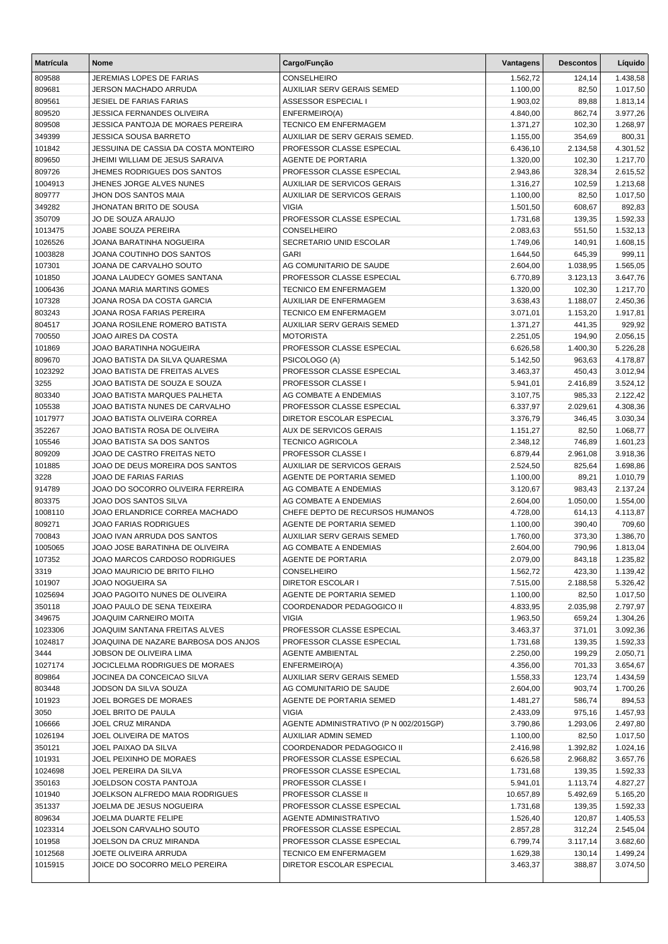| <b>Matrícula</b>  | Nome                                                       | Cargo/Função                                           | Vantagens            | <b>Descontos</b>     | Líquido              |
|-------------------|------------------------------------------------------------|--------------------------------------------------------|----------------------|----------------------|----------------------|
| 809588            | JEREMIAS LOPES DE FARIAS                                   | <b>CONSELHEIRO</b>                                     | 1.562,72             | 124,14               | 1.438,58             |
| 809681            | JERSON MACHADO ARRUDA                                      | <b>AUXILIAR SERV GERAIS SEMED</b>                      | 1.100,00             | 82,50                | 1.017,50             |
| 809561            | <b>JESIEL DE FARIAS FARIAS</b>                             | ASSESSOR ESPECIAL I                                    | 1.903,02             | 89,88                | 1.813,14             |
| 809520            | <b>JESSICA FERNANDES OLIVEIRA</b>                          | ENFERMEIRO(A)                                          | 4.840,00             | 862,74               | 3.977,26             |
| 809508            | JESSICA PANTOJA DE MORAES PEREIRA                          | <b>TECNICO EM ENFERMAGEM</b>                           | 1.371,27             | 102,30               | 1.268,97             |
| 349399            | <b>JESSICA SOUSA BARRETO</b>                               | AUXILIAR DE SERV GERAIS SEMED.                         | 1.155,00             | 354,69               | 800,31               |
| 101842            | JESSUINA DE CASSIA DA COSTA MONTEIRO                       | PROFESSOR CLASSE ESPECIAL                              | 6.436,10             | 2.134,58             | 4.301,52             |
| 809650            | JHEIMI WILLIAM DE JESUS SARAIVA                            | AGENTE DE PORTARIA                                     | 1.320,00             | 102,30               | 1.217,70             |
| 809726            | JHEMES RODRIGUES DOS SANTOS                                | PROFESSOR CLASSE ESPECIAL                              | 2.943,86             | 328,34               | 2.615,52             |
| 1004913           | JHENES JORGE ALVES NUNES                                   | AUXILIAR DE SERVICOS GERAIS                            | 1.316,27             | 102,59               | 1.213,68             |
| 809777            | JHON DOS SANTOS MAIA<br><b>JHONATAN BRITO DE SOUSA</b>     | AUXILIAR DE SERVICOS GERAIS                            | 1.100,00             | 82,50                | 1.017,50             |
| 349282            |                                                            | <b>VIGIA</b><br>PROFESSOR CLASSE ESPECIAL              | 1.501,50             | 608,67               | 892,83               |
| 350709<br>1013475 | JO DE SOUZA ARAUJO<br>JOABE SOUZA PEREIRA                  | CONSELHEIRO                                            | 1.731,68<br>2.083,63 | 139,35<br>551,50     | 1.592,33<br>1.532,13 |
| 1026526           | JOANA BARATINHA NOGUEIRA                                   | SECRETARIO UNID ESCOLAR                                | 1.749,06             | 140,91               | 1.608,15             |
| 1003828           | JOANA COUTINHO DOS SANTOS                                  | <b>GARI</b>                                            | 1.644,50             | 645,39               | 999,11               |
| 107301            | JOANA DE CARVALHO SOUTO                                    | AG COMUNITARIO DE SAUDE                                | 2.604,00             | 1.038,95             | 1.565,05             |
| 101850            | JOANA LAUDECY GOMES SANTANA                                | PROFESSOR CLASSE ESPECIAL                              | 6.770,89             | 3.123,13             | 3.647,76             |
| 1006436           | JOANA MARIA MARTINS GOMES                                  | <b>TECNICO EM ENFERMAGEM</b>                           | 1.320,00             | 102,30               | 1.217,70             |
| 107328            | JOANA ROSA DA COSTA GARCIA                                 | AUXILIAR DE ENFERMAGEM                                 | 3.638,43             | 1.188,07             | 2.450,36             |
| 803243            | <b>JOANA ROSA FARIAS PEREIRA</b>                           | <b>TECNICO EM ENFERMAGEM</b>                           | 3.071,01             | 1.153,20             | 1.917,81             |
| 804517            | JOANA ROSILENE ROMERO BATISTA                              | AUXILIAR SERV GERAIS SEMED                             | 1.371,27             | 441,35               | 929,92               |
| 700550            | JOAO AIRES DA COSTA                                        | <b>MOTORISTA</b>                                       | 2.251,05             | 194,90               | 2.056,15             |
| 101869            | <b>JOAO BARATINHA NOGUEIRA</b>                             | PROFESSOR CLASSE ESPECIAL                              | 6.626,58             | 1.400,30             | 5.226,28             |
| 809670            | JOAO BATISTA DA SILVA QUARESMA                             | PSICOLOGO (A)                                          | 5.142,50             | 963,63               | 4.178,87             |
| 1023292           | JOAO BATISTA DE FREITAS ALVES                              | PROFESSOR CLASSE ESPECIAL                              | 3.463,37             | 450,43               | 3.012,94             |
| 3255              | JOAO BATISTA DE SOUZA E SOUZA                              | PROFESSOR CLASSE I                                     | 5.941,01             | 2.416,89             | 3.524,12             |
| 803340            | JOAO BATISTA MARQUES PALHETA                               | AG COMBATE A ENDEMIAS                                  | 3.107,75             | 985,33               | 2.122,42             |
| 105538            | JOAO BATISTA NUNES DE CARVALHO                             | PROFESSOR CLASSE ESPECIAL                              | 6.337,97             | 2.029,61             | 4.308,36             |
| 1017977           | JOAO BATISTA OLIVEIRA CORREA                               | DIRETOR ESCOLAR ESPECIAL                               | 3.376,79             | 346,45               | 3.030,34             |
| 352267            | JOAO BATISTA ROSA DE OLIVEIRA                              | <b>AUX DE SERVICOS GERAIS</b>                          | 1.151,27             | 82,50                | 1.068,77             |
| 105546            | JOAO BATISTA SA DOS SANTOS                                 | <b>TECNICO AGRICOLA</b>                                | 2.348,12             | 746,89               | 1.601,23             |
| 809209            | JOAO DE CASTRO FREITAS NETO                                | PROFESSOR CLASSE I                                     | 6.879,44             | 2.961,08             | 3.918,36             |
| 101885            | JOAO DE DEUS MOREIRA DOS SANTOS                            | <b>AUXILIAR DE SERVICOS GERAIS</b>                     | 2.524,50             | 825,64               | 1.698,86             |
| 3228              | JOAO DE FARIAS FARIAS<br>JOAO DO SOCORRO OLIVEIRA FERREIRA | AGENTE DE PORTARIA SEMED<br>AG COMBATE A ENDEMIAS      | 1.100,00             | 89,21                | 1.010,79             |
| 914789<br>803375  | JOAO DOS SANTOS SILVA                                      | AG COMBATE A ENDEMIAS                                  | 3.120,67<br>2.604,00 | 983,43<br>1.050,00   | 2.137,24<br>1.554,00 |
| 1008110           | JOAO ERLANDRICE CORREA MACHADO                             | CHEFE DEPTO DE RECURSOS HUMANOS                        | 4.728,00             | 614,13               | 4.113,87             |
| 809271            | <b>JOAO FARIAS RODRIGUES</b>                               | AGENTE DE PORTARIA SEMED                               | 1.100,00             | 390,40               | 709,60               |
| 700843            | JOAO IVAN ARRUDA DOS SANTOS                                | <b>AUXILIAR SERV GERAIS SEMED</b>                      | 1.760,00             | 373,30               | 1.386,70             |
| 1005065           | JOAO JOSE BARATINHA DE OLIVEIRA                            | AG COMBATE A ENDEMIAS                                  | 2.604,00             | 790,96               | 1.813,04             |
| 107352            | JOAO MARCOS CARDOSO RODRIGUES                              | AGENTE DE PORTARIA                                     | 2.079,00             | 843,18               | 1.235,82             |
| 3319              | JOAO MAURICIO DE BRITO FILHO                               | <b>CONSELHEIRO</b>                                     | 1.562,72             | 423,30               | 1.139,42             |
| 101907            | JOAO NOGUEIRA SA                                           | DIRETOR ESCOLAR I                                      | 7.515,00             | 2.188,58             | 5.326,42             |
| 1025694           | JOAO PAGOITO NUNES DE OLIVEIRA                             | AGENTE DE PORTARIA SEMED                               | 1.100,00             | 82,50                | 1.017,50             |
| 350118            | JOAO PAULO DE SENA TEIXEIRA                                | COORDENADOR PEDAGOGICO II                              | 4.833,95             | 2.035,98             | 2.797,97             |
| 349675            | <b>JOAQUIM CARNEIRO MOITA</b>                              | <b>VIGIA</b>                                           | 1.963,50             | 659,24               | 1.304,26             |
| 1023306           | JOAQUIM SANTANA FREITAS ALVES                              | PROFESSOR CLASSE ESPECIAL                              | 3.463,37             | 371,01               | 3.092,36             |
| 1024817           | JOAQUINA DE NAZARE BARBOSA DOS ANJOS                       | PROFESSOR CLASSE ESPECIAL                              | 1.731,68             | 139,35               | 1.592,33             |
| 3444              | JOBSON DE OLIVEIRA LIMA                                    | <b>AGENTE AMBIENTAL</b>                                | 2.250,00             | 199,29               | 2.050,71             |
| 1027174           | JOCICLELMA RODRIGUES DE MORAES                             | ENFERMEIRO(A)                                          | 4.356,00             | 701,33               | 3.654,67             |
| 809864            | JOCINEA DA CONCEICAO SILVA                                 | AUXILIAR SERV GERAIS SEMED                             | 1.558,33             | 123,74               | 1.434,59             |
| 803448            | JODSON DA SILVA SOUZA                                      | AG COMUNITARIO DE SAUDE                                | 2.604,00             | 903,74               | 1.700,26             |
| 101923            | JOEL BORGES DE MORAES                                      | AGENTE DE PORTARIA SEMED                               | 1.481,27             | 586,74               | 894,53               |
| 3050              | JOEL BRITO DE PAULA                                        | <b>VIGIA</b>                                           | 2.433,09             | 975,16               | 1.457,93             |
| 106666            | JOEL CRUZ MIRANDA                                          | AGENTE ADMINISTRATIVO (P N 002/2015GP)                 | 3.790,86             | 1.293,06             | 2.497,80             |
| 1026194           | JOEL OLIVEIRA DE MATOS                                     | <b>AUXILIAR ADMIN SEMED</b>                            | 1.100,00             | 82,50                | 1.017,50             |
| 350121<br>101931  | JOEL PAIXAO DA SILVA<br>JOEL PEIXINHO DE MORAES            | COORDENADOR PEDAGOGICO II<br>PROFESSOR CLASSE ESPECIAL | 2.416,98<br>6.626,58 | 1.392,82<br>2.968,82 | 1.024,16<br>3.657,76 |
| 1024698           | JOEL PEREIRA DA SILVA                                      | PROFESSOR CLASSE ESPECIAL                              | 1.731,68             | 139,35               | 1.592,33             |
| 350163            | JOELDSON COSTA PANTOJA                                     | PROFESSOR CLASSE I                                     | 5.941,01             | 1.113,74             | 4.827,27             |
| 101940            | JOELKSON ALFREDO MAIA RODRIGUES                            | PROFESSOR CLASSE II                                    | 10.657,89            | 5.492,69             | 5.165,20             |
| 351337            | JOELMA DE JESUS NOGUEIRA                                   | PROFESSOR CLASSE ESPECIAL                              | 1.731,68             | 139,35               | 1.592,33             |
| 809634            | JOELMA DUARTE FELIPE                                       | AGENTE ADMINISTRATIVO                                  | 1.526,40             | 120,87               | 1.405,53             |
| 1023314           | JOELSON CARVALHO SOUTO                                     | PROFESSOR CLASSE ESPECIAL                              | 2.857,28             | 312,24               | 2.545,04             |
| 101958            | JOELSON DA CRUZ MIRANDA                                    | PROFESSOR CLASSE ESPECIAL                              | 6.799,74             | 3.117,14             | 3.682,60             |
| 1012568           | JOETE OLIVEIRA ARRUDA                                      | <b>TECNICO EM ENFERMAGEM</b>                           | 1.629,38             | 130,14               | 1.499,24             |
| 1015915           | JOICE DO SOCORRO MELO PEREIRA                              | DIRETOR ESCOLAR ESPECIAL                               | 3.463,37             | 388,87               | 3.074,50             |
|                   |                                                            |                                                        |                      |                      |                      |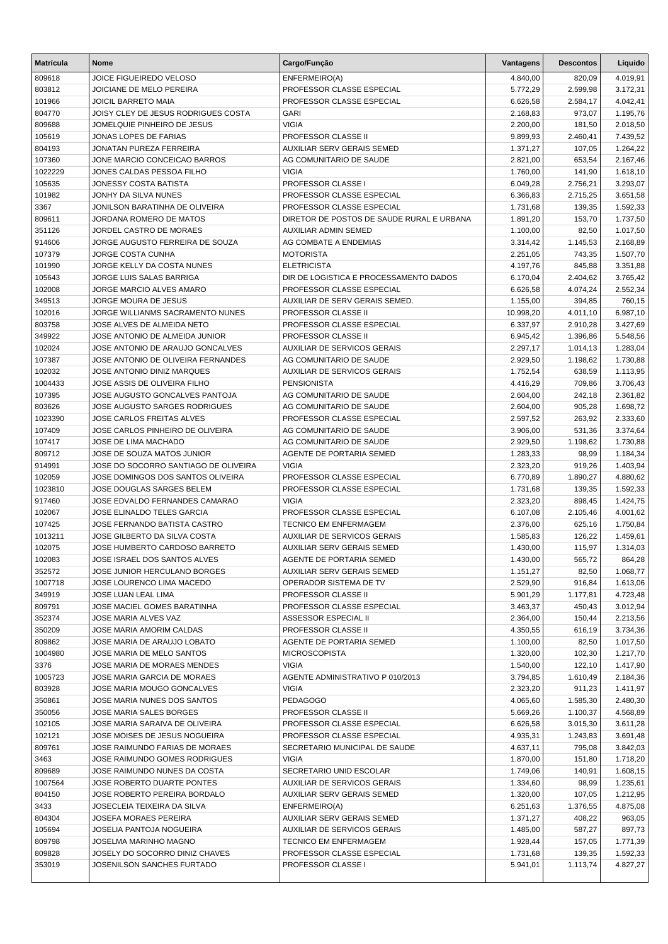| <b>Matrícula</b>  | <b>Nome</b>                                                            | Cargo/Função                                                | Vantagens            | <b>Descontos</b>     | Líquido              |
|-------------------|------------------------------------------------------------------------|-------------------------------------------------------------|----------------------|----------------------|----------------------|
| 809618            | JOICE FIGUEIREDO VELOSO                                                | ENFERMEIRO(A)                                               | 4.840,00             | 820,09               | 4.019,91             |
| 803812            | JOICIANE DE MELO PEREIRA                                               | PROFESSOR CLASSE ESPECIAL                                   | 5.772,29             | 2.599,98             | 3.172,31             |
| 101966            | JOICIL BARRETO MAIA                                                    | PROFESSOR CLASSE ESPECIAL                                   | 6.626,58             | 2.584,17             | 4.042,41             |
| 804770            | JOISY CLEY DE JESUS RODRIGUES COSTA                                    | <b>GARI</b>                                                 | 2.168,83             | 973,07               | 1.195,76             |
| 809688            | JOMELQUIE PINHEIRO DE JESUS                                            | <b>VIGIA</b>                                                | 2.200,00             | 181,50               | 2.018,50             |
| 105619            | JONAS LOPES DE FARIAS                                                  | PROFESSOR CLASSE II                                         | 9.899,93             | 2.460,41             | 7.439,52             |
| 804193            | JONATAN PUREZA FERREIRA                                                | AUXILIAR SERV GERAIS SEMED                                  | 1.371,27             | 107,05               | 1.264,22             |
| 107360            | JONE MARCIO CONCEICAO BARROS                                           | AG COMUNITARIO DE SAUDE<br><b>VIGIA</b>                     | 2.821,00             | 653,54               | 2.167,46             |
| 1022229<br>105635 | JONES CALDAS PESSOA FILHO<br>JONESSY COSTA BATISTA                     | PROFESSOR CLASSE I                                          | 1.760,00<br>6.049,28 | 141,90<br>2.756,21   | 1.618,10<br>3.293,07 |
| 101982            | JONHY DA SILVA NUNES                                                   | PROFESSOR CLASSE ESPECIAL                                   | 6.366,83             | 2.715,25             | 3.651,58             |
| 3367              | JONILSON BARATINHA DE OLIVEIRA                                         | PROFESSOR CLASSE ESPECIAL                                   | 1.731,68             | 139,35               | 1.592,33             |
| 809611            | JORDANA ROMERO DE MATOS                                                | DIRETOR DE POSTOS DE SAUDE RURAL E URBANA                   | 1.891,20             | 153,70               | 1.737,50             |
| 351126            | JORDEL CASTRO DE MORAES                                                | AUXILIAR ADMIN SEMED                                        | 1.100,00             | 82,50                | 1.017,50             |
| 914606            | JORGE AUGUSTO FERREIRA DE SOUZA                                        | AG COMBATE A ENDEMIAS                                       | 3.314,42             | 1.145,53             | 2.168,89             |
| 107379            | JORGE COSTA CUNHA                                                      | <b>MOTORISTA</b>                                            | 2.251,05             | 743,35               | 1.507,70             |
| 101990            | JORGE KELLY DA COSTA NUNES                                             | <b>ELETRICISTA</b>                                          | 4.197,76             | 845,88               | 3.351,88             |
| 105643            | JORGE LUIS SALAS BARRIGA                                               | DIR DE LOGISTICA E PROCESSAMENTO DADOS                      | 6.170,04             | 2.404,62             | 3.765,42             |
| 102008            | JORGE MARCIO ALVES AMARO                                               | PROFESSOR CLASSE ESPECIAL                                   | 6.626,58             | 4.074,24             | 2.552,34             |
| 349513            | JORGE MOURA DE JESUS                                                   | AUXILIAR DE SERV GERAIS SEMED.                              | 1.155,00             | 394,85               | 760,15               |
| 102016            | JORGE WILLIANMS SACRAMENTO NUNES                                       | PROFESSOR CLASSE II                                         | 10.998,20            | 4.011,10             | 6.987,10             |
| 803758            | JOSE ALVES DE ALMEIDA NETO                                             | PROFESSOR CLASSE ESPECIAL                                   | 6.337,97             | 2.910,28             | 3.427,69             |
| 349922            | JOSE ANTONIO DE ALMEIDA JUNIOR                                         | PROFESSOR CLASSE II                                         | 6.945,42             | 1.396,86             | 5.548,56             |
| 102024            | JOSE ANTONIO DE ARAUJO GONCALVES<br>JOSE ANTONIO DE OLIVEIRA FERNANDES | AUXILIAR DE SERVICOS GERAIS                                 | 2.297,17             | 1.014,13             | 1.283,04             |
| 107387<br>102032  | JOSE ANTONIO DINIZ MARQUES                                             | AG COMUNITARIO DE SAUDE<br>AUXILIAR DE SERVICOS GERAIS      | 2.929,50<br>1.752,54 | 1.198,62<br>638,59   | 1.730,88<br>1.113,95 |
| 1004433           | JOSE ASSIS DE OLIVEIRA FILHO                                           | <b>PENSIONISTA</b>                                          | 4.416,29             | 709,86               | 3.706,43             |
| 107395            | JOSE AUGUSTO GONCALVES PANTOJA                                         | AG COMUNITARIO DE SAUDE                                     | 2.604,00             | 242,18               | 2.361,82             |
| 803626            | JOSE AUGUSTO SARGES RODRIGUES                                          | AG COMUNITARIO DE SAUDE                                     | 2.604,00             | 905,28               | 1.698,72             |
| 1023390           | <b>JOSE CARLOS FREITAS ALVES</b>                                       | PROFESSOR CLASSE ESPECIAL                                   | 2.597,52             | 263,92               | 2.333,60             |
| 107409            | JOSE CARLOS PINHEIRO DE OLIVEIRA                                       | AG COMUNITARIO DE SAUDE                                     | 3.906,00             | 531,36               | 3.374,64             |
| 107417            | JOSE DE LIMA MACHADO                                                   | AG COMUNITARIO DE SAUDE                                     | 2.929,50             | 1.198,62             | 1.730,88             |
| 809712            | JOSE DE SOUZA MATOS JUNIOR                                             | AGENTE DE PORTARIA SEMED                                    | 1.283,33             | 98,99                | 1.184,34             |
| 914991            | JOSE DO SOCORRO SANTIAGO DE OLIVEIRA                                   | <b>VIGIA</b>                                                | 2.323,20             | 919,26               | 1.403,94             |
| 102059            | JOSE DOMINGOS DOS SANTOS OLIVEIRA                                      | PROFESSOR CLASSE ESPECIAL                                   | 6.770,89             | 1.890,27             | 4.880,62             |
| 1023810           | JOSE DOUGLAS SARGES BELEM                                              | PROFESSOR CLASSE ESPECIAL                                   | 1.731,68             | 139,35               | 1.592,33             |
| 917460            | JOSE EDVALDO FERNANDES CAMARAO                                         | <b>VIGIA</b>                                                | 2.323,20             | 898,45               | 1.424,75             |
| 102067            | JOSE ELINALDO TELES GARCIA<br>JOSE FERNANDO BATISTA CASTRO             | PROFESSOR CLASSE ESPECIAL                                   | 6.107,08             | 2.105,46             | 4.001,62             |
| 107425<br>1013211 | JOSE GILBERTO DA SILVA COSTA                                           | <b>TECNICO EM ENFERMAGEM</b><br>AUXILIAR DE SERVICOS GERAIS | 2.376,00<br>1.585,83 | 625,16<br>126,22     | 1.750,84<br>1.459,61 |
| 102075            | JOSE HUMBERTO CARDOSO BARRETO                                          | <b>AUXILIAR SERV GERAIS SEMED</b>                           | 1.430,00             | 115,97               | 1.314,03             |
| 102083            | JOSE ISRAEL DOS SANTOS ALVES                                           | AGENTE DE PORTARIA SEMED                                    | 1.430,00             | 565,72               | 864,28               |
| 352572            | JOSE JUNIOR HERCULANO BORGES                                           | AUXILIAR SERV GERAIS SEMED                                  | 1.151,27             | 82,50                | 1.068,77             |
| 1007718           | JOSE LOURENCO LIMA MACEDO                                              | OPERADOR SISTEMA DE TV                                      | 2.529,90             | 916,84               | 1.613,06             |
| 349919            | JOSE LUAN LEAL LIMA                                                    | <b>PROFESSOR CLASSE II</b>                                  | 5.901,29             | 1.177,81             | 4.723,48             |
| 809791            | JOSE MACIEL GOMES BARATINHA                                            | PROFESSOR CLASSE ESPECIAL                                   | 3.463,37             | 450,43               | 3.012,94             |
| 352374            | JOSE MARIA ALVES VAZ                                                   | ASSESSOR ESPECIAL II                                        | 2.364,00             | 150,44               | 2.213,56             |
| 350209            | JOSE MARIA AMORIM CALDAS                                               | <b>PROFESSOR CLASSE II</b>                                  | 4.350,55             | 616,19               | 3.734,36             |
| 809862            | JOSE MARIA DE ARAUJO LOBATO                                            | AGENTE DE PORTARIA SEMED                                    | 1.100,00             | 82,50                | 1.017,50             |
| 1004980           | JOSE MARIA DE MELO SANTOS                                              | <b>MICROSCOPISTA</b>                                        | 1.320,00             | 102,30               | 1.217,70             |
| 3376              | JOSE MARIA DE MORAES MENDES                                            | <b>VIGIA</b>                                                | 1.540,00             | 122,10               | 1.417,90             |
| 1005723           | JOSE MARIA GARCIA DE MORAES                                            | AGENTE ADMINISTRATIVO P 010/2013                            | 3.794,85             | 1.610,49             | 2.184,36             |
| 803928            | JOSE MARIA MOUGO GONCALVES                                             | <b>VIGIA</b><br><b>PEDAGOGO</b>                             | 2.323,20             | 911,23               | 1.411,97             |
| 350861<br>350056  | JOSE MARIA NUNES DOS SANTOS<br>JOSE MARIA SALES BORGES                 | <b>PROFESSOR CLASSE II</b>                                  | 4.065,60<br>5.669,26 | 1.585,30<br>1.100,37 | 2.480,30<br>4.568,89 |
| 102105            | JOSE MARIA SARAIVA DE OLIVEIRA                                         | PROFESSOR CLASSE ESPECIAL                                   | 6.626,58             | 3.015,30             | 3.611,28             |
| 102121            | JOSE MOISES DE JESUS NOGUEIRA                                          | PROFESSOR CLASSE ESPECIAL                                   | 4.935,31             | 1.243,83             | 3.691,48             |
| 809761            | JOSE RAIMUNDO FARIAS DE MORAES                                         | SECRETARIO MUNICIPAL DE SAUDE                               | 4.637,11             | 795,08               | 3.842,03             |
| 3463              | JOSE RAIMUNDO GOMES RODRIGUES                                          | <b>VIGIA</b>                                                | 1.870,00             | 151,80               | 1.718,20             |
| 809689            | JOSE RAIMUNDO NUNES DA COSTA                                           | SECRETARIO UNID ESCOLAR                                     | 1.749,06             | 140,91               | 1.608,15             |
| 1007564           | JOSE ROBERTO DUARTE PONTES                                             | AUXILIAR DE SERVICOS GERAIS                                 | 1.334,60             | 98,99                | 1.235,61             |
| 804150            | JOSE ROBERTO PEREIRA BORDALO                                           | AUXILIAR SERV GERAIS SEMED                                  | 1.320,00             | 107,05               | 1.212,95             |
| 3433              | JOSECLEIA TEIXEIRA DA SILVA                                            | ENFERMEIRO(A)                                               | 6.251,63             | 1.376,55             | 4.875,08             |
| 804304            | JOSEFA MORAES PEREIRA                                                  | AUXILIAR SERV GERAIS SEMED                                  | 1.371,27             | 408,22               | 963,05               |
| 105694            | JOSELIA PANTOJA NOGUEIRA                                               | AUXILIAR DE SERVICOS GERAIS                                 | 1.485,00             | 587,27               | 897,73               |
| 809798            | JOSELMA MARINHO MAGNO                                                  | <b>TECNICO EM ENFERMAGEM</b>                                | 1.928,44             | 157,05               | 1.771,39             |
| 809828            | JOSELY DO SOCORRO DINIZ CHAVES                                         | PROFESSOR CLASSE ESPECIAL                                   | 1.731,68             | 139,35               | 1.592,33             |
| 353019            | JOSENILSON SANCHES FURTADO                                             | <b>PROFESSOR CLASSE I</b>                                   | 5.941,01             | 1.113,74             | 4.827,27             |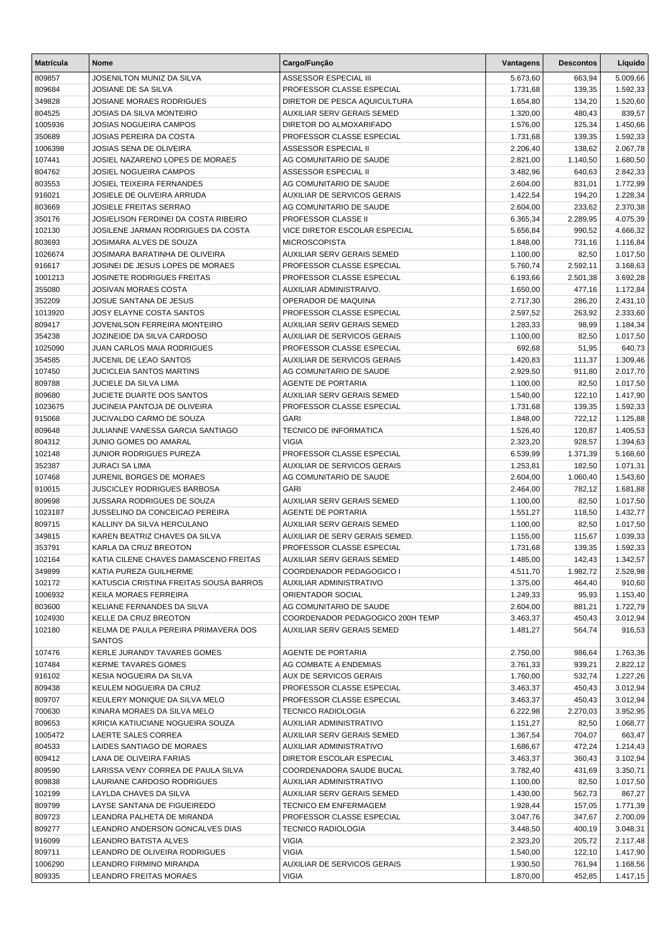| <b>Matrícula</b>  | <b>Nome</b>                                                           | Cargo/Função                                           | Vantagens            | <b>Descontos</b>     | Líquido              |
|-------------------|-----------------------------------------------------------------------|--------------------------------------------------------|----------------------|----------------------|----------------------|
| 809857            | JOSENILTON MUNIZ DA SILVA                                             | ASSESSOR ESPECIAL III                                  | 5.673,60             | 663,94               | 5.009,66             |
| 809684            | JOSIANE DE SA SILVA                                                   | PROFESSOR CLASSE ESPECIAL                              | 1.731,68             | 139,35               | 1.592,33             |
| 349828            | <b>JOSIANE MORAES RODRIGUES</b>                                       | DIRETOR DE PESCA AQUICULTURA                           | 1.654,80             | 134,20               | 1.520,60             |
| 804525            | <b>JOSIAS DA SILVA MONTEIRO</b>                                       | AUXILIAR SERV GERAIS SEMED                             | 1.320,00             | 480,43               | 839,57               |
| 1005936           | <b>JOSIAS NOGUEIRA CAMPOS</b>                                         | DIRETOR DO ALMOXARIFADO                                | 1.576,00             | 125,34               | 1.450,66             |
| 350689            | <b>JOSIAS PEREIRA DA COSTA</b>                                        | PROFESSOR CLASSE ESPECIAL                              | 1.731,68             | 139,35               | 1.592,33             |
| 1006398           | JOSIAS SENA DE OLIVEIRA                                               | ASSESSOR ESPECIAL II                                   | 2.206,40             | 138,62               | 2.067,78             |
| 107441            | JOSIEL NAZARENO LOPES DE MORAES                                       | AG COMUNITARIO DE SAUDE                                | 2.821,00             | 1.140,50             | 1.680,50             |
| 804762            | <b>JOSIEL NOGUEIRA CAMPOS</b>                                         | ASSESSOR ESPECIAL II                                   | 3.482,96             | 640,63               | 2.842,33             |
| 803553            | <b>JOSIEL TEIXEIRA FERNANDES</b>                                      | AG COMUNITARIO DE SAUDE                                | 2.604,00             | 831,01               | 1.772,99             |
| 916021            | JOSIELE DE OLIVEIRA ARRUDA                                            | AUXILIAR DE SERVICOS GERAIS                            | 1.422,54             | 194,20               | 1.228,34             |
| 803669            | <b>JOSIELE FREITAS SERRAO</b>                                         | AG COMUNITARIO DE SAUDE                                | 2.604,00             | 233,62               | 2.370,38             |
| 350176            | JOSIELISON FERDINEI DA COSTA RIBEIRO                                  | PROFESSOR CLASSE II                                    | 6.365,34             | 2.289,95             | 4.075,39             |
| 102130            | JOSILENE JARMAN RODRIGUES DA COSTA                                    | VICE DIRETOR ESCOLAR ESPECIAL                          | 5.656,84             | 990,52               | 4.666,32             |
| 803693            | JOSIMARA ALVES DE SOUZA                                               | <b>MICROSCOPISTA</b>                                   | 1.848,00             | 731,16               | 1.116,84             |
| 1026674           | JOSIMARA BARATINHA DE OLIVEIRA                                        | AUXILIAR SERV GERAIS SEMED                             | 1.100,00             | 82,50                | 1.017,50             |
| 916617            | JOSINEI DE JESUS LOPES DE MORAES<br><b>JOSINETE RODRIGUES FREITAS</b> | PROFESSOR CLASSE ESPECIAL<br>PROFESSOR CLASSE ESPECIAL | 5.760,74             | 2.592,11<br>2.501,38 | 3.168,63             |
| 1001213<br>355080 | <b>JOSIVAN MORAES COSTA</b>                                           | AUXILIAR ADMINISTRAIVO.                                | 6.193,66             |                      | 3.692,28             |
| 352209            | JOSUE SANTANA DE JESUS                                                | OPERADOR DE MAQUINA                                    | 1.650,00<br>2.717,30 | 477,16<br>286,20     | 1.172,84<br>2.431,10 |
| 1013920           | <b>JOSY ELAYNE COSTA SANTOS</b>                                       | PROFESSOR CLASSE ESPECIAL                              | 2.597,52             | 263,92               | 2.333,60             |
| 809417            | JOVENILSON FERREIRA MONTEIRO                                          | AUXILIAR SERV GERAIS SEMED                             | 1.283,33             | 98,99                | 1.184,34             |
| 354238            | JOZINEIDE DA SILVA CARDOSO                                            | <b>AUXILIAR DE SERVICOS GERAIS</b>                     | 1.100,00             | 82,50                | 1.017,50             |
| 1025090           | <b>JUAN CARLOS MAIA RODRIGUES</b>                                     | PROFESSOR CLASSE ESPECIAL                              | 692,68               | 51,95                | 640,73               |
| 354585            | JUCENIL DE LEAO SANTOS                                                | AUXILIAR DE SERVICOS GERAIS                            | 1.420,83             | 111,37               | 1.309,46             |
| 107450            | <b>JUCICLEIA SANTOS MARTINS</b>                                       | AG COMUNITARIO DE SAUDE                                | 2.929,50             | 911,80               | 2.017,70             |
| 809788            | JUCIELE DA SILVA LIMA                                                 | AGENTE DE PORTARIA                                     | 1.100,00             | 82,50                | 1.017,50             |
| 809680            | <b>JUCIETE DUARTE DOS SANTOS</b>                                      | AUXILIAR SERV GERAIS SEMED                             | 1.540,00             | 122,10               | 1.417,90             |
| 1023675           | JUCINEIA PANTOJA DE OLIVEIRA                                          | PROFESSOR CLASSE ESPECIAL                              | 1.731,68             | 139,35               | 1.592,33             |
| 915068            | JUCIVALDO CARMO DE SOUZA                                              | <b>GARI</b>                                            | 1.848,00             | 722,12               | 1.125,88             |
| 809648            | JULIANNE VANESSA GARCIA SANTIAGO                                      | TECNICO DE INFORMATICA                                 | 1.526,40             | 120,87               | 1.405,53             |
| 804312            | JUNIO GOMES DO AMARAL                                                 | <b>VIGIA</b>                                           | 2.323,20             | 928,57               | 1.394,63             |
| 102148            | JUNIOR RODRIGUES PUREZA                                               | PROFESSOR CLASSE ESPECIAL                              | 6.539,99             | 1.371,39             | 5.168,60             |
| 352387            | <b>JURACI SA LIMA</b>                                                 | AUXILIAR DE SERVICOS GERAIS                            | 1.253,81             | 182,50               | 1.071,31             |
| 107468            | JURENIL BORGES DE MORAES                                              | AG COMUNITARIO DE SAUDE                                | 2.604,00             | 1.060,40             | 1.543,60             |
| 910015            | <b>JUSCICLEY RODRIGUES BARBOSA</b>                                    | <b>GARI</b>                                            | 2.464,00             | 782,12               | 1.681,88             |
| 809698            | JUSSARA RODRIGUES DE SOUZA                                            | <b>AUXILIAR SERV GERAIS SEMED</b>                      | 1.100,00             | 82,50                | 1.017,50             |
| 1023187           | JUSSELINO DA CONCEICAO PEREIRA                                        | <b>AGENTE DE PORTARIA</b>                              | 1.551,27             | 118,50               | 1.432,77             |
| 809715            | KALLINY DA SILVA HERCULANO                                            | AUXILIAR SERV GERAIS SEMED                             | 1.100,00             | 82,50                | 1.017,50             |
| 349815            | KAREN BEATRIZ CHAVES DA SILVA                                         | AUXILIAR DE SERV GERAIS SEMED.                         | 1.155,00             | 115,67               | 1.039,33             |
| 353791            | KARLA DA CRUZ BREOTON                                                 | PROFESSOR CLASSE ESPECIAL                              | 1.731,68             | 139,35               | 1.592,33             |
| 102164            | KATIA CILENE CHAVES DAMASCENO FREITAS                                 | AUXILIAR SERV GERAIS SEMED                             | 1.485,00             | 142,43               | 1.342,57             |
| 349899            | KATIA PUREZA GUILHERME                                                | COORDENADOR PEDAGOGICO I                               | 4.511,70             | 1.982,72             | 2.528,98             |
| 102172            | KATUSCIA CRISTINA FREITAS SOUSA BARROS                                | AUXILIAR ADMINISTRATIVO                                | 1.375,00             | 464,40               | 910,60               |
| 1006932           | KEILA MORAES FERREIRA                                                 | ORIENTADOR SOCIAL                                      | 1.249,33             | 95,93                | 1.153,40             |
| 803600            | KELIANE FERNANDES DA SILVA                                            | AG COMUNITARIO DE SAUDE                                | 2.604,00             | 881,21               | 1.722,79             |
| 1024930           | KELLE DA CRUZ BREOTON                                                 | COORDENADOR PEDAGOGICO 200H TEMP                       | 3.463,37             | 450.43               | 3.012,94             |
| 102180            | KELMA DE PAULA PEREIRA PRIMAVERA DOS<br><b>SANTOS</b>                 | AUXILIAR SERV GERAIS SEMED                             | 1.481,27             | 564,74               | 916,53               |
| 107476            | <b>KERLE JURANDY TAVARES GOMES</b>                                    | AGENTE DE PORTARIA                                     | 2.750,00             | 986,64               | 1.763,36             |
| 107484            | <b>KERME TAVARES GOMES</b>                                            | AG COMBATE A ENDEMIAS                                  | 3.761,33             | 939,21               | 2.822,12             |
| 916102            | KESIA NOGUEIRA DA SILVA                                               | AUX DE SERVICOS GERAIS                                 | 1.760,00             | 532,74               | 1.227,26             |
| 809438            | KEULEM NOGUEIRA DA CRUZ                                               | PROFESSOR CLASSE ESPECIAL                              | 3.463,37             | 450,43               | 3.012,94             |
| 809707            | KEULERY MONIQUE DA SILVA MELO                                         | PROFESSOR CLASSE ESPECIAL                              | 3.463,37             | 450,43               | 3.012,94             |
| 700630            | KINARA MORAES DA SILVA MELO                                           | <b>TECNICO RADIOLOGIA</b>                              | 6.222,98             | 2.270,03             | 3.952,95             |
| 809653            | KRICIA KATIUCIANE NOGUEIRA SOUZA                                      | AUXILIAR ADMINISTRATIVO                                | 1.151,27             | 82,50                | 1.068,77             |
| 1005472           | LAERTE SALES CORREA                                                   | AUXILIAR SERV GERAIS SEMED                             | 1.367,54             | 704,07               | 663,47               |
| 804533            | LAIDES SANTIAGO DE MORAES                                             | AUXILIAR ADMINISTRATIVO                                | 1.686,67             | 472,24               | 1.214,43             |
| 809412            | LANA DE OLIVEIRA FARIAS                                               | DIRETOR ESCOLAR ESPECIAL                               | 3.463,37             | 360,43               | 3.102,94             |
| 809590            | LARISSA VENY CORREA DE PAULA SILVA                                    | COORDENADORA SAUDE BUCAL                               | 3.782,40             | 431,69               | 3.350,71             |
| 809838            | LAURIANE CARDOSO RODRIGUES                                            | AUXILIAR ADMINISTRATIVO                                | 1.100,00             | 82,50                | 1.017,50             |
| 102199            | LAYLDA CHAVES DA SILVA                                                | AUXILIAR SERV GERAIS SEMED                             | 1.430,00             | 562,73               | 867,27               |
| 809799            | LAYSE SANTANA DE FIGUEIREDO                                           | <b>TECNICO EM ENFERMAGEM</b>                           | 1.928,44             | 157,05               | 1.771,39             |
| 809723            | LEANDRA PALHETA DE MIRANDA                                            | PROFESSOR CLASSE ESPECIAL                              | 3.047,76             | 347,67               | 2.700,09             |
| 809277            | LEANDRO ANDERSON GONCALVES DIAS                                       | <b>TECNICO RADIOLOGIA</b>                              | 3.448,50             | 400,19               | 3.048,31             |
| 916099            | LEANDRO BATISTA ALVES                                                 | <b>VIGIA</b>                                           | 2.323,20             | 205,72               | 2.117,48             |
| 809711            | LEANDRO DE OLIVEIRA RODRIGUES                                         | <b>VIGIA</b>                                           | 1.540,00             | 122,10               | 1.417,90             |
| 1006290           | LEANDRO FIRMINO MIRANDA                                               | AUXILIAR DE SERVICOS GERAIS                            | 1.930,50             | 761,94               | 1.168,56             |
| 809335            | LEANDRO FREITAS MORAES                                                | VIGIA                                                  | 1.870,00             | 452,85               | 1.417,15             |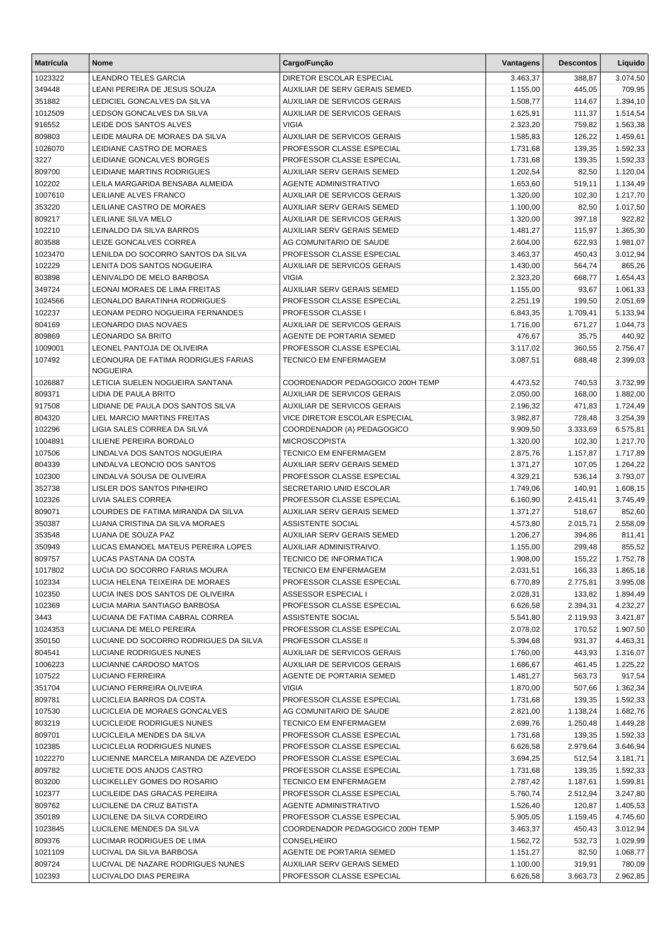| 1023322<br>3.074,50<br><b>LEANDRO TELES GARCIA</b><br>DIRETOR ESCOLAR ESPECIAL<br>3.463,37<br>388,87<br>349448<br>AUXILIAR DE SERV GERAIS SEMED.<br>LEANI PEREIRA DE JESUS SOUZA<br>1.155,00<br>445,05<br>709,95<br>351882<br>LEDICIEL GONCALVES DA SILVA<br><b>AUXILIAR DE SERVICOS GERAIS</b><br>1.508,77<br>114,67<br>1.394,10<br>1012509<br>LEDSON GONCALVES DA SILVA<br>AUXILIAR DE SERVICOS GERAIS<br>1.625,91<br>111,37<br>1.514,54<br><b>VIGIA</b><br>916552<br>LEIDE DOS SANTOS ALVES<br>2.323,20<br>759,82<br>1.563,38<br>809803<br>LEIDE MAURA DE MORAES DA SILVA<br>AUXILIAR DE SERVICOS GERAIS<br>1.585,83<br>126,22<br>1.459,61<br>1026070<br>LEIDIANE CASTRO DE MORAES<br>PROFESSOR CLASSE ESPECIAL<br>1.731,68<br>139,35<br>1.592,33<br>139,35<br>3227<br>LEIDIANE GONCALVES BORGES<br>PROFESSOR CLASSE ESPECIAL<br>1.731,68<br>1.592,33<br>809700<br>LEIDIANE MARTINS RODRIGUES<br>AUXILIAR SERV GERAIS SEMED<br>1.202,54<br>82,50<br>1.120,04<br>102202<br>LEILA MARGARIDA BENSABA ALMEIDA<br><b>AGENTE ADMINISTRATIVO</b><br>1.653,60<br>519,11<br>1.134,49<br>1007610<br>LEILIANE ALVES FRANCO<br>AUXILIAR DE SERVICOS GERAIS<br>1.320,00<br>102,30<br>1.217,70<br>82,50<br>353220<br>LEILIANE CASTRO DE MORAES<br>AUXILIAR SERV GERAIS SEMED<br>1.100,00<br>1.017,50<br>809217<br>LEILIANE SILVA MELO<br>AUXILIAR DE SERVICOS GERAIS<br>1.320,00<br>397,18<br>922,82<br>102210<br>LEINALDO DA SILVA BARROS<br>AUXILIAR SERV GERAIS SEMED<br>1.481,27<br>115,97<br>1.365,30<br>803588<br>LEIZE GONCALVES CORREA<br>AG COMUNITARIO DE SAUDE<br>2.604,00<br>622,93<br>1.981,07<br>450,43<br>1023470<br>LENILDA DO SOCORRO SANTOS DA SILVA<br>PROFESSOR CLASSE ESPECIAL<br>3.463,37<br>3.012,94<br>102229<br>LENITA DOS SANTOS NOGUEIRA<br>AUXILIAR DE SERVICOS GERAIS<br>1.430,00<br>564,74<br>865,26<br>803898<br>LENIVALDO DE MELO BARBOSA<br><b>VIGIA</b><br>2.323,20<br>668,77<br>1.654,43<br>349724<br>LEONAI MORAES DE LIMA FREITAS<br>AUXILIAR SERV GERAIS SEMED<br>1.155,00<br>93,67<br>1.061,33<br>1024566<br><b>LEONALDO BARATINHA RODRIGUES</b><br>PROFESSOR CLASSE ESPECIAL<br>2.251,19<br>199,50<br>2.051,69<br>102237<br>LEONAM PEDRO NOGUEIRA FERNANDES<br>PROFESSOR CLASSE I<br>6.843,35<br>1.709,41<br>5.133,94<br>804169<br><b>LEONARDO DIAS NOVAES</b><br><b>AUXILIAR DE SERVICOS GERAIS</b><br>1.716,00<br>671,27<br>1.044,73<br>809869<br>LEONARDO SA BRITO<br>AGENTE DE PORTARIA SEMED<br>476,67<br>35,75<br>440,92<br>PROFESSOR CLASSE ESPECIAL<br>1009001<br>LEONEL PANTOJA DE OLIVEIRA<br>360,55<br>2.756,47<br>3.117,02<br>107492<br>LEONOURA DE FATIMA RODRIGUES FARIAS<br><b>TECNICO EM ENFERMAGEM</b><br>3.087,51<br>688,48<br>2.399,03<br><b>NOGUEIRA</b><br>LETICIA SUELEN NOGUEIRA SANTANA<br>COORDENADOR PEDAGOGICO 200H TEMP<br>1026887<br>4.473,52<br>740,53<br>3.732,99<br>809371<br>LIDIA DE PAULA BRITO<br>AUXILIAR DE SERVICOS GERAIS<br>2.050,00<br>168,00<br>1.882,00<br><b>AUXILIAR DE SERVICOS GERAIS</b><br>917508<br>LIDIANE DE PAULA DOS SANTOS SILVA<br>2.196,32<br>471,83<br>1.724,49<br>804320<br>LIEL MARCIO MARTINS FREITAS<br>VICE DIRETOR ESCOLAR ESPECIAL<br>3.982,87<br>3.254,39<br>728,48<br>102296<br>LIGIA SALES CORREA DA SILVA<br>COORDENADOR (A) PEDAGOGICO<br>9.909,50<br>3.333,69<br>6.575,81<br>1004891<br>LILIENE PEREIRA BORDALO<br><b>MICROSCOPISTA</b><br>1.320,00<br>102,30<br>1.217,70<br>107506<br>LINDALVA DOS SANTOS NOGUEIRA<br><b>TECNICO EM ENFERMAGEM</b><br>2.875,76<br>1.157,87<br>1.717,89<br>804339<br>LINDALVA LEONCIO DOS SANTOS<br><b>AUXILIAR SERV GERAIS SEMED</b><br>1.264,22<br>1.371,27<br>107,05<br>102300<br>LINDALVA SOUSA DE OLIVEIRA<br>PROFESSOR CLASSE ESPECIAL<br>4.329,21<br>536,14<br>3.793,07<br>352738<br>LISLER DOS SANTOS PINHEIRO<br>SECRETARIO UNID ESCOLAR<br>1.749,06<br>140,91<br>1.608,15<br>102326<br>LIVIA SALES CORREA<br>PROFESSOR CLASSE ESPECIAL<br>6.160,90<br>3.745,49<br>2.415,41<br>809071<br>LOURDES DE FATIMA MIRANDA DA SILVA<br><b>AUXILIAR SERV GERAIS SEMED</b><br>852,60<br>1.371,27<br>518,67<br>350387<br>LUANA CRISTINA DA SILVA MORAES<br>ASSISTENTE SOCIAL<br>2.015,71<br>2.558,09<br>4.573,80<br>353548<br>LUANA DE SOUZA PAZ<br><b>AUXILIAR SERV GERAIS SEMED</b><br>394,86<br>1.206,27<br>811,41<br>350949<br>LUCAS EMANOEL MATEUS PEREIRA LOPES<br>AUXILIAR ADMINISTRAIVO.<br>1.155,00<br>299,48<br>855,52<br>TECNICO DE INFORMATICA<br>809757<br>LUCAS PASTANA DA COSTA<br>1.908,00<br>155,22<br>1.752,78<br>LUCIA DO SOCORRO FARIAS MOURA<br>166,33<br>1017802<br><b>TECNICO EM ENFERMAGEM</b><br>2.031,51<br>1.865,18<br>102334<br>LUCIA HELENA TEIXEIRA DE MORAES<br>PROFESSOR CLASSE ESPECIAL<br>6.770,89<br>2.775,81<br>3.995,08<br>102350<br>LUCIA INES DOS SANTOS DE OLIVEIRA<br>ASSESSOR ESPECIAL I<br>2.028,31<br>133,82<br>1.894,49<br>102369<br>LUCIA MARIA SANTIAGO BARBOSA<br>PROFESSOR CLASSE ESPECIAL<br>6.626,58<br>2.394,31<br>4.232,27<br>3443<br>LUCIANA DE FATIMA CABRAL CORREA<br>ASSISTENTE SOCIAL<br>5.541,80<br>2.119,93<br>3.421,87<br>1024353<br>PROFESSOR CLASSE ESPECIAL<br>2.078,02<br>170,52<br>1.907,50<br>LUCIANA DE MELO PEREIRA<br>350150<br>LUCIANE DO SOCORRO RODRIGUES DA SILVA<br>PROFESSOR CLASSE II<br>5.394,68<br>931,37<br>4.463,31<br>804541<br>LUCIANE RODRIGUES NUNES<br>AUXILIAR DE SERVICOS GERAIS<br>1.760,00<br>443,93<br>1.316,07<br>1006223<br>LUCIANNE CARDOSO MATOS<br>AUXILIAR DE SERVICOS GERAIS<br>1.686,67<br>461,45<br>1.225,22<br>107522<br>LUCIANO FERREIRA<br>AGENTE DE PORTARIA SEMED<br>563,73<br>917,54<br>1.481,27<br>351704<br>LUCIANO FERREIRA OLIVEIRA<br><b>VIGIA</b><br>1.870,00<br>507,66<br>1.362,34<br>809781<br>LUCICLEIA BARROS DA COSTA<br>PROFESSOR CLASSE ESPECIAL<br>1.731,68<br>139,35<br>1.592,33<br>107530<br>LUCICLEIA DE MORAES GONCALVES<br>AG COMUNITARIO DE SAUDE<br>2.821,00<br>1.138,24<br>1.682,76<br>803219<br>LUCICLEIDE RODRIGUES NUNES<br>TECNICO EM ENFERMAGEM<br>2.699,76<br>1.250,48<br>1.449,28<br>809701<br>LUCICLEILA MENDES DA SILVA<br>PROFESSOR CLASSE ESPECIAL<br>1.731,68<br>139,35<br>1.592,33<br>102385<br>LUCICLELIA RODRIGUES NUNES<br>PROFESSOR CLASSE ESPECIAL<br>6.626,58<br>2.979,64<br>3.646,94<br>1022270<br>LUCIENNE MARCELA MIRANDA DE AZEVEDO<br>PROFESSOR CLASSE ESPECIAL<br>3.694,25<br>512,54<br>3.181,71<br>809782<br>LUCIETE DOS ANJOS CASTRO<br>PROFESSOR CLASSE ESPECIAL<br>1.731,68<br>139,35<br>1.592,33<br>803200<br>LUCIKELLEY GOMES DO ROSARIO<br>TECNICO EM ENFERMAGEM<br>2.787,42<br>1.187,61<br>1.599,81<br>102377<br>LUCILEIDE DAS GRACAS PEREIRA<br>PROFESSOR CLASSE ESPECIAL<br>5.760,74<br>2.512,94<br>3.247,80<br>809762<br>LUCILENE DA CRUZ BATISTA<br>AGENTE ADMINISTRATIVO<br>1.526,40<br>120,87<br>1.405,53<br>350189<br>LUCILENE DA SILVA CORDEIRO<br>PROFESSOR CLASSE ESPECIAL<br>5.905,05<br>1.159,45<br>4.745,60<br>1023845<br>LUCILENE MENDES DA SILVA<br>COORDENADOR PEDAGOGICO 200H TEMP<br>3.463,37<br>450,43<br>3.012,94<br>809376<br>LUCIMAR RODRIGUES DE LIMA<br>1.562,72<br>532,73<br>1.029,99<br><b>CONSELHEIRO</b><br>1021109<br>LUCIVAL DA SILVA BARBOSA<br>AGENTE DE PORTARIA SEMED<br>1.151,27<br>82,50<br>1.068,77<br>809724<br>LUCIVAL DE NAZARE RODRIGUES NUNES<br>AUXILIAR SERV GERAIS SEMED<br>1.100,00<br>319,91<br>780,09<br>102393<br>LUCIVALDO DIAS PEREIRA<br>PROFESSOR CLASSE ESPECIAL<br>6.626,58<br>3.663,73<br>2.962,85 | <b>Matrícula</b> | <b>Nome</b> | Cargo/Função | Vantagens | <b>Descontos</b> | Líquido |
|----------------------------------------------------------------------------------------------------------------------------------------------------------------------------------------------------------------------------------------------------------------------------------------------------------------------------------------------------------------------------------------------------------------------------------------------------------------------------------------------------------------------------------------------------------------------------------------------------------------------------------------------------------------------------------------------------------------------------------------------------------------------------------------------------------------------------------------------------------------------------------------------------------------------------------------------------------------------------------------------------------------------------------------------------------------------------------------------------------------------------------------------------------------------------------------------------------------------------------------------------------------------------------------------------------------------------------------------------------------------------------------------------------------------------------------------------------------------------------------------------------------------------------------------------------------------------------------------------------------------------------------------------------------------------------------------------------------------------------------------------------------------------------------------------------------------------------------------------------------------------------------------------------------------------------------------------------------------------------------------------------------------------------------------------------------------------------------------------------------------------------------------------------------------------------------------------------------------------------------------------------------------------------------------------------------------------------------------------------------------------------------------------------------------------------------------------------------------------------------------------------------------------------------------------------------------------------------------------------------------------------------------------------------------------------------------------------------------------------------------------------------------------------------------------------------------------------------------------------------------------------------------------------------------------------------------------------------------------------------------------------------------------------------------------------------------------------------------------------------------------------------------------------------------------------------------------------------------------------------------------------------------------------------------------------------------------------------------------------------------------------------------------------------------------------------------------------------------------------------------------------------------------------------------------------------------------------------------------------------------------------------------------------------------------------------------------------------------------------------------------------------------------------------------------------------------------------------------------------------------------------------------------------------------------------------------------------------------------------------------------------------------------------------------------------------------------------------------------------------------------------------------------------------------------------------------------------------------------------------------------------------------------------------------------------------------------------------------------------------------------------------------------------------------------------------------------------------------------------------------------------------------------------------------------------------------------------------------------------------------------------------------------------------------------------------------------------------------------------------------------------------------------------------------------------------------------------------------------------------------------------------------------------------------------------------------------------------------------------------------------------------------------------------------------------------------------------------------------------------------------------------------------------------------------------------------------------------------------------------------------------------------------------------------------------------------------------------------------------------------------------------------------------------------------------------------------------------------------------------------------------------------------------------------------------------------------------------------------------------------------------------------------------------------------------------------------------------------------------------------------------------------------------------------------------------------------------------------------------------------------------------------------------------------------------------------------------------------------------------------------------------------------------------------------------------------------------------------------------------------------------------------------------------------------------------------------------------------------------------------------------------------------------------------------------------------------------------------------------------------------------------------------------------------------------------------------------------------------------------------------------------------------------------------------------------------------------------------------------------------------------------------------------------------------------------------------------------------------------------------------------------------------------------------------------------------------------------------------------------------------------------------------------------------------------------------------------------------------------------------------------------------------------------------------------------------------------------------------------------------------------------------------------------------------------------------------------------------------------------------------------------------------------------------------------------------------------------------------------------|------------------|-------------|--------------|-----------|------------------|---------|
|                                                                                                                                                                                                                                                                                                                                                                                                                                                                                                                                                                                                                                                                                                                                                                                                                                                                                                                                                                                                                                                                                                                                                                                                                                                                                                                                                                                                                                                                                                                                                                                                                                                                                                                                                                                                                                                                                                                                                                                                                                                                                                                                                                                                                                                                                                                                                                                                                                                                                                                                                                                                                                                                                                                                                                                                                                                                                                                                                                                                                                                                                                                                                                                                                                                                                                                                                                                                                                                                                                                                                                                                                                                                                                                                                                                                                                                                                                                                                                                                                                                                                                                                                                                                                                                                                                                                                                                                                                                                                                                                                                                                                                                                                                                                                                                                                                                                                                                                                                                                                                                                                                                                                                                                                                                                                                                                                                                                                                                                                                                                                                                                                                                                                                                                                                                                                                                                                                                                                                                                                                                                                                                                                                                                                                                                                                                                                                                                                                                                                                                                                                                                                                                                                                                                                                                                                                                                                                                                                                                                                                                                                                                                                                                                                                                                                                                                                                |                  |             |              |           |                  |         |
|                                                                                                                                                                                                                                                                                                                                                                                                                                                                                                                                                                                                                                                                                                                                                                                                                                                                                                                                                                                                                                                                                                                                                                                                                                                                                                                                                                                                                                                                                                                                                                                                                                                                                                                                                                                                                                                                                                                                                                                                                                                                                                                                                                                                                                                                                                                                                                                                                                                                                                                                                                                                                                                                                                                                                                                                                                                                                                                                                                                                                                                                                                                                                                                                                                                                                                                                                                                                                                                                                                                                                                                                                                                                                                                                                                                                                                                                                                                                                                                                                                                                                                                                                                                                                                                                                                                                                                                                                                                                                                                                                                                                                                                                                                                                                                                                                                                                                                                                                                                                                                                                                                                                                                                                                                                                                                                                                                                                                                                                                                                                                                                                                                                                                                                                                                                                                                                                                                                                                                                                                                                                                                                                                                                                                                                                                                                                                                                                                                                                                                                                                                                                                                                                                                                                                                                                                                                                                                                                                                                                                                                                                                                                                                                                                                                                                                                                                                |                  |             |              |           |                  |         |
|                                                                                                                                                                                                                                                                                                                                                                                                                                                                                                                                                                                                                                                                                                                                                                                                                                                                                                                                                                                                                                                                                                                                                                                                                                                                                                                                                                                                                                                                                                                                                                                                                                                                                                                                                                                                                                                                                                                                                                                                                                                                                                                                                                                                                                                                                                                                                                                                                                                                                                                                                                                                                                                                                                                                                                                                                                                                                                                                                                                                                                                                                                                                                                                                                                                                                                                                                                                                                                                                                                                                                                                                                                                                                                                                                                                                                                                                                                                                                                                                                                                                                                                                                                                                                                                                                                                                                                                                                                                                                                                                                                                                                                                                                                                                                                                                                                                                                                                                                                                                                                                                                                                                                                                                                                                                                                                                                                                                                                                                                                                                                                                                                                                                                                                                                                                                                                                                                                                                                                                                                                                                                                                                                                                                                                                                                                                                                                                                                                                                                                                                                                                                                                                                                                                                                                                                                                                                                                                                                                                                                                                                                                                                                                                                                                                                                                                                                                |                  |             |              |           |                  |         |
|                                                                                                                                                                                                                                                                                                                                                                                                                                                                                                                                                                                                                                                                                                                                                                                                                                                                                                                                                                                                                                                                                                                                                                                                                                                                                                                                                                                                                                                                                                                                                                                                                                                                                                                                                                                                                                                                                                                                                                                                                                                                                                                                                                                                                                                                                                                                                                                                                                                                                                                                                                                                                                                                                                                                                                                                                                                                                                                                                                                                                                                                                                                                                                                                                                                                                                                                                                                                                                                                                                                                                                                                                                                                                                                                                                                                                                                                                                                                                                                                                                                                                                                                                                                                                                                                                                                                                                                                                                                                                                                                                                                                                                                                                                                                                                                                                                                                                                                                                                                                                                                                                                                                                                                                                                                                                                                                                                                                                                                                                                                                                                                                                                                                                                                                                                                                                                                                                                                                                                                                                                                                                                                                                                                                                                                                                                                                                                                                                                                                                                                                                                                                                                                                                                                                                                                                                                                                                                                                                                                                                                                                                                                                                                                                                                                                                                                                                                |                  |             |              |           |                  |         |
|                                                                                                                                                                                                                                                                                                                                                                                                                                                                                                                                                                                                                                                                                                                                                                                                                                                                                                                                                                                                                                                                                                                                                                                                                                                                                                                                                                                                                                                                                                                                                                                                                                                                                                                                                                                                                                                                                                                                                                                                                                                                                                                                                                                                                                                                                                                                                                                                                                                                                                                                                                                                                                                                                                                                                                                                                                                                                                                                                                                                                                                                                                                                                                                                                                                                                                                                                                                                                                                                                                                                                                                                                                                                                                                                                                                                                                                                                                                                                                                                                                                                                                                                                                                                                                                                                                                                                                                                                                                                                                                                                                                                                                                                                                                                                                                                                                                                                                                                                                                                                                                                                                                                                                                                                                                                                                                                                                                                                                                                                                                                                                                                                                                                                                                                                                                                                                                                                                                                                                                                                                                                                                                                                                                                                                                                                                                                                                                                                                                                                                                                                                                                                                                                                                                                                                                                                                                                                                                                                                                                                                                                                                                                                                                                                                                                                                                                                                |                  |             |              |           |                  |         |
|                                                                                                                                                                                                                                                                                                                                                                                                                                                                                                                                                                                                                                                                                                                                                                                                                                                                                                                                                                                                                                                                                                                                                                                                                                                                                                                                                                                                                                                                                                                                                                                                                                                                                                                                                                                                                                                                                                                                                                                                                                                                                                                                                                                                                                                                                                                                                                                                                                                                                                                                                                                                                                                                                                                                                                                                                                                                                                                                                                                                                                                                                                                                                                                                                                                                                                                                                                                                                                                                                                                                                                                                                                                                                                                                                                                                                                                                                                                                                                                                                                                                                                                                                                                                                                                                                                                                                                                                                                                                                                                                                                                                                                                                                                                                                                                                                                                                                                                                                                                                                                                                                                                                                                                                                                                                                                                                                                                                                                                                                                                                                                                                                                                                                                                                                                                                                                                                                                                                                                                                                                                                                                                                                                                                                                                                                                                                                                                                                                                                                                                                                                                                                                                                                                                                                                                                                                                                                                                                                                                                                                                                                                                                                                                                                                                                                                                                                                |                  |             |              |           |                  |         |
|                                                                                                                                                                                                                                                                                                                                                                                                                                                                                                                                                                                                                                                                                                                                                                                                                                                                                                                                                                                                                                                                                                                                                                                                                                                                                                                                                                                                                                                                                                                                                                                                                                                                                                                                                                                                                                                                                                                                                                                                                                                                                                                                                                                                                                                                                                                                                                                                                                                                                                                                                                                                                                                                                                                                                                                                                                                                                                                                                                                                                                                                                                                                                                                                                                                                                                                                                                                                                                                                                                                                                                                                                                                                                                                                                                                                                                                                                                                                                                                                                                                                                                                                                                                                                                                                                                                                                                                                                                                                                                                                                                                                                                                                                                                                                                                                                                                                                                                                                                                                                                                                                                                                                                                                                                                                                                                                                                                                                                                                                                                                                                                                                                                                                                                                                                                                                                                                                                                                                                                                                                                                                                                                                                                                                                                                                                                                                                                                                                                                                                                                                                                                                                                                                                                                                                                                                                                                                                                                                                                                                                                                                                                                                                                                                                                                                                                                                                |                  |             |              |           |                  |         |
|                                                                                                                                                                                                                                                                                                                                                                                                                                                                                                                                                                                                                                                                                                                                                                                                                                                                                                                                                                                                                                                                                                                                                                                                                                                                                                                                                                                                                                                                                                                                                                                                                                                                                                                                                                                                                                                                                                                                                                                                                                                                                                                                                                                                                                                                                                                                                                                                                                                                                                                                                                                                                                                                                                                                                                                                                                                                                                                                                                                                                                                                                                                                                                                                                                                                                                                                                                                                                                                                                                                                                                                                                                                                                                                                                                                                                                                                                                                                                                                                                                                                                                                                                                                                                                                                                                                                                                                                                                                                                                                                                                                                                                                                                                                                                                                                                                                                                                                                                                                                                                                                                                                                                                                                                                                                                                                                                                                                                                                                                                                                                                                                                                                                                                                                                                                                                                                                                                                                                                                                                                                                                                                                                                                                                                                                                                                                                                                                                                                                                                                                                                                                                                                                                                                                                                                                                                                                                                                                                                                                                                                                                                                                                                                                                                                                                                                                                                |                  |             |              |           |                  |         |
|                                                                                                                                                                                                                                                                                                                                                                                                                                                                                                                                                                                                                                                                                                                                                                                                                                                                                                                                                                                                                                                                                                                                                                                                                                                                                                                                                                                                                                                                                                                                                                                                                                                                                                                                                                                                                                                                                                                                                                                                                                                                                                                                                                                                                                                                                                                                                                                                                                                                                                                                                                                                                                                                                                                                                                                                                                                                                                                                                                                                                                                                                                                                                                                                                                                                                                                                                                                                                                                                                                                                                                                                                                                                                                                                                                                                                                                                                                                                                                                                                                                                                                                                                                                                                                                                                                                                                                                                                                                                                                                                                                                                                                                                                                                                                                                                                                                                                                                                                                                                                                                                                                                                                                                                                                                                                                                                                                                                                                                                                                                                                                                                                                                                                                                                                                                                                                                                                                                                                                                                                                                                                                                                                                                                                                                                                                                                                                                                                                                                                                                                                                                                                                                                                                                                                                                                                                                                                                                                                                                                                                                                                                                                                                                                                                                                                                                                                                |                  |             |              |           |                  |         |
|                                                                                                                                                                                                                                                                                                                                                                                                                                                                                                                                                                                                                                                                                                                                                                                                                                                                                                                                                                                                                                                                                                                                                                                                                                                                                                                                                                                                                                                                                                                                                                                                                                                                                                                                                                                                                                                                                                                                                                                                                                                                                                                                                                                                                                                                                                                                                                                                                                                                                                                                                                                                                                                                                                                                                                                                                                                                                                                                                                                                                                                                                                                                                                                                                                                                                                                                                                                                                                                                                                                                                                                                                                                                                                                                                                                                                                                                                                                                                                                                                                                                                                                                                                                                                                                                                                                                                                                                                                                                                                                                                                                                                                                                                                                                                                                                                                                                                                                                                                                                                                                                                                                                                                                                                                                                                                                                                                                                                                                                                                                                                                                                                                                                                                                                                                                                                                                                                                                                                                                                                                                                                                                                                                                                                                                                                                                                                                                                                                                                                                                                                                                                                                                                                                                                                                                                                                                                                                                                                                                                                                                                                                                                                                                                                                                                                                                                                                |                  |             |              |           |                  |         |
|                                                                                                                                                                                                                                                                                                                                                                                                                                                                                                                                                                                                                                                                                                                                                                                                                                                                                                                                                                                                                                                                                                                                                                                                                                                                                                                                                                                                                                                                                                                                                                                                                                                                                                                                                                                                                                                                                                                                                                                                                                                                                                                                                                                                                                                                                                                                                                                                                                                                                                                                                                                                                                                                                                                                                                                                                                                                                                                                                                                                                                                                                                                                                                                                                                                                                                                                                                                                                                                                                                                                                                                                                                                                                                                                                                                                                                                                                                                                                                                                                                                                                                                                                                                                                                                                                                                                                                                                                                                                                                                                                                                                                                                                                                                                                                                                                                                                                                                                                                                                                                                                                                                                                                                                                                                                                                                                                                                                                                                                                                                                                                                                                                                                                                                                                                                                                                                                                                                                                                                                                                                                                                                                                                                                                                                                                                                                                                                                                                                                                                                                                                                                                                                                                                                                                                                                                                                                                                                                                                                                                                                                                                                                                                                                                                                                                                                                                                |                  |             |              |           |                  |         |
|                                                                                                                                                                                                                                                                                                                                                                                                                                                                                                                                                                                                                                                                                                                                                                                                                                                                                                                                                                                                                                                                                                                                                                                                                                                                                                                                                                                                                                                                                                                                                                                                                                                                                                                                                                                                                                                                                                                                                                                                                                                                                                                                                                                                                                                                                                                                                                                                                                                                                                                                                                                                                                                                                                                                                                                                                                                                                                                                                                                                                                                                                                                                                                                                                                                                                                                                                                                                                                                                                                                                                                                                                                                                                                                                                                                                                                                                                                                                                                                                                                                                                                                                                                                                                                                                                                                                                                                                                                                                                                                                                                                                                                                                                                                                                                                                                                                                                                                                                                                                                                                                                                                                                                                                                                                                                                                                                                                                                                                                                                                                                                                                                                                                                                                                                                                                                                                                                                                                                                                                                                                                                                                                                                                                                                                                                                                                                                                                                                                                                                                                                                                                                                                                                                                                                                                                                                                                                                                                                                                                                                                                                                                                                                                                                                                                                                                                                                |                  |             |              |           |                  |         |
|                                                                                                                                                                                                                                                                                                                                                                                                                                                                                                                                                                                                                                                                                                                                                                                                                                                                                                                                                                                                                                                                                                                                                                                                                                                                                                                                                                                                                                                                                                                                                                                                                                                                                                                                                                                                                                                                                                                                                                                                                                                                                                                                                                                                                                                                                                                                                                                                                                                                                                                                                                                                                                                                                                                                                                                                                                                                                                                                                                                                                                                                                                                                                                                                                                                                                                                                                                                                                                                                                                                                                                                                                                                                                                                                                                                                                                                                                                                                                                                                                                                                                                                                                                                                                                                                                                                                                                                                                                                                                                                                                                                                                                                                                                                                                                                                                                                                                                                                                                                                                                                                                                                                                                                                                                                                                                                                                                                                                                                                                                                                                                                                                                                                                                                                                                                                                                                                                                                                                                                                                                                                                                                                                                                                                                                                                                                                                                                                                                                                                                                                                                                                                                                                                                                                                                                                                                                                                                                                                                                                                                                                                                                                                                                                                                                                                                                                                                |                  |             |              |           |                  |         |
|                                                                                                                                                                                                                                                                                                                                                                                                                                                                                                                                                                                                                                                                                                                                                                                                                                                                                                                                                                                                                                                                                                                                                                                                                                                                                                                                                                                                                                                                                                                                                                                                                                                                                                                                                                                                                                                                                                                                                                                                                                                                                                                                                                                                                                                                                                                                                                                                                                                                                                                                                                                                                                                                                                                                                                                                                                                                                                                                                                                                                                                                                                                                                                                                                                                                                                                                                                                                                                                                                                                                                                                                                                                                                                                                                                                                                                                                                                                                                                                                                                                                                                                                                                                                                                                                                                                                                                                                                                                                                                                                                                                                                                                                                                                                                                                                                                                                                                                                                                                                                                                                                                                                                                                                                                                                                                                                                                                                                                                                                                                                                                                                                                                                                                                                                                                                                                                                                                                                                                                                                                                                                                                                                                                                                                                                                                                                                                                                                                                                                                                                                                                                                                                                                                                                                                                                                                                                                                                                                                                                                                                                                                                                                                                                                                                                                                                                                                |                  |             |              |           |                  |         |
|                                                                                                                                                                                                                                                                                                                                                                                                                                                                                                                                                                                                                                                                                                                                                                                                                                                                                                                                                                                                                                                                                                                                                                                                                                                                                                                                                                                                                                                                                                                                                                                                                                                                                                                                                                                                                                                                                                                                                                                                                                                                                                                                                                                                                                                                                                                                                                                                                                                                                                                                                                                                                                                                                                                                                                                                                                                                                                                                                                                                                                                                                                                                                                                                                                                                                                                                                                                                                                                                                                                                                                                                                                                                                                                                                                                                                                                                                                                                                                                                                                                                                                                                                                                                                                                                                                                                                                                                                                                                                                                                                                                                                                                                                                                                                                                                                                                                                                                                                                                                                                                                                                                                                                                                                                                                                                                                                                                                                                                                                                                                                                                                                                                                                                                                                                                                                                                                                                                                                                                                                                                                                                                                                                                                                                                                                                                                                                                                                                                                                                                                                                                                                                                                                                                                                                                                                                                                                                                                                                                                                                                                                                                                                                                                                                                                                                                                                                |                  |             |              |           |                  |         |
|                                                                                                                                                                                                                                                                                                                                                                                                                                                                                                                                                                                                                                                                                                                                                                                                                                                                                                                                                                                                                                                                                                                                                                                                                                                                                                                                                                                                                                                                                                                                                                                                                                                                                                                                                                                                                                                                                                                                                                                                                                                                                                                                                                                                                                                                                                                                                                                                                                                                                                                                                                                                                                                                                                                                                                                                                                                                                                                                                                                                                                                                                                                                                                                                                                                                                                                                                                                                                                                                                                                                                                                                                                                                                                                                                                                                                                                                                                                                                                                                                                                                                                                                                                                                                                                                                                                                                                                                                                                                                                                                                                                                                                                                                                                                                                                                                                                                                                                                                                                                                                                                                                                                                                                                                                                                                                                                                                                                                                                                                                                                                                                                                                                                                                                                                                                                                                                                                                                                                                                                                                                                                                                                                                                                                                                                                                                                                                                                                                                                                                                                                                                                                                                                                                                                                                                                                                                                                                                                                                                                                                                                                                                                                                                                                                                                                                                                                                |                  |             |              |           |                  |         |
|                                                                                                                                                                                                                                                                                                                                                                                                                                                                                                                                                                                                                                                                                                                                                                                                                                                                                                                                                                                                                                                                                                                                                                                                                                                                                                                                                                                                                                                                                                                                                                                                                                                                                                                                                                                                                                                                                                                                                                                                                                                                                                                                                                                                                                                                                                                                                                                                                                                                                                                                                                                                                                                                                                                                                                                                                                                                                                                                                                                                                                                                                                                                                                                                                                                                                                                                                                                                                                                                                                                                                                                                                                                                                                                                                                                                                                                                                                                                                                                                                                                                                                                                                                                                                                                                                                                                                                                                                                                                                                                                                                                                                                                                                                                                                                                                                                                                                                                                                                                                                                                                                                                                                                                                                                                                                                                                                                                                                                                                                                                                                                                                                                                                                                                                                                                                                                                                                                                                                                                                                                                                                                                                                                                                                                                                                                                                                                                                                                                                                                                                                                                                                                                                                                                                                                                                                                                                                                                                                                                                                                                                                                                                                                                                                                                                                                                                                                |                  |             |              |           |                  |         |
|                                                                                                                                                                                                                                                                                                                                                                                                                                                                                                                                                                                                                                                                                                                                                                                                                                                                                                                                                                                                                                                                                                                                                                                                                                                                                                                                                                                                                                                                                                                                                                                                                                                                                                                                                                                                                                                                                                                                                                                                                                                                                                                                                                                                                                                                                                                                                                                                                                                                                                                                                                                                                                                                                                                                                                                                                                                                                                                                                                                                                                                                                                                                                                                                                                                                                                                                                                                                                                                                                                                                                                                                                                                                                                                                                                                                                                                                                                                                                                                                                                                                                                                                                                                                                                                                                                                                                                                                                                                                                                                                                                                                                                                                                                                                                                                                                                                                                                                                                                                                                                                                                                                                                                                                                                                                                                                                                                                                                                                                                                                                                                                                                                                                                                                                                                                                                                                                                                                                                                                                                                                                                                                                                                                                                                                                                                                                                                                                                                                                                                                                                                                                                                                                                                                                                                                                                                                                                                                                                                                                                                                                                                                                                                                                                                                                                                                                                                |                  |             |              |           |                  |         |
|                                                                                                                                                                                                                                                                                                                                                                                                                                                                                                                                                                                                                                                                                                                                                                                                                                                                                                                                                                                                                                                                                                                                                                                                                                                                                                                                                                                                                                                                                                                                                                                                                                                                                                                                                                                                                                                                                                                                                                                                                                                                                                                                                                                                                                                                                                                                                                                                                                                                                                                                                                                                                                                                                                                                                                                                                                                                                                                                                                                                                                                                                                                                                                                                                                                                                                                                                                                                                                                                                                                                                                                                                                                                                                                                                                                                                                                                                                                                                                                                                                                                                                                                                                                                                                                                                                                                                                                                                                                                                                                                                                                                                                                                                                                                                                                                                                                                                                                                                                                                                                                                                                                                                                                                                                                                                                                                                                                                                                                                                                                                                                                                                                                                                                                                                                                                                                                                                                                                                                                                                                                                                                                                                                                                                                                                                                                                                                                                                                                                                                                                                                                                                                                                                                                                                                                                                                                                                                                                                                                                                                                                                                                                                                                                                                                                                                                                                                |                  |             |              |           |                  |         |
|                                                                                                                                                                                                                                                                                                                                                                                                                                                                                                                                                                                                                                                                                                                                                                                                                                                                                                                                                                                                                                                                                                                                                                                                                                                                                                                                                                                                                                                                                                                                                                                                                                                                                                                                                                                                                                                                                                                                                                                                                                                                                                                                                                                                                                                                                                                                                                                                                                                                                                                                                                                                                                                                                                                                                                                                                                                                                                                                                                                                                                                                                                                                                                                                                                                                                                                                                                                                                                                                                                                                                                                                                                                                                                                                                                                                                                                                                                                                                                                                                                                                                                                                                                                                                                                                                                                                                                                                                                                                                                                                                                                                                                                                                                                                                                                                                                                                                                                                                                                                                                                                                                                                                                                                                                                                                                                                                                                                                                                                                                                                                                                                                                                                                                                                                                                                                                                                                                                                                                                                                                                                                                                                                                                                                                                                                                                                                                                                                                                                                                                                                                                                                                                                                                                                                                                                                                                                                                                                                                                                                                                                                                                                                                                                                                                                                                                                                                |                  |             |              |           |                  |         |
|                                                                                                                                                                                                                                                                                                                                                                                                                                                                                                                                                                                                                                                                                                                                                                                                                                                                                                                                                                                                                                                                                                                                                                                                                                                                                                                                                                                                                                                                                                                                                                                                                                                                                                                                                                                                                                                                                                                                                                                                                                                                                                                                                                                                                                                                                                                                                                                                                                                                                                                                                                                                                                                                                                                                                                                                                                                                                                                                                                                                                                                                                                                                                                                                                                                                                                                                                                                                                                                                                                                                                                                                                                                                                                                                                                                                                                                                                                                                                                                                                                                                                                                                                                                                                                                                                                                                                                                                                                                                                                                                                                                                                                                                                                                                                                                                                                                                                                                                                                                                                                                                                                                                                                                                                                                                                                                                                                                                                                                                                                                                                                                                                                                                                                                                                                                                                                                                                                                                                                                                                                                                                                                                                                                                                                                                                                                                                                                                                                                                                                                                                                                                                                                                                                                                                                                                                                                                                                                                                                                                                                                                                                                                                                                                                                                                                                                                                                |                  |             |              |           |                  |         |
|                                                                                                                                                                                                                                                                                                                                                                                                                                                                                                                                                                                                                                                                                                                                                                                                                                                                                                                                                                                                                                                                                                                                                                                                                                                                                                                                                                                                                                                                                                                                                                                                                                                                                                                                                                                                                                                                                                                                                                                                                                                                                                                                                                                                                                                                                                                                                                                                                                                                                                                                                                                                                                                                                                                                                                                                                                                                                                                                                                                                                                                                                                                                                                                                                                                                                                                                                                                                                                                                                                                                                                                                                                                                                                                                                                                                                                                                                                                                                                                                                                                                                                                                                                                                                                                                                                                                                                                                                                                                                                                                                                                                                                                                                                                                                                                                                                                                                                                                                                                                                                                                                                                                                                                                                                                                                                                                                                                                                                                                                                                                                                                                                                                                                                                                                                                                                                                                                                                                                                                                                                                                                                                                                                                                                                                                                                                                                                                                                                                                                                                                                                                                                                                                                                                                                                                                                                                                                                                                                                                                                                                                                                                                                                                                                                                                                                                                                                |                  |             |              |           |                  |         |
|                                                                                                                                                                                                                                                                                                                                                                                                                                                                                                                                                                                                                                                                                                                                                                                                                                                                                                                                                                                                                                                                                                                                                                                                                                                                                                                                                                                                                                                                                                                                                                                                                                                                                                                                                                                                                                                                                                                                                                                                                                                                                                                                                                                                                                                                                                                                                                                                                                                                                                                                                                                                                                                                                                                                                                                                                                                                                                                                                                                                                                                                                                                                                                                                                                                                                                                                                                                                                                                                                                                                                                                                                                                                                                                                                                                                                                                                                                                                                                                                                                                                                                                                                                                                                                                                                                                                                                                                                                                                                                                                                                                                                                                                                                                                                                                                                                                                                                                                                                                                                                                                                                                                                                                                                                                                                                                                                                                                                                                                                                                                                                                                                                                                                                                                                                                                                                                                                                                                                                                                                                                                                                                                                                                                                                                                                                                                                                                                                                                                                                                                                                                                                                                                                                                                                                                                                                                                                                                                                                                                                                                                                                                                                                                                                                                                                                                                                                |                  |             |              |           |                  |         |
|                                                                                                                                                                                                                                                                                                                                                                                                                                                                                                                                                                                                                                                                                                                                                                                                                                                                                                                                                                                                                                                                                                                                                                                                                                                                                                                                                                                                                                                                                                                                                                                                                                                                                                                                                                                                                                                                                                                                                                                                                                                                                                                                                                                                                                                                                                                                                                                                                                                                                                                                                                                                                                                                                                                                                                                                                                                                                                                                                                                                                                                                                                                                                                                                                                                                                                                                                                                                                                                                                                                                                                                                                                                                                                                                                                                                                                                                                                                                                                                                                                                                                                                                                                                                                                                                                                                                                                                                                                                                                                                                                                                                                                                                                                                                                                                                                                                                                                                                                                                                                                                                                                                                                                                                                                                                                                                                                                                                                                                                                                                                                                                                                                                                                                                                                                                                                                                                                                                                                                                                                                                                                                                                                                                                                                                                                                                                                                                                                                                                                                                                                                                                                                                                                                                                                                                                                                                                                                                                                                                                                                                                                                                                                                                                                                                                                                                                                                |                  |             |              |           |                  |         |
|                                                                                                                                                                                                                                                                                                                                                                                                                                                                                                                                                                                                                                                                                                                                                                                                                                                                                                                                                                                                                                                                                                                                                                                                                                                                                                                                                                                                                                                                                                                                                                                                                                                                                                                                                                                                                                                                                                                                                                                                                                                                                                                                                                                                                                                                                                                                                                                                                                                                                                                                                                                                                                                                                                                                                                                                                                                                                                                                                                                                                                                                                                                                                                                                                                                                                                                                                                                                                                                                                                                                                                                                                                                                                                                                                                                                                                                                                                                                                                                                                                                                                                                                                                                                                                                                                                                                                                                                                                                                                                                                                                                                                                                                                                                                                                                                                                                                                                                                                                                                                                                                                                                                                                                                                                                                                                                                                                                                                                                                                                                                                                                                                                                                                                                                                                                                                                                                                                                                                                                                                                                                                                                                                                                                                                                                                                                                                                                                                                                                                                                                                                                                                                                                                                                                                                                                                                                                                                                                                                                                                                                                                                                                                                                                                                                                                                                                                                |                  |             |              |           |                  |         |
|                                                                                                                                                                                                                                                                                                                                                                                                                                                                                                                                                                                                                                                                                                                                                                                                                                                                                                                                                                                                                                                                                                                                                                                                                                                                                                                                                                                                                                                                                                                                                                                                                                                                                                                                                                                                                                                                                                                                                                                                                                                                                                                                                                                                                                                                                                                                                                                                                                                                                                                                                                                                                                                                                                                                                                                                                                                                                                                                                                                                                                                                                                                                                                                                                                                                                                                                                                                                                                                                                                                                                                                                                                                                                                                                                                                                                                                                                                                                                                                                                                                                                                                                                                                                                                                                                                                                                                                                                                                                                                                                                                                                                                                                                                                                                                                                                                                                                                                                                                                                                                                                                                                                                                                                                                                                                                                                                                                                                                                                                                                                                                                                                                                                                                                                                                                                                                                                                                                                                                                                                                                                                                                                                                                                                                                                                                                                                                                                                                                                                                                                                                                                                                                                                                                                                                                                                                                                                                                                                                                                                                                                                                                                                                                                                                                                                                                                                                |                  |             |              |           |                  |         |
|                                                                                                                                                                                                                                                                                                                                                                                                                                                                                                                                                                                                                                                                                                                                                                                                                                                                                                                                                                                                                                                                                                                                                                                                                                                                                                                                                                                                                                                                                                                                                                                                                                                                                                                                                                                                                                                                                                                                                                                                                                                                                                                                                                                                                                                                                                                                                                                                                                                                                                                                                                                                                                                                                                                                                                                                                                                                                                                                                                                                                                                                                                                                                                                                                                                                                                                                                                                                                                                                                                                                                                                                                                                                                                                                                                                                                                                                                                                                                                                                                                                                                                                                                                                                                                                                                                                                                                                                                                                                                                                                                                                                                                                                                                                                                                                                                                                                                                                                                                                                                                                                                                                                                                                                                                                                                                                                                                                                                                                                                                                                                                                                                                                                                                                                                                                                                                                                                                                                                                                                                                                                                                                                                                                                                                                                                                                                                                                                                                                                                                                                                                                                                                                                                                                                                                                                                                                                                                                                                                                                                                                                                                                                                                                                                                                                                                                                                                |                  |             |              |           |                  |         |
|                                                                                                                                                                                                                                                                                                                                                                                                                                                                                                                                                                                                                                                                                                                                                                                                                                                                                                                                                                                                                                                                                                                                                                                                                                                                                                                                                                                                                                                                                                                                                                                                                                                                                                                                                                                                                                                                                                                                                                                                                                                                                                                                                                                                                                                                                                                                                                                                                                                                                                                                                                                                                                                                                                                                                                                                                                                                                                                                                                                                                                                                                                                                                                                                                                                                                                                                                                                                                                                                                                                                                                                                                                                                                                                                                                                                                                                                                                                                                                                                                                                                                                                                                                                                                                                                                                                                                                                                                                                                                                                                                                                                                                                                                                                                                                                                                                                                                                                                                                                                                                                                                                                                                                                                                                                                                                                                                                                                                                                                                                                                                                                                                                                                                                                                                                                                                                                                                                                                                                                                                                                                                                                                                                                                                                                                                                                                                                                                                                                                                                                                                                                                                                                                                                                                                                                                                                                                                                                                                                                                                                                                                                                                                                                                                                                                                                                                                                |                  |             |              |           |                  |         |
|                                                                                                                                                                                                                                                                                                                                                                                                                                                                                                                                                                                                                                                                                                                                                                                                                                                                                                                                                                                                                                                                                                                                                                                                                                                                                                                                                                                                                                                                                                                                                                                                                                                                                                                                                                                                                                                                                                                                                                                                                                                                                                                                                                                                                                                                                                                                                                                                                                                                                                                                                                                                                                                                                                                                                                                                                                                                                                                                                                                                                                                                                                                                                                                                                                                                                                                                                                                                                                                                                                                                                                                                                                                                                                                                                                                                                                                                                                                                                                                                                                                                                                                                                                                                                                                                                                                                                                                                                                                                                                                                                                                                                                                                                                                                                                                                                                                                                                                                                                                                                                                                                                                                                                                                                                                                                                                                                                                                                                                                                                                                                                                                                                                                                                                                                                                                                                                                                                                                                                                                                                                                                                                                                                                                                                                                                                                                                                                                                                                                                                                                                                                                                                                                                                                                                                                                                                                                                                                                                                                                                                                                                                                                                                                                                                                                                                                                                                |                  |             |              |           |                  |         |
|                                                                                                                                                                                                                                                                                                                                                                                                                                                                                                                                                                                                                                                                                                                                                                                                                                                                                                                                                                                                                                                                                                                                                                                                                                                                                                                                                                                                                                                                                                                                                                                                                                                                                                                                                                                                                                                                                                                                                                                                                                                                                                                                                                                                                                                                                                                                                                                                                                                                                                                                                                                                                                                                                                                                                                                                                                                                                                                                                                                                                                                                                                                                                                                                                                                                                                                                                                                                                                                                                                                                                                                                                                                                                                                                                                                                                                                                                                                                                                                                                                                                                                                                                                                                                                                                                                                                                                                                                                                                                                                                                                                                                                                                                                                                                                                                                                                                                                                                                                                                                                                                                                                                                                                                                                                                                                                                                                                                                                                                                                                                                                                                                                                                                                                                                                                                                                                                                                                                                                                                                                                                                                                                                                                                                                                                                                                                                                                                                                                                                                                                                                                                                                                                                                                                                                                                                                                                                                                                                                                                                                                                                                                                                                                                                                                                                                                                                                |                  |             |              |           |                  |         |
|                                                                                                                                                                                                                                                                                                                                                                                                                                                                                                                                                                                                                                                                                                                                                                                                                                                                                                                                                                                                                                                                                                                                                                                                                                                                                                                                                                                                                                                                                                                                                                                                                                                                                                                                                                                                                                                                                                                                                                                                                                                                                                                                                                                                                                                                                                                                                                                                                                                                                                                                                                                                                                                                                                                                                                                                                                                                                                                                                                                                                                                                                                                                                                                                                                                                                                                                                                                                                                                                                                                                                                                                                                                                                                                                                                                                                                                                                                                                                                                                                                                                                                                                                                                                                                                                                                                                                                                                                                                                                                                                                                                                                                                                                                                                                                                                                                                                                                                                                                                                                                                                                                                                                                                                                                                                                                                                                                                                                                                                                                                                                                                                                                                                                                                                                                                                                                                                                                                                                                                                                                                                                                                                                                                                                                                                                                                                                                                                                                                                                                                                                                                                                                                                                                                                                                                                                                                                                                                                                                                                                                                                                                                                                                                                                                                                                                                                                                |                  |             |              |           |                  |         |
|                                                                                                                                                                                                                                                                                                                                                                                                                                                                                                                                                                                                                                                                                                                                                                                                                                                                                                                                                                                                                                                                                                                                                                                                                                                                                                                                                                                                                                                                                                                                                                                                                                                                                                                                                                                                                                                                                                                                                                                                                                                                                                                                                                                                                                                                                                                                                                                                                                                                                                                                                                                                                                                                                                                                                                                                                                                                                                                                                                                                                                                                                                                                                                                                                                                                                                                                                                                                                                                                                                                                                                                                                                                                                                                                                                                                                                                                                                                                                                                                                                                                                                                                                                                                                                                                                                                                                                                                                                                                                                                                                                                                                                                                                                                                                                                                                                                                                                                                                                                                                                                                                                                                                                                                                                                                                                                                                                                                                                                                                                                                                                                                                                                                                                                                                                                                                                                                                                                                                                                                                                                                                                                                                                                                                                                                                                                                                                                                                                                                                                                                                                                                                                                                                                                                                                                                                                                                                                                                                                                                                                                                                                                                                                                                                                                                                                                                                                |                  |             |              |           |                  |         |
|                                                                                                                                                                                                                                                                                                                                                                                                                                                                                                                                                                                                                                                                                                                                                                                                                                                                                                                                                                                                                                                                                                                                                                                                                                                                                                                                                                                                                                                                                                                                                                                                                                                                                                                                                                                                                                                                                                                                                                                                                                                                                                                                                                                                                                                                                                                                                                                                                                                                                                                                                                                                                                                                                                                                                                                                                                                                                                                                                                                                                                                                                                                                                                                                                                                                                                                                                                                                                                                                                                                                                                                                                                                                                                                                                                                                                                                                                                                                                                                                                                                                                                                                                                                                                                                                                                                                                                                                                                                                                                                                                                                                                                                                                                                                                                                                                                                                                                                                                                                                                                                                                                                                                                                                                                                                                                                                                                                                                                                                                                                                                                                                                                                                                                                                                                                                                                                                                                                                                                                                                                                                                                                                                                                                                                                                                                                                                                                                                                                                                                                                                                                                                                                                                                                                                                                                                                                                                                                                                                                                                                                                                                                                                                                                                                                                                                                                                                |                  |             |              |           |                  |         |
|                                                                                                                                                                                                                                                                                                                                                                                                                                                                                                                                                                                                                                                                                                                                                                                                                                                                                                                                                                                                                                                                                                                                                                                                                                                                                                                                                                                                                                                                                                                                                                                                                                                                                                                                                                                                                                                                                                                                                                                                                                                                                                                                                                                                                                                                                                                                                                                                                                                                                                                                                                                                                                                                                                                                                                                                                                                                                                                                                                                                                                                                                                                                                                                                                                                                                                                                                                                                                                                                                                                                                                                                                                                                                                                                                                                                                                                                                                                                                                                                                                                                                                                                                                                                                                                                                                                                                                                                                                                                                                                                                                                                                                                                                                                                                                                                                                                                                                                                                                                                                                                                                                                                                                                                                                                                                                                                                                                                                                                                                                                                                                                                                                                                                                                                                                                                                                                                                                                                                                                                                                                                                                                                                                                                                                                                                                                                                                                                                                                                                                                                                                                                                                                                                                                                                                                                                                                                                                                                                                                                                                                                                                                                                                                                                                                                                                                                                                |                  |             |              |           |                  |         |
|                                                                                                                                                                                                                                                                                                                                                                                                                                                                                                                                                                                                                                                                                                                                                                                                                                                                                                                                                                                                                                                                                                                                                                                                                                                                                                                                                                                                                                                                                                                                                                                                                                                                                                                                                                                                                                                                                                                                                                                                                                                                                                                                                                                                                                                                                                                                                                                                                                                                                                                                                                                                                                                                                                                                                                                                                                                                                                                                                                                                                                                                                                                                                                                                                                                                                                                                                                                                                                                                                                                                                                                                                                                                                                                                                                                                                                                                                                                                                                                                                                                                                                                                                                                                                                                                                                                                                                                                                                                                                                                                                                                                                                                                                                                                                                                                                                                                                                                                                                                                                                                                                                                                                                                                                                                                                                                                                                                                                                                                                                                                                                                                                                                                                                                                                                                                                                                                                                                                                                                                                                                                                                                                                                                                                                                                                                                                                                                                                                                                                                                                                                                                                                                                                                                                                                                                                                                                                                                                                                                                                                                                                                                                                                                                                                                                                                                                                                |                  |             |              |           |                  |         |
|                                                                                                                                                                                                                                                                                                                                                                                                                                                                                                                                                                                                                                                                                                                                                                                                                                                                                                                                                                                                                                                                                                                                                                                                                                                                                                                                                                                                                                                                                                                                                                                                                                                                                                                                                                                                                                                                                                                                                                                                                                                                                                                                                                                                                                                                                                                                                                                                                                                                                                                                                                                                                                                                                                                                                                                                                                                                                                                                                                                                                                                                                                                                                                                                                                                                                                                                                                                                                                                                                                                                                                                                                                                                                                                                                                                                                                                                                                                                                                                                                                                                                                                                                                                                                                                                                                                                                                                                                                                                                                                                                                                                                                                                                                                                                                                                                                                                                                                                                                                                                                                                                                                                                                                                                                                                                                                                                                                                                                                                                                                                                                                                                                                                                                                                                                                                                                                                                                                                                                                                                                                                                                                                                                                                                                                                                                                                                                                                                                                                                                                                                                                                                                                                                                                                                                                                                                                                                                                                                                                                                                                                                                                                                                                                                                                                                                                                                                |                  |             |              |           |                  |         |
|                                                                                                                                                                                                                                                                                                                                                                                                                                                                                                                                                                                                                                                                                                                                                                                                                                                                                                                                                                                                                                                                                                                                                                                                                                                                                                                                                                                                                                                                                                                                                                                                                                                                                                                                                                                                                                                                                                                                                                                                                                                                                                                                                                                                                                                                                                                                                                                                                                                                                                                                                                                                                                                                                                                                                                                                                                                                                                                                                                                                                                                                                                                                                                                                                                                                                                                                                                                                                                                                                                                                                                                                                                                                                                                                                                                                                                                                                                                                                                                                                                                                                                                                                                                                                                                                                                                                                                                                                                                                                                                                                                                                                                                                                                                                                                                                                                                                                                                                                                                                                                                                                                                                                                                                                                                                                                                                                                                                                                                                                                                                                                                                                                                                                                                                                                                                                                                                                                                                                                                                                                                                                                                                                                                                                                                                                                                                                                                                                                                                                                                                                                                                                                                                                                                                                                                                                                                                                                                                                                                                                                                                                                                                                                                                                                                                                                                                                                |                  |             |              |           |                  |         |
|                                                                                                                                                                                                                                                                                                                                                                                                                                                                                                                                                                                                                                                                                                                                                                                                                                                                                                                                                                                                                                                                                                                                                                                                                                                                                                                                                                                                                                                                                                                                                                                                                                                                                                                                                                                                                                                                                                                                                                                                                                                                                                                                                                                                                                                                                                                                                                                                                                                                                                                                                                                                                                                                                                                                                                                                                                                                                                                                                                                                                                                                                                                                                                                                                                                                                                                                                                                                                                                                                                                                                                                                                                                                                                                                                                                                                                                                                                                                                                                                                                                                                                                                                                                                                                                                                                                                                                                                                                                                                                                                                                                                                                                                                                                                                                                                                                                                                                                                                                                                                                                                                                                                                                                                                                                                                                                                                                                                                                                                                                                                                                                                                                                                                                                                                                                                                                                                                                                                                                                                                                                                                                                                                                                                                                                                                                                                                                                                                                                                                                                                                                                                                                                                                                                                                                                                                                                                                                                                                                                                                                                                                                                                                                                                                                                                                                                                                                |                  |             |              |           |                  |         |
|                                                                                                                                                                                                                                                                                                                                                                                                                                                                                                                                                                                                                                                                                                                                                                                                                                                                                                                                                                                                                                                                                                                                                                                                                                                                                                                                                                                                                                                                                                                                                                                                                                                                                                                                                                                                                                                                                                                                                                                                                                                                                                                                                                                                                                                                                                                                                                                                                                                                                                                                                                                                                                                                                                                                                                                                                                                                                                                                                                                                                                                                                                                                                                                                                                                                                                                                                                                                                                                                                                                                                                                                                                                                                                                                                                                                                                                                                                                                                                                                                                                                                                                                                                                                                                                                                                                                                                                                                                                                                                                                                                                                                                                                                                                                                                                                                                                                                                                                                                                                                                                                                                                                                                                                                                                                                                                                                                                                                                                                                                                                                                                                                                                                                                                                                                                                                                                                                                                                                                                                                                                                                                                                                                                                                                                                                                                                                                                                                                                                                                                                                                                                                                                                                                                                                                                                                                                                                                                                                                                                                                                                                                                                                                                                                                                                                                                                                                |                  |             |              |           |                  |         |
|                                                                                                                                                                                                                                                                                                                                                                                                                                                                                                                                                                                                                                                                                                                                                                                                                                                                                                                                                                                                                                                                                                                                                                                                                                                                                                                                                                                                                                                                                                                                                                                                                                                                                                                                                                                                                                                                                                                                                                                                                                                                                                                                                                                                                                                                                                                                                                                                                                                                                                                                                                                                                                                                                                                                                                                                                                                                                                                                                                                                                                                                                                                                                                                                                                                                                                                                                                                                                                                                                                                                                                                                                                                                                                                                                                                                                                                                                                                                                                                                                                                                                                                                                                                                                                                                                                                                                                                                                                                                                                                                                                                                                                                                                                                                                                                                                                                                                                                                                                                                                                                                                                                                                                                                                                                                                                                                                                                                                                                                                                                                                                                                                                                                                                                                                                                                                                                                                                                                                                                                                                                                                                                                                                                                                                                                                                                                                                                                                                                                                                                                                                                                                                                                                                                                                                                                                                                                                                                                                                                                                                                                                                                                                                                                                                                                                                                                                                |                  |             |              |           |                  |         |
|                                                                                                                                                                                                                                                                                                                                                                                                                                                                                                                                                                                                                                                                                                                                                                                                                                                                                                                                                                                                                                                                                                                                                                                                                                                                                                                                                                                                                                                                                                                                                                                                                                                                                                                                                                                                                                                                                                                                                                                                                                                                                                                                                                                                                                                                                                                                                                                                                                                                                                                                                                                                                                                                                                                                                                                                                                                                                                                                                                                                                                                                                                                                                                                                                                                                                                                                                                                                                                                                                                                                                                                                                                                                                                                                                                                                                                                                                                                                                                                                                                                                                                                                                                                                                                                                                                                                                                                                                                                                                                                                                                                                                                                                                                                                                                                                                                                                                                                                                                                                                                                                                                                                                                                                                                                                                                                                                                                                                                                                                                                                                                                                                                                                                                                                                                                                                                                                                                                                                                                                                                                                                                                                                                                                                                                                                                                                                                                                                                                                                                                                                                                                                                                                                                                                                                                                                                                                                                                                                                                                                                                                                                                                                                                                                                                                                                                                                                |                  |             |              |           |                  |         |
|                                                                                                                                                                                                                                                                                                                                                                                                                                                                                                                                                                                                                                                                                                                                                                                                                                                                                                                                                                                                                                                                                                                                                                                                                                                                                                                                                                                                                                                                                                                                                                                                                                                                                                                                                                                                                                                                                                                                                                                                                                                                                                                                                                                                                                                                                                                                                                                                                                                                                                                                                                                                                                                                                                                                                                                                                                                                                                                                                                                                                                                                                                                                                                                                                                                                                                                                                                                                                                                                                                                                                                                                                                                                                                                                                                                                                                                                                                                                                                                                                                                                                                                                                                                                                                                                                                                                                                                                                                                                                                                                                                                                                                                                                                                                                                                                                                                                                                                                                                                                                                                                                                                                                                                                                                                                                                                                                                                                                                                                                                                                                                                                                                                                                                                                                                                                                                                                                                                                                                                                                                                                                                                                                                                                                                                                                                                                                                                                                                                                                                                                                                                                                                                                                                                                                                                                                                                                                                                                                                                                                                                                                                                                                                                                                                                                                                                                                                |                  |             |              |           |                  |         |
|                                                                                                                                                                                                                                                                                                                                                                                                                                                                                                                                                                                                                                                                                                                                                                                                                                                                                                                                                                                                                                                                                                                                                                                                                                                                                                                                                                                                                                                                                                                                                                                                                                                                                                                                                                                                                                                                                                                                                                                                                                                                                                                                                                                                                                                                                                                                                                                                                                                                                                                                                                                                                                                                                                                                                                                                                                                                                                                                                                                                                                                                                                                                                                                                                                                                                                                                                                                                                                                                                                                                                                                                                                                                                                                                                                                                                                                                                                                                                                                                                                                                                                                                                                                                                                                                                                                                                                                                                                                                                                                                                                                                                                                                                                                                                                                                                                                                                                                                                                                                                                                                                                                                                                                                                                                                                                                                                                                                                                                                                                                                                                                                                                                                                                                                                                                                                                                                                                                                                                                                                                                                                                                                                                                                                                                                                                                                                                                                                                                                                                                                                                                                                                                                                                                                                                                                                                                                                                                                                                                                                                                                                                                                                                                                                                                                                                                                                                |                  |             |              |           |                  |         |
|                                                                                                                                                                                                                                                                                                                                                                                                                                                                                                                                                                                                                                                                                                                                                                                                                                                                                                                                                                                                                                                                                                                                                                                                                                                                                                                                                                                                                                                                                                                                                                                                                                                                                                                                                                                                                                                                                                                                                                                                                                                                                                                                                                                                                                                                                                                                                                                                                                                                                                                                                                                                                                                                                                                                                                                                                                                                                                                                                                                                                                                                                                                                                                                                                                                                                                                                                                                                                                                                                                                                                                                                                                                                                                                                                                                                                                                                                                                                                                                                                                                                                                                                                                                                                                                                                                                                                                                                                                                                                                                                                                                                                                                                                                                                                                                                                                                                                                                                                                                                                                                                                                                                                                                                                                                                                                                                                                                                                                                                                                                                                                                                                                                                                                                                                                                                                                                                                                                                                                                                                                                                                                                                                                                                                                                                                                                                                                                                                                                                                                                                                                                                                                                                                                                                                                                                                                                                                                                                                                                                                                                                                                                                                                                                                                                                                                                                                                |                  |             |              |           |                  |         |
|                                                                                                                                                                                                                                                                                                                                                                                                                                                                                                                                                                                                                                                                                                                                                                                                                                                                                                                                                                                                                                                                                                                                                                                                                                                                                                                                                                                                                                                                                                                                                                                                                                                                                                                                                                                                                                                                                                                                                                                                                                                                                                                                                                                                                                                                                                                                                                                                                                                                                                                                                                                                                                                                                                                                                                                                                                                                                                                                                                                                                                                                                                                                                                                                                                                                                                                                                                                                                                                                                                                                                                                                                                                                                                                                                                                                                                                                                                                                                                                                                                                                                                                                                                                                                                                                                                                                                                                                                                                                                                                                                                                                                                                                                                                                                                                                                                                                                                                                                                                                                                                                                                                                                                                                                                                                                                                                                                                                                                                                                                                                                                                                                                                                                                                                                                                                                                                                                                                                                                                                                                                                                                                                                                                                                                                                                                                                                                                                                                                                                                                                                                                                                                                                                                                                                                                                                                                                                                                                                                                                                                                                                                                                                                                                                                                                                                                                                                |                  |             |              |           |                  |         |
|                                                                                                                                                                                                                                                                                                                                                                                                                                                                                                                                                                                                                                                                                                                                                                                                                                                                                                                                                                                                                                                                                                                                                                                                                                                                                                                                                                                                                                                                                                                                                                                                                                                                                                                                                                                                                                                                                                                                                                                                                                                                                                                                                                                                                                                                                                                                                                                                                                                                                                                                                                                                                                                                                                                                                                                                                                                                                                                                                                                                                                                                                                                                                                                                                                                                                                                                                                                                                                                                                                                                                                                                                                                                                                                                                                                                                                                                                                                                                                                                                                                                                                                                                                                                                                                                                                                                                                                                                                                                                                                                                                                                                                                                                                                                                                                                                                                                                                                                                                                                                                                                                                                                                                                                                                                                                                                                                                                                                                                                                                                                                                                                                                                                                                                                                                                                                                                                                                                                                                                                                                                                                                                                                                                                                                                                                                                                                                                                                                                                                                                                                                                                                                                                                                                                                                                                                                                                                                                                                                                                                                                                                                                                                                                                                                                                                                                                                                |                  |             |              |           |                  |         |
|                                                                                                                                                                                                                                                                                                                                                                                                                                                                                                                                                                                                                                                                                                                                                                                                                                                                                                                                                                                                                                                                                                                                                                                                                                                                                                                                                                                                                                                                                                                                                                                                                                                                                                                                                                                                                                                                                                                                                                                                                                                                                                                                                                                                                                                                                                                                                                                                                                                                                                                                                                                                                                                                                                                                                                                                                                                                                                                                                                                                                                                                                                                                                                                                                                                                                                                                                                                                                                                                                                                                                                                                                                                                                                                                                                                                                                                                                                                                                                                                                                                                                                                                                                                                                                                                                                                                                                                                                                                                                                                                                                                                                                                                                                                                                                                                                                                                                                                                                                                                                                                                                                                                                                                                                                                                                                                                                                                                                                                                                                                                                                                                                                                                                                                                                                                                                                                                                                                                                                                                                                                                                                                                                                                                                                                                                                                                                                                                                                                                                                                                                                                                                                                                                                                                                                                                                                                                                                                                                                                                                                                                                                                                                                                                                                                                                                                                                                |                  |             |              |           |                  |         |
|                                                                                                                                                                                                                                                                                                                                                                                                                                                                                                                                                                                                                                                                                                                                                                                                                                                                                                                                                                                                                                                                                                                                                                                                                                                                                                                                                                                                                                                                                                                                                                                                                                                                                                                                                                                                                                                                                                                                                                                                                                                                                                                                                                                                                                                                                                                                                                                                                                                                                                                                                                                                                                                                                                                                                                                                                                                                                                                                                                                                                                                                                                                                                                                                                                                                                                                                                                                                                                                                                                                                                                                                                                                                                                                                                                                                                                                                                                                                                                                                                                                                                                                                                                                                                                                                                                                                                                                                                                                                                                                                                                                                                                                                                                                                                                                                                                                                                                                                                                                                                                                                                                                                                                                                                                                                                                                                                                                                                                                                                                                                                                                                                                                                                                                                                                                                                                                                                                                                                                                                                                                                                                                                                                                                                                                                                                                                                                                                                                                                                                                                                                                                                                                                                                                                                                                                                                                                                                                                                                                                                                                                                                                                                                                                                                                                                                                                                                |                  |             |              |           |                  |         |
|                                                                                                                                                                                                                                                                                                                                                                                                                                                                                                                                                                                                                                                                                                                                                                                                                                                                                                                                                                                                                                                                                                                                                                                                                                                                                                                                                                                                                                                                                                                                                                                                                                                                                                                                                                                                                                                                                                                                                                                                                                                                                                                                                                                                                                                                                                                                                                                                                                                                                                                                                                                                                                                                                                                                                                                                                                                                                                                                                                                                                                                                                                                                                                                                                                                                                                                                                                                                                                                                                                                                                                                                                                                                                                                                                                                                                                                                                                                                                                                                                                                                                                                                                                                                                                                                                                                                                                                                                                                                                                                                                                                                                                                                                                                                                                                                                                                                                                                                                                                                                                                                                                                                                                                                                                                                                                                                                                                                                                                                                                                                                                                                                                                                                                                                                                                                                                                                                                                                                                                                                                                                                                                                                                                                                                                                                                                                                                                                                                                                                                                                                                                                                                                                                                                                                                                                                                                                                                                                                                                                                                                                                                                                                                                                                                                                                                                                                                |                  |             |              |           |                  |         |
|                                                                                                                                                                                                                                                                                                                                                                                                                                                                                                                                                                                                                                                                                                                                                                                                                                                                                                                                                                                                                                                                                                                                                                                                                                                                                                                                                                                                                                                                                                                                                                                                                                                                                                                                                                                                                                                                                                                                                                                                                                                                                                                                                                                                                                                                                                                                                                                                                                                                                                                                                                                                                                                                                                                                                                                                                                                                                                                                                                                                                                                                                                                                                                                                                                                                                                                                                                                                                                                                                                                                                                                                                                                                                                                                                                                                                                                                                                                                                                                                                                                                                                                                                                                                                                                                                                                                                                                                                                                                                                                                                                                                                                                                                                                                                                                                                                                                                                                                                                                                                                                                                                                                                                                                                                                                                                                                                                                                                                                                                                                                                                                                                                                                                                                                                                                                                                                                                                                                                                                                                                                                                                                                                                                                                                                                                                                                                                                                                                                                                                                                                                                                                                                                                                                                                                                                                                                                                                                                                                                                                                                                                                                                                                                                                                                                                                                                                                |                  |             |              |           |                  |         |
|                                                                                                                                                                                                                                                                                                                                                                                                                                                                                                                                                                                                                                                                                                                                                                                                                                                                                                                                                                                                                                                                                                                                                                                                                                                                                                                                                                                                                                                                                                                                                                                                                                                                                                                                                                                                                                                                                                                                                                                                                                                                                                                                                                                                                                                                                                                                                                                                                                                                                                                                                                                                                                                                                                                                                                                                                                                                                                                                                                                                                                                                                                                                                                                                                                                                                                                                                                                                                                                                                                                                                                                                                                                                                                                                                                                                                                                                                                                                                                                                                                                                                                                                                                                                                                                                                                                                                                                                                                                                                                                                                                                                                                                                                                                                                                                                                                                                                                                                                                                                                                                                                                                                                                                                                                                                                                                                                                                                                                                                                                                                                                                                                                                                                                                                                                                                                                                                                                                                                                                                                                                                                                                                                                                                                                                                                                                                                                                                                                                                                                                                                                                                                                                                                                                                                                                                                                                                                                                                                                                                                                                                                                                                                                                                                                                                                                                                                                |                  |             |              |           |                  |         |
|                                                                                                                                                                                                                                                                                                                                                                                                                                                                                                                                                                                                                                                                                                                                                                                                                                                                                                                                                                                                                                                                                                                                                                                                                                                                                                                                                                                                                                                                                                                                                                                                                                                                                                                                                                                                                                                                                                                                                                                                                                                                                                                                                                                                                                                                                                                                                                                                                                                                                                                                                                                                                                                                                                                                                                                                                                                                                                                                                                                                                                                                                                                                                                                                                                                                                                                                                                                                                                                                                                                                                                                                                                                                                                                                                                                                                                                                                                                                                                                                                                                                                                                                                                                                                                                                                                                                                                                                                                                                                                                                                                                                                                                                                                                                                                                                                                                                                                                                                                                                                                                                                                                                                                                                                                                                                                                                                                                                                                                                                                                                                                                                                                                                                                                                                                                                                                                                                                                                                                                                                                                                                                                                                                                                                                                                                                                                                                                                                                                                                                                                                                                                                                                                                                                                                                                                                                                                                                                                                                                                                                                                                                                                                                                                                                                                                                                                                                |                  |             |              |           |                  |         |
|                                                                                                                                                                                                                                                                                                                                                                                                                                                                                                                                                                                                                                                                                                                                                                                                                                                                                                                                                                                                                                                                                                                                                                                                                                                                                                                                                                                                                                                                                                                                                                                                                                                                                                                                                                                                                                                                                                                                                                                                                                                                                                                                                                                                                                                                                                                                                                                                                                                                                                                                                                                                                                                                                                                                                                                                                                                                                                                                                                                                                                                                                                                                                                                                                                                                                                                                                                                                                                                                                                                                                                                                                                                                                                                                                                                                                                                                                                                                                                                                                                                                                                                                                                                                                                                                                                                                                                                                                                                                                                                                                                                                                                                                                                                                                                                                                                                                                                                                                                                                                                                                                                                                                                                                                                                                                                                                                                                                                                                                                                                                                                                                                                                                                                                                                                                                                                                                                                                                                                                                                                                                                                                                                                                                                                                                                                                                                                                                                                                                                                                                                                                                                                                                                                                                                                                                                                                                                                                                                                                                                                                                                                                                                                                                                                                                                                                                                                |                  |             |              |           |                  |         |
|                                                                                                                                                                                                                                                                                                                                                                                                                                                                                                                                                                                                                                                                                                                                                                                                                                                                                                                                                                                                                                                                                                                                                                                                                                                                                                                                                                                                                                                                                                                                                                                                                                                                                                                                                                                                                                                                                                                                                                                                                                                                                                                                                                                                                                                                                                                                                                                                                                                                                                                                                                                                                                                                                                                                                                                                                                                                                                                                                                                                                                                                                                                                                                                                                                                                                                                                                                                                                                                                                                                                                                                                                                                                                                                                                                                                                                                                                                                                                                                                                                                                                                                                                                                                                                                                                                                                                                                                                                                                                                                                                                                                                                                                                                                                                                                                                                                                                                                                                                                                                                                                                                                                                                                                                                                                                                                                                                                                                                                                                                                                                                                                                                                                                                                                                                                                                                                                                                                                                                                                                                                                                                                                                                                                                                                                                                                                                                                                                                                                                                                                                                                                                                                                                                                                                                                                                                                                                                                                                                                                                                                                                                                                                                                                                                                                                                                                                                |                  |             |              |           |                  |         |
|                                                                                                                                                                                                                                                                                                                                                                                                                                                                                                                                                                                                                                                                                                                                                                                                                                                                                                                                                                                                                                                                                                                                                                                                                                                                                                                                                                                                                                                                                                                                                                                                                                                                                                                                                                                                                                                                                                                                                                                                                                                                                                                                                                                                                                                                                                                                                                                                                                                                                                                                                                                                                                                                                                                                                                                                                                                                                                                                                                                                                                                                                                                                                                                                                                                                                                                                                                                                                                                                                                                                                                                                                                                                                                                                                                                                                                                                                                                                                                                                                                                                                                                                                                                                                                                                                                                                                                                                                                                                                                                                                                                                                                                                                                                                                                                                                                                                                                                                                                                                                                                                                                                                                                                                                                                                                                                                                                                                                                                                                                                                                                                                                                                                                                                                                                                                                                                                                                                                                                                                                                                                                                                                                                                                                                                                                                                                                                                                                                                                                                                                                                                                                                                                                                                                                                                                                                                                                                                                                                                                                                                                                                                                                                                                                                                                                                                                                                |                  |             |              |           |                  |         |
|                                                                                                                                                                                                                                                                                                                                                                                                                                                                                                                                                                                                                                                                                                                                                                                                                                                                                                                                                                                                                                                                                                                                                                                                                                                                                                                                                                                                                                                                                                                                                                                                                                                                                                                                                                                                                                                                                                                                                                                                                                                                                                                                                                                                                                                                                                                                                                                                                                                                                                                                                                                                                                                                                                                                                                                                                                                                                                                                                                                                                                                                                                                                                                                                                                                                                                                                                                                                                                                                                                                                                                                                                                                                                                                                                                                                                                                                                                                                                                                                                                                                                                                                                                                                                                                                                                                                                                                                                                                                                                                                                                                                                                                                                                                                                                                                                                                                                                                                                                                                                                                                                                                                                                                                                                                                                                                                                                                                                                                                                                                                                                                                                                                                                                                                                                                                                                                                                                                                                                                                                                                                                                                                                                                                                                                                                                                                                                                                                                                                                                                                                                                                                                                                                                                                                                                                                                                                                                                                                                                                                                                                                                                                                                                                                                                                                                                                                                |                  |             |              |           |                  |         |
|                                                                                                                                                                                                                                                                                                                                                                                                                                                                                                                                                                                                                                                                                                                                                                                                                                                                                                                                                                                                                                                                                                                                                                                                                                                                                                                                                                                                                                                                                                                                                                                                                                                                                                                                                                                                                                                                                                                                                                                                                                                                                                                                                                                                                                                                                                                                                                                                                                                                                                                                                                                                                                                                                                                                                                                                                                                                                                                                                                                                                                                                                                                                                                                                                                                                                                                                                                                                                                                                                                                                                                                                                                                                                                                                                                                                                                                                                                                                                                                                                                                                                                                                                                                                                                                                                                                                                                                                                                                                                                                                                                                                                                                                                                                                                                                                                                                                                                                                                                                                                                                                                                                                                                                                                                                                                                                                                                                                                                                                                                                                                                                                                                                                                                                                                                                                                                                                                                                                                                                                                                                                                                                                                                                                                                                                                                                                                                                                                                                                                                                                                                                                                                                                                                                                                                                                                                                                                                                                                                                                                                                                                                                                                                                                                                                                                                                                                                |                  |             |              |           |                  |         |
|                                                                                                                                                                                                                                                                                                                                                                                                                                                                                                                                                                                                                                                                                                                                                                                                                                                                                                                                                                                                                                                                                                                                                                                                                                                                                                                                                                                                                                                                                                                                                                                                                                                                                                                                                                                                                                                                                                                                                                                                                                                                                                                                                                                                                                                                                                                                                                                                                                                                                                                                                                                                                                                                                                                                                                                                                                                                                                                                                                                                                                                                                                                                                                                                                                                                                                                                                                                                                                                                                                                                                                                                                                                                                                                                                                                                                                                                                                                                                                                                                                                                                                                                                                                                                                                                                                                                                                                                                                                                                                                                                                                                                                                                                                                                                                                                                                                                                                                                                                                                                                                                                                                                                                                                                                                                                                                                                                                                                                                                                                                                                                                                                                                                                                                                                                                                                                                                                                                                                                                                                                                                                                                                                                                                                                                                                                                                                                                                                                                                                                                                                                                                                                                                                                                                                                                                                                                                                                                                                                                                                                                                                                                                                                                                                                                                                                                                                                |                  |             |              |           |                  |         |
|                                                                                                                                                                                                                                                                                                                                                                                                                                                                                                                                                                                                                                                                                                                                                                                                                                                                                                                                                                                                                                                                                                                                                                                                                                                                                                                                                                                                                                                                                                                                                                                                                                                                                                                                                                                                                                                                                                                                                                                                                                                                                                                                                                                                                                                                                                                                                                                                                                                                                                                                                                                                                                                                                                                                                                                                                                                                                                                                                                                                                                                                                                                                                                                                                                                                                                                                                                                                                                                                                                                                                                                                                                                                                                                                                                                                                                                                                                                                                                                                                                                                                                                                                                                                                                                                                                                                                                                                                                                                                                                                                                                                                                                                                                                                                                                                                                                                                                                                                                                                                                                                                                                                                                                                                                                                                                                                                                                                                                                                                                                                                                                                                                                                                                                                                                                                                                                                                                                                                                                                                                                                                                                                                                                                                                                                                                                                                                                                                                                                                                                                                                                                                                                                                                                                                                                                                                                                                                                                                                                                                                                                                                                                                                                                                                                                                                                                                                |                  |             |              |           |                  |         |
|                                                                                                                                                                                                                                                                                                                                                                                                                                                                                                                                                                                                                                                                                                                                                                                                                                                                                                                                                                                                                                                                                                                                                                                                                                                                                                                                                                                                                                                                                                                                                                                                                                                                                                                                                                                                                                                                                                                                                                                                                                                                                                                                                                                                                                                                                                                                                                                                                                                                                                                                                                                                                                                                                                                                                                                                                                                                                                                                                                                                                                                                                                                                                                                                                                                                                                                                                                                                                                                                                                                                                                                                                                                                                                                                                                                                                                                                                                                                                                                                                                                                                                                                                                                                                                                                                                                                                                                                                                                                                                                                                                                                                                                                                                                                                                                                                                                                                                                                                                                                                                                                                                                                                                                                                                                                                                                                                                                                                                                                                                                                                                                                                                                                                                                                                                                                                                                                                                                                                                                                                                                                                                                                                                                                                                                                                                                                                                                                                                                                                                                                                                                                                                                                                                                                                                                                                                                                                                                                                                                                                                                                                                                                                                                                                                                                                                                                                                |                  |             |              |           |                  |         |
|                                                                                                                                                                                                                                                                                                                                                                                                                                                                                                                                                                                                                                                                                                                                                                                                                                                                                                                                                                                                                                                                                                                                                                                                                                                                                                                                                                                                                                                                                                                                                                                                                                                                                                                                                                                                                                                                                                                                                                                                                                                                                                                                                                                                                                                                                                                                                                                                                                                                                                                                                                                                                                                                                                                                                                                                                                                                                                                                                                                                                                                                                                                                                                                                                                                                                                                                                                                                                                                                                                                                                                                                                                                                                                                                                                                                                                                                                                                                                                                                                                                                                                                                                                                                                                                                                                                                                                                                                                                                                                                                                                                                                                                                                                                                                                                                                                                                                                                                                                                                                                                                                                                                                                                                                                                                                                                                                                                                                                                                                                                                                                                                                                                                                                                                                                                                                                                                                                                                                                                                                                                                                                                                                                                                                                                                                                                                                                                                                                                                                                                                                                                                                                                                                                                                                                                                                                                                                                                                                                                                                                                                                                                                                                                                                                                                                                                                                                |                  |             |              |           |                  |         |
|                                                                                                                                                                                                                                                                                                                                                                                                                                                                                                                                                                                                                                                                                                                                                                                                                                                                                                                                                                                                                                                                                                                                                                                                                                                                                                                                                                                                                                                                                                                                                                                                                                                                                                                                                                                                                                                                                                                                                                                                                                                                                                                                                                                                                                                                                                                                                                                                                                                                                                                                                                                                                                                                                                                                                                                                                                                                                                                                                                                                                                                                                                                                                                                                                                                                                                                                                                                                                                                                                                                                                                                                                                                                                                                                                                                                                                                                                                                                                                                                                                                                                                                                                                                                                                                                                                                                                                                                                                                                                                                                                                                                                                                                                                                                                                                                                                                                                                                                                                                                                                                                                                                                                                                                                                                                                                                                                                                                                                                                                                                                                                                                                                                                                                                                                                                                                                                                                                                                                                                                                                                                                                                                                                                                                                                                                                                                                                                                                                                                                                                                                                                                                                                                                                                                                                                                                                                                                                                                                                                                                                                                                                                                                                                                                                                                                                                                                                |                  |             |              |           |                  |         |
|                                                                                                                                                                                                                                                                                                                                                                                                                                                                                                                                                                                                                                                                                                                                                                                                                                                                                                                                                                                                                                                                                                                                                                                                                                                                                                                                                                                                                                                                                                                                                                                                                                                                                                                                                                                                                                                                                                                                                                                                                                                                                                                                                                                                                                                                                                                                                                                                                                                                                                                                                                                                                                                                                                                                                                                                                                                                                                                                                                                                                                                                                                                                                                                                                                                                                                                                                                                                                                                                                                                                                                                                                                                                                                                                                                                                                                                                                                                                                                                                                                                                                                                                                                                                                                                                                                                                                                                                                                                                                                                                                                                                                                                                                                                                                                                                                                                                                                                                                                                                                                                                                                                                                                                                                                                                                                                                                                                                                                                                                                                                                                                                                                                                                                                                                                                                                                                                                                                                                                                                                                                                                                                                                                                                                                                                                                                                                                                                                                                                                                                                                                                                                                                                                                                                                                                                                                                                                                                                                                                                                                                                                                                                                                                                                                                                                                                                                                |                  |             |              |           |                  |         |
|                                                                                                                                                                                                                                                                                                                                                                                                                                                                                                                                                                                                                                                                                                                                                                                                                                                                                                                                                                                                                                                                                                                                                                                                                                                                                                                                                                                                                                                                                                                                                                                                                                                                                                                                                                                                                                                                                                                                                                                                                                                                                                                                                                                                                                                                                                                                                                                                                                                                                                                                                                                                                                                                                                                                                                                                                                                                                                                                                                                                                                                                                                                                                                                                                                                                                                                                                                                                                                                                                                                                                                                                                                                                                                                                                                                                                                                                                                                                                                                                                                                                                                                                                                                                                                                                                                                                                                                                                                                                                                                                                                                                                                                                                                                                                                                                                                                                                                                                                                                                                                                                                                                                                                                                                                                                                                                                                                                                                                                                                                                                                                                                                                                                                                                                                                                                                                                                                                                                                                                                                                                                                                                                                                                                                                                                                                                                                                                                                                                                                                                                                                                                                                                                                                                                                                                                                                                                                                                                                                                                                                                                                                                                                                                                                                                                                                                                                                |                  |             |              |           |                  |         |
|                                                                                                                                                                                                                                                                                                                                                                                                                                                                                                                                                                                                                                                                                                                                                                                                                                                                                                                                                                                                                                                                                                                                                                                                                                                                                                                                                                                                                                                                                                                                                                                                                                                                                                                                                                                                                                                                                                                                                                                                                                                                                                                                                                                                                                                                                                                                                                                                                                                                                                                                                                                                                                                                                                                                                                                                                                                                                                                                                                                                                                                                                                                                                                                                                                                                                                                                                                                                                                                                                                                                                                                                                                                                                                                                                                                                                                                                                                                                                                                                                                                                                                                                                                                                                                                                                                                                                                                                                                                                                                                                                                                                                                                                                                                                                                                                                                                                                                                                                                                                                                                                                                                                                                                                                                                                                                                                                                                                                                                                                                                                                                                                                                                                                                                                                                                                                                                                                                                                                                                                                                                                                                                                                                                                                                                                                                                                                                                                                                                                                                                                                                                                                                                                                                                                                                                                                                                                                                                                                                                                                                                                                                                                                                                                                                                                                                                                                                |                  |             |              |           |                  |         |
|                                                                                                                                                                                                                                                                                                                                                                                                                                                                                                                                                                                                                                                                                                                                                                                                                                                                                                                                                                                                                                                                                                                                                                                                                                                                                                                                                                                                                                                                                                                                                                                                                                                                                                                                                                                                                                                                                                                                                                                                                                                                                                                                                                                                                                                                                                                                                                                                                                                                                                                                                                                                                                                                                                                                                                                                                                                                                                                                                                                                                                                                                                                                                                                                                                                                                                                                                                                                                                                                                                                                                                                                                                                                                                                                                                                                                                                                                                                                                                                                                                                                                                                                                                                                                                                                                                                                                                                                                                                                                                                                                                                                                                                                                                                                                                                                                                                                                                                                                                                                                                                                                                                                                                                                                                                                                                                                                                                                                                                                                                                                                                                                                                                                                                                                                                                                                                                                                                                                                                                                                                                                                                                                                                                                                                                                                                                                                                                                                                                                                                                                                                                                                                                                                                                                                                                                                                                                                                                                                                                                                                                                                                                                                                                                                                                                                                                                                                |                  |             |              |           |                  |         |
|                                                                                                                                                                                                                                                                                                                                                                                                                                                                                                                                                                                                                                                                                                                                                                                                                                                                                                                                                                                                                                                                                                                                                                                                                                                                                                                                                                                                                                                                                                                                                                                                                                                                                                                                                                                                                                                                                                                                                                                                                                                                                                                                                                                                                                                                                                                                                                                                                                                                                                                                                                                                                                                                                                                                                                                                                                                                                                                                                                                                                                                                                                                                                                                                                                                                                                                                                                                                                                                                                                                                                                                                                                                                                                                                                                                                                                                                                                                                                                                                                                                                                                                                                                                                                                                                                                                                                                                                                                                                                                                                                                                                                                                                                                                                                                                                                                                                                                                                                                                                                                                                                                                                                                                                                                                                                                                                                                                                                                                                                                                                                                                                                                                                                                                                                                                                                                                                                                                                                                                                                                                                                                                                                                                                                                                                                                                                                                                                                                                                                                                                                                                                                                                                                                                                                                                                                                                                                                                                                                                                                                                                                                                                                                                                                                                                                                                                                                |                  |             |              |           |                  |         |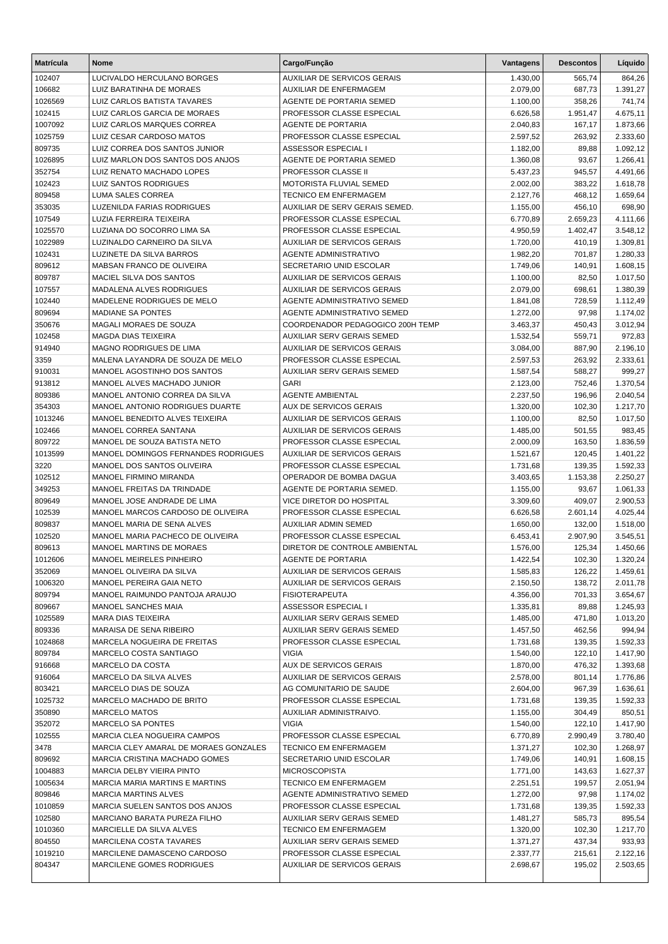| <b>Matrícula</b>  | Nome                                                  | Cargo/Função                                 | Vantagens            | <b>Descontos</b> | Líquido            |
|-------------------|-------------------------------------------------------|----------------------------------------------|----------------------|------------------|--------------------|
| 102407            | LUCIVALDO HERCULANO BORGES                            | <b>AUXILIAR DE SERVICOS GERAIS</b>           | 1.430,00             | 565,74           | 864,26             |
| 106682            | LUIZ BARATINHA DE MORAES                              | <b>AUXILIAR DE ENFERMAGEM</b>                | 2.079,00             | 687,73           | 1.391,27           |
| 1026569           | LUIZ CARLOS BATISTA TAVARES                           | AGENTE DE PORTARIA SEMED                     | 1.100,00             | 358,26           | 741,74             |
| 102415            | LUIZ CARLOS GARCIA DE MORAES                          | PROFESSOR CLASSE ESPECIAL                    | 6.626,58             | 1.951,47         | 4.675,11           |
| 1007092           | LUIZ CARLOS MARQUES CORREA                            | <b>AGENTE DE PORTARIA</b>                    | 2.040,83             | 167,17           | 1.873,66           |
| 1025759           | LUIZ CESAR CARDOSO MATOS                              | PROFESSOR CLASSE ESPECIAL                    | 2.597,52             | 263,92           | 2.333,60           |
| 809735            | LUIZ CORREA DOS SANTOS JUNIOR                         | ASSESSOR ESPECIAL I                          | 1.182,00             | 89,88            | 1.092,12           |
| 1026895           | LUIZ MARLON DOS SANTOS DOS ANJOS                      | AGENTE DE PORTARIA SEMED                     | 1.360,08             | 93,67            | 1.266,41           |
| 352754            | LUIZ RENATO MACHADO LOPES                             | PROFESSOR CLASSE II                          | 5.437,23             | 945,57           | 4.491,66           |
| 102423            | <b>LUIZ SANTOS RODRIGUES</b>                          | MOTORISTA FLUVIAL SEMED                      | 2.002,00             | 383,22           | 1.618,78           |
| 809458            | LUMA SALES CORREA                                     | <b>TECNICO EM ENFERMAGEM</b>                 | 2.127,76             | 468,12           | 1.659,64           |
| 353035            | LUZENILDA FARIAS RODRIGUES                            | AUXILIAR DE SERV GERAIS SEMED.               | 1.155,00             | 456,10           | 698,90             |
| 107549            | LUZIA FERREIRA TEIXEIRA                               | PROFESSOR CLASSE ESPECIAL                    | 6.770,89             | 2.659,23         | 4.111,66           |
| 1025570           | LUZIANA DO SOCORRO LIMA SA                            | PROFESSOR CLASSE ESPECIAL                    | 4.950,59             | 1.402,47         | 3.548,12           |
| 1022989           | LUZINALDO CARNEIRO DA SILVA                           | <b>AUXILIAR DE SERVICOS GERAIS</b>           | 1.720,00             | 410,19           | 1.309,81           |
| 102431            | LUZINETE DA SILVA BARROS                              | <b>AGENTE ADMINISTRATIVO</b>                 | 1.982,20             | 701,87           | 1.280,33           |
| 809612            | MABSAN FRANCO DE OLIVEIRA                             | SECRETARIO UNID ESCOLAR                      | 1.749,06             | 140,91           | 1.608,15           |
| 809787            | MACIEL SILVA DOS SANTOS                               | <b>AUXILIAR DE SERVICOS GERAIS</b>           | 1.100,00             | 82,50            | 1.017,50           |
| 107557            | MADALENA ALVES RODRIGUES                              | <b>AUXILIAR DE SERVICOS GERAIS</b>           | 2.079,00             | 698,61           | 1.380,39           |
| 102440            | MADELENE RODRIGUES DE MELO                            | AGENTE ADMINISTRATIVO SEMED                  | 1.841,08             | 728,59           | 1.112,49           |
| 809694            | <b>MADIANE SA PONTES</b>                              | AGENTE ADMINISTRATIVO SEMED                  | 1.272,00             | 97,98            | 1.174,02           |
| 350676            | MAGALI MORAES DE SOUZA                                | COORDENADOR PEDAGOGICO 200H TEMP             | 3.463,37             | 450,43           | 3.012,94           |
| 102458            | <b>MAGDA DIAS TEIXEIRA</b>                            | <b>AUXILIAR SERV GERAIS SEMED</b>            | 1.532,54             | 559,71           | 972,83             |
| 914940            | MAGNO RODRIGUES DE LIMA                               | <b>AUXILIAR DE SERVICOS GERAIS</b>           | 3.084,00             | 887,90           | 2.196,10           |
| 3359              | MALENA LAYANDRA DE SOUZA DE MELO                      | PROFESSOR CLASSE ESPECIAL                    | 2.597,53             | 263,92           | 2.333,61           |
| 910031            | MANOEL AGOSTINHO DOS SANTOS                           | AUXILIAR SERV GERAIS SEMED                   | 1.587,54             | 588,27           | 999,27             |
| 913812            | MANOEL ALVES MACHADO JUNIOR                           | <b>GARI</b>                                  | 2.123,00             | 752,46           | 1.370,54           |
| 809386            | MANOEL ANTONIO CORREA DA SILVA                        | <b>AGENTE AMBIENTAL</b>                      | 2.237,50             | 196,96           | 2.040,54           |
| 354303            | MANOEL ANTONIO RODRIGUES DUARTE                       | AUX DE SERVICOS GERAIS                       | 1.320,00             | 102,30           | 1.217,70           |
| 1013246           | MANOEL BENEDITO ALVES TEIXEIRA                        | <b>AUXILIAR DE SERVICOS GERAIS</b>           | 1.100,00             | 82,50            | 1.017,50           |
| 102466            | MANOEL CORREA SANTANA                                 | <b>AUXILIAR DE SERVICOS GERAIS</b>           | 1.485,00             | 501,55           | 983,45             |
| 809722            | MANOEL DE SOUZA BATISTA NETO                          | PROFESSOR CLASSE ESPECIAL                    | 2.000,09             | 163,50           | 1.836,59           |
| 1013599           | MANOEL DOMINGOS FERNANDES RODRIGUES                   | <b>AUXILIAR DE SERVICOS GERAIS</b>           | 1.521,67             | 120,45           | 1.401,22           |
| 3220              | MANOEL DOS SANTOS OLIVEIRA                            | PROFESSOR CLASSE ESPECIAL                    | 1.731,68             | 139,35           | 1.592,33           |
| 102512            | MANOEL FIRMINO MIRANDA                                | OPERADOR DE BOMBA DAGUA                      | 3.403,65             | 1.153,38         | 2.250,27           |
| 349253            | MANOEL FREITAS DA TRINDADE                            | AGENTE DE PORTARIA SEMED.                    | 1.155,00             | 93,67            | 1.061,33           |
| 809649            | MANOEL JOSE ANDRADE DE LIMA                           | VICE DIRETOR DO HOSPITAL                     | 3.309,60             | 409,07           | 2.900,53           |
| 102539            | MANOEL MARCOS CARDOSO DE OLIVEIRA                     | PROFESSOR CLASSE ESPECIAL                    | 6.626,58             | 2.601,14         | 4.025,44           |
| 809837            | MANOEL MARIA DE SENA ALVES                            | AUXILIAR ADMIN SEMED                         | 1.650,00             | 132,00           | 1.518,00           |
| 102520            | MANOEL MARIA PACHECO DE OLIVEIRA                      | PROFESSOR CLASSE ESPECIAL                    | 6.453,41             | 2.907,90         | 3.545,51           |
| 809613            | MANOEL MARTINS DE MORAES                              | DIRETOR DE CONTROLE AMBIENTAL                | 1.576,00             | 125,34           | 1.450,66           |
| 1012606           | MANOEL MEIRELES PINHEIRO                              | <b>AGENTE DE PORTARIA</b>                    | 1.422,54             | 102,30           | 1.320,24           |
| 352069            | MANOEL OLIVEIRA DA SILVA                              | AUXILIAR DE SERVICOS GERAIS                  | 1.585,83             | 126,22           | 1.459,61           |
| 1006320<br>809794 | MANOEL PEREIRA GAIA NETO                              | AUXILIAR DE SERVICOS GERAIS                  | 2.150,50             | 138,72           | 2.011,78           |
|                   | MANOEL RAIMUNDO PANTOJA ARAUJO<br>MANOEL SANCHES MAIA | <b>FISIOTERAPEUTA</b><br>ASSESSOR ESPECIAL I | 4.356,00             | 701,33           | 3.654,67           |
| 809667<br>1025589 | <b>MARA DIAS TEIXEIRA</b>                             | AUXILIAR SERV GERAIS SEMED                   | 1.335,81<br>1.485,00 | 89,88<br>471,80  | 1.245,93           |
| 809336            | MARAISA DE SENA RIBEIRO                               | AUXILIAR SERV GERAIS SEMED                   | 1.457,50             | 462,56           | 1.013,20<br>994,94 |
| 1024868           | MARCELA NOGUEIRA DE FREITAS                           | PROFESSOR CLASSE ESPECIAL                    | 1.731,68             | 139,35           | 1.592,33           |
| 809784            | MARCELO COSTA SANTIAGO                                | <b>VIGIA</b>                                 | 1.540,00             | 122,10           | 1.417,90           |
| 916668            | MARCELO DA COSTA                                      | AUX DE SERVICOS GERAIS                       | 1.870,00             | 476,32           | 1.393,68           |
| 916064            | MARCELO DA SILVA ALVES                                | <b>AUXILIAR DE SERVICOS GERAIS</b>           | 2.578,00             | 801,14           | 1.776,86           |
| 803421            | MARCELO DIAS DE SOUZA                                 | AG COMUNITARIO DE SAUDE                      | 2.604,00             | 967,39           | 1.636,61           |
| 1025732           | MARCELO MACHADO DE BRITO                              | PROFESSOR CLASSE ESPECIAL                    | 1.731,68             | 139,35           | 1.592,33           |
| 350890            | <b>MARCELO MATOS</b>                                  | AUXILIAR ADMINISTRAIVO.                      | 1.155,00             | 304,49           | 850,51             |
| 352072            | MARCELO SA PONTES                                     | <b>VIGIA</b>                                 | 1.540,00             | 122,10           | 1.417,90           |
| 102555            | MARCIA CLEA NOGUEIRA CAMPOS                           | PROFESSOR CLASSE ESPECIAL                    | 6.770,89             | 2.990,49         | 3.780,40           |
| 3478              | MARCIA CLEY AMARAL DE MORAES GONZALES                 | TECNICO EM ENFERMAGEM                        | 1.371,27             | 102,30           | 1.268,97           |
| 809692            | MARCIA CRISTINA MACHADO GOMES                         | SECRETARIO UNID ESCOLAR                      | 1.749,06             | 140,91           | 1.608,15           |
| 1004883           | MARCIA DELBY VIEIRA PINTO                             | <b>MICROSCOPISTA</b>                         | 1.771,00             | 143,63           | 1.627,37           |
| 1005634           | <b>MARCIA MARIA MARTINS E MARTINS</b>                 | TECNICO EM ENFERMAGEM                        | 2.251,51             | 199,57           | 2.051,94           |
| 809846            | <b>MARCIA MARTINS ALVES</b>                           | AGENTE ADMINISTRATIVO SEMED                  | 1.272,00             | 97,98            | 1.174,02           |
| 1010859           | MARCIA SUELEN SANTOS DOS ANJOS                        | PROFESSOR CLASSE ESPECIAL                    | 1.731,68             | 139,35           | 1.592,33           |
| 102580            | MARCIANO BARATA PUREZA FILHO                          | AUXILIAR SERV GERAIS SEMED                   | 1.481,27             | 585,73           | 895,54             |
| 1010360           | MARCIELLE DA SILVA ALVES                              | <b>TECNICO EM ENFERMAGEM</b>                 | 1.320,00             | 102,30           | 1.217,70           |
| 804550            | <b>MARCILENA COSTA TAVARES</b>                        | AUXILIAR SERV GERAIS SEMED                   | 1.371,27             | 437,34           | 933,93             |
| 1019210           | MARCILENE DAMASCENO CARDOSO                           | PROFESSOR CLASSE ESPECIAL                    | 2.337,77             | 215,61           | 2.122,16           |
| 804347            | MARCILENE GOMES RODRIGUES                             | AUXILIAR DE SERVICOS GERAIS                  | 2.698,67             | 195,02           | 2.503,65           |
|                   |                                                       |                                              |                      |                  |                    |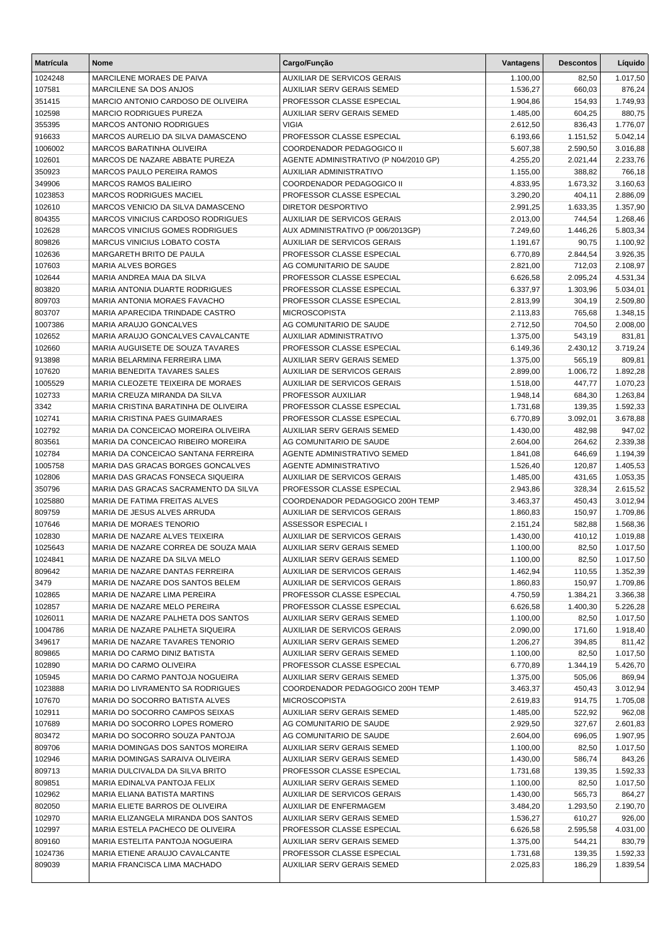| <b>Matrícula</b>  | <b>Nome</b>                                                               | Cargo/Função                                            | Vantagens            | <b>Descontos</b>   | Líquido              |
|-------------------|---------------------------------------------------------------------------|---------------------------------------------------------|----------------------|--------------------|----------------------|
| 1024248           | MARCILENE MORAES DE PAIVA                                                 | <b>AUXILIAR DE SERVICOS GERAIS</b>                      | 1.100,00             | 82,50              | 1.017,50             |
| 107581            | MARCILENE SA DOS ANJOS                                                    | <b>AUXILIAR SERV GERAIS SEMED</b>                       | 1.536,27             | 660,03             | 876,24               |
| 351415            | MARCIO ANTONIO CARDOSO DE OLIVEIRA                                        | PROFESSOR CLASSE ESPECIAL                               | 1.904,86             | 154,93             | 1.749,93             |
| 102598            | <b>MARCIO RODRIGUES PUREZA</b>                                            | AUXILIAR SERV GERAIS SEMED                              | 1.485,00             | 604,25             | 880,75               |
| 355395            | <b>MARCOS ANTONIO RODRIGUES</b>                                           | <b>VIGIA</b>                                            | 2.612,50             | 836,43             | 1.776,07             |
| 916633            | MARCOS AURELIO DA SILVA DAMASCENO                                         | PROFESSOR CLASSE ESPECIAL                               | 6.193,66             | 1.151,52           | 5.042,14             |
| 1006002           | MARCOS BARATINHA OLIVEIRA                                                 | COORDENADOR PEDAGOGICO II                               | 5.607,38             | 2.590,50           | 3.016,88             |
| 102601            | MARCOS DE NAZARE ABBATE PUREZA                                            | AGENTE ADMINISTRATIVO (P N04/2010 GP)                   | 4.255,20             | 2.021,44           | 2.233,76             |
| 350923            | MARCOS PAULO PEREIRA RAMOS                                                | AUXILIAR ADMINISTRATIVO                                 | 1.155,00             | 388,82             | 766,18               |
| 349906            | <b>MARCOS RAMOS BALIEIRO</b>                                              | COORDENADOR PEDAGOGICO II                               | 4.833,95             | 1.673,32           | 3.160,63             |
| 1023853           | <b>MARCOS RODRIGUES MACIEL</b><br>MARCOS VENICIO DA SILVA DAMASCENO       | PROFESSOR CLASSE ESPECIAL<br>DIRETOR DESPORTIVO         | 3.290,20             | 404,11             | 2.886,09             |
| 102610<br>804355  | MARCOS VINICIUS CARDOSO RODRIGUES                                         | <b>AUXILIAR DE SERVICOS GERAIS</b>                      | 2.991,25<br>2.013,00 | 1.633,35<br>744,54 | 1.357,90<br>1.268,46 |
| 102628            | <b>MARCOS VINICIUS GOMES RODRIGUES</b>                                    | AUX ADMINISTRATIVO (P 006/2013GP)                       | 7.249,60             | 1.446,26           | 5.803,34             |
| 809826            | MARCUS VINICIUS LOBATO COSTA                                              | AUXILIAR DE SERVICOS GERAIS                             | 1.191,67             | 90,75              | 1.100,92             |
| 102636            | MARGARETH BRITO DE PAULA                                                  | PROFESSOR CLASSE ESPECIAL                               | 6.770,89             | 2.844,54           | 3.926,35             |
| 107603            | <b>MARIA ALVES BORGES</b>                                                 | AG COMUNITARIO DE SAUDE                                 | 2.821,00             | 712,03             | 2.108,97             |
| 102644            | MARIA ANDREA MAIA DA SILVA                                                | PROFESSOR CLASSE ESPECIAL                               | 6.626,58             | 2.095,24           | 4.531,34             |
| 803820            | <b>MARIA ANTONIA DUARTE RODRIGUES</b>                                     | PROFESSOR CLASSE ESPECIAL                               | 6.337,97             | 1.303,96           | 5.034,01             |
| 809703            | MARIA ANTONIA MORAES FAVACHO                                              | PROFESSOR CLASSE ESPECIAL                               | 2.813,99             | 304,19             | 2.509,80             |
| 803707            | MARIA APARECIDA TRINDADE CASTRO                                           | <b>MICROSCOPISTA</b>                                    | 2.113,83             | 765,68             | 1.348,15             |
| 1007386           | MARIA ARAUJO GONCALVES                                                    | AG COMUNITARIO DE SAUDE                                 | 2.712,50             | 704,50             | 2.008,00             |
| 102652            | MARIA ARAUJO GONCALVES CAVALCANTE                                         | AUXILIAR ADMINISTRATIVO                                 | 1.375,00             | 543,19             | 831,81               |
| 102660            | MARIA AUGUISETE DE SOUZA TAVARES                                          | PROFESSOR CLASSE ESPECIAL                               | 6.149,36             | 2.430,12           | 3.719,24             |
| 913898            | MARIA BELARMINA FERREIRA LIMA                                             | AUXILIAR SERV GERAIS SEMED                              | 1.375,00             | 565,19             | 809,81               |
| 107620            | MARIA BENEDITA TAVARES SALES                                              | AUXILIAR DE SERVICOS GERAIS                             | 2.899,00             | 1.006,72           | 1.892,28             |
| 1005529           | MARIA CLEOZETE TEIXEIRA DE MORAES                                         | AUXILIAR DE SERVICOS GERAIS                             | 1.518,00             | 447,77             | 1.070,23             |
| 102733            | MARIA CREUZA MIRANDA DA SILVA                                             | PROFESSOR AUXILIAR                                      | 1.948,14             | 684,30             | 1.263,84             |
| 3342              | MARIA CRISTINA BARATINHA DE OLIVEIRA                                      | PROFESSOR CLASSE ESPECIAL                               | 1.731,68             | 139,35             | 1.592,33             |
| 102741            | MARIA CRISTINA PAES GUIMARAES                                             | PROFESSOR CLASSE ESPECIAL                               | 6.770,89             | 3.092,01           | 3.678,88             |
| 102792            | MARIA DA CONCEICAO MOREIRA OLIVEIRA                                       | <b>AUXILIAR SERV GERAIS SEMED</b>                       | 1.430,00             | 482,98             | 947,02               |
| 803561<br>102784  | MARIA DA CONCEICAO RIBEIRO MOREIRA<br>MARIA DA CONCEICAO SANTANA FERREIRA | AG COMUNITARIO DE SAUDE<br>AGENTE ADMINISTRATIVO SEMED  | 2.604,00<br>1.841,08 | 264,62<br>646,69   | 2.339,38<br>1.194,39 |
| 1005758           | MARIA DAS GRACAS BORGES GONCALVES                                         | <b>AGENTE ADMINISTRATIVO</b>                            | 1.526,40             | 120,87             | 1.405,53             |
| 102806            | MARIA DAS GRACAS FONSECA SIQUEIRA                                         | AUXILIAR DE SERVICOS GERAIS                             | 1.485,00             | 431,65             | 1.053,35             |
| 350796            | MARIA DAS GRACAS SACRAMENTO DA SILVA                                      | PROFESSOR CLASSE ESPECIAL                               | 2.943,86             | 328,34             | 2.615,52             |
| 1025880           | MARIA DE FATIMA FREITAS ALVES                                             | COORDENADOR PEDAGOGICO 200H TEMP                        | 3.463,37             | 450,43             | 3.012,94             |
| 809759            | MARIA DE JESUS ALVES ARRUDA                                               | AUXILIAR DE SERVICOS GERAIS                             | 1.860,83             | 150,97             | 1.709,86             |
| 107646            | MARIA DE MORAES TENORIO                                                   | <b>ASSESSOR ESPECIAL I</b>                              | 2.151,24             | 582,88             | 1.568,36             |
| 102830            | MARIA DE NAZARE ALVES TEIXEIRA                                            | <b>AUXILIAR DE SERVICOS GERAIS</b>                      | 1.430,00             | 410,12             | 1.019,88             |
| 1025643           | MARIA DE NAZARE CORREA DE SOUZA MAIA                                      | <b>AUXILIAR SERV GERAIS SEMED</b>                       | 1.100,00             | 82,50              | 1.017,50             |
| 1024841           | MARIA DE NAZARE DA SILVA MELO                                             | AUXILIAR SERV GERAIS SEMED                              | 1.100,00             | 82,50              | 1.017,50             |
| 809642            | MARIA DE NAZARE DANTAS FERREIRA                                           | <b>AUXILIAR DE SERVICOS GERAIS</b>                      | 1.462,94             | 110,55             | 1.352,39             |
| 3479              | MARIA DE NAZARE DOS SANTOS BELEM                                          | AUXILIAR DE SERVICOS GERAIS                             | 1.860,83             | 150,97             | 1.709,86             |
| 102865            | MARIA DE NAZARE LIMA PEREIRA                                              | PROFESSOR CLASSE ESPECIAL                               | 4.750,59             | 1.384,21           | 3.366,38             |
| 102857            | MARIA DE NAZARE MELO PEREIRA                                              | PROFESSOR CLASSE ESPECIAL                               | 6.626,58             | 1.400,30           | 5.226,28             |
| 1026011           | MARIA DE NAZARE PALHETA DOS SANTOS                                        | AUXILIAR SERV GERAIS SEMED                              | 1.100,00             | 82,50              | 1.017,50             |
| 1004786           | MARIA DE NAZARE PALHETA SIQUEIRA                                          | <b>AUXILIAR DE SERVICOS GERAIS</b>                      | 2.090,00             | 171,60             | 1.918,40             |
| 349617            | MARIA DE NAZARE TAVARES TENORIO                                           | AUXILIAR SERV GERAIS SEMED                              | 1.206,27             | 394,85             | 811,42<br>1.017,50   |
| 809865<br>102890  | MARIA DO CARMO DINIZ BATISTA<br>MARIA DO CARMO OLIVEIRA                   | AUXILIAR SERV GERAIS SEMED<br>PROFESSOR CLASSE ESPECIAL | 1.100,00<br>6.770,89 | 82,50<br>1.344,19  | 5.426,70             |
| 105945            | MARIA DO CARMO PANTOJA NOGUEIRA                                           | AUXILIAR SERV GERAIS SEMED                              | 1.375,00             | 505,06             | 869,94               |
| 1023888           | MARIA DO LIVRAMENTO SA RODRIGUES                                          | COORDENADOR PEDAGOGICO 200H TEMP                        | 3.463,37             | 450,43             | 3.012,94             |
| 107670            | MARIA DO SOCORRO BATISTA ALVES                                            | <b>MICROSCOPISTA</b>                                    | 2.619,83             | 914,75             | 1.705,08             |
| 102911            | MARIA DO SOCORRO CAMPOS SEIXAS                                            | AUXILIAR SERV GERAIS SEMED                              | 1.485,00             | 522,92             | 962,08               |
| 107689            | MARIA DO SOCORRO LOPES ROMERO                                             | AG COMUNITARIO DE SAUDE                                 | 2.929,50             | 327,67             | 2.601,83             |
| 803472            | MARIA DO SOCORRO SOUZA PANTOJA                                            | AG COMUNITARIO DE SAUDE                                 | 2.604,00             | 696,05             | 1.907,95             |
| 809706            | MARIA DOMINGAS DOS SANTOS MOREIRA                                         | AUXILIAR SERV GERAIS SEMED                              | 1.100,00             | 82,50              | 1.017,50             |
| 102946            | MARIA DOMINGAS SARAIVA OLIVEIRA                                           | AUXILIAR SERV GERAIS SEMED                              | 1.430,00             | 586,74             | 843,26               |
| 809713            | MARIA DULCIVALDA DA SILVA BRITO                                           | PROFESSOR CLASSE ESPECIAL                               | 1.731,68             | 139,35             | 1.592,33             |
| 809851            | MARIA EDINALVA PANTOJA FELIX                                              | AUXILIAR SERV GERAIS SEMED                              | 1.100,00             | 82,50              | 1.017,50             |
| 102962            | MARIA ELIANA BATISTA MARTINS                                              | AUXILIAR DE SERVICOS GERAIS                             | 1.430,00             | 565,73             | 864,27               |
| 802050            | MARIA ELIETE BARROS DE OLIVEIRA                                           | AUXILIAR DE ENFERMAGEM                                  | 3.484,20             | 1.293,50           | 2.190,70             |
| 102970            | MARIA ELIZANGELA MIRANDA DOS SANTOS                                       | AUXILIAR SERV GERAIS SEMED                              | 1.536,27             | 610,27             | 926,00               |
| 102997            | MARIA ESTELA PACHECO DE OLIVEIRA                                          | PROFESSOR CLASSE ESPECIAL                               | 6.626,58             | 2.595,58           | 4.031,00             |
| 809160            | MARIA ESTELITA PANTOJA NOGUEIRA                                           | AUXILIAR SERV GERAIS SEMED                              | 1.375,00             | 544,21             | 830,79               |
| 1024736<br>809039 | MARIA ETIENE ARAUJO CAVALCANTE<br>MARIA FRANCISCA LIMA MACHADO            | PROFESSOR CLASSE ESPECIAL<br>AUXILIAR SERV GERAIS SEMED | 1.731,68<br>2.025,83 | 139,35<br>186,29   | 1.592,33             |
|                   |                                                                           |                                                         |                      |                    | 1.839,54             |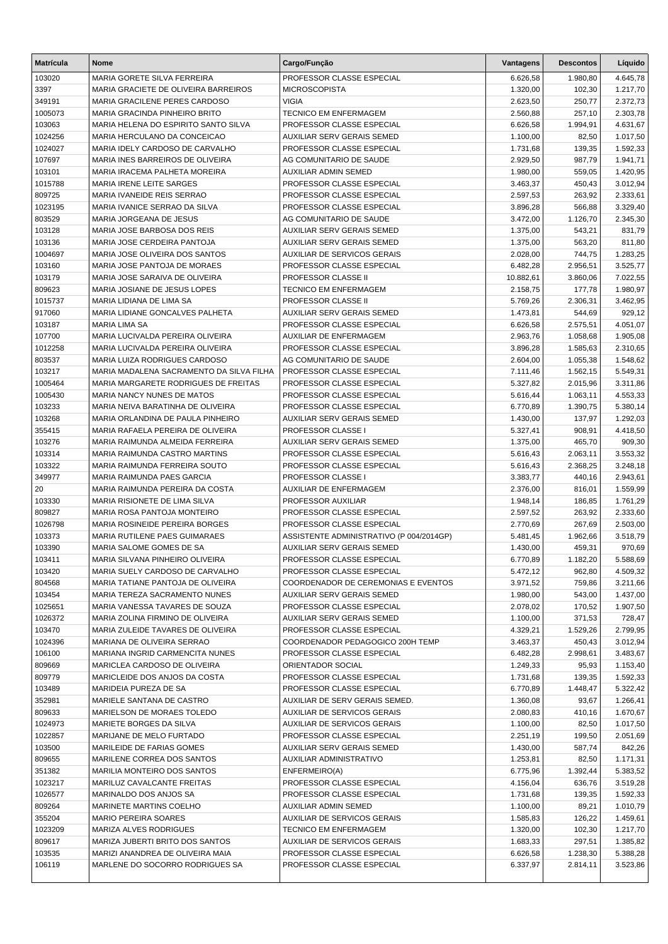| <b>Matrícula</b>   | <b>Nome</b>                                                   | Cargo/Função                                             | Vantagens            | <b>Descontos</b> | Líquido              |
|--------------------|---------------------------------------------------------------|----------------------------------------------------------|----------------------|------------------|----------------------|
| 103020             | MARIA GORETE SILVA FERREIRA                                   | PROFESSOR CLASSE ESPECIAL                                | 6.626,58             | 1.980,80         | 4.645,78             |
| 3397               | MARIA GRACIETE DE OLIVEIRA BARREIROS                          | <b>MICROSCOPISTA</b>                                     | 1.320,00             | 102,30           | 1.217,70             |
| 349191             | MARIA GRACILENE PERES CARDOSO                                 | <b>VIGIA</b>                                             | 2.623,50             | 250,77           | 2.372,73             |
| 1005073            | MARIA GRACINDA PINHEIRO BRITO                                 | <b>TECNICO EM ENFERMAGEM</b>                             | 2.560,88             | 257,10           | 2.303,78             |
| 103063             | MARIA HELENA DO ESPIRITO SANTO SILVA                          | PROFESSOR CLASSE ESPECIAL                                | 6.626,58             | 1.994,91         | 4.631,67             |
| 1024256            | MARIA HERCULANO DA CONCEICAO                                  | AUXILIAR SERV GERAIS SEMED                               | 1.100,00             | 82,50            | 1.017,50             |
| 1024027            | MARIA IDELY CARDOSO DE CARVALHO                               | PROFESSOR CLASSE ESPECIAL                                | 1.731,68             | 139,35           | 1.592,33             |
| 107697             | MARIA INES BARREIROS DE OLIVEIRA                              | AG COMUNITARIO DE SAUDE                                  | 2.929,50             | 987,79           | 1.941,71             |
| 103101             | MARIA IRACEMA PALHETA MOREIRA                                 | <b>AUXILIAR ADMIN SEMED</b>                              | 1.980,00             | 559,05           | 1.420,95             |
| 1015788            | MARIA IRENE LEITE SARGES                                      | PROFESSOR CLASSE ESPECIAL                                | 3.463,37             | 450,43           | 3.012,94             |
| 809725             | MARIA IVANEIDE REIS SERRAO                                    | PROFESSOR CLASSE ESPECIAL                                | 2.597,53             | 263,92           | 2.333,61             |
| 1023195            | MARIA IVANICE SERRAO DA SILVA                                 | PROFESSOR CLASSE ESPECIAL                                | 3.896,28             | 566,88           | 3.329,40             |
| 803529             | MARIA JORGEANA DE JESUS                                       | AG COMUNITARIO DE SAUDE                                  | 3.472,00             | 1.126,70         | 2.345,30             |
| 103128<br>103136   | MARIA JOSE BARBOSA DOS REIS<br>MARIA JOSE CERDEIRA PANTOJA    | AUXILIAR SERV GERAIS SEMED<br>AUXILIAR SERV GERAIS SEMED | 1.375,00<br>1.375,00 | 543,21<br>563,20 | 831,79<br>811,80     |
| 1004697            | MARIA JOSE OLIVEIRA DOS SANTOS                                | <b>AUXILIAR DE SERVICOS GERAIS</b>                       | 2.028,00             | 744,75           | 1.283,25             |
| 103160             | MARIA JOSE PANTOJA DE MORAES                                  | PROFESSOR CLASSE ESPECIAL                                | 6.482,28             | 2.956,51         | 3.525,77             |
| 103179             | MARIA JOSE SARAIVA DE OLIVEIRA                                | PROFESSOR CLASSE II                                      | 10.882,61            | 3.860,06         | 7.022,55             |
| 809623             | MARIA JOSIANE DE JESUS LOPES                                  | <b>TECNICO EM ENFERMAGEM</b>                             | 2.158,75             | 177,78           | 1.980,97             |
| 1015737            | MARIA LIDIANA DE LIMA SA                                      | PROFESSOR CLASSE II                                      | 5.769,26             | 2.306,31         | 3.462,95             |
| 917060             | MARIA LIDIANE GONCALVES PALHETA                               | AUXILIAR SERV GERAIS SEMED                               | 1.473,81             | 544,69           | 929,12               |
| 103187             | <b>MARIA LIMA SA</b>                                          | PROFESSOR CLASSE ESPECIAL                                | 6.626,58             | 2.575,51         | 4.051,07             |
| 107700             | MARIA LUCIVALDA PEREIRA OLIVEIRA                              | AUXILIAR DE ENFERMAGEM                                   | 2.963,76             | 1.058,68         | 1.905,08             |
| 1012258            | MARIA LUCIVALDA PEREIRA OLIVEIRA                              | PROFESSOR CLASSE ESPECIAL                                | 3.896,28             | 1.585,63         | 2.310,65             |
| 803537             | MARIA LUIZA RODRIGUES CARDOSO                                 | AG COMUNITARIO DE SAUDE                                  | 2.604,00             | 1.055,38         | 1.548,62             |
| 103217             | MARIA MADALENA SACRAMENTO DA SILVA FILHA                      | PROFESSOR CLASSE ESPECIAL                                | 7.111,46             | 1.562,15         | 5.549,31             |
| 1005464            | MARIA MARGARETE RODRIGUES DE FREITAS                          | PROFESSOR CLASSE ESPECIAL                                | 5.327,82             | 2.015,96         | 3.311,86             |
| 1005430            | MARIA NANCY NUNES DE MATOS                                    | PROFESSOR CLASSE ESPECIAL                                | 5.616,44             | 1.063,11         | 4.553,33             |
| 103233             | MARIA NEIVA BARATINHA DE OLIVEIRA                             | PROFESSOR CLASSE ESPECIAL                                | 6.770,89             | 1.390,75         | 5.380,14             |
| 103268             | MARIA ORLANDINA DE PAULA PINHEIRO                             | AUXILIAR SERV GERAIS SEMED                               | 1.430,00             | 137,97           | 1.292,03             |
| 355415             | MARIA RAFAELA PEREIRA DE OLIVEIRA                             | PROFESSOR CLASSE I                                       | 5.327,41             | 908,91           | 4.418,50             |
| 103276             | MARIA RAIMUNDA ALMEIDA FERREIRA                               | AUXILIAR SERV GERAIS SEMED                               | 1.375,00             | 465,70           | 909,30               |
| 103314             | MARIA RAIMUNDA CASTRO MARTINS                                 | PROFESSOR CLASSE ESPECIAL                                | 5.616,43             | 2.063,11         | 3.553,32             |
| 103322             | MARIA RAIMUNDA FERREIRA SOUTO                                 | PROFESSOR CLASSE ESPECIAL                                | 5.616,43             | 2.368,25         | 3.248,18             |
| 349977             | MARIA RAIMUNDA PAES GARCIA                                    | PROFESSOR CLASSE I                                       | 3.383,77             | 440,16           | 2.943,61             |
| 20                 | MARIA RAIMUNDA PEREIRA DA COSTA                               | AUXILIAR DE ENFERMAGEM                                   | 2.376,00             | 816,01           | 1.559,99             |
| 103330             | MARIA RISIONETE DE LIMA SILVA                                 | PROFESSOR AUXILIAR                                       | 1.948,14             | 186,85           | 1.761,29             |
| 809827<br>1026798  | MARIA ROSA PANTOJA MONTEIRO<br>MARIA ROSINEIDE PEREIRA BORGES | PROFESSOR CLASSE ESPECIAL<br>PROFESSOR CLASSE ESPECIAL   | 2.597,52             | 263,92<br>267,69 | 2.333,60             |
| 103373             | <b>MARIA RUTILENE PAES GUIMARAES</b>                          | ASSISTENTE ADMINISTRATIVO (P 004/2014GP)                 | 2.770,69<br>5.481,45 | 1.962,66         | 2.503,00<br>3.518,79 |
| 103390             | MARIA SALOME GOMES DE SA                                      | AUXILIAR SERV GERAIS SEMED                               | 1.430,00             | 459,31           | 970,69               |
| 103411             | MARIA SILVANA PINHEIRO OLIVEIRA                               | PROFESSOR CLASSE ESPECIAL                                | 6.770,89             | 1.182,20         | 5.588,69             |
| 103420             | MARIA SUELY CARDOSO DE CARVALHO                               | PROFESSOR CLASSE ESPECIAL                                | 5.472,12             | 962,80           | 4.509,32             |
| 804568             | MARIA TATIANE PANTOJA DE OLIVEIRA                             | COORDENADOR DE CEREMONIAS E EVENTOS                      | 3.971,52             | 759,86           | 3.211,66             |
| 103454             | MARIA TEREZA SACRAMENTO NUNES                                 | AUXILIAR SERV GERAIS SEMED                               | 1.980,00             | 543,00           | 1.437,00             |
| 1025651            | MARIA VANESSA TAVARES DE SOUZA                                | PROFESSOR CLASSE ESPECIAL                                | 2.078,02             | 170,52           | 1.907,50             |
| 1026372            | MARIA ZOLINA FIRMINO DE OLIVEIRA                              | AUXILIAR SERV GERAIS SEMED                               | 1.100,00             | 371,53           | 728,47               |
| 103470             | MARIA ZULEIDE TAVARES DE OLIVEIRA                             | PROFESSOR CLASSE ESPECIAL                                | 4.329,21             | 1.529,26         | 2.799,95             |
| 1024396            | MARIANA DE OLIVEIRA SERRAO                                    | COORDENADOR PEDAGOGICO 200H TEMP                         | 3.463,37             | 450.43           | 3.012,94             |
| 106100             | <b>MARIANA INGRID CARMENCITA NUNES</b>                        | PROFESSOR CLASSE ESPECIAL                                | 6.482,28             | 2.998,61         | 3.483,67             |
| 809669             | MARICLEA CARDOSO DE OLIVEIRA                                  | ORIENTADOR SOCIAL                                        | 1.249,33             | 95,93            | 1.153,40             |
| 809779             | MARICLEIDE DOS ANJOS DA COSTA                                 | PROFESSOR CLASSE ESPECIAL                                | 1.731,68             | 139,35           | 1.592,33             |
| 103489             | MARIDEIA PUREZA DE SA                                         | PROFESSOR CLASSE ESPECIAL                                | 6.770,89             | 1.448,47         | 5.322,42             |
| 352981             | MARIELE SANTANA DE CASTRO                                     | AUXILIAR DE SERV GERAIS SEMED.                           | 1.360,08             | 93,67            | 1.266,41             |
| 809633             | MARIELSON DE MORAES TOLEDO                                    | AUXILIAR DE SERVICOS GERAIS                              | 2.080,83             | 410,16           | 1.670,67             |
| 1024973            | MARIETE BORGES DA SILVA                                       | AUXILIAR DE SERVICOS GERAIS                              | 1.100,00             | 82,50            | 1.017,50             |
| 1022857            | MARIJANE DE MELO FURTADO                                      | PROFESSOR CLASSE ESPECIAL                                | 2.251,19             | 199,50           | 2.051,69             |
| 103500             | MARILEIDE DE FARIAS GOMES                                     | AUXILIAR SERV GERAIS SEMED                               | 1.430,00             | 587,74           | 842,26               |
| 809655             | MARILENE CORREA DOS SANTOS                                    | AUXILIAR ADMINISTRATIVO                                  | 1.253,81             | 82,50            | 1.171,31             |
| 351382             | MARILIA MONTEIRO DOS SANTOS                                   | ENFERMEIRO(A)                                            | 6.775,96             | 1.392,44         | 5.383,52             |
| 1023217<br>1026577 | MARILUZ CAVALCANTE FREITAS<br>MARINALDO DOS ANJOS SA          | PROFESSOR CLASSE ESPECIAL<br>PROFESSOR CLASSE ESPECIAL   | 4.156,04             | 636,76<br>139,35 | 3.519,28             |
| 809264             | MARINETE MARTINS COELHO                                       | AUXILIAR ADMIN SEMED                                     | 1.731,68<br>1.100,00 | 89,21            | 1.592,33<br>1.010,79 |
| 355204             | <b>MARIO PEREIRA SOARES</b>                                   | AUXILIAR DE SERVICOS GERAIS                              | 1.585,83             | 126,22           | 1.459,61             |
| 1023209            | MARIZA ALVES RODRIGUES                                        | <b>TECNICO EM ENFERMAGEM</b>                             | 1.320,00             | 102,30           | 1.217,70             |
| 809617             | MARIZA JUBERTI BRITO DOS SANTOS                               | AUXILIAR DE SERVICOS GERAIS                              | 1.683,33             | 297,51           | 1.385,82             |
| 103535             | MARIZI ANANDREA DE OLIVEIRA MAIA                              | PROFESSOR CLASSE ESPECIAL                                | 6.626,58             | 1.238,30         | 5.388,28             |
| 106119             | MARLENE DO SOCORRO RODRIGUES SA                               | PROFESSOR CLASSE ESPECIAL                                | 6.337,97             | 2.814,11         | 3.523,86             |
|                    |                                                               |                                                          |                      |                  |                      |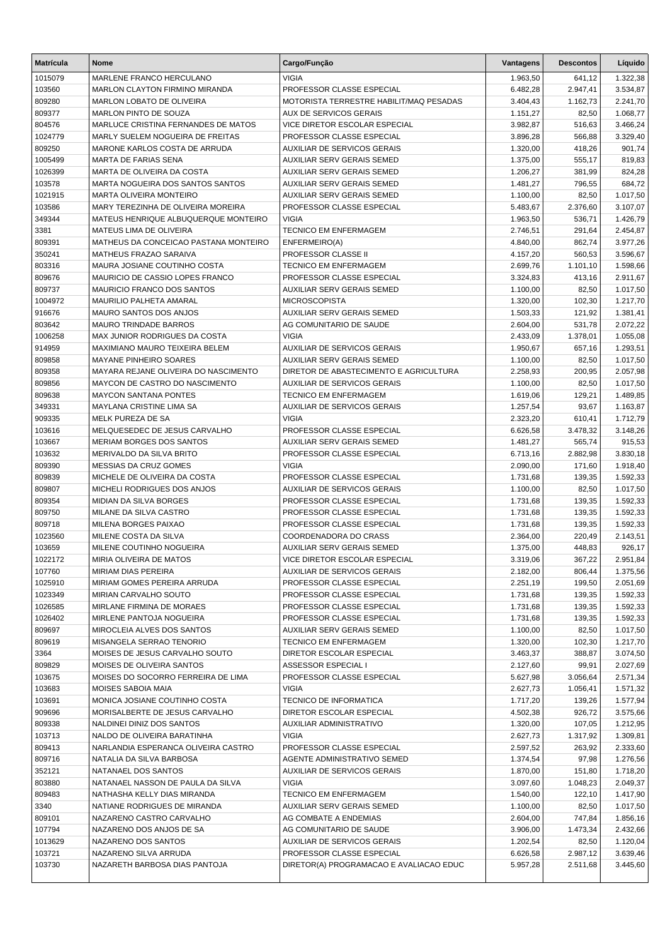| <b>Matrícula</b>  | <b>Nome</b>                                                     | Cargo/Função                                              | Vantagens            | <b>Descontos</b> | Líquido              |
|-------------------|-----------------------------------------------------------------|-----------------------------------------------------------|----------------------|------------------|----------------------|
| 1015079           | MARLENE FRANCO HERCULANO                                        | <b>VIGIA</b>                                              | 1.963,50             | 641,12           | 1.322,38             |
| 103560            | MARLON CLAYTON FIRMINO MIRANDA                                  | PROFESSOR CLASSE ESPECIAL                                 | 6.482,28             | 2.947,41         | 3.534,87             |
| 809280            | MARLON LOBATO DE OLIVEIRA                                       | MOTORISTA TERRESTRE HABILIT/MAQ PESADAS                   | 3.404,43             | 1.162,73         | 2.241,70             |
| 809377            | MARLON PINTO DE SOUZA                                           | AUX DE SERVICOS GERAIS                                    | 1.151,27             | 82,50            | 1.068,77             |
| 804576            | MARLUCE CRISTINA FERNANDES DE MATOS                             | VICE DIRETOR ESCOLAR ESPECIAL                             | 3.982,87             | 516,63           | 3.466,24             |
| 1024779           | MARLY SUELEM NOGUEIRA DE FREITAS                                | PROFESSOR CLASSE ESPECIAL                                 | 3.896,28             | 566,88           | 3.329,40             |
| 809250            | MARONE KARLOS COSTA DE ARRUDA                                   | <b>AUXILIAR DE SERVICOS GERAIS</b>                        | 1.320,00             | 418,26           | 901,74               |
| 1005499           | MARTA DE FARIAS SENA                                            | <b>AUXILIAR SERV GERAIS SEMED</b>                         | 1.375,00             | 555,17           | 819,83               |
| 1026399           | MARTA DE OLIVEIRA DA COSTA                                      | AUXILIAR SERV GERAIS SEMED                                | 1.206,27             | 381,99           | 824,28               |
| 103578            | MARTA NOGUEIRA DOS SANTOS SANTOS                                | <b>AUXILIAR SERV GERAIS SEMED</b>                         | 1.481,27             | 796,55           | 684,72               |
| 1021915           | MARTA OLIVEIRA MONTEIRO                                         | <b>AUXILIAR SERV GERAIS SEMED</b>                         | 1.100,00             | 82,50            | 1.017,50             |
| 103586            | MARY TEREZINHA DE OLIVEIRA MOREIRA                              | PROFESSOR CLASSE ESPECIAL                                 | 5.483,67             | 2.376,60         | 3.107,07             |
| 349344            | MATEUS HENRIQUE ALBUQUERQUE MONTEIRO                            | <b>VIGIA</b>                                              | 1.963,50             | 536,71           | 1.426,79             |
| 3381              | MATEUS LIMA DE OLIVEIRA                                         | <b>TECNICO EM ENFERMAGEM</b>                              | 2.746,51             | 291,64           | 2.454,87             |
| 809391            | MATHEUS DA CONCEICAO PASTANA MONTEIRO                           | ENFERMEIRO(A)                                             | 4.840,00             | 862,74           | 3.977,26             |
| 350241            | MATHEUS FRAZAO SARAIVA                                          | PROFESSOR CLASSE II                                       | 4.157,20             | 560,53           | 3.596,67             |
| 803316            | MAURA JOSIANE COUTINHO COSTA<br>MAURICIO DE CASSIO LOPES FRANCO | <b>TECNICO EM ENFERMAGEM</b><br>PROFESSOR CLASSE ESPECIAL | 2.699,76             | 1.101,10         | 1.598,66             |
| 809676            |                                                                 |                                                           | 3.324,83             | 413,16<br>82,50  | 2.911,67             |
| 809737<br>1004972 | MAURICIO FRANCO DOS SANTOS<br>MAURILIO PALHETA AMARAL           | AUXILIAR SERV GERAIS SEMED<br><b>MICROSCOPISTA</b>        | 1.100,00<br>1.320,00 | 102,30           | 1.017,50<br>1.217,70 |
| 916676            | <b>MAURO SANTOS DOS ANJOS</b>                                   | AUXILIAR SERV GERAIS SEMED                                | 1.503,33             | 121,92           | 1.381,41             |
| 803642            | <b>MAURO TRINDADE BARROS</b>                                    | AG COMUNITARIO DE SAUDE                                   | 2.604,00             | 531,78           | 2.072,22             |
| 1006258           | MAX JUNIOR RODRIGUES DA COSTA                                   | <b>VIGIA</b>                                              | 2.433,09             | 1.378,01         | 1.055,08             |
| 914959            | MAXIMIANO MAURO TEIXEIRA BELEM                                  | <b>AUXILIAR DE SERVICOS GERAIS</b>                        | 1.950,67             | 657,16           | 1.293,51             |
| 809858            | <b>MAYANE PINHEIRO SOARES</b>                                   | AUXILIAR SERV GERAIS SEMED                                | 1.100,00             | 82,50            | 1.017,50             |
| 809358            | MAYARA REJANE OLIVEIRA DO NASCIMENTO                            | DIRETOR DE ABASTECIMENTO E AGRICULTURA                    | 2.258,93             | 200,95           | 2.057,98             |
| 809856            | MAYCON DE CASTRO DO NASCIMENTO                                  | <b>AUXILIAR DE SERVICOS GERAIS</b>                        | 1.100,00             | 82,50            | 1.017,50             |
| 809638            | <b>MAYCON SANTANA PONTES</b>                                    | TECNICO EM ENFERMAGEM                                     | 1.619,06             | 129,21           | 1.489,85             |
| 349331            | MAYLANA CRISTINE LIMA SA                                        | AUXILIAR DE SERVICOS GERAIS                               | 1.257,54             | 93,67            | 1.163,87             |
| 909335            | MELK PUREZA DE SA                                               | <b>VIGIA</b>                                              | 2.323,20             | 610,41           | 1.712,79             |
| 103616            | MELQUESEDEC DE JESUS CARVALHO                                   | PROFESSOR CLASSE ESPECIAL                                 | 6.626,58             | 3.478,32         | 3.148,26             |
| 103667            | MERIAM BORGES DOS SANTOS                                        | <b>AUXILIAR SERV GERAIS SEMED</b>                         | 1.481,27             | 565,74           | 915,53               |
| 103632            | MERIVALDO DA SILVA BRITO                                        | PROFESSOR CLASSE ESPECIAL                                 | 6.713,16             | 2.882,98         | 3.830,18             |
| 809390            | MESSIAS DA CRUZ GOMES                                           | <b>VIGIA</b>                                              | 2.090,00             | 171,60           | 1.918,40             |
| 809839            | MICHELE DE OLIVEIRA DA COSTA                                    | PROFESSOR CLASSE ESPECIAL                                 | 1.731,68             | 139,35           | 1.592,33             |
| 809807            | MICHELI RODRIGUES DOS ANJOS                                     | <b>AUXILIAR DE SERVICOS GERAIS</b>                        | 1.100,00             | 82,50            | 1.017,50             |
| 809354            | <b>MIDIAN DA SILVA BORGES</b>                                   | PROFESSOR CLASSE ESPECIAL                                 | 1.731,68             | 139,35           | 1.592,33             |
| 809750            | MILANE DA SILVA CASTRO                                          | PROFESSOR CLASSE ESPECIAL                                 | 1.731,68             | 139,35           | 1.592,33             |
| 809718            | MILENA BORGES PAIXAO                                            | PROFESSOR CLASSE ESPECIAL                                 | 1.731,68             | 139,35           | 1.592,33             |
| 1023560           | MILENE COSTA DA SILVA                                           | COORDENADORA DO CRASS                                     | 2.364,00             | 220,49           | 2.143,51             |
| 103659            | MILENE COUTINHO NOGUEIRA                                        | <b>AUXILIAR SERV GERAIS SEMED</b>                         | 1.375,00             | 448,83           | 926,17               |
| 1022172           | MIRIA OLIVEIRA DE MATOS                                         | VICE DIRETOR ESCOLAR ESPECIAL                             | 3.319,06             | 367,22           | 2.951,84             |
| 107760            | MIRIAM DIAS PEREIRA                                             | AUXILIAR DE SERVICOS GERAIS                               | 2.182,00             | 806,44           | 1.375,56             |
| 1025910           | MIRIAM GOMES PEREIRA ARRUDA                                     | PROFESSOR CLASSE ESPECIAL                                 | 2.251,19             | 199,50           | 2.051,69             |
| 1023349           | MIRIAN CARVALHO SOUTO                                           | PROFESSOR CLASSE ESPECIAL                                 | 1.731,68             | 139,35           | 1.592,33             |
| 1026585           | MIRLANE FIRMINA DE MORAES                                       | PROFESSOR CLASSE ESPECIAL                                 | 1.731,68             | 139,35           | 1.592,33             |
| 1026402           | MIRLENE PANTOJA NOGUEIRA                                        | PROFESSOR CLASSE ESPECIAL                                 | 1.731,68             | 139,35           | 1.592,33             |
| 809697            | MIROCLEIA ALVES DOS SANTOS                                      | AUXILIAR SERV GERAIS SEMED                                | 1.100,00             | 82,50            | 1.017,50             |
| 809619            | MISANGELA SERRAO TENORIO<br>MOISES DE JESUS CARVALHO SOUTO      | TECNICO EM ENFERMAGEM                                     | 1.320,00             | 102,30           | 1.217,70             |
| 3364<br>809829    | MOISES DE OLIVEIRA SANTOS                                       | DIRETOR ESCOLAR ESPECIAL                                  | 3.463,37<br>2.127,60 | 388,87<br>99,91  | 3.074,50<br>2.027,69 |
| 103675            | MOISES DO SOCORRO FERREIRA DE LIMA                              | ASSESSOR ESPECIAL I<br>PROFESSOR CLASSE ESPECIAL          | 5.627,98             | 3.056,64         | 2.571,34             |
| 103683            | MOISES SABOIA MAIA                                              | <b>VIGIA</b>                                              | 2.627,73             | 1.056,41         | 1.571,32             |
| 103691            | MONICA JOSIANE COUTINHO COSTA                                   | <b>TECNICO DE INFORMATICA</b>                             | 1.717,20             | 139,26           | 1.577,94             |
| 909696            | MORISALBERTE DE JESUS CARVALHO                                  | DIRETOR ESCOLAR ESPECIAL                                  | 4.502,38             | 926,72           | 3.575,66             |
| 809338            | NALDINEI DINIZ DOS SANTOS                                       | AUXILIAR ADMINISTRATIVO                                   | 1.320,00             | 107,05           | 1.212,95             |
| 103713            | NALDO DE OLIVEIRA BARATINHA                                     | <b>VIGIA</b>                                              | 2.627,73             | 1.317,92         | 1.309,81             |
| 809413            | NARLANDIA ESPERANCA OLIVEIRA CASTRO                             | PROFESSOR CLASSE ESPECIAL                                 | 2.597,52             | 263,92           | 2.333,60             |
| 809716            | NATALIA DA SILVA BARBOSA                                        | AGENTE ADMINISTRATIVO SEMED                               | 1.374,54             | 97,98            | 1.276,56             |
| 352121            | NATANAEL DOS SANTOS                                             | AUXILIAR DE SERVICOS GERAIS                               | 1.870,00             | 151,80           | 1.718,20             |
| 803880            | NATANAEL NASSON DE PAULA DA SILVA                               | <b>VIGIA</b>                                              | 3.097,60             | 1.048,23         | 2.049,37             |
| 809483            | NATHASHA KELLY DIAS MIRANDA                                     | TECNICO EM ENFERMAGEM                                     | 1.540,00             | 122,10           | 1.417,90             |
| 3340              | NATIANE RODRIGUES DE MIRANDA                                    | AUXILIAR SERV GERAIS SEMED                                | 1.100,00             | 82,50            | 1.017,50             |
| 809101            | NAZARENO CASTRO CARVALHO                                        | AG COMBATE A ENDEMIAS                                     | 2.604,00             | 747,84           | 1.856,16             |
| 107794            | NAZARENO DOS ANJOS DE SA                                        | AG COMUNITARIO DE SAUDE                                   | 3.906,00             | 1.473,34         | 2.432,66             |
| 1013629           | NAZARENO DOS SANTOS                                             | AUXILIAR DE SERVICOS GERAIS                               | 1.202,54             | 82,50            | 1.120,04             |
| 103721            | NAZARENO SILVA ARRUDA                                           | PROFESSOR CLASSE ESPECIAL                                 | 6.626,58             | 2.987,12         | 3.639,46             |
| 103730            | NAZARETH BARBOSA DIAS PANTOJA                                   | DIRETOR(A) PROGRAMACAO E AVALIACAO EDUC                   | 5.957,28             | 2.511,68         | 3.445,60             |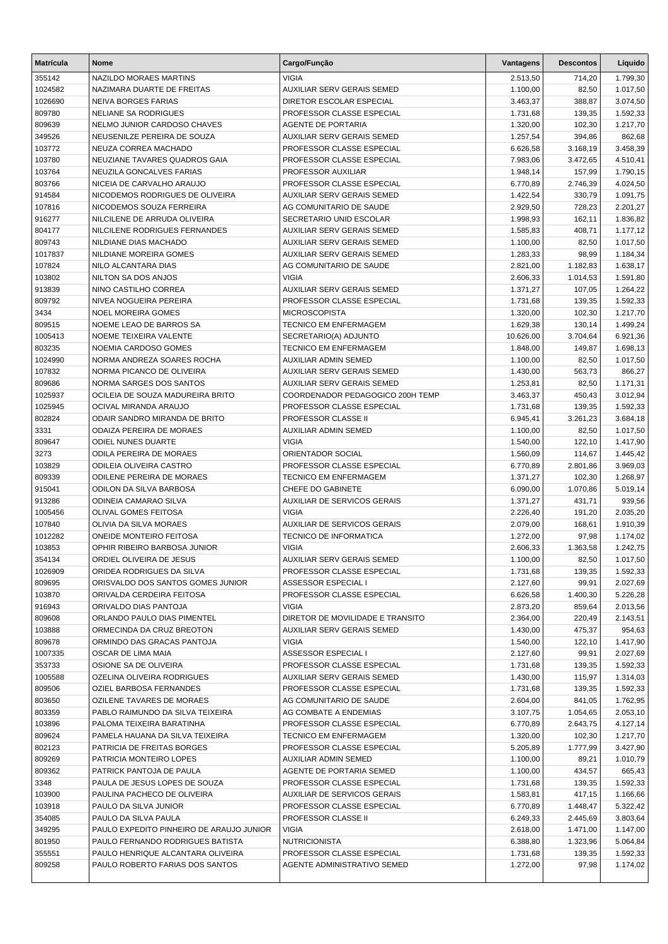| <b>Matrícula</b> | Nome                                                         | Cargo/Função                                          | Vantagens            | <b>Descontos</b>   | Líquido              |
|------------------|--------------------------------------------------------------|-------------------------------------------------------|----------------------|--------------------|----------------------|
| 355142           | NAZILDO MORAES MARTINS                                       | <b>VIGIA</b>                                          | 2.513,50             | 714,20             | 1.799,30             |
| 1024582          | NAZIMARA DUARTE DE FREITAS                                   | <b>AUXILIAR SERV GERAIS SEMED</b>                     | 1.100,00             | 82,50              | 1.017,50             |
| 1026690          | <b>NEIVA BORGES FARIAS</b>                                   | DIRETOR ESCOLAR ESPECIAL                              | 3.463,37             | 388,87             | 3.074,50             |
| 809780           | NELIANE SA RODRIGUES                                         | PROFESSOR CLASSE ESPECIAL                             | 1.731,68             | 139,35             | 1.592,33             |
| 809639           | NELMO JUNIOR CARDOSO CHAVES                                  | <b>AGENTE DE PORTARIA</b>                             | 1.320,00             | 102,30             | 1.217,70             |
| 349526           | NEUSENILZE PEREIRA DE SOUZA                                  | <b>AUXILIAR SERV GERAIS SEMED</b>                     | 1.257,54             | 394,86             | 862,68               |
| 103772           | NEUZA CORREA MACHADO                                         | PROFESSOR CLASSE ESPECIAL                             | 6.626,58             | 3.168,19           | 3.458,39             |
| 103780           | NEUZIANE TAVARES QUADROS GAIA                                | PROFESSOR CLASSE ESPECIAL                             | 7.983,06             | 3.472,65           | 4.510,41             |
| 103764           | NEUZILA GONCALVES FARIAS                                     | PROFESSOR AUXILIAR                                    | 1.948,14             | 157,99             | 1.790,15             |
| 803766           | NICEIA DE CARVALHO ARAUJO<br>NICODEMOS RODRIGUES DE OLIVEIRA | PROFESSOR CLASSE ESPECIAL                             | 6.770,89             | 2.746,39           | 4.024,50             |
| 914584<br>107816 | NICODEMOS SOUZA FERREIRA                                     | AUXILIAR SERV GERAIS SEMED<br>AG COMUNITARIO DE SAUDE | 1.422,54<br>2.929,50 | 330,79<br>728,23   | 1.091,75<br>2.201,27 |
| 916277           | NILCILENE DE ARRUDA OLIVEIRA                                 | SECRETARIO UNID ESCOLAR                               | 1.998,93             | 162,11             | 1.836,82             |
| 804177           | NILCILENE RODRIGUES FERNANDES                                | AUXILIAR SERV GERAIS SEMED                            | 1.585,83             | 408,71             | 1.177,12             |
| 809743           | NILDIANE DIAS MACHADO                                        | AUXILIAR SERV GERAIS SEMED                            | 1.100,00             | 82,50              | 1.017,50             |
| 1017837          | NILDIANE MOREIRA GOMES                                       | <b>AUXILIAR SERV GERAIS SEMED</b>                     | 1.283,33             | 98,99              | 1.184,34             |
| 107824           | NILO ALCANTARA DIAS                                          | AG COMUNITARIO DE SAUDE                               | 2.821,00             | 1.182,83           | 1.638,17             |
| 103802           | NILTON SA DOS ANJOS                                          | <b>VIGIA</b>                                          | 2.606,33             | 1.014,53           | 1.591,80             |
| 913839           | NINO CASTILHO CORREA                                         | <b>AUXILIAR SERV GERAIS SEMED</b>                     | 1.371,27             | 107,05             | 1.264,22             |
| 809792           | NIVEA NOGUEIRA PEREIRA                                       | PROFESSOR CLASSE ESPECIAL                             | 1.731,68             | 139,35             | 1.592,33             |
| 3434             | <b>NOEL MOREIRA GOMES</b>                                    | <b>MICROSCOPISTA</b>                                  | 1.320,00             | 102,30             | 1.217,70             |
| 809515           | NOEME LEAO DE BARROS SA                                      | TECNICO EM ENFERMAGEM                                 | 1.629,38             | 130,14             | 1.499,24             |
| 1005413          | NOEME TEIXEIRA VALENTE                                       | SECRETARIO(A) ADJUNTO                                 | 10.626,00            | 3.704,64           | 6.921,36             |
| 803235           | NOEMIA CARDOSO GOMES                                         | <b>TECNICO EM ENFERMAGEM</b>                          | 1.848,00             | 149,87             | 1.698,13             |
| 1024990          | NORMA ANDREZA SOARES ROCHA                                   | AUXILIAR ADMIN SEMED                                  | 1.100,00             | 82,50              | 1.017,50             |
| 107832           | NORMA PICANCO DE OLIVEIRA                                    | AUXILIAR SERV GERAIS SEMED                            | 1.430,00             | 563,73             | 866,27               |
| 809686           | NORMA SARGES DOS SANTOS                                      | <b>AUXILIAR SERV GERAIS SEMED</b>                     | 1.253,81             | 82,50              | 1.171,31             |
| 1025937          | OCILEIA DE SOUZA MADUREIRA BRITO                             | COORDENADOR PEDAGOGICO 200H TEMP                      | 3.463,37             | 450,43             | 3.012,94             |
| 1025945          | OCIVAL MIRANDA ARAUJO                                        | PROFESSOR CLASSE ESPECIAL                             | 1.731,68             | 139,35             | 1.592,33             |
| 802824           | ODAIR SANDRO MIRANDA DE BRITO                                | PROFESSOR CLASSE II                                   | 6.945,41             | 3.261,23           | 3.684,18             |
| 3331             | ODAIZA PEREIRA DE MORAES                                     | AUXILIAR ADMIN SEMED                                  | 1.100,00             | 82,50              | 1.017,50             |
| 809647           | ODIEL NUNES DUARTE                                           | <b>VIGIA</b>                                          | 1.540,00             | 122,10             | 1.417,90             |
| 3273             | ODILA PEREIRA DE MORAES                                      | ORIENTADOR SOCIAL<br>PROFESSOR CLASSE ESPECIAL        | 1.560,09             | 114,67             | 1.445,42             |
| 103829<br>809339 | ODILEIA OLIVEIRA CASTRO<br><b>ODILENE PEREIRA DE MORAES</b>  | <b>TECNICO EM ENFERMAGEM</b>                          | 6.770,89<br>1.371,27 | 2.801,86<br>102,30 | 3.969,03<br>1.268,97 |
| 915041           | <b>ODILON DA SILVA BARBOSA</b>                               | CHEFE DO GABINETE                                     | 6.090,00             | 1.070,86           | 5.019,14             |
| 913286           | ODINEIA CAMARAO SILVA                                        | AUXILIAR DE SERVICOS GERAIS                           | 1.371,27             | 431,71             | 939,56               |
| 1005456          | OLIVAL GOMES FEITOSA                                         | <b>VIGIA</b>                                          | 2.226,40             | 191,20             | 2.035,20             |
| 107840           | OLIVIA DA SILVA MORAES                                       | <b>AUXILIAR DE SERVICOS GERAIS</b>                    | 2.079,00             | 168,61             | 1.910,39             |
| 1012282          | <b>ONEIDE MONTEIRO FEITOSA</b>                               | <b>TECNICO DE INFORMATICA</b>                         | 1.272,00             | 97,98              | 1.174,02             |
| 103853           | OPHIR RIBEIRO BARBOSA JUNIOR                                 | <b>VIGIA</b>                                          | 2.606,33             | 1.363,58           | 1.242,75             |
| 354134           | ORDIEL OLIVEIRA DE JESUS                                     | AUXILIAR SERV GERAIS SEMED                            | 1.100,00             | 82,50              | 1.017,50             |
| 1026909          | ORIDEA RODRIGUES DA SILVA                                    | PROFESSOR CLASSE ESPECIAL                             | 1.731,68             | 139,35             | 1.592,33             |
| 809695           | ORISVALDO DOS SANTOS GOMES JUNIOR                            | ASSESSOR ESPECIAL I                                   | 2.127,60             | 99,91              | 2.027,69             |
| 103870           | ORIVALDA CERDEIRA FEITOSA                                    | PROFESSOR CLASSE ESPECIAL                             | 6.626,58             | 1.400,30           | 5.226,28             |
| 916943           | ORIVALDO DIAS PANTOJA                                        | <b>VIGIA</b>                                          | 2.873,20             | 859,64             | 2.013,56             |
| 809608           | ORLANDO PAULO DIAS PIMENTEL                                  | DIRETOR DE MOVILIDADE E TRANSITO                      | 2.364,00             | 220,49             | 2.143,51             |
| 103888           | ORMECINDA DA CRUZ BREOTON                                    | AUXILIAR SERV GERAIS SEMED                            | 1.430,00             | 475,37             | 954,63               |
| 809678           | ORMINDO DAS GRACAS PANTOJA                                   | <b>VIGIA</b>                                          | 1.540,00             | 122,10             | 1.417,90             |
| 1007335          | OSCAR DE LIMA MAIA                                           | ASSESSOR ESPECIAL I                                   | 2.127,60             | 99,91              | 2.027,69             |
| 353733           | OSIONE SA DE OLIVEIRA                                        | PROFESSOR CLASSE ESPECIAL                             | 1.731,68             | 139,35             | 1.592,33             |
| 1005588          | OZELINA OLIVEIRA RODRIGUES                                   | AUXILIAR SERV GERAIS SEMED                            | 1.430,00             | 115,97             | 1.314,03             |
| 809506           | OZIEL BARBOSA FERNANDES<br><b>OZILENE TAVARES DE MORAES</b>  | PROFESSOR CLASSE ESPECIAL                             | 1.731,68             | 139,35             | 1.592,33             |
| 803650<br>803359 | PABLO RAIMUNDO DA SILVA TEIXEIRA                             | AG COMUNITARIO DE SAUDE<br>AG COMBATE A ENDEMIAS      | 2.604,00<br>3.107,75 | 841,05<br>1.054,65 | 1.762,95<br>2.053,10 |
| 103896           | PALOMA TEIXEIRA BARATINHA                                    | PROFESSOR CLASSE ESPECIAL                             | 6.770,89             | 2.643,75           | 4.127,14             |
| 809624           | PAMELA HAUANA DA SILVA TEIXEIRA                              | TECNICO EM ENFERMAGEM                                 | 1.320,00             | 102,30             | 1.217,70             |
| 802123           | PATRICIA DE FREITAS BORGES                                   | PROFESSOR CLASSE ESPECIAL                             | 5.205,89             | 1.777,99           | 3.427,90             |
| 809269           | PATRICIA MONTEIRO LOPES                                      | AUXILIAR ADMIN SEMED                                  | 1.100,00             | 89,21              | 1.010,79             |
| 809362           | PATRICK PANTOJA DE PAULA                                     | AGENTE DE PORTARIA SEMED                              | 1.100,00             | 434,57             | 665,43               |
| 3348             | PAULA DE JESUS LOPES DE SOUZA                                | PROFESSOR CLASSE ESPECIAL                             | 1.731,68             | 139,35             | 1.592,33             |
| 103900           | PAULINA PACHECO DE OLIVEIRA                                  | AUXILIAR DE SERVICOS GERAIS                           | 1.583,81             | 417,15             | 1.166,66             |
| 103918           | PAULO DA SILVA JUNIOR                                        | PROFESSOR CLASSE ESPECIAL                             | 6.770,89             | 1.448,47           | 5.322,42             |
| 354085           | PAULO DA SILVA PAULA                                         | PROFESSOR CLASSE II                                   | 6.249,33             | 2.445,69           | 3.803,64             |
| 349295           | PAULO EXPEDITO PINHEIRO DE ARAUJO JUNIOR                     | <b>VIGIA</b>                                          | 2.618,00             | 1.471,00           | 1.147,00             |
| 801950           | PAULO FERNANDO RODRIGUES BATISTA                             | <b>NUTRICIONISTA</b>                                  | 6.388,80             | 1.323,96           | 5.064,84             |
| 355551           | PAULO HENRIQUE ALCANTARA OLIVEIRA                            | PROFESSOR CLASSE ESPECIAL                             | 1.731,68             | 139,35             | 1.592,33             |
| 809258           | PAULO ROBERTO FARIAS DOS SANTOS                              | AGENTE ADMINISTRATIVO SEMED                           | 1.272,00             | 97,98              | 1.174,02             |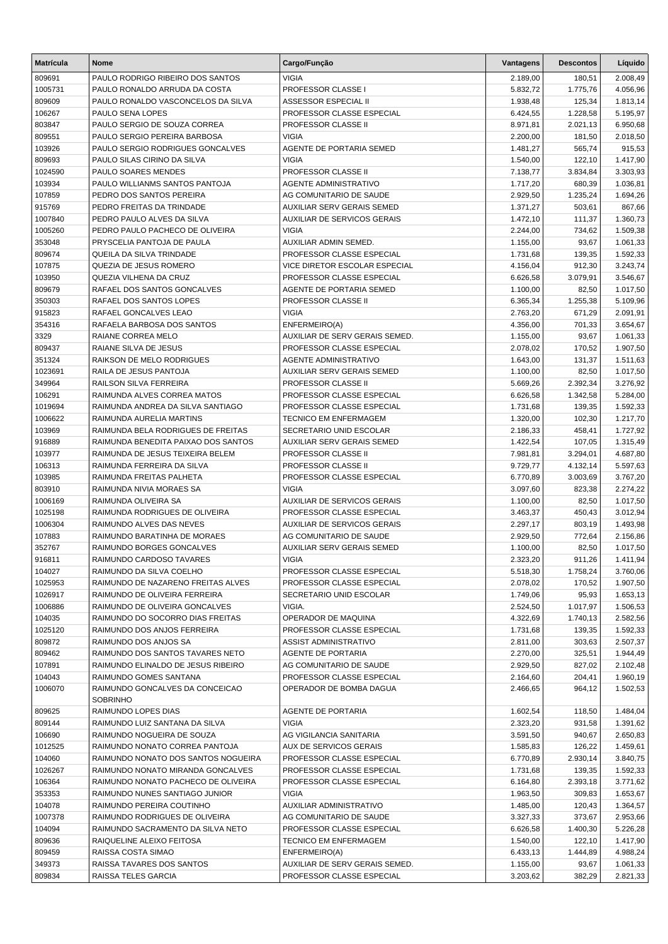| <b>Matrícula</b> | <b>Nome</b>                                                            | Cargo/Função                                         | Vantagens            | <b>Descontos</b> | Líquido              |
|------------------|------------------------------------------------------------------------|------------------------------------------------------|----------------------|------------------|----------------------|
| 809691           | PAULO RODRIGO RIBEIRO DOS SANTOS                                       | VIGIA                                                | 2.189,00             | 180,51           | 2.008,49             |
| 1005731          | PAULO RONALDO ARRUDA DA COSTA                                          | <b>PROFESSOR CLASSE I</b>                            | 5.832,72             | 1.775,76         | 4.056,96             |
| 809609           | PAULO RONALDO VASCONCELOS DA SILVA                                     | <b>ASSESSOR ESPECIAL II</b>                          | 1.938,48             | 125,34           | 1.813,14             |
| 106267           | PAULO SENA LOPES                                                       | PROFESSOR CLASSE ESPECIAL                            | 6.424,55             | 1.228,58         | 5.195,97             |
| 803847           | PAULO SERGIO DE SOUZA CORREA                                           | PROFESSOR CLASSE II                                  | 8.971,81             | 2.021,13         | 6.950,68             |
| 809551           | PAULO SERGIO PEREIRA BARBOSA                                           | <b>VIGIA</b>                                         | 2.200,00             | 181,50           | 2.018,50             |
| 103926           | PAULO SERGIO RODRIGUES GONCALVES                                       | AGENTE DE PORTARIA SEMED                             | 1.481,27             | 565,74           | 915,53               |
| 809693           | PAULO SILAS CIRINO DA SILVA                                            | <b>VIGIA</b>                                         | 1.540,00             | 122,10           | 1.417,90             |
| 1024590          | PAULO SOARES MENDES                                                    | PROFESSOR CLASSE II                                  | 7.138,77             | 3.834,84         | 3.303,93             |
| 103934           | PAULO WILLIANMS SANTOS PANTOJA                                         | <b>AGENTE ADMINISTRATIVO</b>                         | 1.717,20             | 680,39           | 1.036,81             |
| 107859           | PEDRO DOS SANTOS PEREIRA                                               | AG COMUNITARIO DE SAUDE                              | 2.929,50             | 1.235,24         | 1.694,26             |
| 915769           | PEDRO FREITAS DA TRINDADE                                              | AUXILIAR SERV GERAIS SEMED                           | 1.371,27             | 503,61           | 867,66               |
| 1007840          | PEDRO PAULO ALVES DA SILVA                                             | AUXILIAR DE SERVICOS GERAIS                          | 1.472,10             | 111,37           | 1.360,73             |
| 1005260          | PEDRO PAULO PACHECO DE OLIVEIRA                                        | <b>VIGIA</b>                                         | 2.244,00             | 734,62           | 1.509,38             |
| 353048           | PRYSCELIA PANTOJA DE PAULA<br>QUEILA DA SILVA TRINDADE                 | AUXILIAR ADMIN SEMED.<br>PROFESSOR CLASSE ESPECIAL   | 1.155,00             | 93,67            | 1.061,33             |
| 809674<br>107875 | QUEZIA DE JESUS ROMERO                                                 | VICE DIRETOR ESCOLAR ESPECIAL                        | 1.731,68             | 139,35<br>912,30 | 1.592,33             |
| 103950           | QUEZIA VILHENA DA CRUZ                                                 | PROFESSOR CLASSE ESPECIAL                            | 4.156,04<br>6.626,58 | 3.079,91         | 3.243,74<br>3.546,67 |
| 809679           | RAFAEL DOS SANTOS GONCALVES                                            | AGENTE DE PORTARIA SEMED                             | 1.100,00             | 82,50            | 1.017,50             |
| 350303           | RAFAEL DOS SANTOS LOPES                                                | PROFESSOR CLASSE II                                  | 6.365,34             | 1.255,38         | 5.109,96             |
| 915823           | RAFAEL GONCALVES LEAO                                                  | <b>VIGIA</b>                                         | 2.763,20             | 671,29           | 2.091,91             |
| 354316           | RAFAELA BARBOSA DOS SANTOS                                             | ENFERMEIRO(A)                                        | 4.356,00             | 701,33           | 3.654,67             |
| 3329             | RAIANE CORREA MELO                                                     | AUXILIAR DE SERV GERAIS SEMED.                       | 1.155,00             | 93,67            | 1.061,33             |
| 809437           | RAIANE SILVA DE JESUS                                                  | PROFESSOR CLASSE ESPECIAL                            | 2.078,02             | 170,52           | 1.907,50             |
| 351324           | RAIKSON DE MELO RODRIGUES                                              | AGENTE ADMINISTRATIVO                                | 1.643,00             | 131,37           | 1.511,63             |
| 1023691          | RAILA DE JESUS PANTOJA                                                 | AUXILIAR SERV GERAIS SEMED                           | 1.100,00             | 82,50            | 1.017,50             |
| 349964           | RAILSON SILVA FERREIRA                                                 | PROFESSOR CLASSE II                                  | 5.669,26             | 2.392,34         | 3.276,92             |
| 106291           | RAIMUNDA ALVES CORREA MATOS                                            | PROFESSOR CLASSE ESPECIAL                            | 6.626,58             | 1.342,58         | 5.284,00             |
| 1019694          | RAIMUNDA ANDREA DA SILVA SANTIAGO                                      | PROFESSOR CLASSE ESPECIAL                            | 1.731,68             | 139,35           | 1.592,33             |
| 1006622          | RAIMUNDA AURELIA MARTINS                                               | TECNICO EM ENFERMAGEM                                | 1.320,00             | 102,30           | 1.217,70             |
| 103969           | RAIMUNDA BELA RODRIGUES DE FREITAS                                     | SECRETARIO UNID ESCOLAR                              | 2.186,33             | 458,41           | 1.727,92             |
| 916889           | RAIMUNDA BENEDITA PAIXAO DOS SANTOS                                    | AUXILIAR SERV GERAIS SEMED                           | 1.422,54             | 107,05           | 1.315,49             |
| 103977           | RAIMUNDA DE JESUS TEIXEIRA BELEM                                       | PROFESSOR CLASSE II                                  | 7.981,81             | 3.294,01         | 4.687,80             |
| 106313           | RAIMUNDA FERREIRA DA SILVA                                             | PROFESSOR CLASSE II                                  | 9.729,77             | 4.132,14         | 5.597,63             |
| 103985           | RAIMUNDA FREITAS PALHETA                                               | PROFESSOR CLASSE ESPECIAL                            | 6.770,89             | 3.003,69         | 3.767,20             |
| 803910           | RAIMUNDA NIVIA MORAES SA                                               | <b>VIGIA</b>                                         | 3.097,60             | 823,38           | 2.274,22             |
| 1006169          | RAIMUNDA OLIVEIRA SA                                                   | <b>AUXILIAR DE SERVICOS GERAIS</b>                   | 1.100,00             | 82,50            | 1.017,50             |
| 1025198          | RAIMUNDA RODRIGUES DE OLIVEIRA                                         | PROFESSOR CLASSE ESPECIAL                            | 3.463,37             | 450,43           | 3.012,94             |
| 1006304          | RAIMUNDO ALVES DAS NEVES                                               | <b>AUXILIAR DE SERVICOS GERAIS</b>                   | 2.297,17             | 803,19           | 1.493,98             |
| 107883           | RAIMUNDO BARATINHA DE MORAES                                           | AG COMUNITARIO DE SAUDE                              | 2.929,50             | 772,64           | 2.156,86             |
| 352767           | RAIMUNDO BORGES GONCALVES                                              | AUXILIAR SERV GERAIS SEMED                           | 1.100,00             | 82,50            | 1.017,50             |
| 916811           | RAIMUNDO CARDOSO TAVARES                                               | VIGIA                                                | 2.323,20             | 911,26           | 1.411,94             |
| 104027           | RAIMUNDO DA SILVA COELHO                                               | PROFESSOR CLASSE ESPECIAL                            | 5.518,30             | 1.758,24         | 3.760,06             |
| 1025953          | RAIMUNDO DE NAZARENO FREITAS ALVES                                     | PROFESSOR CLASSE ESPECIAL                            | 2.078,02             | 170,52           | 1.907,50             |
| 1026917          | RAIMUNDO DE OLIVEIRA FERREIRA                                          | SECRETARIO UNID ESCOLAR                              | 1.749,06             | 95,93            | 1.653,13             |
| 1006886          | RAIMUNDO DE OLIVEIRA GONCALVES                                         | VIGIA.                                               | 2.524,50             | 1.017,97         | 1.506,53             |
| 104035           | RAIMUNDO DO SOCORRO DIAS FREITAS                                       | OPERADOR DE MAQUINA                                  | 4.322,69             | 1.740,13         | 2.582,56             |
| 1025120          | RAIMUNDO DOS ANJOS FERREIRA                                            | PROFESSOR CLASSE ESPECIAL                            | 1.731,68             | 139,35           | 1.592,33             |
| 809872           | RAIMUNDO DOS ANJOS SA                                                  | ASSIST ADMINISTRATIVO<br><b>AGENTE DE PORTARIA</b>   | 2.811,00             | 303,63           | 2.507,37             |
| 809462           | RAIMUNDO DOS SANTOS TAVARES NETO<br>RAIMUNDO ELINALDO DE JESUS RIBEIRO |                                                      | 2.270,00             | 325,51           | 1.944,49             |
| 107891<br>104043 | RAIMUNDO GOMES SANTANA                                                 | AG COMUNITARIO DE SAUDE                              | 2.929,50<br>2.164,60 | 827,02<br>204,41 | 2.102,48<br>1.960,19 |
| 1006070          | RAIMUNDO GONCALVES DA CONCEICAO                                        | PROFESSOR CLASSE ESPECIAL<br>OPERADOR DE BOMBA DAGUA | 2.466,65             | 964,12           | 1.502,53             |
|                  | <b>SOBRINHO</b>                                                        |                                                      |                      |                  |                      |
| 809625           | RAIMUNDO LOPES DIAS                                                    | AGENTE DE PORTARIA                                   | 1.602,54             | 118,50           | 1.484,04             |
| 809144           | RAIMUNDO LUIZ SANTANA DA SILVA                                         | <b>VIGIA</b>                                         | 2.323,20             | 931,58           | 1.391,62             |
| 106690           | RAIMUNDO NOGUEIRA DE SOUZA                                             | AG VIGILANCIA SANITARIA                              | 3.591,50             | 940,67           | 2.650,83             |
| 1012525          | RAIMUNDO NONATO CORREA PANTOJA                                         | AUX DE SERVICOS GERAIS                               | 1.585,83             | 126,22           | 1.459,61             |
| 104060           | RAIMUNDO NONATO DOS SANTOS NOGUEIRA                                    | PROFESSOR CLASSE ESPECIAL                            | 6.770,89             | 2.930,14         | 3.840,75             |
| 1026267          | RAIMUNDO NONATO MIRANDA GONCALVES                                      | PROFESSOR CLASSE ESPECIAL                            | 1.731,68             | 139,35           | 1.592,33             |
| 106364           | RAIMUNDO NONATO PACHECO DE OLIVEIRA                                    | PROFESSOR CLASSE ESPECIAL                            | 6.164,80             | 2.393,18         | 3.771,62             |
| 353353           | RAIMUNDO NUNES SANTIAGO JUNIOR                                         | <b>VIGIA</b>                                         | 1.963,50             | 309,83           | 1.653,67             |
| 104078           | RAIMUNDO PEREIRA COUTINHO                                              | AUXILIAR ADMINISTRATIVO                              | 1.485,00             | 120,43           | 1.364,57             |
| 1007378          | RAIMUNDO RODRIGUES DE OLIVEIRA                                         | AG COMUNITARIO DE SAUDE                              | 3.327,33             | 373,67           | 2.953,66             |
| 104094           | RAIMUNDO SACRAMENTO DA SILVA NETO                                      | PROFESSOR CLASSE ESPECIAL                            | 6.626,58             | 1.400,30         | 5.226,28             |
| 809636           | RAIQUELINE ALEIXO FEITOSA                                              | <b>TECNICO EM ENFERMAGEM</b>                         | 1.540,00             | 122,10           | 1.417,90             |
| 809459           | RAISSA COSTA SIMAO                                                     | ENFERMEIRO(A)                                        | 6.433,13             | 1.444,89         | 4.988,24             |
| 349373           | RAISSA TAVARES DOS SANTOS                                              | AUXILIAR DE SERV GERAIS SEMED.                       | 1.155,00             | 93,67            | 1.061,33             |
| 809834           | RAISSA TELES GARCIA                                                    | PROFESSOR CLASSE ESPECIAL                            | 3.203,62             | 382,29           | 2.821,33             |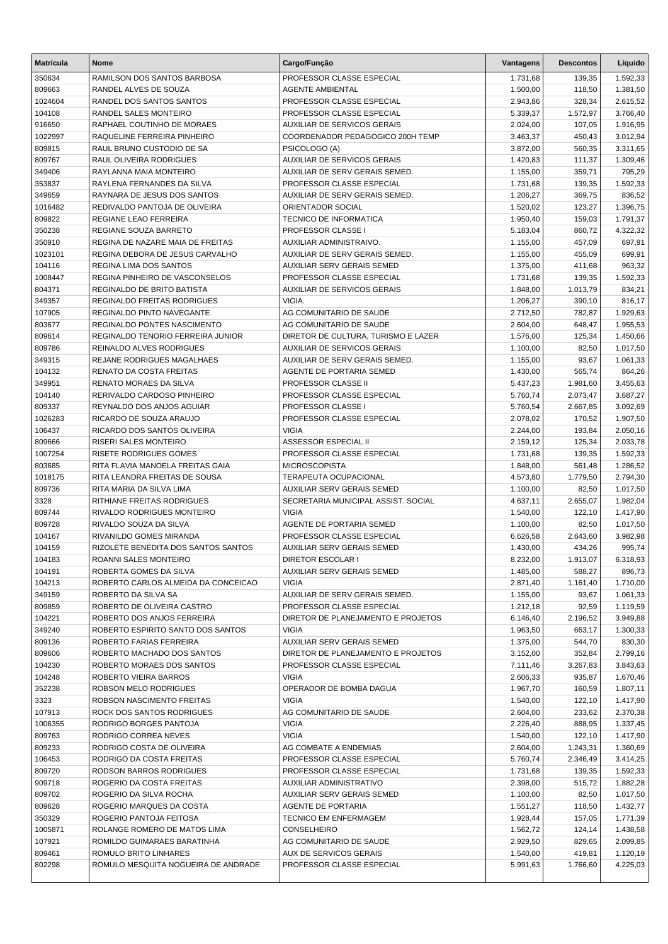| <b>Matrícula</b>  | <b>Nome</b>                                          | Cargo/Função                              | Vantagens            | <b>Descontos</b> | Líquido              |
|-------------------|------------------------------------------------------|-------------------------------------------|----------------------|------------------|----------------------|
| 350634            | RAMILSON DOS SANTOS BARBOSA                          | PROFESSOR CLASSE ESPECIAL                 | 1.731,68             | 139,35           | 1.592,33             |
| 809663            | RANDEL ALVES DE SOUZA                                | <b>AGENTE AMBIENTAL</b>                   | 1.500,00             | 118,50           | 1.381,50             |
| 1024604           | RANDEL DOS SANTOS SANTOS                             | PROFESSOR CLASSE ESPECIAL                 | 2.943,86             | 328,34           | 2.615,52             |
| 104108            | RANDEL SALES MONTEIRO                                | PROFESSOR CLASSE ESPECIAL                 | 5.339,37             | 1.572,97         | 3.766,40             |
| 916650            | RAPHAEL COUTINHO DE MORAES                           | <b>AUXILIAR DE SERVICOS GERAIS</b>        | 2.024,00             | 107,05           | 1.916,95             |
| 1022997           | RAQUELINE FERREIRA PINHEIRO                          | COORDENADOR PEDAGOGICO 200H TEMP          | 3.463,37             | 450,43           | 3.012,94             |
| 809815            | RAUL BRUNO CUSTODIO DE SA                            | PSICOLOGO (A)                             | 3.872,00             | 560,35           | 3.311,65             |
| 809767            | RAUL OLIVEIRA RODRIGUES                              | <b>AUXILIAR DE SERVICOS GERAIS</b>        | 1.420,83             | 111,37           | 1.309,46             |
| 349406            | RAYLANNA MAIA MONTEIRO                               | AUXILIAR DE SERV GERAIS SEMED.            | 1.155,00             | 359,71           | 795,29               |
| 353837            | RAYLENA FERNANDES DA SILVA                           | PROFESSOR CLASSE ESPECIAL                 | 1.731,68             | 139,35           | 1.592,33             |
| 349659            | RAYNARA DE JESUS DOS SANTOS                          | <b>AUXILIAR DE SERV GERAIS SEMED.</b>     | 1.206,27             | 369,75           | 836,52               |
| 1016482           | REDIVALDO PANTOJA DE OLIVEIRA                        | ORIENTADOR SOCIAL                         | 1.520,02             | 123,27           | 1.396,75             |
| 809822            | REGIANE LEAO FERREIRA                                | <b>TECNICO DE INFORMATICA</b>             | 1.950,40             | 159,03           | 1.791,37             |
| 350238            | REGIANE SOUZA BARRETO                                | PROFESSOR CLASSE I                        | 5.183,04             | 860,72           | 4.322,32             |
| 350910            | REGINA DE NAZARE MAIA DE FREITAS                     | AUXILIAR ADMINISTRAIVO.                   | 1.155,00             | 457,09           | 697,91               |
| 1023101           | REGINA DEBORA DE JESUS CARVALHO                      | AUXILIAR DE SERV GERAIS SEMED.            | 1.155,00             | 455,09           | 699,91               |
| 104116            | REGINA LIMA DOS SANTOS                               | AUXILIAR SERV GERAIS SEMED                | 1.375,00             | 411,68           | 963,32               |
| 1008447           | REGINA PINHEIRO DE VASCONSELOS                       | PROFESSOR CLASSE ESPECIAL                 | 1.731,68             | 139,35           | 1.592,33             |
| 804371            | REGINALDO DE BRITO BATISTA                           | AUXILIAR DE SERVICOS GERAIS               | 1.848,00             | 1.013,79         | 834,21               |
| 349357            | <b>REGINALDO FREITAS RODRIGUES</b>                   | VIGIA.                                    | 1.206,27             | 390,10           | 816,17               |
| 107905            | REGINALDO PINTO NAVEGANTE                            | AG COMUNITARIO DE SAUDE                   | 2.712,50             | 782,87           | 1.929,63             |
| 803677            | REGINALDO PONTES NASCIMENTO                          | AG COMUNITARIO DE SAUDE                   | 2.604,00             | 648,47           | 1.955,53             |
| 809614            | REGINALDO TENORIO FERREIRA JUNIOR                    | DIRETOR DE CULTURA, TURISMO E LAZER       | 1.576,00             | 125,34           | 1.450,66             |
| 809786            | REINALDO ALVES RODRIGUES                             | <b>AUXILIAR DE SERVICOS GERAIS</b>        | 1.100,00             | 82,50            | 1.017,50             |
| 349315            | REJANE RODRIGUES MAGALHAES                           | AUXILIAR DE SERV GERAIS SEMED.            | 1.155,00             | 93,67            | 1.061,33             |
| 104132            | RENATO DA COSTA FREITAS                              | AGENTE DE PORTARIA SEMED                  | 1.430,00             | 565,74           | 864,26               |
| 349951            | RENATO MORAES DA SILVA                               | PROFESSOR CLASSE II                       | 5.437,23             | 1.981,60         | 3.455,63             |
| 104140            | RERIVALDO CARDOSO PINHEIRO                           | PROFESSOR CLASSE ESPECIAL                 | 5.760,74             | 2.073,47         | 3.687,27             |
| 809337            | REYNALDO DOS ANJOS AGUIAR<br>RICARDO DE SOUZA ARAUJO | PROFESSOR CLASSE I                        | 5.760,54             | 2.667,85         | 3.092,69             |
| 1026283<br>106437 | RICARDO DOS SANTOS OLIVEIRA                          | PROFESSOR CLASSE ESPECIAL<br><b>VIGIA</b> | 2.078,02             | 170,52<br>193,84 | 1.907,50<br>2.050,16 |
| 809666            | <b>RISERI SALES MONTEIRO</b>                         | <b>ASSESSOR ESPECIAL II</b>               | 2.244,00<br>2.159,12 | 125,34           | 2.033,78             |
| 1007254           | <b>RISETE RODRIGUES GOMES</b>                        | PROFESSOR CLASSE ESPECIAL                 | 1.731,68             | 139,35           | 1.592,33             |
| 803685            | RITA FLAVIA MANOELA FREITAS GAIA                     | <b>MICROSCOPISTA</b>                      | 1.848,00             | 561,48           | 1.286,52             |
| 1018175           | RITA LEANDRA FREITAS DE SOUSA                        | TERAPEUTA OCUPACIONAL                     | 4.573,80             | 1.779,50         | 2.794,30             |
| 809736            | RITA MARIA DA SILVA LIMA                             | AUXILIAR SERV GERAIS SEMED                | 1.100,00             | 82,50            | 1.017,50             |
| 3328              | RITHIANE FREITAS RODRIGUES                           | SECRETARIA MUNICIPAL ASSIST. SOCIAL       | 4.637,11             | 2.655,07         | 1.982,04             |
| 809744            | RIVALDO RODRIGUES MONTEIRO                           | <b>VIGIA</b>                              | 1.540,00             | 122,10           | 1.417,90             |
| 809728            | RIVALDO SOUZA DA SILVA                               | AGENTE DE PORTARIA SEMED                  | 1.100,00             | 82,50            | 1.017,50             |
| 104167            | RIVANILDO GOMES MIRANDA                              | PROFESSOR CLASSE ESPECIAL                 | 6.626,58             | 2.643,60         | 3.982,98             |
| 104159            | RIZOLETE BENEDITA DOS SANTOS SANTOS                  | <b>AUXILIAR SERV GERAIS SEMED</b>         | 1.430,00             | 434,26           | 995,74               |
| 104183            | ROANNI SALES MONTEIRO                                | <b>DIRETOR ESCOLAR I</b>                  | 8.232,00             | 1.913,07         | 6.318,93             |
| 104191            | ROBERTA GOMES DA SILVA                               | <b>AUXILIAR SERV GERAIS SEMED</b>         | 1.485,00             | 588,27           | 896,73               |
| 104213            | ROBERTO CARLOS ALMEIDA DA CONCEICAO                  | <b>VIGIA</b>                              | 2.871,40             | 1.161,40         | 1.710,00             |
| 349159            | ROBERTO DA SILVA SA                                  | AUXILIAR DE SERV GERAIS SEMED.            | 1.155,00             | 93,67            | 1.061,33             |
| 809859            | ROBERTO DE OLIVEIRA CASTRO                           | PROFESSOR CLASSE ESPECIAL                 | 1.212,18             | 92,59            | 1.119,59             |
| 104221            | ROBERTO DOS ANJOS FERREIRA                           | DIRETOR DE PLANEJAMENTO E PROJETOS        | 6.146,40             | 2.196,52         | 3.949,88             |
| 349240            | ROBERTO ESPIRITO SANTO DOS SANTOS                    | <b>VIGIA</b>                              | 1.963,50             | 663,17           | 1.300,33             |
| 809136            | ROBERTO FARIAS FERREIRA                              | AUXILIAR SERV GERAIS SEMED                | 1.375,00             | 544,70           | 830,30               |
| 809606            | ROBERTO MACHADO DOS SANTOS                           | DIRETOR DE PLANEJAMENTO E PROJETOS        | 3.152,00             | 352,84           | 2.799,16             |
| 104230            | ROBERTO MORAES DOS SANTOS                            | PROFESSOR CLASSE ESPECIAL                 | 7.111,46             | 3.267,83         | 3.843,63             |
| 104248            | ROBERTO VIEIRA BARROS                                | <b>VIGIA</b>                              | 2.606,33             | 935,87           | 1.670,46             |
| 352238            | ROBSON MELO RODRIGUES                                | OPERADOR DE BOMBA DAGUA                   | 1.967,70             | 160,59           | 1.807,11             |
| 3323              | ROBSON NASCIMENTO FREITAS                            | <b>VIGIA</b>                              | 1.540,00             | 122,10           | 1.417,90             |
| 107913            | ROCK DOS SANTOS RODRIGUES                            | AG COMUNITARIO DE SAUDE                   | 2.604,00             | 233,62           | 2.370,38             |
| 1006355           | RODRIGO BORGES PANTOJA                               | <b>VIGIA</b>                              | 2.226,40             | 888,95           | 1.337,45             |
| 809763            | RODRIGO CORREA NEVES                                 | <b>VIGIA</b>                              | 1.540,00             | 122,10           | 1.417,90             |
| 809233            | RODRIGO COSTA DE OLIVEIRA                            | AG COMBATE A ENDEMIAS                     | 2.604,00             | 1.243,31         | 1.360,69             |
| 106453            | RODRIGO DA COSTA FREITAS                             | PROFESSOR CLASSE ESPECIAL                 | 5.760,74             | 2.346,49         | 3.414,25             |
| 809720            | RODSON BARROS RODRIGUES                              | PROFESSOR CLASSE ESPECIAL                 | 1.731,68             | 139,35           | 1.592,33             |
| 909718            | ROGERIO DA COSTA FREITAS                             | AUXILIAR ADMINISTRATIVO                   | 2.398,00             | 515,72           | 1.882,28             |
| 809702            | ROGERIO DA SILVA ROCHA                               | AUXILIAR SERV GERAIS SEMED                | 1.100,00             | 82,50            | 1.017,50             |
| 809628            | ROGERIO MARQUES DA COSTA                             | AGENTE DE PORTARIA                        | 1.551,27             | 118,50           | 1.432,77             |
| 350329            | ROGERIO PANTOJA FEITOSA                              | TECNICO EM ENFERMAGEM                     | 1.928,44             | 157,05           | 1.771,39             |
| 1005871           | ROLANGE ROMERO DE MATOS LIMA                         | <b>CONSELHEIRO</b>                        | 1.562,72             | 124,14           | 1.438,58             |
| 107921            | ROMILDO GUIMARAES BARATINHA                          | AG COMUNITARIO DE SAUDE                   | 2.929,50             | 829,65           | 2.099,85             |
| 809461            | ROMULO BRITO LINHARES                                | AUX DE SERVICOS GERAIS                    | 1.540,00             | 419,81           | 1.120,19             |
| 802298            | ROMULO MESQUITA NOGUEIRA DE ANDRADE                  | PROFESSOR CLASSE ESPECIAL                 | 5.991,63             | 1.766,60         | 4.225,03             |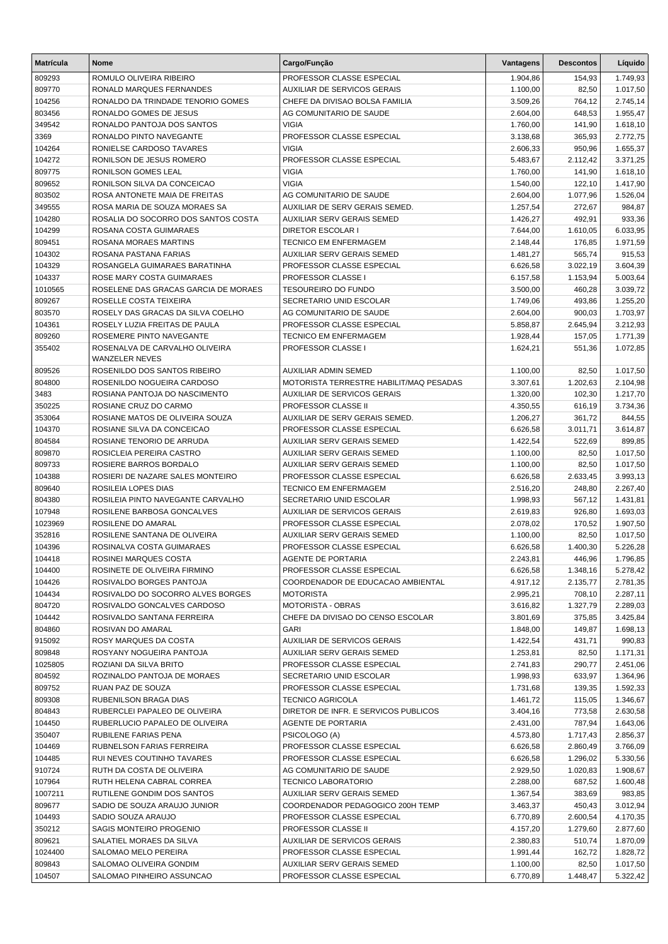| <b>Matrícula</b> | <b>Nome</b>                                             | Cargo/Função                            | Vantagens | <b>Descontos</b> | Líquido  |
|------------------|---------------------------------------------------------|-----------------------------------------|-----------|------------------|----------|
| 809293           | ROMULO OLIVEIRA RIBEIRO                                 | PROFESSOR CLASSE ESPECIAL               | 1.904,86  | 154,93           | 1.749,93 |
| 809770           | RONALD MARQUES FERNANDES                                | <b>AUXILIAR DE SERVICOS GERAIS</b>      | 1.100,00  | 82,50            | 1.017,50 |
| 104256           | RONALDO DA TRINDADE TENORIO GOMES                       | CHEFE DA DIVISAO BOLSA FAMILIA          | 3.509,26  | 764,12           | 2.745,14 |
| 803456           | RONALDO GOMES DE JESUS                                  | AG COMUNITARIO DE SAUDE                 | 2.604,00  | 648,53           | 1.955,47 |
| 349542           | RONALDO PANTOJA DOS SANTOS                              | <b>VIGIA</b>                            | 1.760,00  | 141,90           | 1.618,10 |
| 3369             | RONALDO PINTO NAVEGANTE                                 | PROFESSOR CLASSE ESPECIAL               | 3.138,68  | 365,93           | 2.772,75 |
| 104264           | RONIELSE CARDOSO TAVARES                                | <b>VIGIA</b>                            | 2.606,33  | 950,96           | 1.655,37 |
| 104272           | RONILSON DE JESUS ROMERO                                | PROFESSOR CLASSE ESPECIAL               | 5.483,67  | 2.112,42         | 3.371,25 |
| 809775           | RONILSON GOMES LEAL                                     | <b>VIGIA</b>                            | 1.760,00  | 141,90           | 1.618,10 |
| 809652           | RONILSON SILVA DA CONCEICAO                             | <b>VIGIA</b>                            | 1.540,00  | 122,10           | 1.417,90 |
| 803502           | ROSA ANTONETE MAIA DE FREITAS                           | AG COMUNITARIO DE SAUDE                 | 2.604,00  | 1.077,96         | 1.526,04 |
| 349555           | ROSA MARIA DE SOUZA MORAES SA                           | AUXILIAR DE SERV GERAIS SEMED.          | 1.257,54  | 272,67           | 984,87   |
| 104280           | ROSALIA DO SOCORRO DOS SANTOS COSTA                     | AUXILIAR SERV GERAIS SEMED              | 1.426,27  | 492,91           | 933,36   |
| 104299           | ROSANA COSTA GUIMARAES                                  | <b>DIRETOR ESCOLAR I</b>                | 7.644,00  | 1.610,05         | 6.033,95 |
| 809451           | ROSANA MORAES MARTINS                                   | <b>TECNICO EM ENFERMAGEM</b>            | 2.148,44  | 176,85           | 1.971,59 |
| 104302           | ROSANA PASTANA FARIAS                                   | AUXILIAR SERV GERAIS SEMED              | 1.481,27  | 565,74           | 915,53   |
| 104329           | ROSANGELA GUIMARAES BARATINHA                           | PROFESSOR CLASSE ESPECIAL               | 6.626,58  | 3.022,19         | 3.604,39 |
| 104337           | ROSE MARY COSTA GUIMARAES                               | PROFESSOR CLASSE I                      | 6.157,58  | 1.153,94         | 5.003,64 |
| 1010565          | ROSELENE DAS GRACAS GARCIA DE MORAES                    | <b>TESOUREIRO DO FUNDO</b>              | 3.500,00  | 460,28           | 3.039,72 |
| 809267           | ROSELLE COSTA TEIXEIRA                                  | SECRETARIO UNID ESCOLAR                 | 1.749,06  | 493,86           | 1.255,20 |
| 803570           | ROSELY DAS GRACAS DA SILVA COELHO                       | AG COMUNITARIO DE SAUDE                 | 2.604,00  | 900,03           | 1.703,97 |
| 104361           | ROSELY LUZIA FREITAS DE PAULA                           | PROFESSOR CLASSE ESPECIAL               | 5.858,87  | 2.645,94         | 3.212,93 |
| 809260           | ROSEMERE PINTO NAVEGANTE                                | <b>TECNICO EM ENFERMAGEM</b>            | 1.928,44  | 157,05           | 1.771,39 |
| 355402           | ROSENALVA DE CARVALHO OLIVEIRA<br><b>WANZELER NEVES</b> | PROFESSOR CLASSE I                      | 1.624,21  | 551,36           | 1.072,85 |
| 809526           | ROSENILDO DOS SANTOS RIBEIRO                            | <b>AUXILIAR ADMIN SEMED</b>             | 1.100,00  | 82,50            | 1.017,50 |
| 804800           | ROSENILDO NOGUEIRA CARDOSO                              | MOTORISTA TERRESTRE HABILIT/MAQ PESADAS | 3.307,61  | 1.202,63         | 2.104,98 |
| 3483             | ROSIANA PANTOJA DO NASCIMENTO                           | <b>AUXILIAR DE SERVICOS GERAIS</b>      | 1.320,00  | 102,30           | 1.217,70 |
| 350225           | ROSIANE CRUZ DO CARMO                                   | PROFESSOR CLASSE II                     | 4.350,55  | 616,19           | 3.734,36 |
| 353064           | ROSIANE MATOS DE OLIVEIRA SOUZA                         | AUXILIAR DE SERV GERAIS SEMED.          | 1.206,27  | 361,72           | 844,55   |
| 104370           | ROSIANE SILVA DA CONCEICAO                              | PROFESSOR CLASSE ESPECIAL               | 6.626,58  | 3.011,71         | 3.614,87 |
| 804584           | ROSIANE TENORIO DE ARRUDA                               | AUXILIAR SERV GERAIS SEMED              | 1.422,54  | 522,69           | 899,85   |
| 809870           | ROSICLEIA PEREIRA CASTRO                                | AUXILIAR SERV GERAIS SEMED              | 1.100,00  | 82,50            | 1.017,50 |
| 809733           | ROSIERE BARROS BORDALO                                  | <b>AUXILIAR SERV GERAIS SEMED</b>       | 1.100,00  | 82,50            | 1.017,50 |
| 104388           | ROSIERI DE NAZARE SALES MONTEIRO                        | PROFESSOR CLASSE ESPECIAL               | 6.626,58  | 2.633,45         | 3.993,13 |
| 809640           | ROSILEIA LOPES DIAS                                     | <b>TECNICO EM ENFERMAGEM</b>            | 2.516,20  | 248,80           | 2.267,40 |
| 804380           | ROSILEIA PINTO NAVEGANTE CARVALHO                       | SECRETARIO UNID ESCOLAR                 | 1.998,93  | 567,12           | 1.431,81 |
| 107948           | ROSILENE BARBOSA GONCALVES                              | <b>AUXILIAR DE SERVICOS GERAIS</b>      | 2.619,83  | 926,80           | 1.693,03 |
| 1023969          | ROSILENE DO AMARAL                                      | PROFESSOR CLASSE ESPECIAL               | 2.078,02  | 170,52           | 1.907,50 |
| 352816           | ROSILENE SANTANA DE OLIVEIRA                            | <b>AUXILIAR SERV GERAIS SEMED</b>       | 1.100,00  | 82,50            | 1.017,50 |
| 104396           | ROSINALVA COSTA GUIMARAES                               | PROFESSOR CLASSE ESPECIAL               | 6.626,58  | 1.400,30         | 5.226,28 |
| 104418           | ROSINEI MARQUES COSTA                                   | AGENTE DE PORTARIA                      | 2.243,81  | 446,96           | 1.796,85 |
| 104400           | ROSINETE DE OLIVEIRA FIRMINO                            | PROFESSOR CLASSE ESPECIAL               | 6.626,58  | 1.348,16         | 5.278,42 |
| 104426           | ROSIVALDO BORGES PANTOJA                                | COORDENADOR DE EDUCACAO AMBIENTAL       | 4.917,12  | 2.135,77         | 2.781,35 |
| 104434           | ROSIVALDO DO SOCORRO ALVES BORGES                       | <b>MOTORISTA</b>                        | 2.995,21  | 708,10           | 2.287,11 |
| 804720           | ROSIVALDO GONCALVES CARDOSO                             | MOTORISTA - OBRAS                       | 3.616,82  | 1.327,79         | 2.289,03 |
| 104442           | ROSIVALDO SANTANA FERREIRA                              | CHEFE DA DIVISAO DO CENSO ESCOLAR       | 3.801,69  | 375,85           | 3.425,84 |
| 804860           | ROSIVAN DO AMARAL                                       | <b>GARI</b>                             | 1.848,00  | 149,87           | 1.698,13 |
| 915092           | ROSY MARQUES DA COSTA                                   | AUXILIAR DE SERVICOS GERAIS             | 1.422,54  | 431,71           | 990,83   |
| 809848           | ROSYANY NOGUEIRA PANTOJA                                | AUXILIAR SERV GERAIS SEMED              | 1.253,81  | 82,50            | 1.171,31 |
| 1025805          | ROZIANI DA SILVA BRITO                                  | PROFESSOR CLASSE ESPECIAL               | 2.741,83  | 290,77           | 2.451,06 |
| 804592           | ROZINALDO PANTOJA DE MORAES                             | SECRETARIO UNID ESCOLAR                 | 1.998,93  | 633,97           | 1.364,96 |
| 809752           | RUAN PAZ DE SOUZA                                       | PROFESSOR CLASSE ESPECIAL               | 1.731,68  | 139,35           | 1.592,33 |
| 809308           | RUBENILSON BRAGA DIAS                                   | <b>TECNICO AGRICOLA</b>                 | 1.461,72  | 115,05           | 1.346,67 |
| 804843           | RUBERCLEI PAPALEO DE OLIVEIRA                           | DIRETOR DE INFR. E SERVICOS PUBLICOS    | 3.404,16  | 773,58           | 2.630,58 |
| 104450           | RUBERLUCIO PAPALEO DE OLIVEIRA                          | AGENTE DE PORTARIA                      | 2.431,00  | 787,94           | 1.643,06 |
| 350407           | RUBILENE FARIAS PENA                                    | PSICOLOGO (A)                           | 4.573,80  | 1.717,43         | 2.856,37 |
| 104469           | RUBNELSON FARIAS FERREIRA                               | PROFESSOR CLASSE ESPECIAL               | 6.626,58  | 2.860,49         | 3.766,09 |
| 104485           | RUI NEVES COUTINHO TAVARES                              | PROFESSOR CLASSE ESPECIAL               | 6.626,58  | 1.296,02         | 5.330,56 |
| 910724           | RUTH DA COSTA DE OLIVEIRA                               | AG COMUNITARIO DE SAUDE                 | 2.929,50  | 1.020,83         | 1.908,67 |
| 107964           | RUTH HELENA CABRAL CORREA                               | <b>TECNICO LABORATORIO</b>              | 2.288,00  | 687,52           | 1.600,48 |
| 1007211          | RUTILENE GONDIM DOS SANTOS                              | AUXILIAR SERV GERAIS SEMED              | 1.367,54  | 383,69           | 983,85   |
| 809677           | SADIO DE SOUZA ARAUJO JUNIOR                            | COORDENADOR PEDAGOGICO 200H TEMP        | 3.463,37  | 450,43           | 3.012,94 |
| 104493           | SADIO SOUZA ARAUJO                                      | PROFESSOR CLASSE ESPECIAL               | 6.770,89  | 2.600,54         | 4.170,35 |
| 350212           | SAGIS MONTEIRO PROGENIO                                 | PROFESSOR CLASSE II                     | 4.157,20  | 1.279,60         | 2.877,60 |
| 809621           | SALATIEL MORAES DA SILVA                                | AUXILIAR DE SERVICOS GERAIS             | 2.380,83  | 510,74           | 1.870,09 |
| 1024400          | SALOMAO MELO PEREIRA                                    | PROFESSOR CLASSE ESPECIAL               | 1.991,44  | 162,72           | 1.828,72 |
| 809843           | SALOMAO OLIVEIRA GONDIM                                 | AUXILIAR SERV GERAIS SEMED              | 1.100,00  | 82,50            | 1.017,50 |
| 104507           | SALOMAO PINHEIRO ASSUNCAO                               | PROFESSOR CLASSE ESPECIAL               | 6.770,89  | 1.448,47         | 5.322,42 |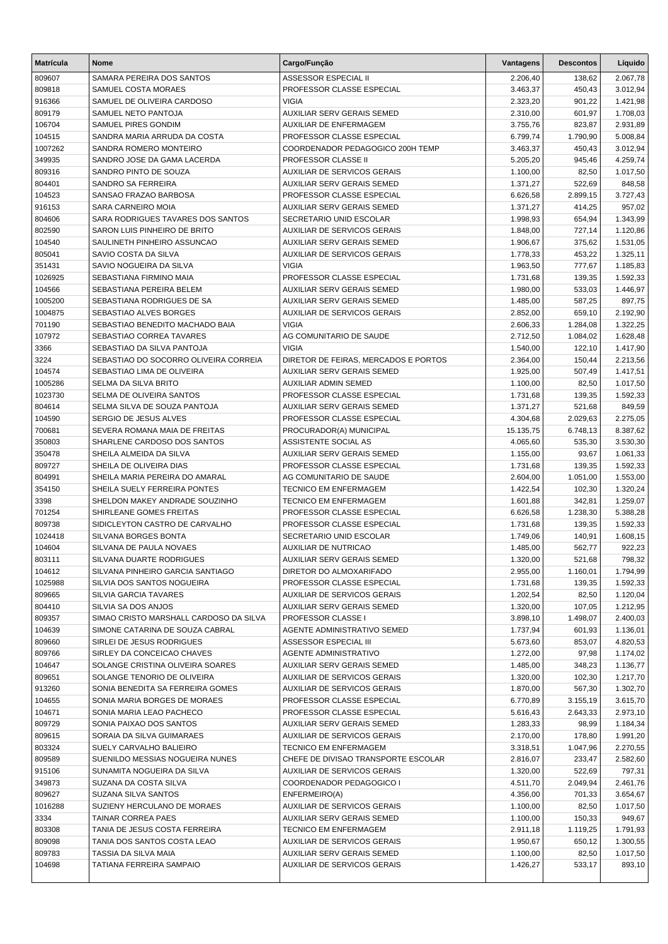| <b>Matrícula</b> | <b>Nome</b>                                                  | Cargo/Função                                    | Vantagens            | <b>Descontos</b> | Líquido              |
|------------------|--------------------------------------------------------------|-------------------------------------------------|----------------------|------------------|----------------------|
| 809607           | SAMARA PEREIRA DOS SANTOS                                    | ASSESSOR ESPECIAL II                            | 2.206,40             | 138,62           | 2.067,78             |
| 809818           | SAMUEL COSTA MORAES                                          | PROFESSOR CLASSE ESPECIAL                       | 3.463,37             | 450,43           | 3.012,94             |
| 916366           | SAMUEL DE OLIVEIRA CARDOSO                                   | <b>VIGIA</b>                                    | 2.323,20             | 901,22           | 1.421,98             |
| 809179           | SAMUEL NETO PANTOJA                                          | <b>AUXILIAR SERV GERAIS SEMED</b>               | 2.310,00             | 601,97           | 1.708,03             |
| 106704           | SAMUEL PIRES GONDIM                                          | AUXILIAR DE ENFERMAGEM                          | 3.755,76             | 823,87           | 2.931,89             |
| 104515           | SANDRA MARIA ARRUDA DA COSTA                                 | PROFESSOR CLASSE ESPECIAL                       | 6.799,74             | 1.790,90         | 5.008,84             |
| 1007262          | SANDRA ROMERO MONTEIRO                                       | COORDENADOR PEDAGOGICO 200H TEMP                | 3.463,37             | 450,43           | 3.012,94             |
| 349935           | SANDRO JOSE DA GAMA LACERDA                                  | PROFESSOR CLASSE II                             | 5.205,20             | 945,46           | 4.259,74             |
| 809316           | SANDRO PINTO DE SOUZA                                        | AUXILIAR DE SERVICOS GERAIS                     | 1.100,00             | 82,50            | 1.017,50             |
| 804401           | SANDRO SA FERREIRA                                           | AUXILIAR SERV GERAIS SEMED                      | 1.371,27             | 522,69           | 848,58               |
| 104523           | SANSAO FRAZAO BARBOSA                                        | PROFESSOR CLASSE ESPECIAL                       | 6.626,58             | 2.899,15         | 3.727,43             |
| 916153           | SARA CARNEIRO MOIA                                           | <b>AUXILIAR SERV GERAIS SEMED</b>               | 1.371,27             | 414,25           | 957,02               |
| 804606           | SARA RODRIGUES TAVARES DOS SANTOS                            | SECRETARIO UNID ESCOLAR                         | 1.998,93             | 654,94           | 1.343,99             |
| 802590           | SARON LUIS PINHEIRO DE BRITO                                 | <b>AUXILIAR DE SERVICOS GERAIS</b>              | 1.848,00             | 727,14           | 1.120,86             |
| 104540           | SAULINETH PINHEIRO ASSUNCAO                                  | AUXILIAR SERV GERAIS SEMED                      | 1.906,67             | 375,62           | 1.531,05             |
| 805041           | SAVIO COSTA DA SILVA                                         | AUXILIAR DE SERVICOS GERAIS                     | 1.778,33             | 453,22           | 1.325,11             |
| 351431           | SAVIO NOGUEIRA DA SILVA                                      | <b>VIGIA</b>                                    | 1.963,50             | 777,67           | 1.185,83             |
| 1026925          | SEBASTIANA FIRMINO MAIA                                      | PROFESSOR CLASSE ESPECIAL                       | 1.731,68             | 139,35           | 1.592,33             |
| 104566           | SEBASTIANA PEREIRA BELEM                                     | AUXILIAR SERV GERAIS SEMED                      | 1.980,00             | 533,03           | 1.446,97             |
| 1005200          | SEBASTIANA RODRIGUES DE SA                                   | <b>AUXILIAR SERV GERAIS SEMED</b>               | 1.485,00             | 587,25           | 897,75               |
| 1004875          | SEBASTIAO ALVES BORGES                                       | AUXILIAR DE SERVICOS GERAIS                     | 2.852,00             | 659,10           | 2.192,90             |
| 701190           | SEBASTIAO BENEDITO MACHADO BAIA                              | <b>VIGIA</b>                                    | 2.606,33             | 1.284,08         | 1.322,25             |
| 107972           | SEBASTIAO CORREA TAVARES                                     | AG COMUNITARIO DE SAUDE                         | 2.712,50             | 1.084,02         | 1.628,48             |
| 3366             | SEBASTIAO DA SILVA PANTOJA                                   | <b>VIGIA</b>                                    | 1.540,00             | 122,10           | 1.417,90             |
| 3224             | SEBASTIAO DO SOCORRO OLIVEIRA CORREIA                        | DIRETOR DE FEIRAS. MERCADOS E PORTOS            | 2.364,00             | 150,44           | 2.213,56             |
| 104574           | SEBASTIAO LIMA DE OLIVEIRA                                   | AUXILIAR SERV GERAIS SEMED                      | 1.925,00             | 507,49           | 1.417,51             |
| 1005286          | SELMA DA SILVA BRITO                                         | <b>AUXILIAR ADMIN SEMED</b>                     | 1.100,00             | 82,50            | 1.017,50             |
| 1023730          | SELMA DE OLIVEIRA SANTOS                                     | PROFESSOR CLASSE ESPECIAL                       | 1.731,68             | 139,35           | 1.592,33             |
| 804614           | SELMA SILVA DE SOUZA PANTOJA                                 | AUXILIAR SERV GERAIS SEMED                      | 1.371,27             | 521,68           | 849,59               |
| 104590           | SERGIO DE JESUS ALVES                                        | PROFESSOR CLASSE ESPECIAL                       | 4.304,68             | 2.029,63         | 2.275,05             |
| 700681           | SEVERA ROMANA MAIA DE FREITAS<br>SHARLENE CARDOSO DOS SANTOS | PROCURADOR(A) MUNICIPAL<br>ASSISTENTE SOCIAL AS | 15.135,75            | 6.748,13         | 8.387,62             |
| 350803<br>350478 | SHEILA ALMEIDA DA SILVA                                      | AUXILIAR SERV GERAIS SEMED                      | 4.065,60             | 535,30<br>93,67  | 3.530,30<br>1.061,33 |
| 809727           | SHEILA DE OLIVEIRA DIAS                                      | PROFESSOR CLASSE ESPECIAL                       | 1.155,00<br>1.731,68 | 139,35           | 1.592,33             |
| 804991           | SHEILA MARIA PEREIRA DO AMARAL                               | AG COMUNITARIO DE SAUDE                         | 2.604,00             | 1.051,00         | 1.553,00             |
| 354150           | SHEILA SUELY FERREIRA PONTES                                 | TECNICO EM ENFERMAGEM                           | 1.422,54             | 102,30           | 1.320,24             |
| 3398             | SHELDON MAKEY ANDRADE SOUZINHO                               | <b>TECNICO EM ENFERMAGEM</b>                    | 1.601,88             | 342,81           | 1.259,07             |
| 701254           | SHIRLEANE GOMES FREITAS                                      | PROFESSOR CLASSE ESPECIAL                       | 6.626,58             | 1.238,30         | 5.388,28             |
| 809738           | SIDICLEYTON CASTRO DE CARVALHO                               | PROFESSOR CLASSE ESPECIAL                       | 1.731,68             | 139,35           | 1.592,33             |
| 1024418          | SILVANA BORGES BONTA                                         | SECRETARIO UNID ESCOLAR                         | 1.749,06             | 140,91           | 1.608,15             |
| 104604           | SILVANA DE PAULA NOVAES                                      | AUXILIAR DE NUTRICAO                            | 1.485,00             | 562,77           | 922,23               |
| 803111           | SILVANA DUARTE RODRIGUES                                     | AUXILIAR SERV GERAIS SEMED                      | 1.320,00             | 521,68           | 798,32               |
| 104612           | SILVANA PINHEIRO GARCIA SANTIAGO                             | DIRETOR DO ALMOXARIFADO                         | 2.955,00             | 1.160,01         | 1.794,99             |
| 1025988          | SILVIA DOS SANTOS NOGUEIRA                                   | PROFESSOR CLASSE ESPECIAL                       | 1.731,68             | 139,35           | 1.592,33             |
| 809665           | SILVIA GARCIA TAVARES                                        | AUXILIAR DE SERVICOS GERAIS                     | 1.202,54             | 82,50            | 1.120,04             |
| 804410           | SILVIA SA DOS ANJOS                                          | AUXILIAR SERV GERAIS SEMED                      | 1.320,00             | 107,05           | 1.212,95             |
| 809357           | SIMAO CRISTO MARSHALL CARDOSO DA SILVA                       | PROFESSOR CLASSE I                              | 3.898,10             | 1.498,07         | 2.400,03             |
| 104639           | SIMONE CATARINA DE SOUZA CABRAL                              | AGENTE ADMINISTRATIVO SEMED                     | 1.737,94             | 601,93           | 1.136,01             |
| 809660           | SIRLEI DE JESUS RODRIGUES                                    | ASSESSOR ESPECIAL III                           | 5.673,60             | 853,07           | 4.820,53             |
| 809766           | SIRLEY DA CONCEICAO CHAVES                                   | AGENTE ADMINISTRATIVO                           | 1.272,00             | 97,98            | 1.174,02             |
| 104647           | SOLANGE CRISTINA OLIVEIRA SOARES                             | AUXILIAR SERV GERAIS SEMED                      | 1.485,00             | 348,23           | 1.136,77             |
| 809651           | SOLANGE TENORIO DE OLIVEIRA                                  | AUXILIAR DE SERVICOS GERAIS                     | 1.320,00             | 102,30           | 1.217,70             |
| 913260           | SONIA BENEDITA SA FERREIRA GOMES                             | AUXILIAR DE SERVICOS GERAIS                     | 1.870,00             | 567,30           | 1.302,70             |
| 104655           | SONIA MARIA BORGES DE MORAES                                 | PROFESSOR CLASSE ESPECIAL                       | 6.770,89             | 3.155,19         | 3.615,70             |
| 104671           | SONIA MARIA LEAO PACHECO                                     | PROFESSOR CLASSE ESPECIAL                       | 5.616,43             | 2.643,33         | 2.973,10             |
| 809729           | SONIA PAIXAO DOS SANTOS                                      | AUXILIAR SERV GERAIS SEMED                      | 1.283,33             | 98,99            | 1.184,34             |
| 809615           | SORAIA DA SILVA GUIMARAES                                    | AUXILIAR DE SERVICOS GERAIS                     | 2.170,00             | 178,80           | 1.991,20             |
| 803324           | SUELY CARVALHO BALIEIRO                                      | TECNICO EM ENFERMAGEM                           | 3.318,51             | 1.047,96         | 2.270,55             |
| 809589           | SUENILDO MESSIAS NOGUEIRA NUNES                              | CHEFE DE DIVISAO TRANSPORTE ESCOLAR             | 2.816,07             | 233,47           | 2.582,60             |
| 915106           | SUNAMITA NOGUEIRA DA SILVA                                   | AUXILIAR DE SERVICOS GERAIS                     | 1.320,00             | 522,69           | 797,31               |
| 349873           | SUZANA DA COSTA SILVA                                        | COORDENADOR PEDAGOGICO I                        | 4.511,70             | 2.049,94         | 2.461,76             |
| 809627           | SUZANA SILVA SANTOS                                          | ENFERMEIRO(A)                                   | 4.356,00             | 701,33           | 3.654,67             |
| 1016288          | SUZIENY HERCULANO DE MORAES                                  | AUXILIAR DE SERVICOS GERAIS                     | 1.100,00             | 82,50            | 1.017,50             |
| 3334             | TAINAR CORREA PAES                                           | AUXILIAR SERV GERAIS SEMED                      | 1.100,00             | 150,33           | 949,67               |
| 803308           | TANIA DE JESUS COSTA FERREIRA                                | <b>TECNICO EM ENFERMAGEM</b>                    | 2.911,18             | 1.119,25         | 1.791,93             |
| 809098           | TANIA DOS SANTOS COSTA LEAO                                  | AUXILIAR DE SERVICOS GERAIS                     | 1.950,67             | 650,12           | 1.300,55             |
| 809783           | TASSIA DA SILVA MAIA                                         | AUXILIAR SERV GERAIS SEMED                      | 1.100,00             | 82,50            | 1.017,50             |
| 104698           | TATIANA FERREIRA SAMPAIO                                     | AUXILIAR DE SERVICOS GERAIS                     | 1.426,27             | 533,17           | 893,10               |
|                  |                                                              |                                                 |                      |                  |                      |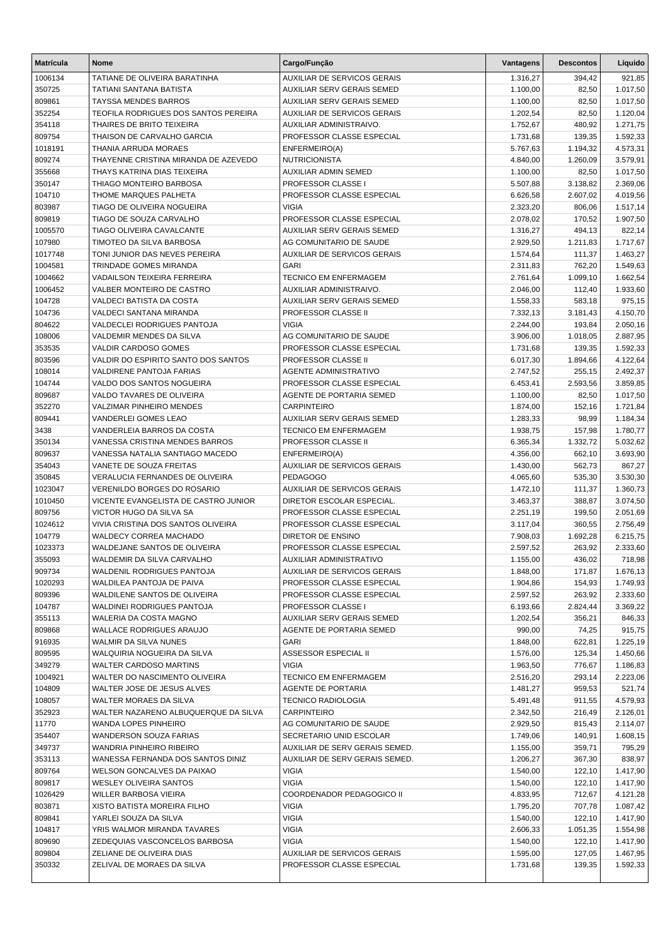| <b>Matrícula</b> | <b>Nome</b>                                                       | Cargo/Função                                 | Vantagens            | <b>Descontos</b> | Líquido            |
|------------------|-------------------------------------------------------------------|----------------------------------------------|----------------------|------------------|--------------------|
| 1006134          | TATIANE DE OLIVEIRA BARATINHA                                     | <b>AUXILIAR DE SERVICOS GERAIS</b>           | 1.316,27             | 394,42           | 921,85             |
| 350725           | <b>TATIANI SANTANA BATISTA</b>                                    | <b>AUXILIAR SERV GERAIS SEMED</b>            | 1.100,00             | 82,50            | 1.017,50           |
| 809861           | TAYSSA MENDES BARROS                                              | <b>AUXILIAR SERV GERAIS SEMED</b>            | 1.100,00             | 82,50            | 1.017,50           |
| 352254           | TEOFILA RODRIGUES DOS SANTOS PEREIRA                              | <b>AUXILIAR DE SERVICOS GERAIS</b>           | 1.202,54             | 82,50            | 1.120,04           |
| 354118           | THAIRES DE BRITO TEIXEIRA                                         | AUXILIAR ADMINISTRAIVO.                      | 1.752,67             | 480,92           | 1.271,75           |
| 809754           | THAISON DE CARVALHO GARCIA                                        | PROFESSOR CLASSE ESPECIAL                    | 1.731,68             | 139,35           | 1.592,33           |
| 1018191          | THANIA ARRUDA MORAES                                              | ENFERMEIRO(A)                                | 5.767,63             | 1.194,32         | 4.573,31           |
| 809274           | THAYENNE CRISTINA MIRANDA DE AZEVEDO                              | <b>NUTRICIONISTA</b>                         | 4.840,00             | 1.260,09         | 3.579,91           |
| 355668           | THAYS KATRINA DIAS TEIXEIRA                                       | <b>AUXILIAR ADMIN SEMED</b>                  | 1.100,00             | 82,50            | 1.017,50           |
| 350147           | THIAGO MONTEIRO BARBOSA                                           | PROFESSOR CLASSE I                           | 5.507,88             | 3.138,82         | 2.369,06           |
| 104710           | THOME MARQUES PALHETA                                             | PROFESSOR CLASSE ESPECIAL                    | 6.626,58             | 2.607,02         | 4.019,56           |
| 803987           | TIAGO DE OLIVEIRA NOGUEIRA                                        | <b>VIGIA</b>                                 | 2.323,20             | 806,06           | 1.517,14           |
| 809819           | TIAGO DE SOUZA CARVALHO                                           | PROFESSOR CLASSE ESPECIAL                    | 2.078,02             | 170,52           | 1.907,50           |
| 1005570          | TIAGO OLIVEIRA CAVALCANTE                                         | <b>AUXILIAR SERV GERAIS SEMED</b>            | 1.316,27             | 494,13           | 822,14             |
| 107980           | TIMOTEO DA SILVA BARBOSA                                          | AG COMUNITARIO DE SAUDE                      | 2.929,50             | 1.211,83         | 1.717,67           |
| 1017748          | TONI JUNIOR DAS NEVES PEREIRA                                     | <b>AUXILIAR DE SERVICOS GERAIS</b>           | 1.574,64             | 111,37           | 1.463,27           |
| 1004581          | TRINDADE GOMES MIRANDA                                            | <b>GARI</b>                                  | 2.311,83             | 762,20           | 1.549,63           |
| 1004662          | VADAILSON TEIXEIRA FERREIRA                                       | TECNICO EM ENFERMAGEM                        | 2.761,64             | 1.099,10         | 1.662,54           |
| 1006452          | VALBER MONTEIRO DE CASTRO                                         | AUXILIAR ADMINISTRAIVO.                      | 2.046,00             | 112,40           | 1.933,60           |
| 104728           | VALDECI BATISTA DA COSTA                                          | AUXILIAR SERV GERAIS SEMED                   | 1.558,33             | 583,18           | 975,15             |
| 104736           | VALDECI SANTANA MIRANDA                                           | <b>PROFESSOR CLASSE II</b>                   | 7.332,13             | 3.181,43         | 4.150,70           |
| 804622           | VALDECLEI RODRIGUES PANTOJA                                       | <b>VIGIA</b>                                 | 2.244,00             | 193,84           | 2.050,16           |
| 108006           | VALDEMIR MENDES DA SILVA                                          | AG COMUNITARIO DE SAUDE                      | 3.906,00             | 1.018,05         | 2.887,95           |
| 353535           | VALDIR CARDOSO GOMES                                              | PROFESSOR CLASSE ESPECIAL                    | 1.731,68             | 139,35           | 1.592,33           |
| 803596           | VALDIR DO ESPIRITO SANTO DOS SANTOS                               | <b>PROFESSOR CLASSE II</b>                   | 6.017,30             | 1.894,66         | 4.122,64           |
| 108014           | VALDIRENE PANTOJA FARIAS                                          | AGENTE ADMINISTRATIVO                        | 2.747,52             | 255,15           | 2.492,37           |
| 104744           | VALDO DOS SANTOS NOGUEIRA                                         | PROFESSOR CLASSE ESPECIAL                    | 6.453,41             | 2.593,56         | 3.859,85           |
| 809687           | VALDO TAVARES DE OLIVEIRA                                         | AGENTE DE PORTARIA SEMED                     | 1.100,00             | 82,50            | 1.017,50           |
| 352270           | <b>VALZIMAR PINHEIRO MENDES</b>                                   | <b>CARPINTEIRO</b>                           | 1.874,00             | 152,16           | 1.721,84           |
| 809441           | VANDERLEI GOMES LEAO                                              | <b>AUXILIAR SERV GERAIS SEMED</b>            | 1.283,33             | 98,99            | 1.184,34           |
| 3438             | VANDERLEIA BARROS DA COSTA                                        | <b>TECNICO EM ENFERMAGEM</b>                 | 1.938,75             | 157,98           | 1.780,77           |
| 350134           | VANESSA CRISTINA MENDES BARROS<br>VANESSA NATALIA SANTIAGO MACEDO | PROFESSOR CLASSE II                          | 6.365,34             | 1.332,72         | 5.032,62           |
| 809637<br>354043 | VANETE DE SOUZA FREITAS                                           | ENFERMEIRO(A)<br>AUXILIAR DE SERVICOS GERAIS | 4.356,00<br>1.430,00 | 662,10<br>562,73 | 3.693,90<br>867,27 |
| 350845           | VERALUCIA FERNANDES DE OLIVEIRA                                   | <b>PEDAGOGO</b>                              | 4.065,60             | 535,30           | 3.530,30           |
| 1023047          | <b>VERENILDO BORGES DO ROSARIO</b>                                | AUXILIAR DE SERVICOS GERAIS                  | 1.472,10             | 111,37           | 1.360,73           |
| 1010450          | VICENTE EVANGELISTA DE CASTRO JUNIOR                              | DIRETOR ESCOLAR ESPECIAL.                    | 3.463,37             | 388,87           | 3.074,50           |
| 809756           | VICTOR HUGO DA SILVA SA                                           | PROFESSOR CLASSE ESPECIAL                    | 2.251,19             | 199,50           | 2.051,69           |
| 1024612          | VIVIA CRISTINA DOS SANTOS OLIVEIRA                                | PROFESSOR CLASSE ESPECIAL                    | 3.117,04             | 360,55           | 2.756,49           |
| 104779           | <b>WALDECY CORREA MACHADO</b>                                     | <b>DIRETOR DE ENSINO</b>                     | 7.908,03             | 1.692,28         | 6.215,75           |
| 1023373          | WALDEJANE SANTOS DE OLIVEIRA                                      | PROFESSOR CLASSE ESPECIAL                    | 2.597,52             | 263,92           | 2.333,60           |
| 355093           | WALDEMIR DA SILVA CARVALHO                                        | AUXILIAR ADMINISTRATIVO                      | 1.155,00             | 436,02           | 718,98             |
| 909734           | WALDENIL RODRIGUES PANTOJA                                        | <b>AUXILIAR DE SERVICOS GERAIS</b>           | 1.848,00             | 171,87           | 1.676,13           |
| 1020293          | WALDILEA PANTOJA DE PAIVA                                         | PROFESSOR CLASSE ESPECIAL                    | 1.904,86             | 154,93           | 1.749,93           |
| 809396           | WALDILENE SANTOS DE OLIVEIRA                                      | PROFESSOR CLASSE ESPECIAL                    | 2.597,52             | 263,92           | 2.333,60           |
| 104787           | WALDINEI RODRIGUES PANTOJA                                        | PROFESSOR CLASSE I                           | 6.193,66             | 2.824,44         | 3.369,22           |
| 355113           | WALERIA DA COSTA MAGNO                                            | AUXILIAR SERV GERAIS SEMED                   | 1.202,54             | 356,21           | 846,33             |
| 809868           | <b>WALLACE RODRIGUES ARAUJO</b>                                   | AGENTE DE PORTARIA SEMED                     | 990,00               | 74,25            | 915,75             |
| 916935           | WALMIR DA SILVA NUNES                                             | <b>GARI</b>                                  | 1.848,00             | 622,81           | 1.225,19           |
| 809595           | WALQUIRIA NOGUEIRA DA SILVA                                       | ASSESSOR ESPECIAL II                         | 1.576,00             | 125,34           | 1.450,66           |
| 349279           | <b>WALTER CARDOSO MARTINS</b>                                     | <b>VIGIA</b>                                 | 1.963,50             | 776,67           | 1.186,83           |
| 1004921          | WALTER DO NASCIMENTO OLIVEIRA                                     | TECNICO EM ENFERMAGEM                        | 2.516,20             | 293,14           | 2.223,06           |
| 104809           | WALTER JOSE DE JESUS ALVES                                        | AGENTE DE PORTARIA                           | 1.481,27             | 959,53           | 521,74             |
| 108057           | WALTER MORAES DA SILVA                                            | <b>TECNICO RADIOLOGIA</b>                    | 5.491,48             | 911,55           | 4.579,93           |
| 352923           | WALTER NAZARENO ALBUQUERQUE DA SILVA                              | <b>CARPINTEIRO</b>                           | 2.342,50             | 216,49           | 2.126,01           |
| 11770            | WANDA LOPES PINHEIRO                                              | AG COMUNITARIO DE SAUDE                      | 2.929,50             | 815,43           | 2.114,07           |
| 354407           | WANDERSON SOUZA FARIAS                                            | SECRETARIO UNID ESCOLAR                      | 1.749,06             | 140,91           | 1.608,15           |
| 349737           | WANDRIA PINHEIRO RIBEIRO                                          | AUXILIAR DE SERV GERAIS SEMED.               | 1.155,00             | 359,71           | 795,29             |
| 353113           | WANESSA FERNANDA DOS SANTOS DINIZ                                 | AUXILIAR DE SERV GERAIS SEMED.               | 1.206,27             | 367,30           | 838,97             |
| 809764           | WELSON GONCALVES DA PAIXAO                                        | <b>VIGIA</b>                                 | 1.540,00             | 122,10           | 1.417,90           |
| 809817           | <b>WESLEY OLIVEIRA SANTOS</b>                                     | <b>VIGIA</b>                                 | 1.540,00             | 122,10           | 1.417,90           |
| 1026429          | WILLER BARBOSA VIEIRA                                             | COORDENADOR PEDAGOGICO II                    | 4.833,95             | 712,67           | 4.121,28           |
| 803871           | XISTO BATISTA MOREIRA FILHO                                       | <b>VIGIA</b>                                 | 1.795,20             | 707,78           | 1.087,42           |
| 809841           | YARLEI SOUZA DA SILVA                                             | <b>VIGIA</b>                                 | 1.540,00             | 122,10           | 1.417,90           |
| 104817           | YRIS WALMOR MIRANDA TAVARES                                       | <b>VIGIA</b>                                 | 2.606,33             | 1.051,35         | 1.554,98           |
| 809690           | ZEDEQUIAS VASCONCELOS BARBOSA                                     | <b>VIGIA</b>                                 | 1.540,00             | 122,10           | 1.417,90           |
| 809804           | ZELIANE DE OLIVEIRA DIAS                                          | AUXILIAR DE SERVICOS GERAIS                  | 1.595,00             | 127,05           | 1.467,95           |
| 350332           | ZELIVAL DE MORAES DA SILVA                                        | PROFESSOR CLASSE ESPECIAL                    | 1.731,68             | 139,35           | 1.592,33           |